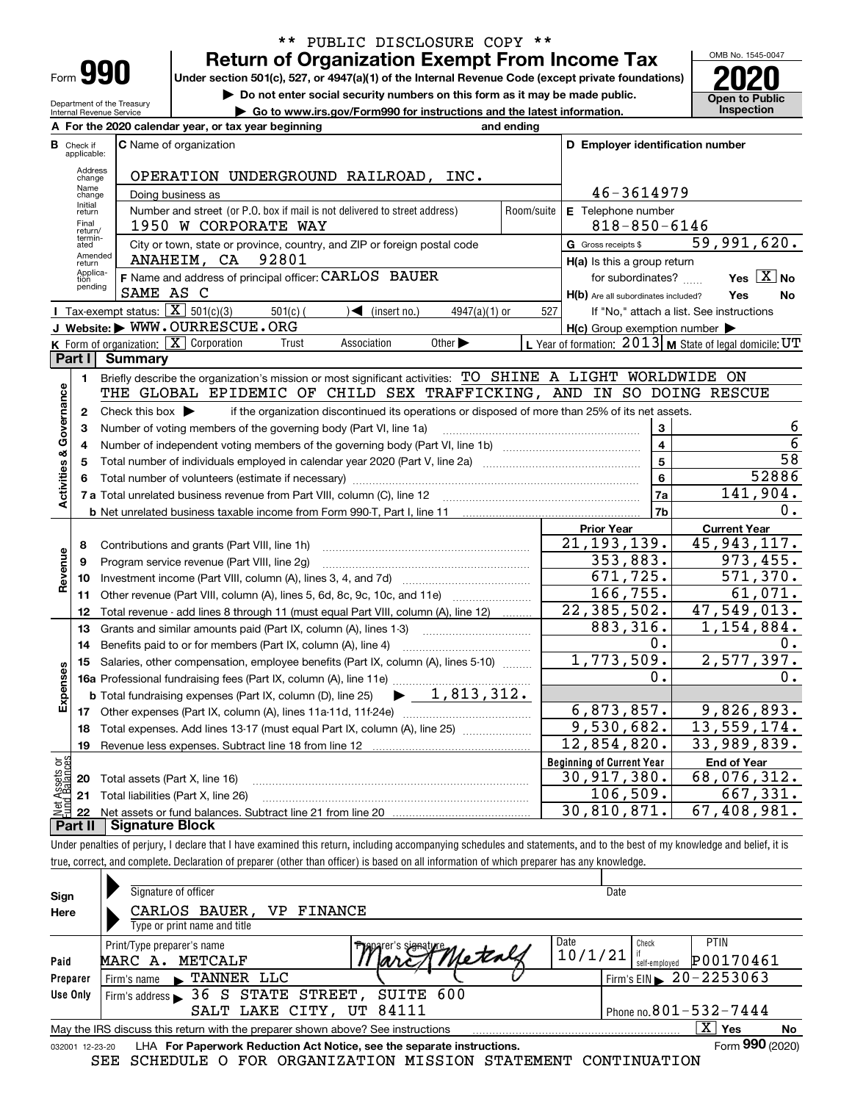| -orm |  |  |
|------|--|--|

## **Return of Organization Exempt From Income Tax** \*\* PUBLIC DISCLOSURE COPY \*\*

**Under section 501(c), 527, or 4947(a)(1) of the Internal Revenue Code (except private foundations) 2020**

**| Do not enter social security numbers on this form as it may be made public.**

Department of the Treasury Internal Revenue Service **| Go to www.irs.gov/Form990 for instructions and the latest information. Inspection**

OMB No. 1545-0047 **Open to Public** 

|                         |                                  | A For the 2020 calendar year, or tax year beginning                                                                                                                         | and ending |                                                     |                                                           |
|-------------------------|----------------------------------|-----------------------------------------------------------------------------------------------------------------------------------------------------------------------------|------------|-----------------------------------------------------|-----------------------------------------------------------|
|                         | <b>B</b> Check if<br>applicable: | <b>C</b> Name of organization                                                                                                                                               |            | D Employer identification number                    |                                                           |
|                         | Address<br>change                | OPERATION UNDERGROUND RAILROAD, INC.                                                                                                                                        |            |                                                     |                                                           |
|                         | Name<br>change                   | Doing business as                                                                                                                                                           |            | 46-3614979                                          |                                                           |
|                         | Initial<br>return                | Number and street (or P.O. box if mail is not delivered to street address)                                                                                                  | Room/suite | E Telephone number                                  |                                                           |
|                         | Final<br>return/                 | 1950 W CORPORATE WAY                                                                                                                                                        |            | $818 - 850 - 6146$                                  |                                                           |
|                         | termin-<br>ated                  | City or town, state or province, country, and ZIP or foreign postal code                                                                                                    |            | G Gross receipts \$                                 | 59,991,620.                                               |
|                         | Amended<br>return                | 92801<br>ANAHEIM, CA                                                                                                                                                        |            | H(a) Is this a group return                         |                                                           |
|                         | Applica-<br>tion                 | F Name and address of principal officer: CARLOS BAUER                                                                                                                       |            | for subordinates?                                   | Yes $\boxed{X}$ No                                        |
|                         | pending                          | SAME AS C                                                                                                                                                                   |            | H(b) Are all subordinates included?                 | Yes<br>No                                                 |
|                         |                                  | <b>T</b> Tax-exempt status: $\overline{X}$ 501(c)(3)<br>$501(c)$ (<br>$\sqrt{\frac{1}{1}}$ (insert no.)<br>$4947(a)(1)$ or                                                  | 527        |                                                     | If "No," attach a list. See instructions                  |
|                         |                                  | J Website: WWW.OURRESCUE.ORG                                                                                                                                                |            | $H(c)$ Group exemption number $\blacktriangleright$ |                                                           |
|                         |                                  | K Form of organization: $X$ Corporation<br>Association<br>Other $\blacktriangleright$<br>Trust                                                                              |            |                                                     | L Year of formation: $2013$ M State of legal domicile: UT |
|                         | Part I                           | Summary                                                                                                                                                                     |            |                                                     |                                                           |
|                         | 1                                | Briefly describe the organization's mission or most significant activities: TO SHINE A LIGHT WORLDWIDE ON                                                                   |            |                                                     |                                                           |
|                         |                                  | THE GLOBAL EPIDEMIC OF CHILD SEX TRAFFICKING, AND IN SO DOING RESCUE                                                                                                        |            |                                                     |                                                           |
| Governance              | $\mathbf{2}$                     | Check this box $\blacktriangleright$<br>if the organization discontinued its operations or disposed of more than 25% of its net assets.                                     |            |                                                     |                                                           |
|                         | з                                | Number of voting members of the governing body (Part VI, line 1a)                                                                                                           |            | 3                                                   | 6<br>6                                                    |
|                         | 4                                | Number of independent voting members of the governing body (Part VI, line 1b) [11] [12] [13] [13] [13] [13] [1                                                              |            | $\overline{\mathbf{4}}$<br>$\overline{5}$           | $\overline{58}$                                           |
| <b>Activities &amp;</b> | 5                                |                                                                                                                                                                             |            |                                                     | 52886                                                     |
|                         | 6                                |                                                                                                                                                                             |            | 6                                                   | 141,904.                                                  |
|                         |                                  | 7 a Total unrelated business revenue from Part VIII, column (C), line 12 [11] [12] [11] [12] [11] [11] Total unrelated business revenue from Part VIII, column (C), line 12 |            | 7a<br>7b                                            | 0.                                                        |
|                         |                                  |                                                                                                                                                                             |            | <b>Prior Year</b>                                   | <b>Current Year</b>                                       |
|                         | 8                                | Contributions and grants (Part VIII, line 1h)                                                                                                                               |            | 21, 193, 139.                                       | 45, 943, 117.                                             |
|                         | 9                                | Program service revenue (Part VIII, line 2g)                                                                                                                                |            | 353,883.                                            | 973, 455.                                                 |
| Revenue                 | 10                               |                                                                                                                                                                             |            | 671, 725.                                           | 571, 370.                                                 |
|                         | 11                               | Other revenue (Part VIII, column (A), lines 5, 6d, 8c, 9c, 10c, and 11e)                                                                                                    |            | 166, 755.                                           | 61,071.                                                   |
|                         | 12                               | Total revenue - add lines 8 through 11 (must equal Part VIII, column (A), line 12)                                                                                          |            | 22,385,502.                                         | 47,549,013.                                               |
|                         | 13                               | Grants and similar amounts paid (Part IX, column (A), lines 1-3)                                                                                                            |            | 883,316.                                            | 1,154,884.                                                |
|                         | 14                               | Benefits paid to or for members (Part IX, column (A), line 4)                                                                                                               |            | 0.                                                  | 0.                                                        |
|                         | 15                               | Salaries, other compensation, employee benefits (Part IX, column (A), lines 5-10)                                                                                           |            | 1,773,509.                                          | 2,577,397.                                                |
|                         |                                  |                                                                                                                                                                             |            | ο.                                                  | 0.                                                        |
| Expenses                |                                  | $\blacktriangleright$ 1,813,312.<br><b>b</b> Total fundraising expenses (Part IX, column (D), line 25)                                                                      |            |                                                     |                                                           |
|                         |                                  |                                                                                                                                                                             |            | 6,873,857.                                          | 9,826,893.                                                |
|                         | 18                               | Total expenses. Add lines 13-17 (must equal Part IX, column (A), line 25)                                                                                                   |            | 9,530,682.                                          | 13,559,174.                                               |
|                         | 19                               |                                                                                                                                                                             |            | 12,854,820.                                         | 33,989,839.                                               |
| ងន                      |                                  |                                                                                                                                                                             |            | <b>Beginning of Current Year</b>                    | <b>End of Year</b>                                        |
| Assets<br>1 Balanc      |                                  | <b>20</b> Total assets (Part X, line 16)                                                                                                                                    |            | 30, 917, 380.                                       | 68,076,312.                                               |
|                         |                                  | 21 Total liabilities (Part X, line 26)                                                                                                                                      |            | 106,509.                                            | 667,331.                                                  |
|                         |                                  |                                                                                                                                                                             |            | 30,810,871.                                         | 67,408,981.                                               |
|                         | Part II                          | <b>Signature Block</b>                                                                                                                                                      |            |                                                     |                                                           |

Under penalties of perjury, I declare that I have examined this return, including accompanying schedules and statements, and to the best of my knowledge and belief, it is true, correct, and complete. Declaration of preparer (other than officer) is based on all information of which preparer has any knowledge.

| Sign            | Signature of officer                                                            | Date                                   |
|-----------------|---------------------------------------------------------------------------------|----------------------------------------|
| Here            | CARLOS BAUER, VP FINANCE<br>Type or print name and title                        |                                        |
|                 | Date<br>Print/Type preparer's name<br><b>Plapa</b> rer's svenaty                | <b>PTIN</b><br>Check                   |
| Paid            | TMetals<br>10/1/21<br>MARC A. METCALF                                           | P00170461<br>self-emploved             |
| Preparer        | $\blacksquare$ TANNER LLC<br>Firm's name                                        | Firm's EIN $\triangleright$ 20-2253063 |
| Use Only        | Firm's address $\blacktriangleright$ 36 S STATE STREET,<br>SUITE 600            |                                        |
|                 | SALT LAKE CITY, UT 84111                                                        | Phone no. $801 - 532 - 7444$           |
|                 | May the IRS discuss this return with the preparer shown above? See instructions | $X \mid Y$ es<br>No                    |
| 032001 12-23-20 | LHA For Paperwork Reduction Act Notice, see the separate instructions.          | Form 990 (2020)                        |
|                 | SEE SCHEDULE O FOR ORGANIZATION MISSION STATEMENT CONTINUATION                  |                                        |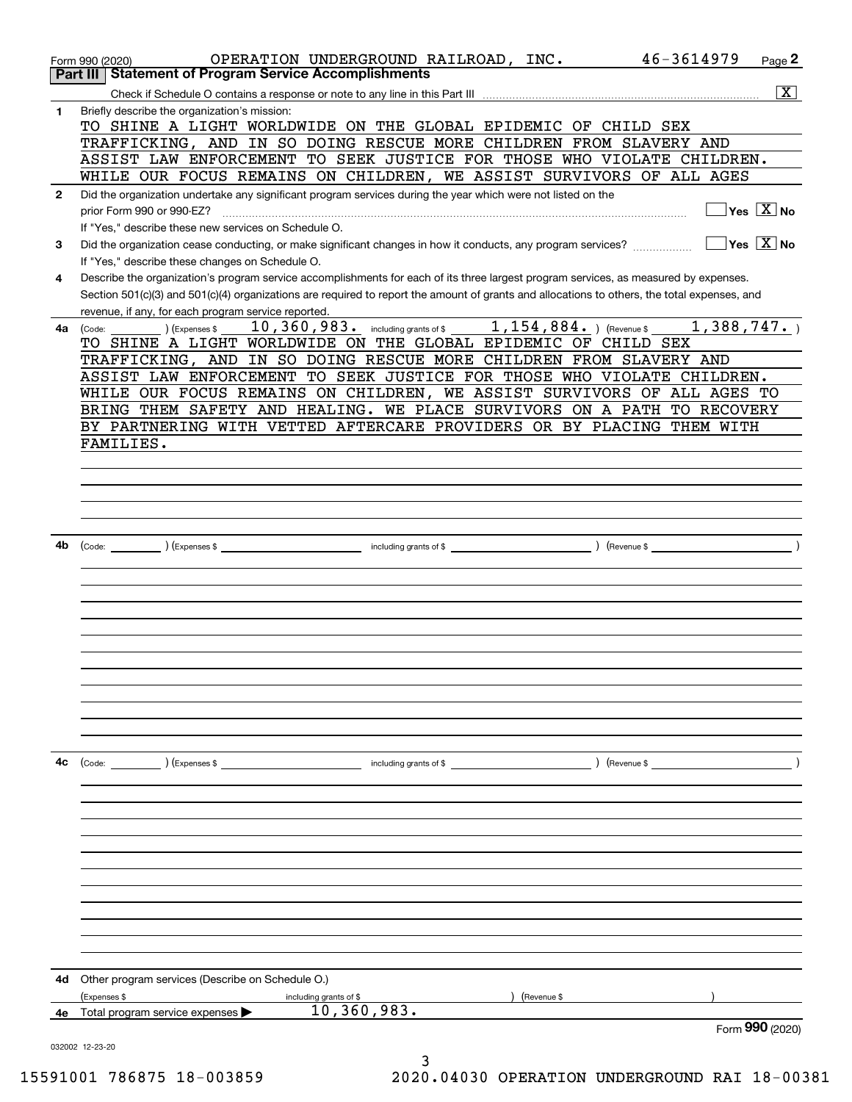|              | 46-3614979<br>OPERATION UNDERGROUND RAILROAD, INC.<br>Page 2<br>Form 990 (2020)                                                              |
|--------------|----------------------------------------------------------------------------------------------------------------------------------------------|
|              | <b>Statement of Program Service Accomplishments</b><br>Part III                                                                              |
|              | $\overline{\mathbf{x}}$                                                                                                                      |
| 1            | Briefly describe the organization's mission:                                                                                                 |
|              | TO SHINE A LIGHT WORLDWIDE ON THE GLOBAL EPIDEMIC OF CHILD SEX                                                                               |
|              | TRAFFICKING, AND IN SO DOING RESCUE MORE CHILDREN FROM SLAVERY AND<br>ASSIST LAW ENFORCEMENT TO SEEK JUSTICE FOR THOSE WHO VIOLATE CHILDREN. |
|              | WHILE OUR FOCUS REMAINS ON CHILDREN, WE ASSIST SURVIVORS OF ALL AGES                                                                         |
| $\mathbf{2}$ | Did the organization undertake any significant program services during the year which were not listed on the                                 |
|              | $\overline{\ }$ Yes $\overline{\rm{X}}$ No<br>prior Form 990 or 990-EZ?                                                                      |
|              | If "Yes," describe these new services on Schedule O.                                                                                         |
| 3            | $\sqrt{}$ Yes $\sqrt{X}$ No<br>Did the organization cease conducting, or make significant changes in how it conducts, any program services?  |
|              | If "Yes," describe these changes on Schedule O.                                                                                              |
| 4            | Describe the organization's program service accomplishments for each of its three largest program services, as measured by expenses.         |
|              | Section 501(c)(3) and 501(c)(4) organizations are required to report the amount of grants and allocations to others, the total expenses, and |
|              | revenue, if any, for each program service reported.                                                                                          |
| 4a           | 10, 360, 983. including grants of \$ 1, 154, 884. ) (Revenue \$<br>1,388,747.<br>(Expenses \$<br>(Code:                                      |
|              | TO SHINE A LIGHT WORLDWIDE ON THE GLOBAL EPIDEMIC OF CHILD SEX<br>TRAFFICKING, AND IN SO DOING RESCUE MORE CHILDREN FROM SLAVERY AND         |
|              | ASSIST LAW ENFORCEMENT TO SEEK JUSTICE FOR THOSE WHO VIOLATE CHILDREN.                                                                       |
|              | WHILE OUR FOCUS REMAINS ON CHILDREN, WE ASSIST SURVIVORS OF ALL AGES TO                                                                      |
|              | BRING THEM SAFETY AND HEALING. WE PLACE SURVIVORS ON A PATH<br>TO RECOVERY                                                                   |
|              | BY PARTNERING WITH VETTED AFTERCARE PROVIDERS OR BY PLACING THEM WITH                                                                        |
|              | FAMILIES.                                                                                                                                    |
|              |                                                                                                                                              |
|              |                                                                                                                                              |
|              |                                                                                                                                              |
|              |                                                                                                                                              |
|              |                                                                                                                                              |
| 4b           |                                                                                                                                              |
|              |                                                                                                                                              |
|              |                                                                                                                                              |
|              |                                                                                                                                              |
|              |                                                                                                                                              |
|              |                                                                                                                                              |
|              |                                                                                                                                              |
|              |                                                                                                                                              |
|              |                                                                                                                                              |
|              |                                                                                                                                              |
|              |                                                                                                                                              |
|              |                                                                                                                                              |
| 4с           | ) (Revenue $\frac{1}{2}$                                                                                                                     |
|              |                                                                                                                                              |
|              |                                                                                                                                              |
|              |                                                                                                                                              |
|              |                                                                                                                                              |
|              |                                                                                                                                              |
|              |                                                                                                                                              |
|              |                                                                                                                                              |
|              |                                                                                                                                              |
|              |                                                                                                                                              |
|              |                                                                                                                                              |
|              |                                                                                                                                              |
| 4d           | Other program services (Describe on Schedule O.)                                                                                             |
|              | (Expenses \$<br>including grants of \$<br>(Revenue \$<br>10,360,983.                                                                         |
|              | 4e Total program service expenses $\blacktriangleright$<br>Form 990 (2020)                                                                   |
|              | 032002 12-23-20                                                                                                                              |

3 15591001 786875 18-003859 2020.04030 OPERATION UNDERGROUND RAI 18-00381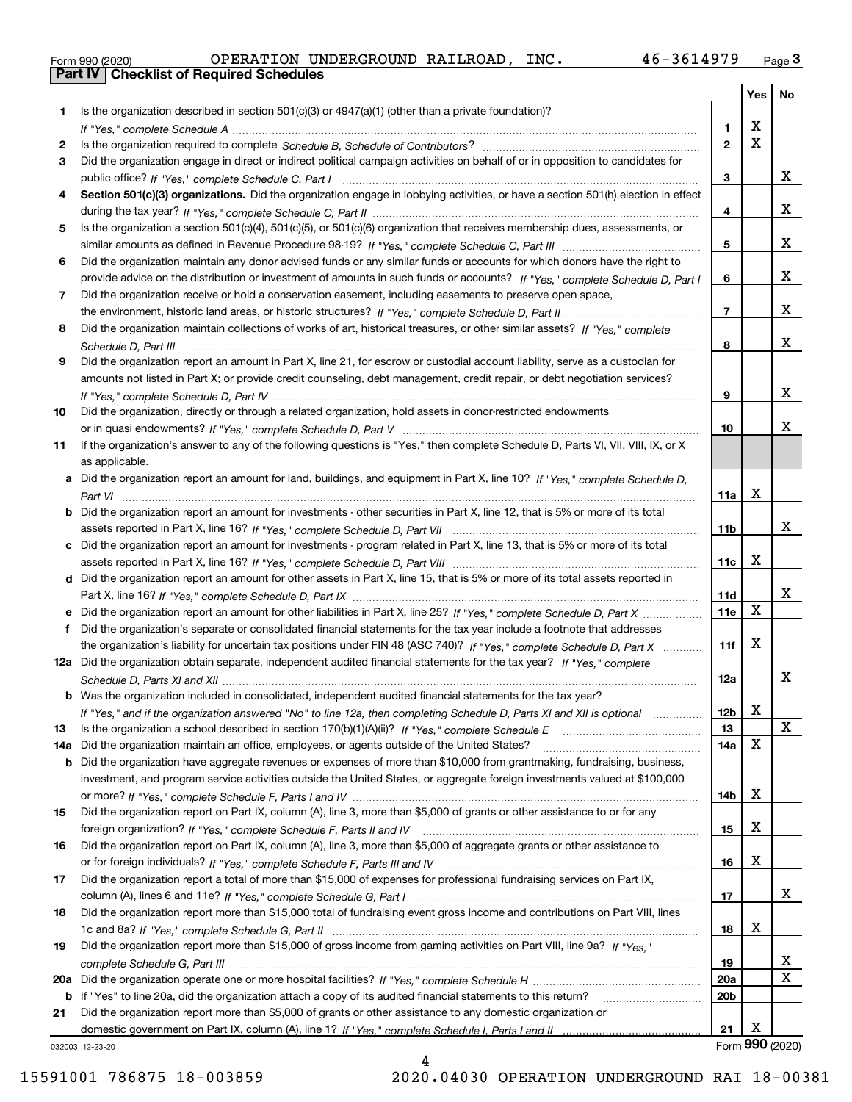|  | Form 990 (2020) |
|--|-----------------|

|     |                                                                                                                                               |                 | Yes                     | No              |
|-----|-----------------------------------------------------------------------------------------------------------------------------------------------|-----------------|-------------------------|-----------------|
| 1   | Is the organization described in section $501(c)(3)$ or $4947(a)(1)$ (other than a private foundation)?                                       |                 |                         |                 |
|     |                                                                                                                                               | 1.              | X                       |                 |
| 2   |                                                                                                                                               | $\overline{2}$  | $\overline{\mathbf{x}}$ |                 |
| 3   | Did the organization engage in direct or indirect political campaign activities on behalf of or in opposition to candidates for               |                 |                         |                 |
|     |                                                                                                                                               | 3               |                         | x               |
| 4   | Section 501(c)(3) organizations. Did the organization engage in lobbying activities, or have a section 501(h) election in effect              |                 |                         |                 |
|     |                                                                                                                                               | 4               |                         | x               |
| 5.  | Is the organization a section 501(c)(4), 501(c)(5), or 501(c)(6) organization that receives membership dues, assessments, or                  |                 |                         |                 |
|     |                                                                                                                                               | 5               |                         | x               |
| 6   | Did the organization maintain any donor advised funds or any similar funds or accounts for which donors have the right to                     |                 |                         |                 |
|     | provide advice on the distribution or investment of amounts in such funds or accounts? If "Yes," complete Schedule D, Part I                  | 6               |                         | x               |
| 7   | Did the organization receive or hold a conservation easement, including easements to preserve open space,                                     |                 |                         |                 |
|     |                                                                                                                                               | $\overline{7}$  |                         | x               |
| 8   | Did the organization maintain collections of works of art, historical treasures, or other similar assets? If "Yes," complete                  |                 |                         |                 |
|     |                                                                                                                                               | 8               |                         | x               |
| 9   | Did the organization report an amount in Part X, line 21, for escrow or custodial account liability, serve as a custodian for                 |                 |                         |                 |
|     | amounts not listed in Part X; or provide credit counseling, debt management, credit repair, or debt negotiation services?                     |                 |                         |                 |
|     |                                                                                                                                               | 9               |                         | x               |
| 10  | Did the organization, directly or through a related organization, hold assets in donor-restricted endowments                                  |                 |                         |                 |
|     |                                                                                                                                               | 10              |                         | x.              |
| 11  | If the organization's answer to any of the following questions is "Yes," then complete Schedule D, Parts VI, VII, VIII, IX, or X              |                 |                         |                 |
|     | as applicable.<br>Did the organization report an amount for land, buildings, and equipment in Part X, line 10? If "Yes," complete Schedule D, |                 |                         |                 |
| a   |                                                                                                                                               | 11a             | Х                       |                 |
| b   | Did the organization report an amount for investments - other securities in Part X, line 12, that is 5% or more of its total                  |                 |                         |                 |
|     |                                                                                                                                               | 11 <sub>b</sub> |                         | x               |
| c   | Did the organization report an amount for investments - program related in Part X, line 13, that is 5% or more of its total                   |                 |                         |                 |
|     |                                                                                                                                               | 11c             | X                       |                 |
|     | d Did the organization report an amount for other assets in Part X, line 15, that is 5% or more of its total assets reported in               |                 |                         |                 |
|     |                                                                                                                                               | 11d             |                         | x               |
| е   | Did the organization report an amount for other liabilities in Part X, line 25? If "Yes," complete Schedule D, Part X                         | 11e             | $\mathbf X$             |                 |
| f   | Did the organization's separate or consolidated financial statements for the tax year include a footnote that addresses                       |                 |                         |                 |
|     | the organization's liability for uncertain tax positions under FIN 48 (ASC 740)? If "Yes," complete Schedule D, Part X                        | 11f             | Χ                       |                 |
|     | 12a Did the organization obtain separate, independent audited financial statements for the tax year? If "Yes," complete                       |                 |                         |                 |
|     |                                                                                                                                               | 12a             |                         | x               |
|     | <b>b</b> Was the organization included in consolidated, independent audited financial statements for the tax year?                            |                 |                         |                 |
|     | If "Yes," and if the organization answered "No" to line 12a, then completing Schedule D, Parts XI and XII is optional                         | 12b             | X                       |                 |
| 13  |                                                                                                                                               | 13              |                         | x               |
| 14a | Did the organization maintain an office, employees, or agents outside of the United States?                                                   | 14a             | Χ                       |                 |
| b   | Did the organization have aggregate revenues or expenses of more than \$10,000 from grantmaking, fundraising, business,                       |                 |                         |                 |
|     | investment, and program service activities outside the United States, or aggregate foreign investments valued at \$100,000                    |                 |                         |                 |
|     |                                                                                                                                               | 14b             | x                       |                 |
| 15  | Did the organization report on Part IX, column (A), line 3, more than \$5,000 of grants or other assistance to or for any                     |                 |                         |                 |
|     |                                                                                                                                               | 15              | х                       |                 |
| 16  | Did the organization report on Part IX, column (A), line 3, more than \$5,000 of aggregate grants or other assistance to                      | 16              | X                       |                 |
| 17  | Did the organization report a total of more than \$15,000 of expenses for professional fundraising services on Part IX,                       |                 |                         |                 |
|     |                                                                                                                                               | 17              |                         | x               |
| 18  | Did the organization report more than \$15,000 total of fundraising event gross income and contributions on Part VIII, lines                  |                 |                         |                 |
|     |                                                                                                                                               | 18              | x                       |                 |
| 19  | Did the organization report more than \$15,000 of gross income from gaming activities on Part VIII, line 9a? If "Yes."                        |                 |                         |                 |
|     |                                                                                                                                               | 19              |                         | x               |
| 20a |                                                                                                                                               | <b>20a</b>      |                         | х               |
| b   | If "Yes" to line 20a, did the organization attach a copy of its audited financial statements to this return?                                  | 20 <sub>b</sub> |                         |                 |
| 21  | Did the organization report more than \$5,000 of grants or other assistance to any domestic organization or                                   |                 |                         |                 |
|     |                                                                                                                                               | 21              | х                       |                 |
|     | 032003 12-23-20                                                                                                                               |                 |                         | Form 990 (2020) |
|     |                                                                                                                                               |                 |                         |                 |

032003 12-23-20

4 15591001 786875 18-003859 2020.04030 OPERATION UNDERGROUND RAI 18-00381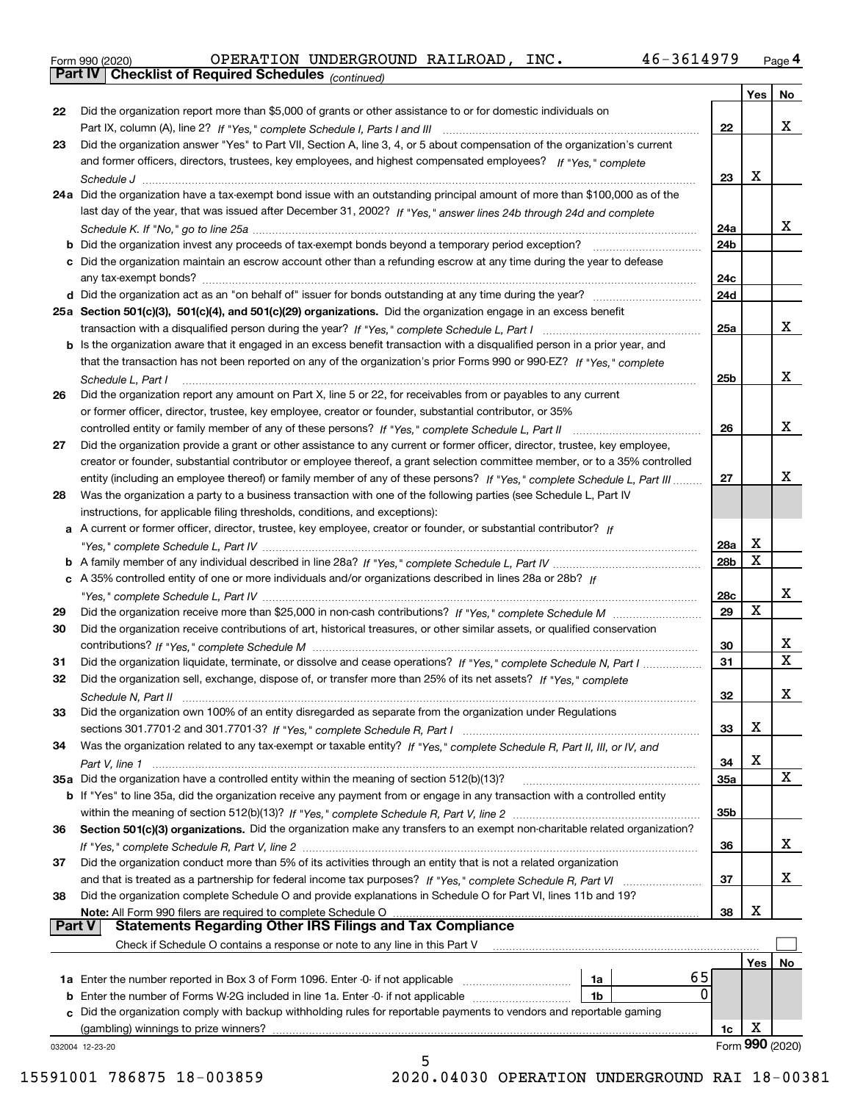|  | Form 990 (2020) |
|--|-----------------|
|  |                 |

*(continued)*

|               |                                                                                                                              |                 | Yes | No                         |
|---------------|------------------------------------------------------------------------------------------------------------------------------|-----------------|-----|----------------------------|
| 22            | Did the organization report more than \$5,000 of grants or other assistance to or for domestic individuals on                |                 |     |                            |
|               |                                                                                                                              | 22              |     | x                          |
| 23            | Did the organization answer "Yes" to Part VII, Section A, line 3, 4, or 5 about compensation of the organization's current   |                 |     |                            |
|               | and former officers, directors, trustees, key employees, and highest compensated employees? If "Yes," complete               |                 |     |                            |
|               |                                                                                                                              | 23              | х   |                            |
|               | 24a Did the organization have a tax-exempt bond issue with an outstanding principal amount of more than \$100,000 as of the  |                 |     |                            |
|               | last day of the year, that was issued after December 31, 2002? If "Yes," answer lines 24b through 24d and complete           |                 |     |                            |
|               |                                                                                                                              | 24a             |     | X.                         |
|               | <b>b</b> Did the organization invest any proceeds of tax-exempt bonds beyond a temporary period exception?                   | 24b             |     |                            |
|               | c Did the organization maintain an escrow account other than a refunding escrow at any time during the year to defease       |                 |     |                            |
|               | any tax-exempt bonds?                                                                                                        | 24c             |     |                            |
|               |                                                                                                                              | 24d             |     |                            |
|               | 25a Section 501(c)(3), 501(c)(4), and 501(c)(29) organizations. Did the organization engage in an excess benefit             | 25a             |     | x                          |
|               | b Is the organization aware that it engaged in an excess benefit transaction with a disqualified person in a prior year, and |                 |     |                            |
|               | that the transaction has not been reported on any of the organization's prior Forms 990 or 990-EZ? If "Yes," complete        |                 |     |                            |
|               | Schedule L, Part I                                                                                                           | 25b             |     | x                          |
| 26            | Did the organization report any amount on Part X, line 5 or 22, for receivables from or payables to any current              |                 |     |                            |
|               | or former officer, director, trustee, key employee, creator or founder, substantial contributor, or 35%                      |                 |     |                            |
|               | controlled entity or family member of any of these persons? If "Yes," complete Schedule L, Part II                           | 26              |     | x                          |
| 27            | Did the organization provide a grant or other assistance to any current or former officer, director, trustee, key employee,  |                 |     |                            |
|               | creator or founder, substantial contributor or employee thereof, a grant selection committee member, or to a 35% controlled  |                 |     |                            |
|               | entity (including an employee thereof) or family member of any of these persons? If "Yes," complete Schedule L, Part III     | 27              |     | х                          |
| 28            | Was the organization a party to a business transaction with one of the following parties (see Schedule L, Part IV            |                 |     |                            |
|               | instructions, for applicable filing thresholds, conditions, and exceptions):                                                 |                 |     |                            |
|               | a A current or former officer, director, trustee, key employee, creator or founder, or substantial contributor? If           |                 |     |                            |
|               |                                                                                                                              | 28a             | х   |                            |
|               |                                                                                                                              | 28 <sub>b</sub> | X   |                            |
|               | c A 35% controlled entity of one or more individuals and/or organizations described in lines 28a or 28b? If                  |                 |     |                            |
|               |                                                                                                                              | 28c             |     | x                          |
| 29            |                                                                                                                              | 29              | X   |                            |
| 30            | Did the organization receive contributions of art, historical treasures, or other similar assets, or qualified conservation  |                 |     |                            |
|               |                                                                                                                              | 30              |     | x<br>$\overline{\text{x}}$ |
| 31            | Did the organization liquidate, terminate, or dissolve and cease operations? If "Yes," complete Schedule N, Part I           | 31              |     |                            |
| 32            | Did the organization sell, exchange, dispose of, or transfer more than 25% of its net assets? If "Yes," complete             |                 |     |                            |
|               |                                                                                                                              | 32              |     | x                          |
| 33            | Did the organization own 100% of an entity disregarded as separate from the organization under Regulations                   |                 | Χ   |                            |
|               |                                                                                                                              | 33              |     |                            |
| 34            | Was the organization related to any tax-exempt or taxable entity? If "Yes," complete Schedule R, Part II, III, or IV, and    | 34              | х   |                            |
|               | Part V, line 1<br>35a Did the organization have a controlled entity within the meaning of section 512(b)(13)?                | <b>35a</b>      |     | X                          |
|               | b If "Yes" to line 35a, did the organization receive any payment from or engage in any transaction with a controlled entity  |                 |     |                            |
|               |                                                                                                                              | 35b             |     |                            |
| 36            | Section 501(c)(3) organizations. Did the organization make any transfers to an exempt non-charitable related organization?   |                 |     |                            |
|               |                                                                                                                              | 36              |     | X.                         |
| 37            | Did the organization conduct more than 5% of its activities through an entity that is not a related organization             |                 |     |                            |
|               | and that is treated as a partnership for federal income tax purposes? If "Yes," complete Schedule R, Part VI                 | 37              |     | X.                         |
| 38            | Did the organization complete Schedule O and provide explanations in Schedule O for Part VI, lines 11b and 19?               |                 |     |                            |
|               | Note: All Form 990 filers are required to complete Schedule O                                                                | 38              | х   |                            |
| <b>Part V</b> | <b>Statements Regarding Other IRS Filings and Tax Compliance</b>                                                             |                 |     |                            |
|               | Check if Schedule O contains a response or note to any line in this Part V                                                   |                 |     |                            |
|               |                                                                                                                              |                 | Yes | No                         |
|               | 65<br>1a                                                                                                                     |                 |     |                            |
| b             | 0<br>Enter the number of Forms W-2G included in line 1a. Enter -0- if not applicable<br>1b                                   |                 |     |                            |
| c             | Did the organization comply with backup withholding rules for reportable payments to vendors and reportable gaming           |                 | х   |                            |
|               | (gambling) winnings to prize winners?                                                                                        | 1c              |     | Form 990 (2020)            |
|               | 032004 12-23-20<br>5                                                                                                         |                 |     |                            |

 <sup>15591001 786875 18-003859 2020.04030</sup> OPERATION UNDERGROUND RAI 18-00381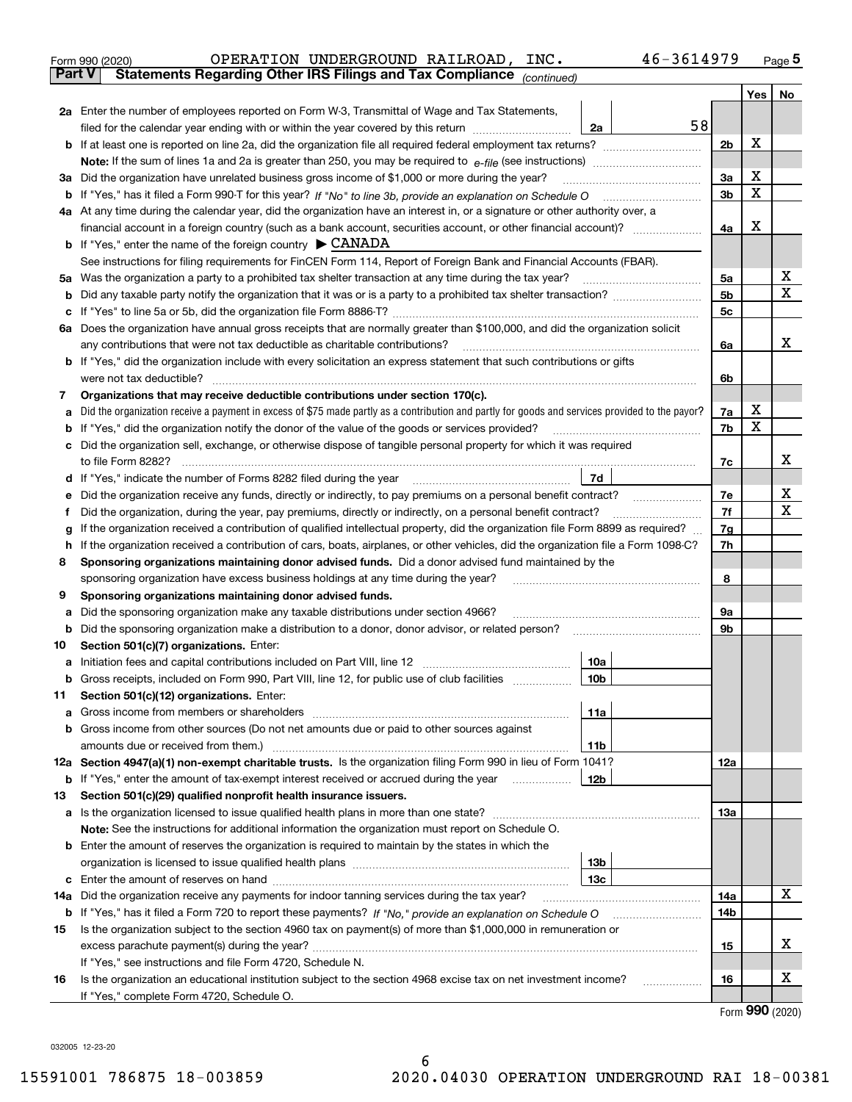| Form 990 (2020) |  | OPERATION UNDERGROUND RAILROAD,                                                                | INC. | 46-3614979 | Page $5$ |
|-----------------|--|------------------------------------------------------------------------------------------------|------|------------|----------|
|                 |  | <b>Part V</b> Statements Regarding Other IRS Filings and Tax Compliance <sub>(continued)</sub> |      |            |          |

| ran v | Statements Regarding Other IRS Fillings and Tax Compilance<br>(continued)                                                                       |     |     |                  |
|-------|-------------------------------------------------------------------------------------------------------------------------------------------------|-----|-----|------------------|
|       |                                                                                                                                                 |     | Yes | No               |
|       | 2a Enter the number of employees reported on Form W-3, Transmittal of Wage and Tax Statements,                                                  |     |     |                  |
|       | 58<br>filed for the calendar year ending with or within the year covered by this return <i>manumumumum</i><br>2a                                |     |     |                  |
|       |                                                                                                                                                 | 2b  | x   |                  |
|       |                                                                                                                                                 |     |     |                  |
|       | 3a Did the organization have unrelated business gross income of \$1,000 or more during the year?                                                | За  | х   |                  |
|       |                                                                                                                                                 | 3b  | х   |                  |
|       | 4a At any time during the calendar year, did the organization have an interest in, or a signature or other authority over, a                    |     |     |                  |
|       | financial account in a foreign country (such as a bank account, securities account, or other financial account)?                                | 4a  | X   |                  |
|       | <b>b</b> If "Yes," enter the name of the foreign country $\triangleright$ CANADA                                                                |     |     |                  |
|       | See instructions for filing requirements for FinCEN Form 114, Report of Foreign Bank and Financial Accounts (FBAR).                             |     |     |                  |
|       | 5a Was the organization a party to a prohibited tax shelter transaction at any time during the tax year?                                        | 5a  |     | х                |
|       |                                                                                                                                                 | 5b  |     | X                |
|       |                                                                                                                                                 | 5c  |     |                  |
|       | 6a Does the organization have annual gross receipts that are normally greater than \$100,000, and did the organization solicit                  |     |     |                  |
|       | any contributions that were not tax deductible as charitable contributions?                                                                     | 6a  |     | x                |
|       | <b>b</b> If "Yes," did the organization include with every solicitation an express statement that such contributions or gifts                   |     |     |                  |
|       | were not tax deductible?                                                                                                                        | 6b  |     |                  |
| 7.    | Organizations that may receive deductible contributions under section 170(c).                                                                   |     |     |                  |
| a     | Did the organization receive a payment in excess of \$75 made partly as a contribution and partly for goods and services provided to the payor? | 7a  | X   |                  |
|       | <b>b</b> If "Yes," did the organization notify the donor of the value of the goods or services provided?                                        | 7b  | X   |                  |
|       | c Did the organization sell, exchange, or otherwise dispose of tangible personal property for which it was required                             |     |     |                  |
|       | to file Form 8282?                                                                                                                              | 7c  |     | х                |
|       | d If "Yes," indicate the number of Forms 8282 filed during the year<br>7d                                                                       |     |     |                  |
| е     | Did the organization receive any funds, directly or indirectly, to pay premiums on a personal benefit contract?                                 | 7e  |     | х<br>$\mathbf X$ |
| f     | Did the organization, during the year, pay premiums, directly or indirectly, on a personal benefit contract?                                    | 7f  |     |                  |
| g     | If the organization received a contribution of qualified intellectual property, did the organization file Form 8899 as required?                | 7g  |     |                  |
| h.    | If the organization received a contribution of cars, boats, airplanes, or other vehicles, did the organization file a Form 1098-C?              | 7h  |     |                  |
| 8     | Sponsoring organizations maintaining donor advised funds. Did a donor advised fund maintained by the                                            |     |     |                  |
|       | sponsoring organization have excess business holdings at any time during the year?                                                              | 8   |     |                  |
| 9     | Sponsoring organizations maintaining donor advised funds.                                                                                       |     |     |                  |
| а     | Did the sponsoring organization make any taxable distributions under section 4966?                                                              | 9а  |     |                  |
| b     | Did the sponsoring organization make a distribution to a donor, donor advisor, or related person?                                               | 9b  |     |                  |
| 10    | Section 501(c)(7) organizations. Enter:                                                                                                         |     |     |                  |
| а     | 10a<br>b Gross receipts, included on Form 990, Part VIII, line 12, for public use of club facilities<br>10 <sub>b</sub>                         |     |     |                  |
|       |                                                                                                                                                 |     |     |                  |
| 11.   | Section 501(c)(12) organizations. Enter:<br>11a                                                                                                 |     |     |                  |
|       | <b>b</b> Gross income from other sources (Do not net amounts due or paid to other sources against                                               |     |     |                  |
|       | 11b                                                                                                                                             |     |     |                  |
|       | 12a Section 4947(a)(1) non-exempt charitable trusts. Is the organization filing Form 990 in lieu of Form 1041?                                  | 12a |     |                  |
|       | <b>b</b> If "Yes," enter the amount of tax-exempt interest received or accrued during the year<br>12b                                           |     |     |                  |
| 13    | Section 501(c)(29) qualified nonprofit health insurance issuers.                                                                                |     |     |                  |
|       | a Is the organization licensed to issue qualified health plans in more than one state?                                                          | 13a |     |                  |
|       | Note: See the instructions for additional information the organization must report on Schedule O.                                               |     |     |                  |
|       | <b>b</b> Enter the amount of reserves the organization is required to maintain by the states in which the                                       |     |     |                  |
|       | 13b                                                                                                                                             |     |     |                  |
|       | 13c                                                                                                                                             |     |     |                  |
| 14a   | Did the organization receive any payments for indoor tanning services during the tax year?                                                      | 14a |     | x                |
|       |                                                                                                                                                 | 14b |     |                  |
| 15    | Is the organization subject to the section 4960 tax on payment(s) of more than \$1,000,000 in remuneration or                                   |     |     |                  |
|       |                                                                                                                                                 | 15  |     | х                |
|       | If "Yes," see instructions and file Form 4720, Schedule N.                                                                                      |     |     |                  |
| 16    | Is the organization an educational institution subject to the section 4968 excise tax on net investment income?                                 | 16  |     | х                |
|       | If "Yes," complete Form 4720, Schedule O.                                                                                                       |     |     |                  |

Form (2020) **990**

032005 12-23-20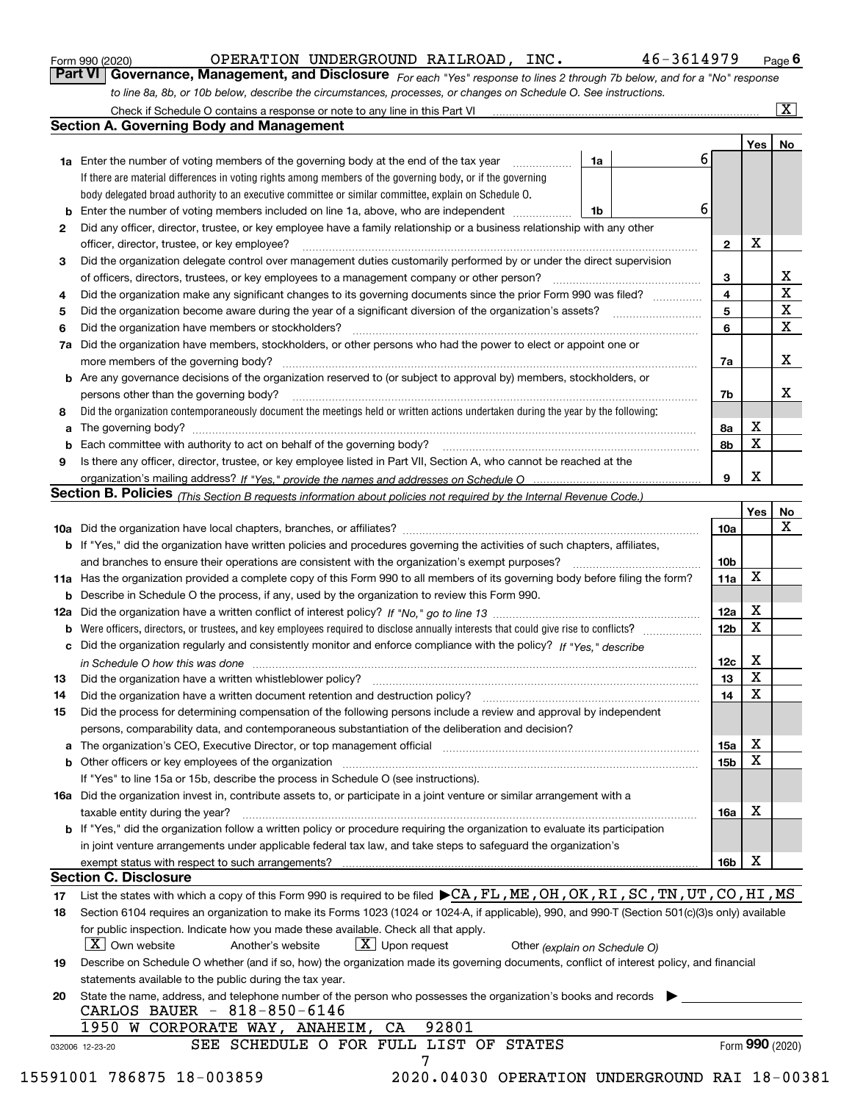|  | Form 990 (2020) |
|--|-----------------|
|  |                 |

### OPERATION UNDERGROUND RAILROAD, INC. 46-3614979

*For each "Yes" response to lines 2 through 7b below, and for a "No" response to line 8a, 8b, or 10b below, describe the circumstances, processes, or changes on Schedule O. See instructions.* Form 990 (2020) **CORERATION UNDERGROUND RAILROAD, INC.** 46-3614979 Page 6<br>**Part VI Governance, Management, and Disclosure** For each "Yes" response to lines 2 through 7b below, and for a "No" response

|    |                                                                                                                                                                               |                               |   |                 | Yes             | No                      |
|----|-------------------------------------------------------------------------------------------------------------------------------------------------------------------------------|-------------------------------|---|-----------------|-----------------|-------------------------|
|    | <b>1a</b> Enter the number of voting members of the governing body at the end of the tax year                                                                                 | 1a                            | 6 |                 |                 |                         |
|    | If there are material differences in voting rights among members of the governing body, or if the governing                                                                   |                               |   |                 |                 |                         |
|    | body delegated broad authority to an executive committee or similar committee, explain on Schedule O.                                                                         |                               |   |                 |                 |                         |
|    |                                                                                                                                                                               | 1b                            | 6 |                 |                 |                         |
| 2  | Did any officer, director, trustee, or key employee have a family relationship or a business relationship with any other                                                      |                               |   |                 |                 |                         |
|    | officer, director, trustee, or key employee?                                                                                                                                  |                               |   | $\mathbf{2}$    | X               |                         |
| 3  | Did the organization delegate control over management duties customarily performed by or under the direct supervision                                                         |                               |   |                 |                 |                         |
|    |                                                                                                                                                                               |                               |   | 3               |                 | X                       |
| 4  | Did the organization make any significant changes to its governing documents since the prior Form 990 was filed?                                                              |                               |   | 4               |                 | $\overline{\textbf{X}}$ |
| 5  |                                                                                                                                                                               |                               |   | 5               |                 | $\mathbf X$             |
| 6  | Did the organization have members or stockholders?                                                                                                                            |                               |   | 6               |                 | $\mathbf x$             |
|    | 7a Did the organization have members, stockholders, or other persons who had the power to elect or appoint one or                                                             |                               |   |                 |                 |                         |
|    |                                                                                                                                                                               |                               |   | 7a              |                 | х                       |
|    | <b>b</b> Are any governance decisions of the organization reserved to (or subject to approval by) members, stockholders, or                                                   |                               |   |                 |                 |                         |
|    | persons other than the governing body?                                                                                                                                        |                               |   | 7b              |                 | x                       |
| 8  | Did the organization contemporaneously document the meetings held or written actions undertaken during the year by the following:                                             |                               |   |                 |                 |                         |
| a  |                                                                                                                                                                               |                               |   | 8a              | Χ               |                         |
|    |                                                                                                                                                                               |                               |   | 8b              | X               |                         |
| 9  | Is there any officer, director, trustee, or key employee listed in Part VII, Section A, who cannot be reached at the                                                          |                               |   |                 |                 |                         |
|    |                                                                                                                                                                               |                               |   | 9               | x               |                         |
|    | Section B. Policies (This Section B requests information about policies not required by the Internal Revenue Code.)                                                           |                               |   |                 |                 |                         |
|    |                                                                                                                                                                               |                               |   |                 | Yes             | No                      |
|    |                                                                                                                                                                               |                               |   | 10a             |                 | X                       |
|    | <b>b</b> If "Yes," did the organization have written policies and procedures governing the activities of such chapters, affiliates,                                           |                               |   |                 |                 |                         |
|    |                                                                                                                                                                               |                               |   | 10 <sub>b</sub> |                 |                         |
|    | 11a Has the organization provided a complete copy of this Form 990 to all members of its governing body before filing the form?                                               |                               |   | 11a             | X               |                         |
|    | <b>b</b> Describe in Schedule O the process, if any, used by the organization to review this Form 990.                                                                        |                               |   |                 |                 |                         |
|    |                                                                                                                                                                               |                               |   | 12a             | X               |                         |
| b  |                                                                                                                                                                               |                               |   | 12b             | X               |                         |
|    | c Did the organization regularly and consistently monitor and enforce compliance with the policy? If "Yes," describe                                                          |                               |   |                 |                 |                         |
|    | in Schedule O how this was done manufactured and continuum control of the Schedule O how this was done manufactured and continuum control of the Schedule O how this was done |                               |   | 12c             | х               |                         |
| 13 |                                                                                                                                                                               |                               |   | 13              | X               |                         |
| 14 | Did the organization have a written document retention and destruction policy? manufactured and the organization have a written document retention and destruction policy?    |                               |   | 14              | X               |                         |
| 15 | Did the process for determining compensation of the following persons include a review and approval by independent                                                            |                               |   |                 |                 |                         |
|    | persons, comparability data, and contemporaneous substantiation of the deliberation and decision?                                                                             |                               |   |                 |                 |                         |
|    |                                                                                                                                                                               |                               |   | 15a             | X               |                         |
|    |                                                                                                                                                                               |                               |   | 15b             | X               |                         |
|    |                                                                                                                                                                               |                               |   |                 |                 |                         |
|    | If "Yes" to line 15a or 15b, describe the process in Schedule O (see instructions).                                                                                           |                               |   |                 |                 |                         |
|    | 16a Did the organization invest in, contribute assets to, or participate in a joint venture or similar arrangement with a                                                     |                               |   |                 | X               |                         |
|    | taxable entity during the year?                                                                                                                                               |                               |   | 16a             |                 |                         |
|    | b If "Yes," did the organization follow a written policy or procedure requiring the organization to evaluate its participation                                                |                               |   |                 |                 |                         |
|    | in joint venture arrangements under applicable federal tax law, and take steps to safequard the organization's                                                                |                               |   |                 | X               |                         |
|    | <b>Section C. Disclosure</b>                                                                                                                                                  |                               |   | 16b             |                 |                         |
|    | List the states with which a copy of this Form 990 is required to be filed CA, FL, ME, OH, OK, RI, SC, TN, UT, CO, HI, MS                                                     |                               |   |                 |                 |                         |
| 17 |                                                                                                                                                                               |                               |   |                 |                 |                         |
| 18 | Section 6104 requires an organization to make its Forms 1023 (1024 or 1024-A, if applicable), 990, and 990-T (Section 501(c)(3)s only) available                              |                               |   |                 |                 |                         |
|    | for public inspection. Indicate how you made these available. Check all that apply.                                                                                           |                               |   |                 |                 |                         |
|    | $\lfloor X \rfloor$ Own website<br>$X$ Upon request<br>Another's website                                                                                                      | Other (explain on Schedule O) |   |                 |                 |                         |
| 19 | Describe on Schedule O whether (and if so, how) the organization made its governing documents, conflict of interest policy, and financial                                     |                               |   |                 |                 |                         |
|    | statements available to the public during the tax year.                                                                                                                       |                               |   |                 |                 |                         |
| 20 | State the name, address, and telephone number of the person who possesses the organization's books and records                                                                |                               |   |                 |                 |                         |
|    | CARLOS BAUER - 818-850-6146                                                                                                                                                   |                               |   |                 |                 |                         |
|    | 92801<br>1950 W CORPORATE WAY, ANAHEIM,<br>CA                                                                                                                                 |                               |   |                 |                 |                         |
|    | SEE SCHEDULE O FOR FULL LIST OF STATES<br>032006 12-23-20                                                                                                                     |                               |   |                 | Form 990 (2020) |                         |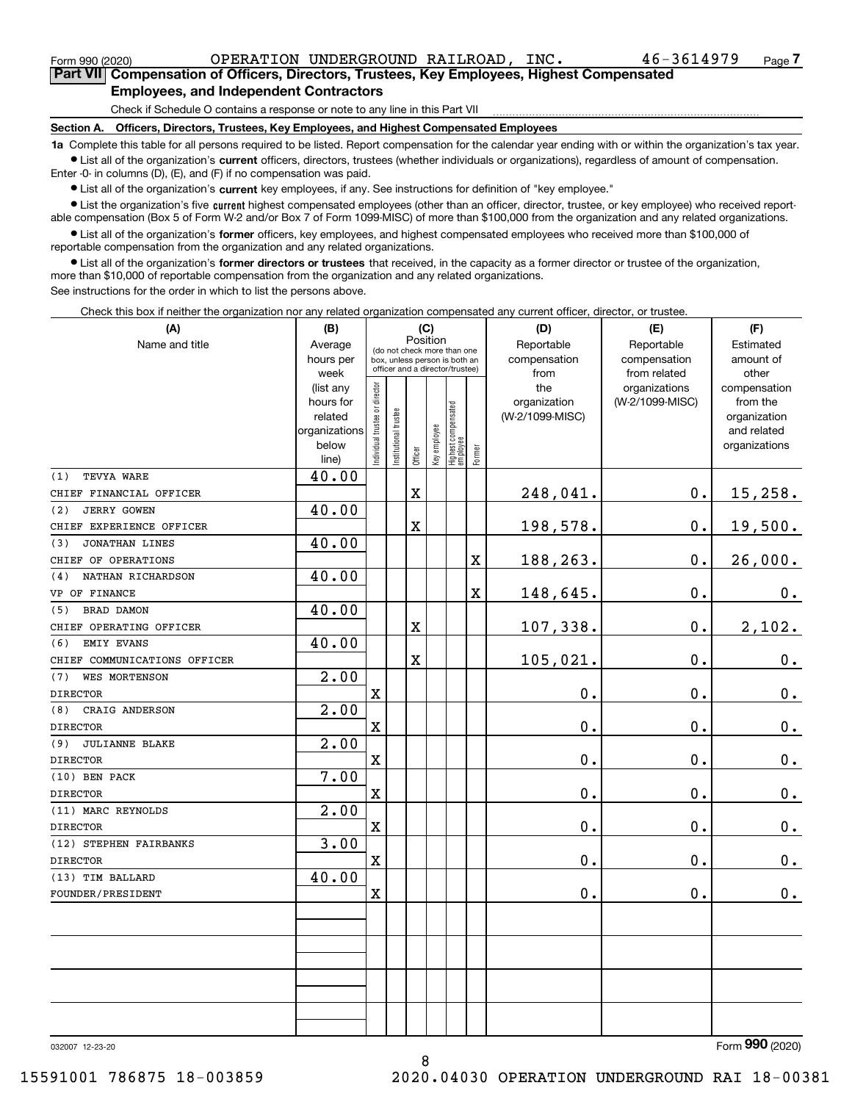<code>Form</code> 990 (2020) OPERATION UNDERGROUND RAILROAD,  $_{\rm{INC.}}$   $_{\rm{46-3614979}}$   $_{\rm{Page}}$ 

**7Part VII Compensation of Officers, Directors, Trustees, Key Employees, Highest Compensated Employees, and Independent Contractors**

Check if Schedule O contains a response or note to any line in this Part VII

**Section A. Officers, Directors, Trustees, Key Employees, and Highest Compensated Employees**

**1a**  Complete this table for all persons required to be listed. Report compensation for the calendar year ending with or within the organization's tax year. **•** List all of the organization's current officers, directors, trustees (whether individuals or organizations), regardless of amount of compensation.

Enter -0- in columns (D), (E), and (F) if no compensation was paid.

● List all of the organization's **current** key employees, if any. See instructions for definition of "key employee."<br>● List the organization's five current bighest compensated employees (other than an officer, director, t

• List the organization's five current highest compensated employees (other than an officer, director, trustee, or key employee) who received report-■ List the organization's five current highest compensated employees (other than an officer, director, trustee, or key employee) who received report-<br>able compensation (Box 5 of Form W-2 and/or Box 7 of Form 1099-MISC) of

**•** List all of the organization's former officers, key employees, and highest compensated employees who received more than \$100,000 of reportable compensation from the organization and any related organizations.

**former directors or trustees**  ¥ List all of the organization's that received, in the capacity as a former director or trustee of the organization, more than \$10,000 of reportable compensation from the organization and any related organizations.

See instructions for the order in which to list the persons above.

Check this box if neither the organization nor any related organization compensated any current officer, director, or trustee.

| (A)                          | (B)                  | (C)                                     |                      |            |              |                                                                  |        | (D)                             | (E)             | (F)                      |  |  |
|------------------------------|----------------------|-----------------------------------------|----------------------|------------|--------------|------------------------------------------------------------------|--------|---------------------------------|-----------------|--------------------------|--|--|
| Name and title               | Average              | Position<br>(do not check more than one |                      | Reportable | Reportable   |                                                                  |        |                                 |                 |                          |  |  |
|                              | hours per            |                                         |                      |            |              | box, unless person is both an<br>officer and a director/trustee) |        | compensation                    | compensation    | amount of                |  |  |
|                              | week                 |                                         |                      |            |              |                                                                  |        | from                            | from related    | other                    |  |  |
|                              | (list any            |                                         |                      |            |              |                                                                  |        | the                             | organizations   | compensation             |  |  |
|                              | hours for<br>related |                                         |                      |            |              |                                                                  |        | organization<br>(W-2/1099-MISC) | (W-2/1099-MISC) | from the<br>organization |  |  |
|                              | organizations        |                                         |                      |            |              |                                                                  |        |                                 |                 | and related              |  |  |
|                              | below                | ndividual trustee or director           | nstitutional trustee |            | Key employee |                                                                  |        |                                 |                 | organizations            |  |  |
|                              | line)                |                                         |                      | Officer    |              | Highest compensated<br> employee                                 | Former |                                 |                 |                          |  |  |
| (1)<br>TEVYA WARE            | 40.00                |                                         |                      |            |              |                                                                  |        |                                 |                 |                          |  |  |
| CHIEF FINANCIAL OFFICER      |                      |                                         |                      | X          |              |                                                                  |        | 248,041.                        | 0.              | 15,258.                  |  |  |
| <b>JERRY GOWEN</b><br>(2)    | 40.00                |                                         |                      |            |              |                                                                  |        |                                 |                 |                          |  |  |
| CHIEF EXPERIENCE OFFICER     |                      |                                         |                      | X          |              |                                                                  |        | 198,578.                        | 0.              | 19,500.                  |  |  |
| JONATHAN LINES<br>(3)        | 40.00                |                                         |                      |            |              |                                                                  |        |                                 |                 |                          |  |  |
| CHIEF OF OPERATIONS          |                      |                                         |                      |            |              |                                                                  | X      | 188,263.                        | 0.              | 26,000.                  |  |  |
| NATHAN RICHARDSON<br>(4)     | 40.00                |                                         |                      |            |              |                                                                  |        |                                 |                 |                          |  |  |
| VP OF FINANCE                |                      |                                         |                      |            |              |                                                                  | X      | 148,645.                        | 0.              | 0.                       |  |  |
| BRAD DAMON<br>(5)            | 40.00                |                                         |                      |            |              |                                                                  |        |                                 |                 |                          |  |  |
| CHIEF OPERATING OFFICER      |                      |                                         |                      | X          |              |                                                                  |        | 107,338.                        | 0.              | 2,102.                   |  |  |
| EMIY EVANS<br>(6)            | 40.00                |                                         |                      |            |              |                                                                  |        |                                 |                 |                          |  |  |
| CHIEF COMMUNICATIONS OFFICER |                      |                                         |                      | X          |              |                                                                  |        | 105,021.                        | 0.              | $\mathbf 0$ .            |  |  |
| <b>WES MORTENSON</b><br>(7)  | 2.00                 |                                         |                      |            |              |                                                                  |        |                                 |                 |                          |  |  |
| <b>DIRECTOR</b>              |                      | $\mathbf X$                             |                      |            |              |                                                                  |        | 0.                              | 0.              | $\mathbf 0$ .            |  |  |
| CRAIG ANDERSON<br>(8)        | $\overline{2.00}$    |                                         |                      |            |              |                                                                  |        |                                 |                 |                          |  |  |
| <b>DIRECTOR</b>              |                      | X                                       |                      |            |              |                                                                  |        | 0.                              | 0.              | $0_{.}$                  |  |  |
| (9)<br><b>JULIANNE BLAKE</b> | $\overline{2.00}$    |                                         |                      |            |              |                                                                  |        |                                 |                 |                          |  |  |
| <b>DIRECTOR</b>              |                      | $\mathbf X$                             |                      |            |              |                                                                  |        | 0.                              | 0.              | $\mathbf 0$ .            |  |  |
| (10) BEN PACK                | 7.00                 |                                         |                      |            |              |                                                                  |        |                                 |                 |                          |  |  |
| <b>DIRECTOR</b>              |                      | X                                       |                      |            |              |                                                                  |        | 0.                              | 0.              | 0.                       |  |  |
| (11) MARC REYNOLDS           | 2.00                 |                                         |                      |            |              |                                                                  |        |                                 |                 |                          |  |  |
| <b>DIRECTOR</b>              |                      | $\overline{\textbf{X}}$                 |                      |            |              |                                                                  |        | 0.                              | 0.              | 0.                       |  |  |
| (12) STEPHEN FAIRBANKS       | 3.00                 |                                         |                      |            |              |                                                                  |        |                                 |                 |                          |  |  |
| <b>DIRECTOR</b>              |                      | X                                       |                      |            |              |                                                                  |        | 0.                              | 0.              | 0.                       |  |  |
| (13) TIM BALLARD             | 40.00                |                                         |                      |            |              |                                                                  |        |                                 |                 |                          |  |  |
| FOUNDER/PRESIDENT            |                      | $\rm X$                                 |                      |            |              |                                                                  |        | $0$ .                           | 0.              | 0.                       |  |  |
|                              |                      |                                         |                      |            |              |                                                                  |        |                                 |                 |                          |  |  |
|                              |                      |                                         |                      |            |              |                                                                  |        |                                 |                 |                          |  |  |
|                              |                      |                                         |                      |            |              |                                                                  |        |                                 |                 |                          |  |  |
|                              |                      |                                         |                      |            |              |                                                                  |        |                                 |                 |                          |  |  |
|                              |                      |                                         |                      |            |              |                                                                  |        |                                 |                 |                          |  |  |
|                              |                      |                                         |                      |            |              |                                                                  |        |                                 |                 |                          |  |  |
|                              |                      |                                         |                      |            |              |                                                                  |        |                                 |                 |                          |  |  |
|                              |                      |                                         |                      |            |              |                                                                  |        |                                 |                 |                          |  |  |

8

032007 12-23-20

Form (2020) **990**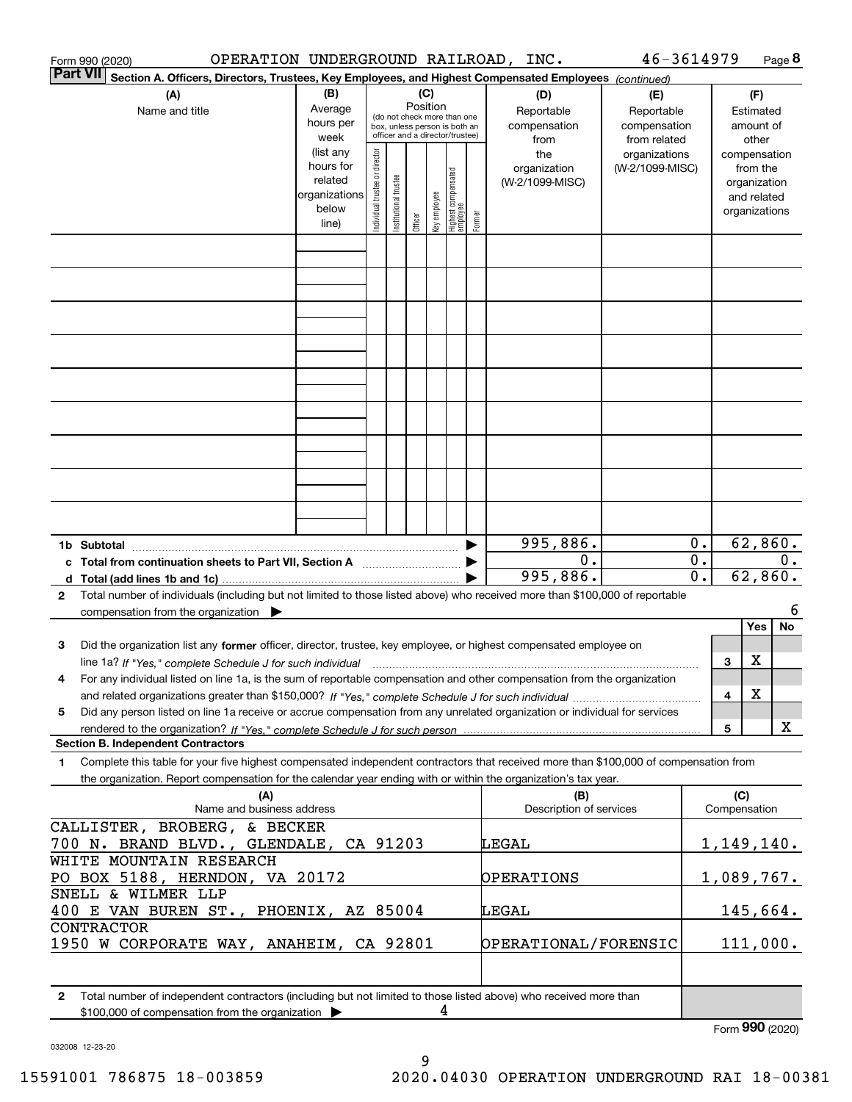| OPERATION UNDERGROUND RAILROAD, INC.<br>Form 990 (2020)                                                                                                                                                                                         |                                                                              |                                |                        |                 |              |                                                                        |        |                                                | 46-3614979                                       |                                      |         |                                                                                   | Page 8 |
|-------------------------------------------------------------------------------------------------------------------------------------------------------------------------------------------------------------------------------------------------|------------------------------------------------------------------------------|--------------------------------|------------------------|-----------------|--------------|------------------------------------------------------------------------|--------|------------------------------------------------|--------------------------------------------------|--------------------------------------|---------|-----------------------------------------------------------------------------------|--------|
| <b>Part VII</b><br>Section A. Officers, Directors, Trustees, Key Employees, and Highest Compensated Employees (continued)                                                                                                                       |                                                                              |                                |                        |                 |              |                                                                        |        |                                                |                                                  |                                      |         |                                                                                   |        |
| (A)<br>Name and title                                                                                                                                                                                                                           | (B)<br>Average<br>hours per                                                  |                                |                        | (C)<br>Position |              | (do not check more than one<br>box, unless person is both an           |        | (D)<br>Reportable<br>compensation              | (E)<br>Reportable<br>compensation                |                                      |         | (F)<br>Estimated<br>amount of                                                     |        |
|                                                                                                                                                                                                                                                 | week<br>(list any<br>hours for<br>related<br>organizations<br>below<br>line) | Individual trustee or director | In stitutional trustee | Officer         | key employee | officer and a director/trustee)<br>  Highest compensated<br>  employee | Former | from<br>the<br>organization<br>(W-2/1099-MISC) | from related<br>organizations<br>(W-2/1099-MISC) |                                      |         | other<br>compensation<br>from the<br>organization<br>and related<br>organizations |        |
|                                                                                                                                                                                                                                                 |                                                                              |                                |                        |                 |              |                                                                        |        |                                                |                                                  |                                      |         |                                                                                   |        |
|                                                                                                                                                                                                                                                 |                                                                              |                                |                        |                 |              |                                                                        |        |                                                |                                                  |                                      |         |                                                                                   |        |
|                                                                                                                                                                                                                                                 |                                                                              |                                |                        |                 |              |                                                                        |        |                                                |                                                  |                                      |         |                                                                                   |        |
|                                                                                                                                                                                                                                                 |                                                                              |                                |                        |                 |              |                                                                        |        |                                                |                                                  |                                      |         |                                                                                   |        |
|                                                                                                                                                                                                                                                 |                                                                              |                                |                        |                 |              |                                                                        |        |                                                |                                                  |                                      |         |                                                                                   |        |
|                                                                                                                                                                                                                                                 |                                                                              |                                |                        |                 |              |                                                                        |        |                                                |                                                  |                                      |         |                                                                                   |        |
|                                                                                                                                                                                                                                                 |                                                                              |                                |                        |                 |              |                                                                        |        |                                                |                                                  |                                      |         |                                                                                   |        |
| 1b Subtotal                                                                                                                                                                                                                                     |                                                                              |                                |                        |                 |              |                                                                        |        | 995,886.                                       |                                                  | 0.                                   |         | 62,860.                                                                           |        |
| c Total from continuation sheets to Part VII, Section A manufactor continuum                                                                                                                                                                    |                                                                              |                                |                        |                 |              |                                                                        |        | 0.<br>995,886.                                 |                                                  | $\overline{0}$ .<br>$\overline{0}$ . | 62,860. |                                                                                   | 0.     |
| Total number of individuals (including but not limited to those listed above) who received more than \$100,000 of reportable<br>2<br>compensation from the organization $\blacktriangleright$                                                   |                                                                              |                                |                        |                 |              |                                                                        |        |                                                |                                                  |                                      |         |                                                                                   | 6      |
|                                                                                                                                                                                                                                                 |                                                                              |                                |                        |                 |              |                                                                        |        |                                                |                                                  |                                      |         | Yes                                                                               | No     |
| Did the organization list any former officer, director, trustee, key employee, or highest compensated employee on<br>з                                                                                                                          |                                                                              |                                |                        |                 |              |                                                                        |        |                                                |                                                  |                                      |         | х                                                                                 |        |
| line 1a? If "Yes," complete Schedule J for such individual material content content to the complete Schedule J<br>For any individual listed on line 1a, is the sum of reportable compensation and other compensation from the organization<br>4 |                                                                              |                                |                        |                 |              |                                                                        |        |                                                |                                                  |                                      | 3       |                                                                                   |        |
|                                                                                                                                                                                                                                                 |                                                                              |                                |                        |                 |              |                                                                        |        |                                                |                                                  |                                      | 4       | X                                                                                 |        |
| Did any person listed on line 1a receive or accrue compensation from any unrelated organization or individual for services<br>5                                                                                                                 |                                                                              |                                |                        |                 |              |                                                                        |        |                                                |                                                  |                                      |         |                                                                                   |        |
| <b>Section B. Independent Contractors</b>                                                                                                                                                                                                       |                                                                              |                                |                        |                 |              |                                                                        |        |                                                |                                                  |                                      | 5       |                                                                                   | X      |
| Complete this table for your five highest compensated independent contractors that received more than \$100,000 of compensation from<br>1                                                                                                       |                                                                              |                                |                        |                 |              |                                                                        |        |                                                |                                                  |                                      |         |                                                                                   |        |
| the organization. Report compensation for the calendar year ending with or within the organization's tax year.                                                                                                                                  |                                                                              |                                |                        |                 |              |                                                                        |        |                                                |                                                  |                                      |         |                                                                                   |        |
| (A)<br>Name and business address                                                                                                                                                                                                                |                                                                              |                                |                        |                 |              |                                                                        |        | (B)<br>Description of services                 |                                                  |                                      | (C)     | Compensation                                                                      |        |
| CALLISTER, BROBERG, & BECKER<br>700 N. BRAND BLVD., GLENDALE, CA 91203                                                                                                                                                                          |                                                                              |                                |                        |                 |              |                                                                        |        | LEGAL                                          |                                                  |                                      |         | 1,149,140.                                                                        |        |
| WHITE MOUNTAIN RESEARCH                                                                                                                                                                                                                         |                                                                              |                                |                        |                 |              |                                                                        |        |                                                |                                                  |                                      |         |                                                                                   |        |
| PO BOX 5188, HERNDON, VA 20172<br>SNELL & WILMER LLP                                                                                                                                                                                            |                                                                              |                                |                        |                 |              |                                                                        |        | <b>OPERATIONS</b>                              |                                                  |                                      |         | 1,089,767.                                                                        |        |
| <u>145,664.</u><br>400 E VAN BUREN ST., PHOENIX, AZ 85004<br>LEGAL                                                                                                                                                                              |                                                                              |                                |                        |                 |              |                                                                        |        |                                                |                                                  |                                      |         |                                                                                   |        |
| CONTRACTOR<br>1950 W CORPORATE WAY, ANAHEIM, CA 92801                                                                                                                                                                                           |                                                                              |                                |                        |                 |              |                                                                        |        | OPERATIONAL/FORENSIC                           |                                                  |                                      |         | 111,000.                                                                          |        |
|                                                                                                                                                                                                                                                 |                                                                              |                                |                        |                 |              |                                                                        |        |                                                |                                                  |                                      |         |                                                                                   |        |
| Total number of independent contractors (including but not limited to those listed above) who received more than<br>2                                                                                                                           |                                                                              |                                |                        |                 |              |                                                                        |        |                                                |                                                  |                                      |         |                                                                                   |        |
| \$100,000 of compensation from the organization                                                                                                                                                                                                 |                                                                              |                                |                        |                 | 4            |                                                                        |        |                                                |                                                  |                                      |         | $F_{\text{arm}}$ 990 (2020)                                                       |        |

032008 12-23-20

Form (2020) **990**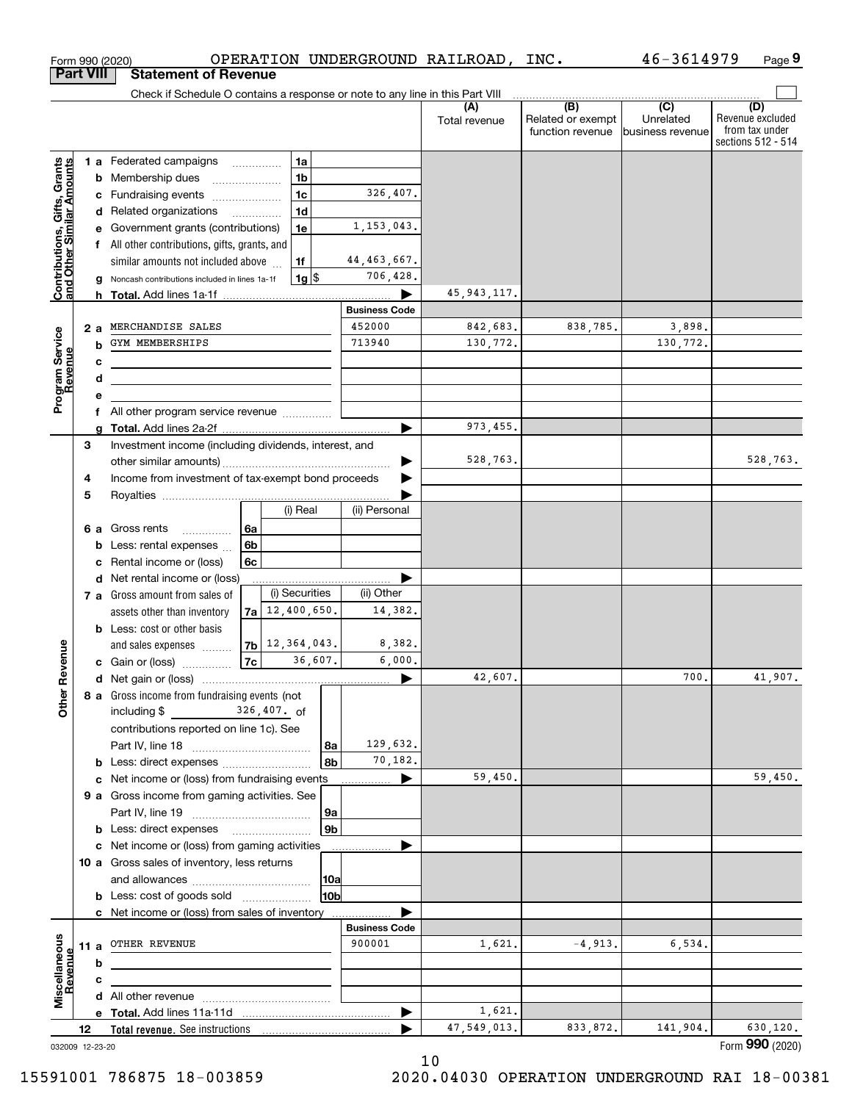|                                                           | <b>Part VIII</b> |        | <b>Statement of Revenue</b>                                                   |                |                       |                 |                       |                      |                                                           |                                                 |                                                                 |
|-----------------------------------------------------------|------------------|--------|-------------------------------------------------------------------------------|----------------|-----------------------|-----------------|-----------------------|----------------------|-----------------------------------------------------------|-------------------------------------------------|-----------------------------------------------------------------|
|                                                           |                  |        | Check if Schedule O contains a response or note to any line in this Part VIII |                |                       |                 |                       |                      |                                                           |                                                 |                                                                 |
|                                                           |                  |        |                                                                               |                |                       |                 |                       | (A)<br>Total revenue | $\overline{(B)}$<br>Related or exempt<br>function revenue | $\overline{C}$<br>Unrelated<br>business revenue | (D)<br>Revenue excluded<br>from tax under<br>sections 512 - 514 |
|                                                           |                  |        | <b>1 a</b> Federated campaigns                                                | .              | 1a                    |                 |                       |                      |                                                           |                                                 |                                                                 |
| Contributions, Gifts, Grants<br>and Other Similar Amounts |                  |        | <b>b</b> Membership dues                                                      |                | 1 <sub>b</sub>        |                 |                       |                      |                                                           |                                                 |                                                                 |
|                                                           |                  | c      | Fundraising events                                                            |                | 1 <sub>c</sub>        |                 | 326,407.              |                      |                                                           |                                                 |                                                                 |
|                                                           |                  |        | d Related organizations                                                       |                | 1 <sub>d</sub>        |                 |                       |                      |                                                           |                                                 |                                                                 |
|                                                           |                  | е      | Government grants (contributions)                                             |                | 1e                    |                 | 1,153,043.            |                      |                                                           |                                                 |                                                                 |
|                                                           |                  |        | f All other contributions, gifts, grants, and                                 |                |                       |                 |                       |                      |                                                           |                                                 |                                                                 |
|                                                           |                  |        | similar amounts not included above                                            |                | 1f                    |                 | 44, 463, 667.         |                      |                                                           |                                                 |                                                                 |
|                                                           |                  |        | Noncash contributions included in lines 1a-1f                                 |                | $1g$ $\frac{1}{3}$    |                 | 706,428.              |                      |                                                           |                                                 |                                                                 |
|                                                           |                  |        |                                                                               |                |                       |                 |                       | 45, 943, 117.        |                                                           |                                                 |                                                                 |
|                                                           |                  |        |                                                                               |                |                       |                 | <b>Business Code</b>  |                      |                                                           |                                                 |                                                                 |
|                                                           | 2a               |        | MERCHANDISE SALES<br>GYM MEMBERSHIPS                                          |                |                       |                 | 452000<br>713940      | 842,683.<br>130,772. | 838,785.                                                  | 3,898.<br>130,772.                              |                                                                 |
|                                                           |                  | b      |                                                                               |                |                       |                 |                       |                      |                                                           |                                                 |                                                                 |
|                                                           |                  | c      |                                                                               |                |                       |                 |                       |                      |                                                           |                                                 |                                                                 |
|                                                           |                  | d<br>е | <u> 1980 - Johann Barbara, martin amerikan personal (</u>                     |                |                       |                 |                       |                      |                                                           |                                                 |                                                                 |
| Program Service<br>Revenue                                |                  | f      | All other program service revenue                                             |                |                       |                 |                       |                      |                                                           |                                                 |                                                                 |
|                                                           |                  | a      |                                                                               |                |                       |                 |                       | 973, 455.            |                                                           |                                                 |                                                                 |
|                                                           | 3                |        | Investment income (including dividends, interest, and                         |                |                       |                 |                       |                      |                                                           |                                                 |                                                                 |
|                                                           |                  |        |                                                                               |                |                       |                 |                       | 528,763.             |                                                           |                                                 | 528,763.                                                        |
|                                                           | 4                |        | Income from investment of tax-exempt bond proceeds                            |                |                       |                 |                       |                      |                                                           |                                                 |                                                                 |
|                                                           | 5                |        |                                                                               |                |                       |                 |                       |                      |                                                           |                                                 |                                                                 |
|                                                           |                  |        |                                                                               |                | (i) Real              |                 | (ii) Personal         |                      |                                                           |                                                 |                                                                 |
|                                                           | 6а               |        | Gross rents<br>.                                                              | 6a             |                       |                 |                       |                      |                                                           |                                                 |                                                                 |
|                                                           |                  | b      | Less: rental expenses                                                         | 6 <sub>b</sub> |                       |                 |                       |                      |                                                           |                                                 |                                                                 |
|                                                           |                  | c      | Rental income or (loss)                                                       | 6c             |                       |                 |                       |                      |                                                           |                                                 |                                                                 |
|                                                           |                  | d      | Net rental income or (loss)                                                   |                |                       |                 |                       |                      |                                                           |                                                 |                                                                 |
|                                                           |                  |        | 7 a Gross amount from sales of                                                |                | (i) Securities        |                 | (ii) Other            |                      |                                                           |                                                 |                                                                 |
|                                                           |                  |        | assets other than inventory                                                   |                | $7a$ 12, 400, 650.    |                 | 14,382.               |                      |                                                           |                                                 |                                                                 |
|                                                           |                  |        | <b>b</b> Less: cost or other basis                                            |                |                       |                 |                       |                      |                                                           |                                                 |                                                                 |
| Revenue                                                   |                  |        | and sales expenses                                                            |                | $7b$ $12, 364, 043$ . | 36,607.         | 8,382.                |                      |                                                           |                                                 |                                                                 |
|                                                           |                  |        | <b>c</b> Gain or (loss) $\ldots$                                              | 7c             |                       |                 | 6,000.                |                      |                                                           | 700.                                            | 41,907.                                                         |
|                                                           |                  |        |                                                                               |                |                       |                 | $\blacktriangleright$ | 42,607.              |                                                           |                                                 |                                                                 |
| Othe                                                      |                  |        | 8 a Gross income from fundraising events (not<br>including $$$                |                | $326,407.$ of         |                 |                       |                      |                                                           |                                                 |                                                                 |
|                                                           |                  |        | contributions reported on line 1c). See                                       |                |                       |                 |                       |                      |                                                           |                                                 |                                                                 |
|                                                           |                  |        |                                                                               |                |                       | 8a              | 129,632.              |                      |                                                           |                                                 |                                                                 |
|                                                           |                  |        | <b>b</b> Less: direct expenses                                                |                |                       | 8b              | 70,182.               |                      |                                                           |                                                 |                                                                 |
|                                                           |                  |        | c Net income or (loss) from fundraising events                                |                |                       |                 | ▶                     | 59,450.              |                                                           |                                                 | 59,450.                                                         |
|                                                           |                  |        | 9 a Gross income from gaming activities. See                                  |                |                       |                 |                       |                      |                                                           |                                                 |                                                                 |
|                                                           |                  |        |                                                                               |                |                       | 9а              |                       |                      |                                                           |                                                 |                                                                 |
|                                                           |                  |        | <b>b</b> Less: direct expenses                                                |                |                       | 9b              |                       |                      |                                                           |                                                 |                                                                 |
|                                                           |                  |        | c Net income or (loss) from gaming activities                                 |                |                       |                 |                       |                      |                                                           |                                                 |                                                                 |
|                                                           |                  |        | 10 a Gross sales of inventory, less returns                                   |                |                       |                 |                       |                      |                                                           |                                                 |                                                                 |
|                                                           |                  |        |                                                                               |                |                       | 10a             |                       |                      |                                                           |                                                 |                                                                 |
|                                                           |                  |        | <b>b</b> Less: cost of goods sold                                             |                |                       | 10 <sub>b</sub> |                       |                      |                                                           |                                                 |                                                                 |
|                                                           |                  |        | c Net income or (loss) from sales of inventory                                |                |                       |                 |                       |                      |                                                           |                                                 |                                                                 |
|                                                           |                  |        |                                                                               |                |                       |                 | <b>Business Code</b>  |                      |                                                           |                                                 |                                                                 |
|                                                           | 11 a             |        | OTHER REVENUE                                                                 |                |                       |                 | 900001                | 1,621.               | $-4,913.$                                                 | 6,534.                                          |                                                                 |
|                                                           |                  | b      |                                                                               |                |                       |                 |                       |                      |                                                           |                                                 |                                                                 |
| Miscellaneous<br>Revenue                                  |                  | с      |                                                                               |                |                       |                 |                       |                      |                                                           |                                                 |                                                                 |
|                                                           |                  |        |                                                                               |                |                       |                 |                       | 1,621.               |                                                           |                                                 |                                                                 |
|                                                           | 12               |        |                                                                               |                |                       |                 | ▶                     | 47,549,013.          | 833,872.                                                  | 141,904.                                        | 630,120.                                                        |
| 032009 12-23-20                                           |                  |        |                                                                               |                |                       |                 |                       |                      |                                                           |                                                 | Form 990 (2020)                                                 |

Form 990 (2020) Page OPERATION UNDERGROUND RAILROAD, INC.

**9**

46-3614979

10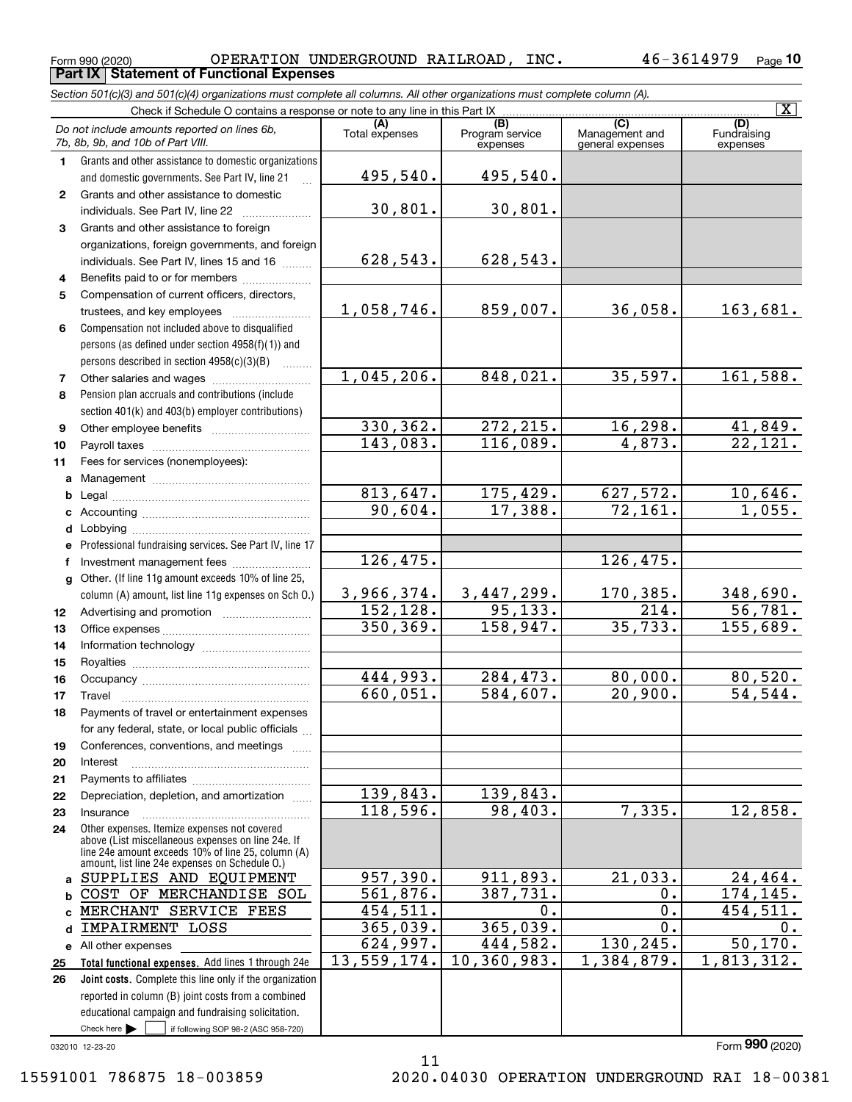$\boxed{\text{X}}$ 

**(A)**<br>Total expenses **(C)** (C) (C)<br>
penses Program service Management and Fundrai<br>
expenses general expenses expen **1234567891011abcdefg121314151617***Section 501(c)(3) and 501(c)(4) organizations must complete all columns. All other organizations must complete column (A).* Grants and other assistance to domestic organizations and domestic governments. See Part IV, line 21 Compensation not included above to disqualified persons (as defined under section 4958(f)(1)) and persons described in section 4958(c)(3)(B)  $\quad \ldots \ldots \ldots$ Pension plan accruals and contributions (include section 401(k) and 403(b) employer contributions) Professional fundraising services. See Part IV, line 17 Other. (If line 11g amount exceeds 10% of line 25, column (A) amount, list line 11g expenses on Sch O.) Form 990 (2020) OPERATION UNDERGROUND RAILROAD , INC 46-3614979 <sub>Page</sub> Check if Schedule O contains a response or note to any line in this Part IX (C) (C) (C) (C) (C) (C) Program service expensesFundraising expensesGrants and other assistance to domestic individuals. See Part IV, line 22 ~~~~~~~ Grants and other assistance to foreign organizations, foreign governments, and foreign individuals. See Part IV, lines 15 and 16  $\ldots$ Benefits paid to or for members ..................... Compensation of current officers, directors, trustees, and key employees  $\ldots$   $\ldots$   $\ldots$   $\ldots$   $\ldots$   $\ldots$ Other salaries and wages ~~~~~~~~~~ Other employee benefits ~~~~~~~~~~ Payroll taxes ~~~~~~~~~~~~~~~~ Fees for services (nonemployees): Management ~~~~~~~~~~~~~~~~ Legal ~~~~~~~~~~~~~~~~~~~~Accounting ~~~~~~~~~~~~~~~~~ Lobbying ~~~~~~~~~~~~~~~~~~lnvestment management fees ....................... Advertising and promotion www.communication Office expenses ~~~~~~~~~~~~~~~Information technology ~~~~~~~~~~~ Royalties ~~~~~~~~~~~~~~~~~~ Occupancy ~~~~~~~~~~~~~~~~~ Travel ……………………………………………… *Do not include amounts reported on lines 6b, 7b, 8b, 9b, and 10b of Part VIII.* **Part IX Statement of Functional Expenses** 495,540. 30,801. 628,543. 1,058,746. 1,045,206. 330,362. 143,083. 813,647. 90,604. 3,966,374. 152,128. 350,369. 444,993. 660,051. 126,475. 495,540. 30,801. 628,543. 859,007. 36,058. 163,681. 848,021. 35,597. 161,588.  $272, 215.$  16, 298. 41, 849. 116,089. 4,873. 22,121. 175,429. 627,572. 10,646. 17,388. 72,161. 1,055. 126,475. 3,447,299. 170,385. 348,690. 95,133. 214. 56,781. 158,947. 35,733. 155,689.  $284, 473.$  80,000. 80,520. 584,607. 20,900. 54,544.

**Total functional expenses.**  Add lines 1 through 24e **Joint costs.** Complete this line only if the organization **2021222324abc**MERCHANT SERVICE FEES **d**IMPAIRMENT LOSS **e** All other expenses **2526**Other expenses. Itemize expenses not covered above (List miscellaneous expenses on line 24e. If line 24e amount exceeds 10% of line 25, column (A) amount, list line 24e expenses on Schedule O.) reported in column (B) joint costs from a combined Interest ……………………………………………… Payments to affiliates ~~~~~~~~~~~~ Depreciation, depletion, and amortization  $\,\,\ldots\,\,$ Insurance~~~~~~~~~~~~~~~~~139,843. 118,596. 957,390. 561,876. 454,511. 365,039. 624,997. 13,559,174. SUPPLIES AND EQUIPMENT COST OF MERCHANDISE SOL

Payments of travel or entertainment expenses for any federal, state, or local public officials ... Conferences, conventions, and meetings

Check here  $\bullet$  if following SOP 98-2 (ASC 958-720)

educational campaign and fundraising solicitation.

Form (2020) **990**

032010 12-23-20

Check here  $\blacktriangleright$ 

**18**

**19**

98,403. 7,335. 12,858.

911,893. 21,033. 24,464. 387,731. 0. 174,145.

 $365,039.$  0. 0. 444,582. 130,245. 50,170. 10,360,983. 1,384,879. 1,813,312.

 $0.$  0.  $454,511.$ 

139,843.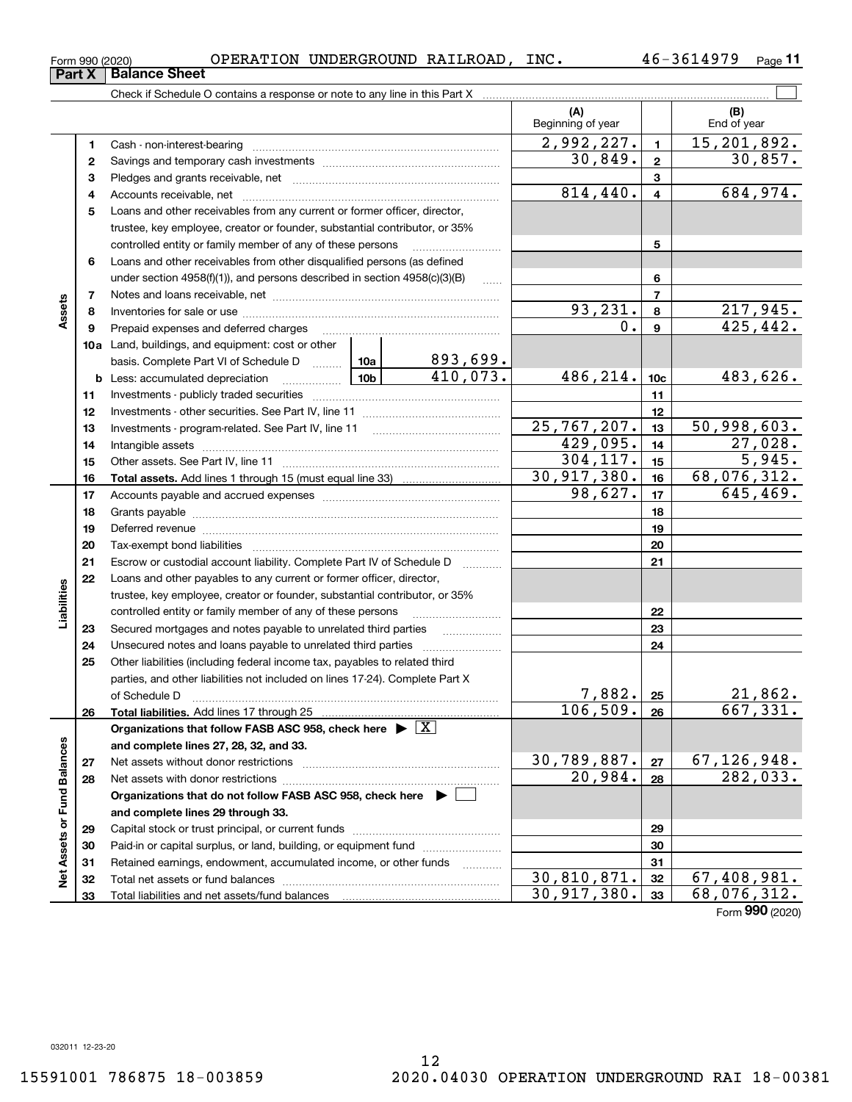Form (2020) **990**

032011 12-23-20

Form 990 (2020) OPERATION UNDERGROUND RAILROAD , INC 46-3614979 <sub>Page</sub>

**11**

|                             |    | Check if Schedule O contains a response or note to any line in this Part X                                                                                                                                                     |               |                      |                           |                         |                             |
|-----------------------------|----|--------------------------------------------------------------------------------------------------------------------------------------------------------------------------------------------------------------------------------|---------------|----------------------|---------------------------|-------------------------|-----------------------------|
|                             |    |                                                                                                                                                                                                                                |               |                      | (A)<br>Beginning of year  |                         | (B)<br>End of year          |
|                             | 1  |                                                                                                                                                                                                                                |               |                      | 2,992,227.                | $\mathbf{1}$            | $\overline{15,201,892}$ .   |
|                             | 2  |                                                                                                                                                                                                                                |               |                      | 30,849.                   | $\mathbf{2}$            | 30,857.                     |
|                             | з  |                                                                                                                                                                                                                                |               |                      |                           | 3                       |                             |
|                             | 4  |                                                                                                                                                                                                                                |               |                      | 814,440.                  | $\overline{\mathbf{4}}$ | 684,974.                    |
|                             | 5  | Loans and other receivables from any current or former officer, director,                                                                                                                                                      |               |                      |                           |                         |                             |
|                             |    | trustee, key employee, creator or founder, substantial contributor, or 35%                                                                                                                                                     |               |                      |                           |                         |                             |
|                             |    | controlled entity or family member of any of these persons                                                                                                                                                                     |               |                      |                           | 5                       |                             |
|                             | 6  | Loans and other receivables from other disqualified persons (as defined                                                                                                                                                        |               |                      |                           |                         |                             |
|                             |    | under section $4958(f)(1)$ , and persons described in section $4958(c)(3)(B)$                                                                                                                                                  |               | $\ldots$             |                           | 6                       |                             |
|                             | 7  |                                                                                                                                                                                                                                |               |                      | $\overline{7}$            |                         |                             |
| Assets                      | 8  |                                                                                                                                                                                                                                |               | 93,231.              | 8                         | 217,945.                |                             |
|                             | 9  | Prepaid expenses and deferred charges                                                                                                                                                                                          |               |                      | 0.                        | $\mathbf{9}$            | 425, 442.                   |
|                             |    | 10a Land, buildings, and equipment: cost or other                                                                                                                                                                              |               |                      |                           |                         |                             |
|                             |    | basis. Complete Part VI of Schedule D  10a                                                                                                                                                                                     |               | 893,699.<br>410,073. |                           |                         |                             |
|                             |    | <b>b</b> Less: accumulated depreciation<br>. 1                                                                                                                                                                                 | 486,214.      | 10 <sub>c</sub>      | 483,626.                  |                         |                             |
|                             | 11 |                                                                                                                                                                                                                                |               |                      |                           | 11                      |                             |
|                             | 12 |                                                                                                                                                                                                                                |               | 12                   |                           |                         |                             |
|                             | 13 |                                                                                                                                                                                                                                | 25, 767, 207. | 13                   | $\overline{50,998,603}$ . |                         |                             |
|                             | 14 |                                                                                                                                                                                                                                |               | 429,095.             | 14                        | 27,028.                 |                             |
|                             | 15 |                                                                                                                                                                                                                                |               | 304, 117.            | 15                        | 5,945.                  |                             |
|                             | 16 |                                                                                                                                                                                                                                |               |                      | 30,917,380.               | 16                      | 68,076,312.                 |
|                             | 17 |                                                                                                                                                                                                                                | 98,627.       | 17                   | 645, 469.                 |                         |                             |
|                             | 18 |                                                                                                                                                                                                                                |               | 18                   |                           |                         |                             |
|                             | 19 | Deferred revenue manual contracts and contracts are contracted and contract and contract are contracted and contract are contracted and contract are contracted and contract are contracted and contract are contracted and co |               | 19                   |                           |                         |                             |
|                             | 20 |                                                                                                                                                                                                                                |               |                      |                           | 20                      |                             |
|                             | 21 | Escrow or custodial account liability. Complete Part IV of Schedule D                                                                                                                                                          |               |                      |                           | 21                      |                             |
|                             | 22 | Loans and other payables to any current or former officer, director,                                                                                                                                                           |               |                      |                           |                         |                             |
| Liabilities                 |    | trustee, key employee, creator or founder, substantial contributor, or 35%                                                                                                                                                     |               |                      |                           |                         |                             |
|                             |    | controlled entity or family member of any of these persons                                                                                                                                                                     |               |                      |                           | 22                      |                             |
|                             | 23 | Secured mortgages and notes payable to unrelated third parties                                                                                                                                                                 |               |                      |                           | 23                      |                             |
|                             | 24 | Unsecured notes and loans payable to unrelated third parties                                                                                                                                                                   |               |                      |                           | 24                      |                             |
|                             | 25 | Other liabilities (including federal income tax, payables to related third                                                                                                                                                     |               |                      |                           |                         |                             |
|                             |    | parties, and other liabilities not included on lines 17-24). Complete Part X                                                                                                                                                   |               |                      |                           |                         |                             |
|                             |    | of Schedule D                                                                                                                                                                                                                  |               |                      | 7,882.                    | 25                      | 21,862.                     |
|                             | 26 | Total liabilities. Add lines 17 through 25                                                                                                                                                                                     |               |                      | 106, 509.                 | 26                      | 667, 331.                   |
|                             |    | Organizations that follow FASB ASC 958, check here $\triangleright \lfloor X \rfloor$                                                                                                                                          |               |                      |                           |                         |                             |
|                             |    | and complete lines 27, 28, 32, and 33.                                                                                                                                                                                         |               |                      |                           |                         |                             |
|                             | 27 |                                                                                                                                                                                                                                |               |                      | 30,789,887.               | 27                      | 67, 126, 948.               |
|                             | 28 |                                                                                                                                                                                                                                |               |                      | 20,984.                   | 28                      | 282,033.                    |
|                             |    | Organizations that do not follow FASB ASC 958, check here ▶ □                                                                                                                                                                  |               |                      |                           |                         |                             |
|                             |    | and complete lines 29 through 33.                                                                                                                                                                                              |               |                      |                           |                         |                             |
|                             | 29 |                                                                                                                                                                                                                                |               |                      |                           | 29                      |                             |
|                             | 30 | Paid-in or capital surplus, or land, building, or equipment fund                                                                                                                                                               |               |                      |                           | 30                      |                             |
| Net Assets or Fund Balances | 31 | Retained earnings, endowment, accumulated income, or other funds                                                                                                                                                               |               |                      | 30,810,871.               | 31                      | $\overline{67}$ , 408, 981. |
|                             | 32 |                                                                                                                                                                                                                                |               |                      | 30,917,380.               | 32                      | 68,076,312.                 |
|                             | 33 |                                                                                                                                                                                                                                |               |                      |                           | 33                      |                             |

**Part X Balance Sheet**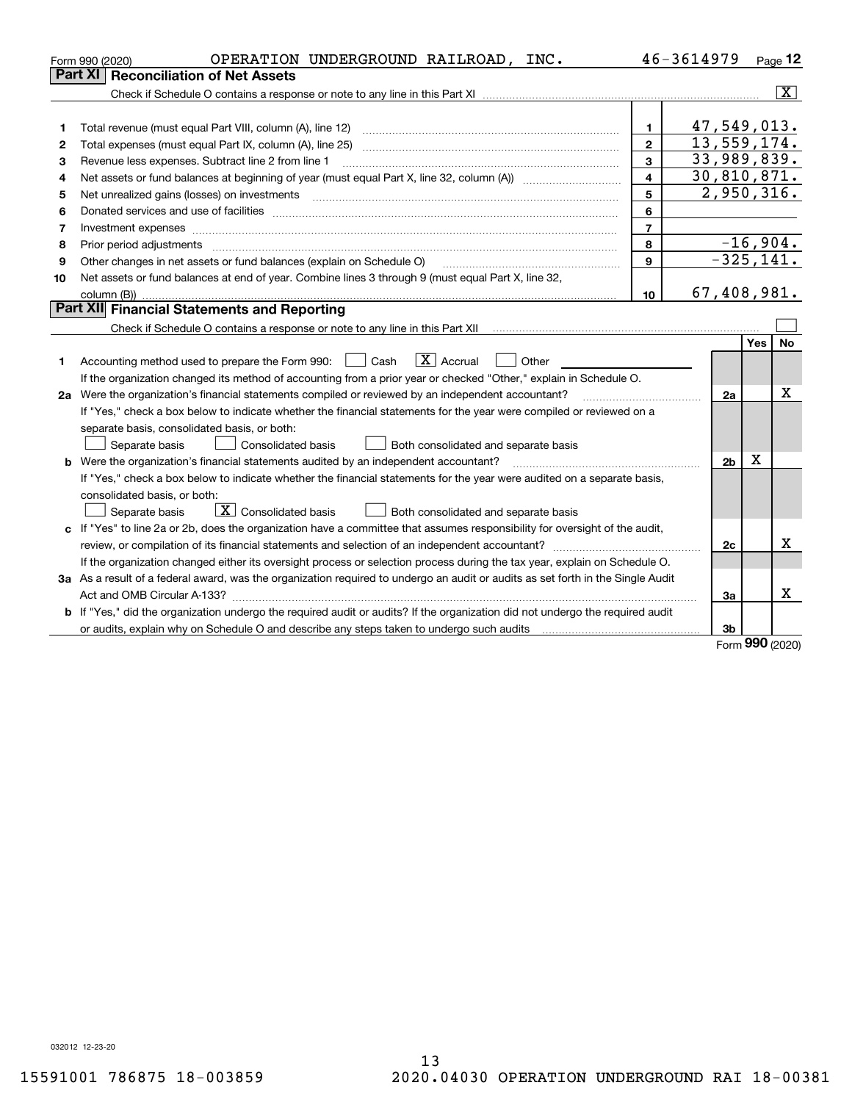|    | OPERATION UNDERGROUND RAILROAD, INC.<br>Form 990 (2020)                                                                         |                         | 46-3614979     |              | <u>Page</u> 12          |
|----|---------------------------------------------------------------------------------------------------------------------------------|-------------------------|----------------|--------------|-------------------------|
|    | Part XI<br><b>Reconciliation of Net Assets</b>                                                                                  |                         |                |              |                         |
|    |                                                                                                                                 |                         |                |              | $\overline{\mathbf{X}}$ |
|    |                                                                                                                                 |                         |                |              |                         |
| 1  |                                                                                                                                 | $\mathbf{1}$            | 47,549,013.    |              |                         |
| 2  |                                                                                                                                 | $\mathbf{2}$            | 13,559,174.    |              |                         |
| з  | Revenue less expenses. Subtract line 2 from line 1                                                                              | 3                       | 33,989,839.    |              |                         |
| 4  |                                                                                                                                 | $\overline{\mathbf{4}}$ | 30,810,871.    |              |                         |
| 5  | Net unrealized gains (losses) on investments                                                                                    | 5                       | 2,950,316.     |              |                         |
| 6  |                                                                                                                                 | 6                       |                |              |                         |
| 7  |                                                                                                                                 | $\overline{7}$          |                |              |                         |
| 8  | Prior period adjustments                                                                                                        | 8                       |                | $-16,904.$   |                         |
| 9  | Other changes in net assets or fund balances (explain on Schedule O)                                                            | $\mathbf{9}$            |                | $-325, 141.$ |                         |
| 10 | Net assets or fund balances at end of year. Combine lines 3 through 9 (must equal Part X, line 32,                              |                         |                |              |                         |
|    | column (B))                                                                                                                     | 10                      | 67,408,981.    |              |                         |
|    | <b>Part XII</b> Financial Statements and Reporting                                                                              |                         |                |              |                         |
|    |                                                                                                                                 |                         |                |              |                         |
|    |                                                                                                                                 |                         |                | Yes          | No.                     |
| 1. | $\boxed{\mathbf{X}}$ Accrual<br>Accounting method used to prepare the Form 990: <u>[</u> Cash<br>Other                          |                         |                |              |                         |
|    | If the organization changed its method of accounting from a prior year or checked "Other," explain in Schedule O.               |                         |                |              |                         |
|    | 2a Were the organization's financial statements compiled or reviewed by an independent accountant?                              |                         | 2a             |              | x                       |
|    | If "Yes," check a box below to indicate whether the financial statements for the year were compiled or reviewed on a            |                         |                |              |                         |
|    | separate basis, consolidated basis, or both:                                                                                    |                         |                |              |                         |
|    | Separate basis<br>Consolidated basis<br>Both consolidated and separate basis                                                    |                         |                |              |                         |
|    | <b>b</b> Were the organization's financial statements audited by an independent accountant?                                     |                         | 2 <sub>b</sub> | х            |                         |
|    | If "Yes," check a box below to indicate whether the financial statements for the year were audited on a separate basis,         |                         |                |              |                         |
|    | consolidated basis, or both:                                                                                                    |                         |                |              |                         |
|    | $\boxed{\text{X}}$ Consolidated basis<br>Separate basis<br>Both consolidated and separate basis                                 |                         |                |              |                         |
|    | c If "Yes" to line 2a or 2b, does the organization have a committee that assumes responsibility for oversight of the audit,     |                         |                |              |                         |
|    |                                                                                                                                 |                         | 2c             |              | x                       |
|    | If the organization changed either its oversight process or selection process during the tax year, explain on Schedule O.       |                         |                |              |                         |
|    | 3a As a result of a federal award, was the organization required to undergo an audit or audits as set forth in the Single Audit |                         |                |              |                         |
|    |                                                                                                                                 |                         | 3a             |              | x                       |
|    | b If "Yes," did the organization undergo the required audit or audits? If the organization did not undergo the required audit   |                         |                |              |                         |
|    |                                                                                                                                 |                         | 3b             | $\mathbf{a}$ |                         |

Form (2020) **990**

032012 12-23-20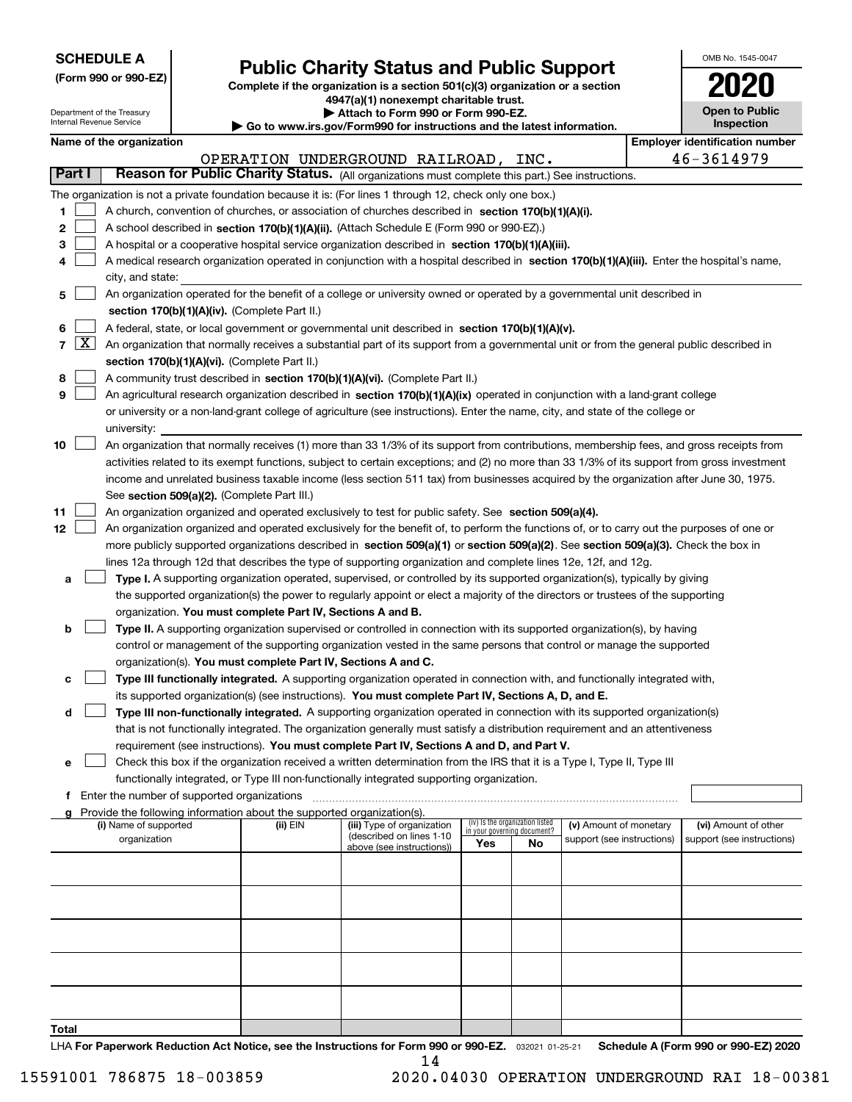| <b>SCHEDULE A</b> |
|-------------------|
|-------------------|

**(Form 990 or 990-EZ)**

## **Public Charity Status and Public Support**

**Complete if the organization is a section 501(c)(3) organization or a section 4947(a)(1) nonexempt charitable trust. | Attach to Form 990 or Form 990-EZ.** 

| OMB No 1545-0047                    |
|-------------------------------------|
| 2020                                |
| <b>Open to Public</b><br>Inspection |

| Department of the Treasury<br>Internal Revenue Service |                                                                                                  |  | Attach to Form 990 or Form 990-EZ.<br>Go to www.irs.gov/Form990 for instructions and the latest information. | <b>Open to Public</b><br>Inspection                                                                                                          |     |                                                                |                            |  |                                       |
|--------------------------------------------------------|--------------------------------------------------------------------------------------------------|--|--------------------------------------------------------------------------------------------------------------|----------------------------------------------------------------------------------------------------------------------------------------------|-----|----------------------------------------------------------------|----------------------------|--|---------------------------------------|
|                                                        | Name of the organization                                                                         |  |                                                                                                              |                                                                                                                                              |     |                                                                |                            |  | <b>Employer identification number</b> |
|                                                        |                                                                                                  |  |                                                                                                              | OPERATION UNDERGROUND RAILROAD, INC.                                                                                                         |     |                                                                |                            |  | 46-3614979                            |
| Part I                                                 |                                                                                                  |  |                                                                                                              | Reason for Public Charity Status. (All organizations must complete this part.) See instructions.                                             |     |                                                                |                            |  |                                       |
|                                                        |                                                                                                  |  |                                                                                                              | The organization is not a private foundation because it is: (For lines 1 through 12, check only one box.)                                    |     |                                                                |                            |  |                                       |
| 1                                                      |                                                                                                  |  |                                                                                                              | A church, convention of churches, or association of churches described in section 170(b)(1)(A)(i).                                           |     |                                                                |                            |  |                                       |
| 2                                                      |                                                                                                  |  |                                                                                                              | A school described in section 170(b)(1)(A)(ii). (Attach Schedule E (Form 990 or 990-EZ).)                                                    |     |                                                                |                            |  |                                       |
| 3                                                      |                                                                                                  |  |                                                                                                              | A hospital or a cooperative hospital service organization described in section 170(b)(1)(A)(iii).                                            |     |                                                                |                            |  |                                       |
| 4                                                      |                                                                                                  |  |                                                                                                              | A medical research organization operated in conjunction with a hospital described in section 170(b)(1)(A)(iii). Enter the hospital's name,   |     |                                                                |                            |  |                                       |
|                                                        | city, and state:                                                                                 |  |                                                                                                              |                                                                                                                                              |     |                                                                |                            |  |                                       |
| 5                                                      |                                                                                                  |  |                                                                                                              | An organization operated for the benefit of a college or university owned or operated by a governmental unit described in                    |     |                                                                |                            |  |                                       |
|                                                        |                                                                                                  |  | section 170(b)(1)(A)(iv). (Complete Part II.)                                                                |                                                                                                                                              |     |                                                                |                            |  |                                       |
| 6                                                      | A federal, state, or local government or governmental unit described in section 170(b)(1)(A)(v). |  |                                                                                                              |                                                                                                                                              |     |                                                                |                            |  |                                       |
| $7 \mid X \mid$                                        |                                                                                                  |  |                                                                                                              | An organization that normally receives a substantial part of its support from a governmental unit or from the general public described in    |     |                                                                |                            |  |                                       |
|                                                        |                                                                                                  |  | section 170(b)(1)(A)(vi). (Complete Part II.)                                                                |                                                                                                                                              |     |                                                                |                            |  |                                       |
| 8                                                      |                                                                                                  |  |                                                                                                              | A community trust described in section 170(b)(1)(A)(vi). (Complete Part II.)                                                                 |     |                                                                |                            |  |                                       |
| 9                                                      |                                                                                                  |  |                                                                                                              | An agricultural research organization described in section 170(b)(1)(A)(ix) operated in conjunction with a land-grant college                |     |                                                                |                            |  |                                       |
|                                                        |                                                                                                  |  |                                                                                                              | or university or a non-land-grant college of agriculture (see instructions). Enter the name, city, and state of the college or               |     |                                                                |                            |  |                                       |
|                                                        | university:                                                                                      |  |                                                                                                              |                                                                                                                                              |     |                                                                |                            |  |                                       |
| 10                                                     |                                                                                                  |  |                                                                                                              | An organization that normally receives (1) more than 33 1/3% of its support from contributions, membership fees, and gross receipts from     |     |                                                                |                            |  |                                       |
|                                                        |                                                                                                  |  |                                                                                                              | activities related to its exempt functions, subject to certain exceptions; and (2) no more than 33 1/3% of its support from gross investment |     |                                                                |                            |  |                                       |
|                                                        |                                                                                                  |  |                                                                                                              | income and unrelated business taxable income (less section 511 tax) from businesses acquired by the organization after June 30, 1975.        |     |                                                                |                            |  |                                       |
|                                                        |                                                                                                  |  | See section 509(a)(2). (Complete Part III.)                                                                  |                                                                                                                                              |     |                                                                |                            |  |                                       |
| 11                                                     |                                                                                                  |  |                                                                                                              | An organization organized and operated exclusively to test for public safety. See section 509(a)(4).                                         |     |                                                                |                            |  |                                       |
| 12 <sub>2</sub>                                        |                                                                                                  |  |                                                                                                              | An organization organized and operated exclusively for the benefit of, to perform the functions of, or to carry out the purposes of one or   |     |                                                                |                            |  |                                       |
|                                                        |                                                                                                  |  |                                                                                                              | more publicly supported organizations described in section 509(a)(1) or section 509(a)(2). See section 509(a)(3). Check the box in           |     |                                                                |                            |  |                                       |
|                                                        |                                                                                                  |  |                                                                                                              | lines 12a through 12d that describes the type of supporting organization and complete lines 12e, 12f, and 12g.                               |     |                                                                |                            |  |                                       |
| а                                                      |                                                                                                  |  |                                                                                                              | Type I. A supporting organization operated, supervised, or controlled by its supported organization(s), typically by giving                  |     |                                                                |                            |  |                                       |
|                                                        |                                                                                                  |  |                                                                                                              | the supported organization(s) the power to regularly appoint or elect a majority of the directors or trustees of the supporting              |     |                                                                |                            |  |                                       |
|                                                        |                                                                                                  |  | organization. You must complete Part IV, Sections A and B.                                                   |                                                                                                                                              |     |                                                                |                            |  |                                       |
| b                                                      |                                                                                                  |  |                                                                                                              | Type II. A supporting organization supervised or controlled in connection with its supported organization(s), by having                      |     |                                                                |                            |  |                                       |
|                                                        |                                                                                                  |  |                                                                                                              | control or management of the supporting organization vested in the same persons that control or manage the supported                         |     |                                                                |                            |  |                                       |
|                                                        |                                                                                                  |  | organization(s). You must complete Part IV, Sections A and C.                                                |                                                                                                                                              |     |                                                                |                            |  |                                       |
| с                                                      |                                                                                                  |  |                                                                                                              | Type III functionally integrated. A supporting organization operated in connection with, and functionally integrated with,                   |     |                                                                |                            |  |                                       |
|                                                        |                                                                                                  |  |                                                                                                              | its supported organization(s) (see instructions). You must complete Part IV, Sections A, D, and E.                                           |     |                                                                |                            |  |                                       |
| d                                                      |                                                                                                  |  |                                                                                                              | Type III non-functionally integrated. A supporting organization operated in connection with its supported organization(s)                    |     |                                                                |                            |  |                                       |
|                                                        |                                                                                                  |  |                                                                                                              | that is not functionally integrated. The organization generally must satisfy a distribution requirement and an attentiveness                 |     |                                                                |                            |  |                                       |
|                                                        |                                                                                                  |  |                                                                                                              | requirement (see instructions). You must complete Part IV, Sections A and D, and Part V.                                                     |     |                                                                |                            |  |                                       |
| е                                                      |                                                                                                  |  |                                                                                                              | Check this box if the organization received a written determination from the IRS that it is a Type I, Type II, Type III                      |     |                                                                |                            |  |                                       |
|                                                        |                                                                                                  |  |                                                                                                              | functionally integrated, or Type III non-functionally integrated supporting organization.                                                    |     |                                                                |                            |  |                                       |
| f.                                                     | Enter the number of supported organizations                                                      |  |                                                                                                              |                                                                                                                                              |     |                                                                |                            |  |                                       |
| a                                                      |                                                                                                  |  | Provide the following information about the supported organization(s).                                       |                                                                                                                                              |     |                                                                |                            |  |                                       |
|                                                        | (i) Name of supported                                                                            |  | (ii) EIN                                                                                                     | (iii) Type of organization<br>(described on lines 1-10                                                                                       |     | (iv) Is the organization listed<br>in your governing document? | (v) Amount of monetary     |  | (vi) Amount of other                  |
|                                                        | organization                                                                                     |  |                                                                                                              | above (see instructions))                                                                                                                    | Yes | No                                                             | support (see instructions) |  | support (see instructions)            |
|                                                        |                                                                                                  |  |                                                                                                              |                                                                                                                                              |     |                                                                |                            |  |                                       |
|                                                        |                                                                                                  |  |                                                                                                              |                                                                                                                                              |     |                                                                |                            |  |                                       |
|                                                        |                                                                                                  |  |                                                                                                              |                                                                                                                                              |     |                                                                |                            |  |                                       |
|                                                        |                                                                                                  |  |                                                                                                              |                                                                                                                                              |     |                                                                |                            |  |                                       |
|                                                        |                                                                                                  |  |                                                                                                              |                                                                                                                                              |     |                                                                |                            |  |                                       |
|                                                        |                                                                                                  |  |                                                                                                              |                                                                                                                                              |     |                                                                |                            |  |                                       |
|                                                        |                                                                                                  |  |                                                                                                              |                                                                                                                                              |     |                                                                |                            |  |                                       |
|                                                        |                                                                                                  |  |                                                                                                              |                                                                                                                                              |     |                                                                |                            |  |                                       |
|                                                        |                                                                                                  |  |                                                                                                              |                                                                                                                                              |     |                                                                |                            |  |                                       |
|                                                        |                                                                                                  |  |                                                                                                              |                                                                                                                                              |     |                                                                |                            |  |                                       |

**Total**

LHA For Paperwork Reduction Act Notice, see the Instructions for Form 990 or 990-EZ. <sub>032021</sub> o1-25-21 Schedule A (Form 990 or 990-EZ) 2020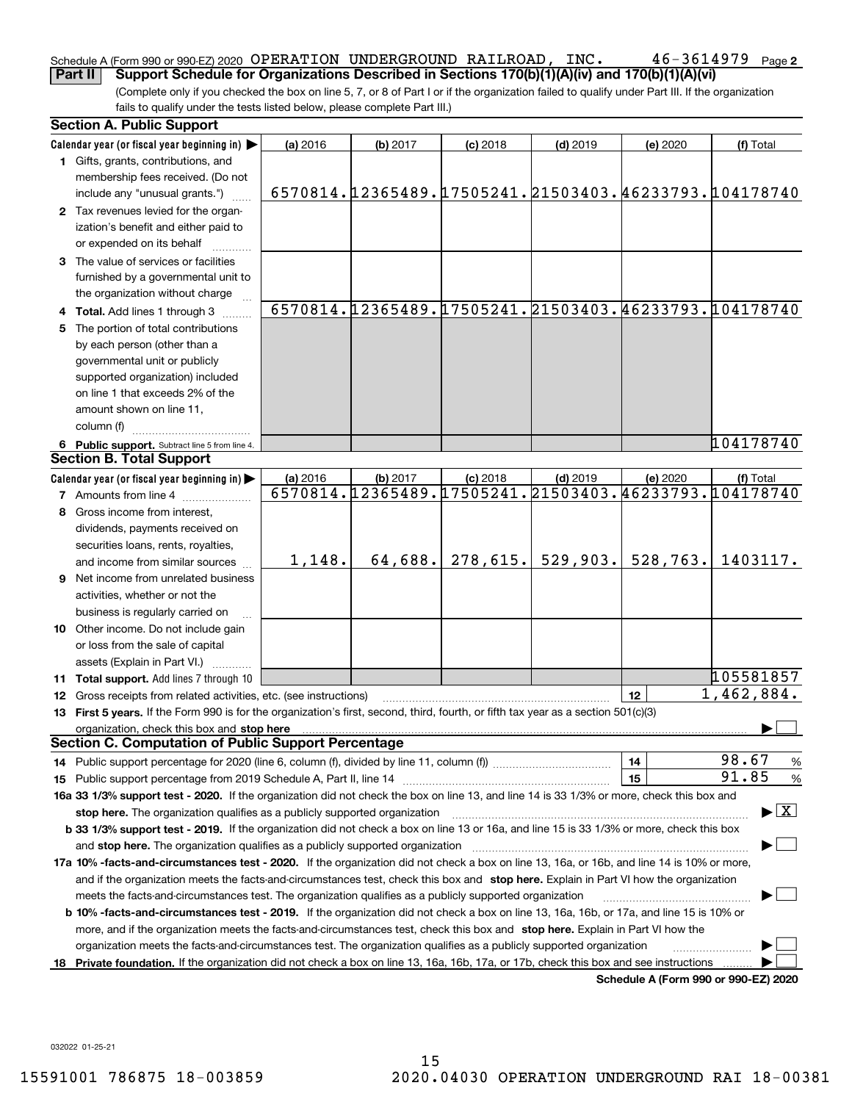#### $46 - 3614979$  Page 2 Schedule A (Form 990 or 990-EZ) 2020  $\,$  OPERATION UNDERGROUND RAILROAD ,  $\,$  INC  $\,$  ,  $\,$   $\,$   $\,$  46  $-$  3614979  $\,$  Page **Part II Support Schedule for Organizations Described in Sections 170(b)(1)(A)(iv) and 170(b)(1)(A)(vi)**

(Complete only if you checked the box on line 5, 7, or 8 of Part I or if the organization failed to qualify under Part III. If the organization fails to qualify under the tests listed below, please complete Part III.)

|    | <b>Section A. Public Support</b>                                                                                                                                                                                               |          |          |            |                                                       |                                      |                                                             |
|----|--------------------------------------------------------------------------------------------------------------------------------------------------------------------------------------------------------------------------------|----------|----------|------------|-------------------------------------------------------|--------------------------------------|-------------------------------------------------------------|
|    | Calendar year (or fiscal year beginning in) $\blacktriangleright$                                                                                                                                                              | (a) 2016 | (b) 2017 | $(c)$ 2018 | $(d)$ 2019                                            | (e) 2020                             | (f) Total                                                   |
|    | 1 Gifts, grants, contributions, and                                                                                                                                                                                            |          |          |            |                                                       |                                      |                                                             |
|    | membership fees received. (Do not                                                                                                                                                                                              |          |          |            |                                                       |                                      |                                                             |
|    | include any "unusual grants.")                                                                                                                                                                                                 |          |          |            |                                                       |                                      | 6570814. [2365489. 17505241. 21503403. 46233793. [104178740 |
|    | 2 Tax revenues levied for the organ-                                                                                                                                                                                           |          |          |            |                                                       |                                      |                                                             |
|    | ization's benefit and either paid to                                                                                                                                                                                           |          |          |            |                                                       |                                      |                                                             |
|    | or expended on its behalf                                                                                                                                                                                                      |          |          |            |                                                       |                                      |                                                             |
|    | 3 The value of services or facilities                                                                                                                                                                                          |          |          |            |                                                       |                                      |                                                             |
|    | furnished by a governmental unit to                                                                                                                                                                                            |          |          |            |                                                       |                                      |                                                             |
|    | the organization without charge                                                                                                                                                                                                |          |          |            |                                                       |                                      |                                                             |
|    | 4 Total. Add lines 1 through 3                                                                                                                                                                                                 |          |          |            |                                                       |                                      | 6570814.12365489.17505241.21503403.46233793.104178740       |
| 5. | The portion of total contributions                                                                                                                                                                                             |          |          |            |                                                       |                                      |                                                             |
|    | by each person (other than a                                                                                                                                                                                                   |          |          |            |                                                       |                                      |                                                             |
|    | governmental unit or publicly                                                                                                                                                                                                  |          |          |            |                                                       |                                      |                                                             |
|    | supported organization) included                                                                                                                                                                                               |          |          |            |                                                       |                                      |                                                             |
|    | on line 1 that exceeds 2% of the                                                                                                                                                                                               |          |          |            |                                                       |                                      |                                                             |
|    | amount shown on line 11,                                                                                                                                                                                                       |          |          |            |                                                       |                                      |                                                             |
|    | column (f)                                                                                                                                                                                                                     |          |          |            |                                                       |                                      |                                                             |
|    | 6 Public support. Subtract line 5 from line 4.                                                                                                                                                                                 |          |          |            |                                                       |                                      | 104178740                                                   |
|    | <b>Section B. Total Support</b>                                                                                                                                                                                                |          |          |            |                                                       |                                      |                                                             |
|    | Calendar year (or fiscal year beginning in)                                                                                                                                                                                    | (a) 2016 | (b) 2017 | $(c)$ 2018 | $(d)$ 2019                                            | (e) 2020                             | (f) Total                                                   |
|    | <b>7</b> Amounts from line 4                                                                                                                                                                                                   |          |          |            | 6570814.12365489.17505241.21503403.46233793.104178740 |                                      |                                                             |
| 8  | Gross income from interest,                                                                                                                                                                                                    |          |          |            |                                                       |                                      |                                                             |
|    | dividends, payments received on                                                                                                                                                                                                |          |          |            |                                                       |                                      |                                                             |
|    | securities loans, rents, royalties,                                                                                                                                                                                            |          |          |            |                                                       |                                      |                                                             |
|    | and income from similar sources                                                                                                                                                                                                | 1,148.   | 64,688.  | 278,615.   | 529,903.                                              | 528,763.                             | 1403117.                                                    |
|    | <b>9</b> Net income from unrelated business                                                                                                                                                                                    |          |          |            |                                                       |                                      |                                                             |
|    | activities, whether or not the                                                                                                                                                                                                 |          |          |            |                                                       |                                      |                                                             |
|    | business is regularly carried on                                                                                                                                                                                               |          |          |            |                                                       |                                      |                                                             |
|    | 10 Other income. Do not include gain                                                                                                                                                                                           |          |          |            |                                                       |                                      |                                                             |
|    | or loss from the sale of capital                                                                                                                                                                                               |          |          |            |                                                       |                                      |                                                             |
|    | assets (Explain in Part VI.)                                                                                                                                                                                                   |          |          |            |                                                       |                                      |                                                             |
|    | 11 Total support. Add lines 7 through 10                                                                                                                                                                                       |          |          |            |                                                       |                                      | 105581857                                                   |
|    | <b>12</b> Gross receipts from related activities, etc. (see instructions)                                                                                                                                                      |          |          |            |                                                       | 12                                   | $\overline{1,462}$ , 884.                                   |
|    | 13 First 5 years. If the Form 990 is for the organization's first, second, third, fourth, or fifth tax year as a section 501(c)(3)                                                                                             |          |          |            |                                                       |                                      |                                                             |
|    | organization, check this box and stop here manufactured and stop here and stop here are all the control of the state of the state of the state of the state of the state of the state of the state of the state of the state o |          |          |            |                                                       |                                      |                                                             |
|    | <b>Section C. Computation of Public Support Percentage</b>                                                                                                                                                                     |          |          |            |                                                       |                                      |                                                             |
|    |                                                                                                                                                                                                                                |          |          |            |                                                       | 14                                   | 98.67<br>%                                                  |
|    |                                                                                                                                                                                                                                |          |          |            |                                                       | 15                                   | 91.85<br>$\%$                                               |
|    | 16a 33 1/3% support test - 2020. If the organization did not check the box on line 13, and line 14 is 33 1/3% or more, check this box and                                                                                      |          |          |            |                                                       |                                      |                                                             |
|    | stop here. The organization qualifies as a publicly supported organization                                                                                                                                                     |          |          |            |                                                       |                                      | $\blacktriangleright$ $\boxed{\text{X}}$                    |
|    | b 33 1/3% support test - 2019. If the organization did not check a box on line 13 or 16a, and line 15 is 33 1/3% or more, check this box                                                                                       |          |          |            |                                                       |                                      |                                                             |
|    | and stop here. The organization qualifies as a publicly supported organization                                                                                                                                                 |          |          |            |                                                       |                                      |                                                             |
|    | 17a 10% -facts-and-circumstances test - 2020. If the organization did not check a box on line 13, 16a, or 16b, and line 14 is 10% or more,                                                                                     |          |          |            |                                                       |                                      |                                                             |
|    | and if the organization meets the facts-and-circumstances test, check this box and stop here. Explain in Part VI how the organization                                                                                          |          |          |            |                                                       |                                      |                                                             |
|    | meets the facts-and-circumstances test. The organization qualifies as a publicly supported organization                                                                                                                        |          |          |            |                                                       |                                      |                                                             |
|    | <b>b 10% -facts-and-circumstances test - 2019.</b> If the organization did not check a box on line 13, 16a, 16b, or 17a, and line 15 is 10% or                                                                                 |          |          |            |                                                       |                                      |                                                             |
|    | more, and if the organization meets the facts-and-circumstances test, check this box and stop here. Explain in Part VI how the                                                                                                 |          |          |            |                                                       |                                      |                                                             |
|    | organization meets the facts-and-circumstances test. The organization qualifies as a publicly supported organization                                                                                                           |          |          |            |                                                       |                                      |                                                             |
| 18 | Private foundation. If the organization did not check a box on line 13, 16a, 16b, 17a, or 17b, check this box and see instructions                                                                                             |          |          |            |                                                       |                                      |                                                             |
|    |                                                                                                                                                                                                                                |          |          |            |                                                       | Schedule A (Form 990 or 990-F7) 2020 |                                                             |

**Schedule A (Form 990 or 990-EZ) 2020**

032022 01-25-21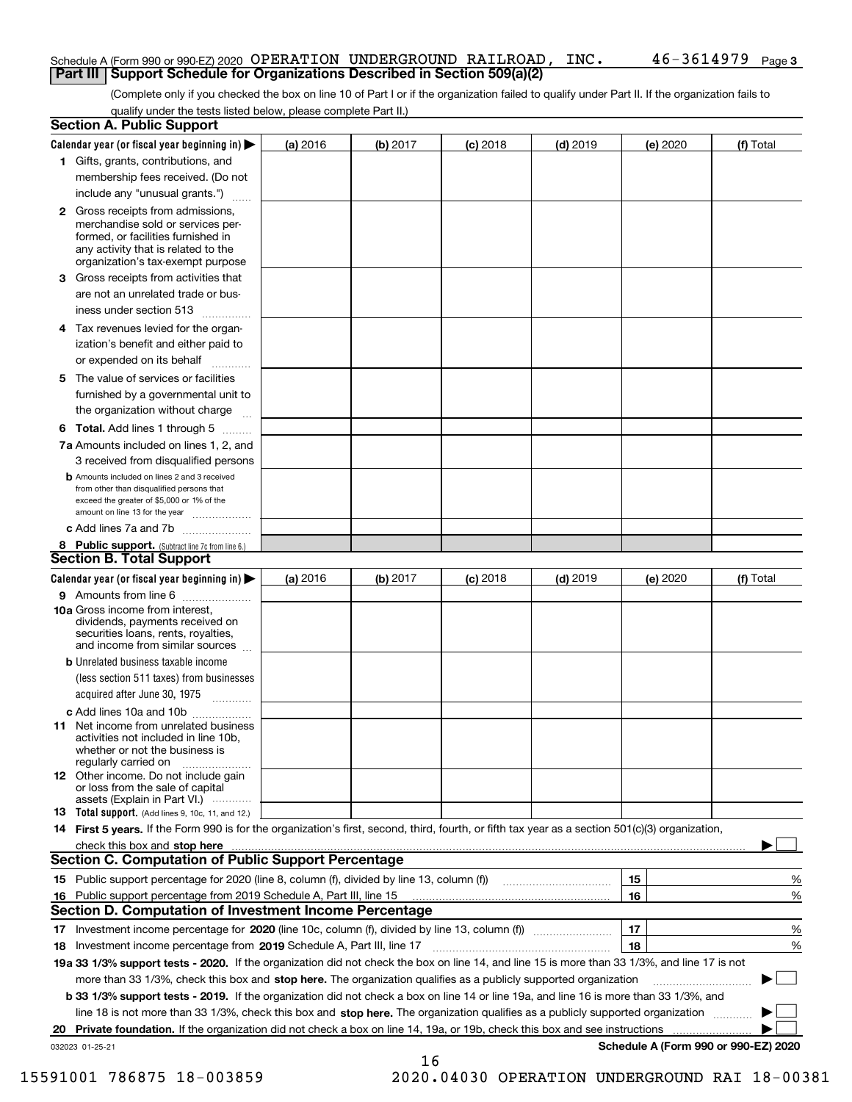### Schedule A (Form 990 or 990-EZ) 2020  $\,$  OPERATION UNDERGROUND RAILROAD ,  $\,$  INC  $\,$  ,  $\,$   $\,$   $\,$  46  $-$  3614979  $\,$  Page **Part III Support Schedule for Organizations Described in Section 509(a)(2)**

(Complete only if you checked the box on line 10 of Part I or if the organization failed to qualify under Part II. If the organization fails to qualify under the tests listed below, please complete Part II.)

|    | <b>Section A. Public Support</b>                                                                                                                                                                                                    |          |          |            |            |          |                                      |
|----|-------------------------------------------------------------------------------------------------------------------------------------------------------------------------------------------------------------------------------------|----------|----------|------------|------------|----------|--------------------------------------|
|    | Calendar year (or fiscal year beginning in) $\blacktriangleright$                                                                                                                                                                   | (a) 2016 | (b) 2017 | $(c)$ 2018 | $(d)$ 2019 | (e) 2020 | (f) Total                            |
|    | 1 Gifts, grants, contributions, and                                                                                                                                                                                                 |          |          |            |            |          |                                      |
|    | membership fees received. (Do not                                                                                                                                                                                                   |          |          |            |            |          |                                      |
|    | include any "unusual grants.")                                                                                                                                                                                                      |          |          |            |            |          |                                      |
|    | <b>2</b> Gross receipts from admissions,<br>merchandise sold or services per-<br>formed, or facilities furnished in<br>any activity that is related to the<br>organization's tax-exempt purpose                                     |          |          |            |            |          |                                      |
|    | 3 Gross receipts from activities that<br>are not an unrelated trade or bus-                                                                                                                                                         |          |          |            |            |          |                                      |
|    | iness under section 513                                                                                                                                                                                                             |          |          |            |            |          |                                      |
|    | 4 Tax revenues levied for the organ-<br>ization's benefit and either paid to                                                                                                                                                        |          |          |            |            |          |                                      |
|    | or expended on its behalf                                                                                                                                                                                                           |          |          |            |            |          |                                      |
|    | 5 The value of services or facilities<br>furnished by a governmental unit to                                                                                                                                                        |          |          |            |            |          |                                      |
|    | the organization without charge                                                                                                                                                                                                     |          |          |            |            |          |                                      |
|    | <b>6 Total.</b> Add lines 1 through 5                                                                                                                                                                                               |          |          |            |            |          |                                      |
|    | 7a Amounts included on lines 1, 2, and<br>3 received from disqualified persons                                                                                                                                                      |          |          |            |            |          |                                      |
|    | <b>b</b> Amounts included on lines 2 and 3 received<br>from other than disqualified persons that<br>exceed the greater of \$5,000 or 1% of the<br>amount on line 13 for the year                                                    |          |          |            |            |          |                                      |
|    | c Add lines 7a and 7b                                                                                                                                                                                                               |          |          |            |            |          |                                      |
|    | 8 Public support. (Subtract line 7c from line 6.)<br><b>Section B. Total Support</b>                                                                                                                                                |          |          |            |            |          |                                      |
|    | Calendar year (or fiscal year beginning in)                                                                                                                                                                                         | (a) 2016 | (b) 2017 | $(c)$ 2018 | $(d)$ 2019 | (e) 2020 | (f) Total                            |
|    | 9 Amounts from line 6                                                                                                                                                                                                               |          |          |            |            |          |                                      |
|    | <b>10a</b> Gross income from interest,<br>dividends, payments received on<br>securities loans, rents, royalties,<br>and income from similar sources                                                                                 |          |          |            |            |          |                                      |
|    | <b>b</b> Unrelated business taxable income<br>(less section 511 taxes) from businesses                                                                                                                                              |          |          |            |            |          |                                      |
|    | acquired after June 30, 1975                                                                                                                                                                                                        |          |          |            |            |          |                                      |
|    | c Add lines 10a and 10b<br>11 Net income from unrelated business<br>activities not included in line 10b,<br>whether or not the business is<br>regularly carried on                                                                  |          |          |            |            |          |                                      |
|    | <b>12</b> Other income. Do not include gain<br>or loss from the sale of capital<br>assets (Explain in Part VI.)                                                                                                                     |          |          |            |            |          |                                      |
|    | 13 Total support. (Add lines 9, 10c, 11, and 12.)                                                                                                                                                                                   |          |          |            |            |          |                                      |
|    | 14 First 5 years. If the Form 990 is for the organization's first, second, third, fourth, or fifth tax year as a section 501(c)(3) organization,                                                                                    |          |          |            |            |          |                                      |
|    | check this box and <b>stop here</b> with the continuum continuum continuum continuum continuum continuum continuum continuum continuum continuum continuum continuum continuum continuum continuum continuum continuum continuum co |          |          |            |            |          |                                      |
|    | <b>Section C. Computation of Public Support Percentage</b>                                                                                                                                                                          |          |          |            |            |          |                                      |
|    |                                                                                                                                                                                                                                     |          |          |            |            | 15       | %                                    |
| 16 | Public support percentage from 2019 Schedule A, Part III, line 15                                                                                                                                                                   |          |          |            |            | 16       | %                                    |
|    | Section D. Computation of Investment Income Percentage                                                                                                                                                                              |          |          |            |            |          |                                      |
|    | 17 Investment income percentage for 2020 (line 10c, column (f), divided by line 13, column (f))<br>18 Investment income percentage from 2019 Schedule A, Part III, line 17                                                          |          |          |            |            | 17<br>18 | %<br>%                               |
|    | 19a 33 1/3% support tests - 2020. If the organization did not check the box on line 14, and line 15 is more than 33 1/3%, and line 17 is not                                                                                        |          |          |            |            |          |                                      |
|    | more than 33 1/3%, check this box and stop here. The organization qualifies as a publicly supported organization                                                                                                                    |          |          |            |            |          |                                      |
|    | b 33 1/3% support tests - 2019. If the organization did not check a box on line 14 or line 19a, and line 16 is more than 33 1/3%, and                                                                                               |          |          |            |            |          |                                      |
|    | line 18 is not more than 33 1/3%, check this box and stop here. The organization qualifies as a publicly supported organization                                                                                                     |          |          |            |            |          |                                      |
| 20 | <b>Private foundation.</b> If the organization did not check a box on line 14, 19a, or 19b, check this box and see instructions                                                                                                     |          |          |            |            |          | .                                    |
|    | 032023 01-25-21                                                                                                                                                                                                                     |          |          |            |            |          | Schedule A (Form 990 or 990-EZ) 2020 |
|    |                                                                                                                                                                                                                                     |          | 16       |            |            |          |                                      |

15591001 786875 18-003859 2020.04030 OPERATION UNDERGROUND RAI 18-00381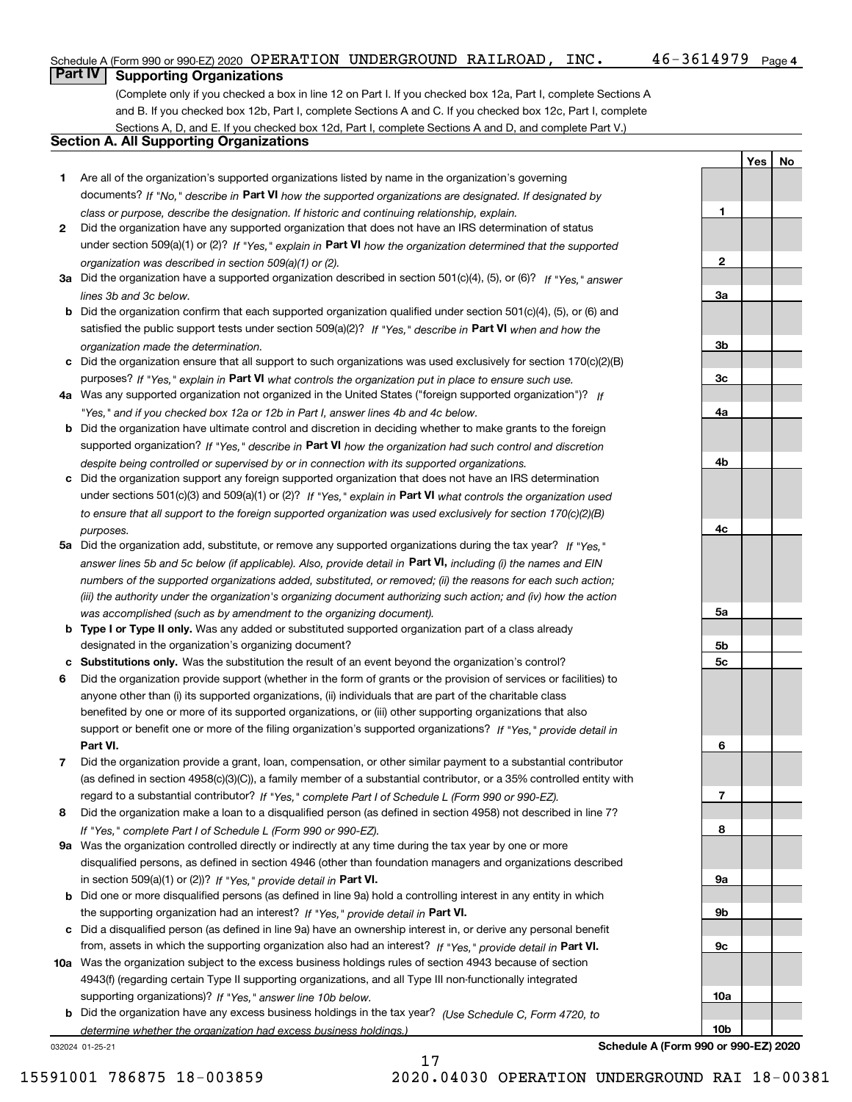### Schedule A (Form 990 or 990-EZ) 2020  $\,$  OPERATION UNDERGROUND RAILROAD ,  $\,$  INC  $\,$  ,  $\,$   $\,$   $\,$  46  $-$  3614979  $\,$  Page

**1**

**2**

**3a**

**3b**

**3c**

**YesNo**

## **Part IV Supporting Organizations**

(Complete only if you checked a box in line 12 on Part I. If you checked box 12a, Part I, complete Sections A and B. If you checked box 12b, Part I, complete Sections A and C. If you checked box 12c, Part I, complete Sections A, D, and E. If you checked box 12d, Part I, complete Sections A and D, and complete Part V.)

### **Section A. All Supporting Organizations**

- **1** Are all of the organization's supported organizations listed by name in the organization's governing documents? If "No," describe in **Part VI** how the supported organizations are designated. If designated by *class or purpose, describe the designation. If historic and continuing relationship, explain.*
- **2** Did the organization have any supported organization that does not have an IRS determination of status under section 509(a)(1) or (2)? If "Yes," explain in Part VI how the organization determined that the supported *organization was described in section 509(a)(1) or (2).*
- **3a** Did the organization have a supported organization described in section 501(c)(4), (5), or (6)? If "Yes," answer *lines 3b and 3c below.*
- **b** Did the organization confirm that each supported organization qualified under section 501(c)(4), (5), or (6) and satisfied the public support tests under section 509(a)(2)? If "Yes," describe in **Part VI** when and how the *organization made the determination.*
- **c**Did the organization ensure that all support to such organizations was used exclusively for section 170(c)(2)(B) purposes? If "Yes," explain in **Part VI** what controls the organization put in place to ensure such use.
- **4a***If* Was any supported organization not organized in the United States ("foreign supported organization")? *"Yes," and if you checked box 12a or 12b in Part I, answer lines 4b and 4c below.*
- **b** Did the organization have ultimate control and discretion in deciding whether to make grants to the foreign supported organization? If "Yes," describe in **Part VI** how the organization had such control and discretion *despite being controlled or supervised by or in connection with its supported organizations.*
- **c** Did the organization support any foreign supported organization that does not have an IRS determination under sections 501(c)(3) and 509(a)(1) or (2)? If "Yes," explain in **Part VI** what controls the organization used *to ensure that all support to the foreign supported organization was used exclusively for section 170(c)(2)(B) purposes.*
- **5a** Did the organization add, substitute, or remove any supported organizations during the tax year? If "Yes," answer lines 5b and 5c below (if applicable). Also, provide detail in **Part VI,** including (i) the names and EIN *numbers of the supported organizations added, substituted, or removed; (ii) the reasons for each such action; (iii) the authority under the organization's organizing document authorizing such action; and (iv) how the action was accomplished (such as by amendment to the organizing document).*
- **b** Type I or Type II only. Was any added or substituted supported organization part of a class already designated in the organization's organizing document?
- **cSubstitutions only.**  Was the substitution the result of an event beyond the organization's control?
- **6** Did the organization provide support (whether in the form of grants or the provision of services or facilities) to **Part VI.** *If "Yes," provide detail in* support or benefit one or more of the filing organization's supported organizations? anyone other than (i) its supported organizations, (ii) individuals that are part of the charitable class benefited by one or more of its supported organizations, or (iii) other supporting organizations that also
- **7**Did the organization provide a grant, loan, compensation, or other similar payment to a substantial contributor *If "Yes," complete Part I of Schedule L (Form 990 or 990-EZ).* regard to a substantial contributor? (as defined in section 4958(c)(3)(C)), a family member of a substantial contributor, or a 35% controlled entity with
- **8** Did the organization make a loan to a disqualified person (as defined in section 4958) not described in line 7? *If "Yes," complete Part I of Schedule L (Form 990 or 990-EZ).*
- **9a** Was the organization controlled directly or indirectly at any time during the tax year by one or more in section 509(a)(1) or (2))? If "Yes," *provide detail in* <code>Part VI.</code> disqualified persons, as defined in section 4946 (other than foundation managers and organizations described
- **b** Did one or more disqualified persons (as defined in line 9a) hold a controlling interest in any entity in which the supporting organization had an interest? If "Yes," provide detail in P**art VI**.
- **c**Did a disqualified person (as defined in line 9a) have an ownership interest in, or derive any personal benefit from, assets in which the supporting organization also had an interest? If "Yes," provide detail in P**art VI.**
- **10a** Was the organization subject to the excess business holdings rules of section 4943 because of section supporting organizations)? If "Yes," answer line 10b below. 4943(f) (regarding certain Type II supporting organizations, and all Type III non-functionally integrated
- **b** Did the organization have any excess business holdings in the tax year? (Use Schedule C, Form 4720, to *determine whether the organization had excess business holdings.)*

17

032024 01-25-21

**Schedule A (Form 990 or 990-EZ) 2020**

15591001 786875 18-003859 2020.04030 OPERATION UNDERGROUND RAI 18-00381

**4a4b4c5a 5b5c6789a 9b9c10a10b**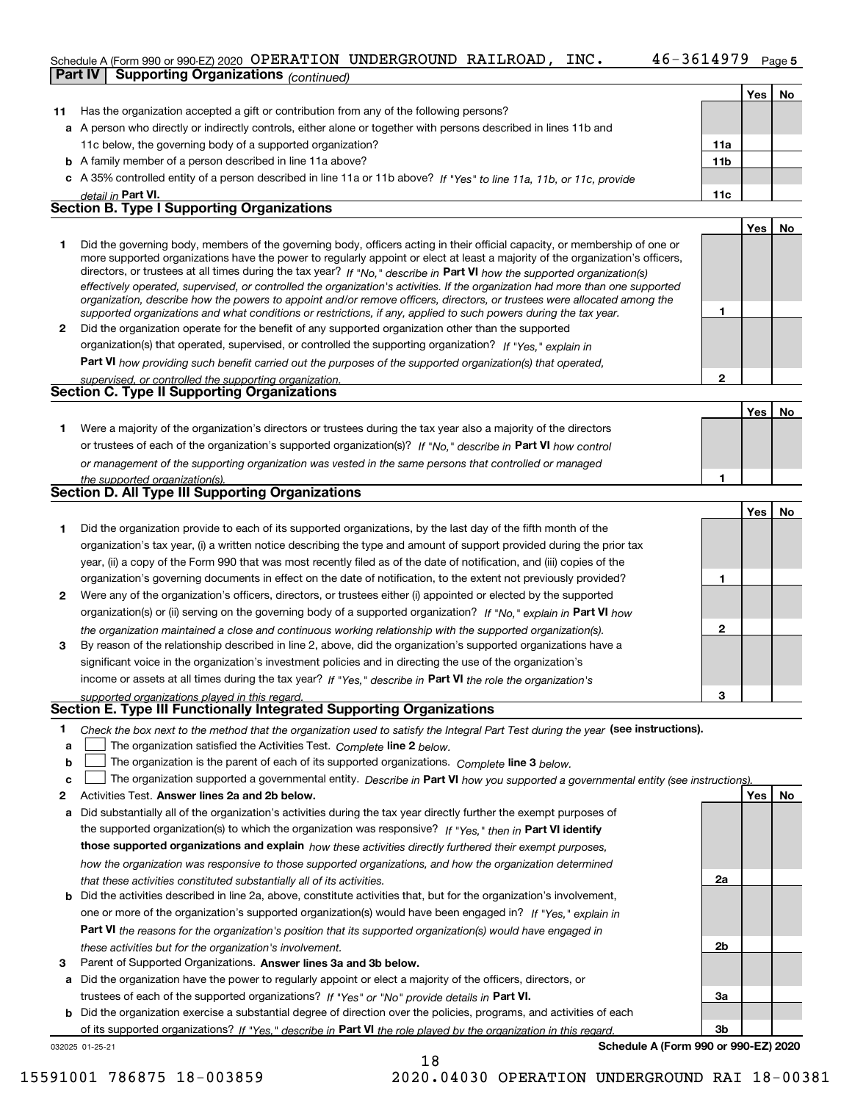## Schedule A (Form 990 or 990-EZ) 2020 OPERATION UNDERGROUND RAILROAD , INC 46-3614979 Page 5

|              | Part IV<br><b>Supporting Organizations (continued)</b>                                                       |                                                                                                                                                                                                                                                           |     |     |    |
|--------------|--------------------------------------------------------------------------------------------------------------|-----------------------------------------------------------------------------------------------------------------------------------------------------------------------------------------------------------------------------------------------------------|-----|-----|----|
|              |                                                                                                              |                                                                                                                                                                                                                                                           |     | Yes | No |
| 11           |                                                                                                              | Has the organization accepted a gift or contribution from any of the following persons?                                                                                                                                                                   |     |     |    |
|              |                                                                                                              | a A person who directly or indirectly controls, either alone or together with persons described in lines 11b and                                                                                                                                          |     |     |    |
|              | 11c below, the governing body of a supported organization?                                                   |                                                                                                                                                                                                                                                           | 11a |     |    |
|              | <b>b</b> A family member of a person described in line 11a above?                                            |                                                                                                                                                                                                                                                           | 11b |     |    |
|              |                                                                                                              | c A 35% controlled entity of a person described in line 11a or 11b above? If "Yes" to line 11a, 11b, or 11c, provide                                                                                                                                      |     |     |    |
|              | detail in Part VI.                                                                                           |                                                                                                                                                                                                                                                           | 11c |     |    |
|              | <b>Section B. Type I Supporting Organizations</b>                                                            |                                                                                                                                                                                                                                                           |     |     |    |
|              |                                                                                                              |                                                                                                                                                                                                                                                           |     | Yes | No |
| 1.           |                                                                                                              | Did the governing body, members of the governing body, officers acting in their official capacity, or membership of one or                                                                                                                                |     |     |    |
|              |                                                                                                              | more supported organizations have the power to regularly appoint or elect at least a majority of the organization's officers,                                                                                                                             |     |     |    |
|              |                                                                                                              | directors, or trustees at all times during the tax year? If "No," describe in Part VI how the supported organization(s)<br>effectively operated, supervised, or controlled the organization's activities. If the organization had more than one supported |     |     |    |
|              |                                                                                                              | organization, describe how the powers to appoint and/or remove officers, directors, or trustees were allocated among the                                                                                                                                  |     |     |    |
|              |                                                                                                              | supported organizations and what conditions or restrictions, if any, applied to such powers during the tax year.                                                                                                                                          | 1   |     |    |
| $\mathbf{2}$ |                                                                                                              | Did the organization operate for the benefit of any supported organization other than the supported                                                                                                                                                       |     |     |    |
|              |                                                                                                              | organization(s) that operated, supervised, or controlled the supporting organization? If "Yes," explain in                                                                                                                                                |     |     |    |
|              |                                                                                                              | <b>Part VI</b> how providing such benefit carried out the purposes of the supported organization(s) that operated,                                                                                                                                        |     |     |    |
|              | supervised, or controlled the supporting organization.<br><b>Section C. Type II Supporting Organizations</b> |                                                                                                                                                                                                                                                           | 2   |     |    |
|              |                                                                                                              |                                                                                                                                                                                                                                                           |     |     |    |
|              |                                                                                                              |                                                                                                                                                                                                                                                           |     | Yes | No |
| 1.           |                                                                                                              | Were a majority of the organization's directors or trustees during the tax year also a majority of the directors                                                                                                                                          |     |     |    |
|              |                                                                                                              | or trustees of each of the organization's supported organization(s)? If "No," describe in Part VI how control                                                                                                                                             |     |     |    |
|              |                                                                                                              | or management of the supporting organization was vested in the same persons that controlled or managed                                                                                                                                                    | 1   |     |    |
|              | the supported organization(s).<br>Section D. All Type III Supporting Organizations                           |                                                                                                                                                                                                                                                           |     |     |    |
|              |                                                                                                              |                                                                                                                                                                                                                                                           |     | Yes | No |
| 1.           |                                                                                                              | Did the organization provide to each of its supported organizations, by the last day of the fifth month of the                                                                                                                                            |     |     |    |
|              |                                                                                                              | organization's tax year, (i) a written notice describing the type and amount of support provided during the prior tax                                                                                                                                     |     |     |    |
|              |                                                                                                              | year, (ii) a copy of the Form 990 that was most recently filed as of the date of notification, and (iii) copies of the                                                                                                                                    |     |     |    |
|              |                                                                                                              | organization's governing documents in effect on the date of notification, to the extent not previously provided?                                                                                                                                          | 1   |     |    |
| 2            |                                                                                                              | Were any of the organization's officers, directors, or trustees either (i) appointed or elected by the supported                                                                                                                                          |     |     |    |
|              |                                                                                                              | organization(s) or (ii) serving on the governing body of a supported organization? If "No," explain in Part VI how                                                                                                                                        |     |     |    |
|              |                                                                                                              | the organization maintained a close and continuous working relationship with the supported organization(s).                                                                                                                                               | 2   |     |    |
| 3            |                                                                                                              | By reason of the relationship described in line 2, above, did the organization's supported organizations have a                                                                                                                                           |     |     |    |
|              |                                                                                                              | significant voice in the organization's investment policies and in directing the use of the organization's                                                                                                                                                |     |     |    |
|              |                                                                                                              | income or assets at all times during the tax year? If "Yes," describe in Part VI the role the organization's                                                                                                                                              |     |     |    |
|              | supported organizations played in this regard.                                                               |                                                                                                                                                                                                                                                           | 3   |     |    |
|              | Section E. Type III Functionally Integrated Supporting Organizations                                         |                                                                                                                                                                                                                                                           |     |     |    |
| 1.           |                                                                                                              | Check the box next to the method that the organization used to satisfy the Integral Part Test during the year (see instructions).                                                                                                                         |     |     |    |
| a            | The organization satisfied the Activities Test. Complete line 2 below.                                       |                                                                                                                                                                                                                                                           |     |     |    |
| b            |                                                                                                              | The organization is the parent of each of its supported organizations. Complete line 3 below.                                                                                                                                                             |     |     |    |
| c            |                                                                                                              | The organization supported a governmental entity. Describe in Part VI how you supported a governmental entity (see instructions).                                                                                                                         |     |     |    |
| 2            | Activities Test. Answer lines 2a and 2b below.                                                               |                                                                                                                                                                                                                                                           |     | Yes | No |
| а            |                                                                                                              | Did substantially all of the organization's activities during the tax year directly further the exempt purposes of                                                                                                                                        |     |     |    |
|              |                                                                                                              | the supported organization(s) to which the organization was responsive? If "Yes," then in Part VI identify                                                                                                                                                |     |     |    |
|              |                                                                                                              | those supported organizations and explain how these activities directly furthered their exempt purposes,                                                                                                                                                  |     |     |    |
|              |                                                                                                              | how the organization was responsive to those supported organizations, and how the organization determined                                                                                                                                                 |     |     |    |
|              | that these activities constituted substantially all of its activities.                                       |                                                                                                                                                                                                                                                           | 2a  |     |    |
| b            |                                                                                                              | Did the activities described in line 2a, above, constitute activities that, but for the organization's involvement,                                                                                                                                       |     |     |    |
|              |                                                                                                              | one or more of the organization's supported organization(s) would have been engaged in? If "Yes," explain in                                                                                                                                              |     |     |    |

**3** Parent of Supported Organizations. Answer lines 3a and 3b below. *these activities but for the organization's involvement.*

**a** Did the organization have the power to regularly appoint or elect a majority of the officers, directors, or trustees of each of the supported organizations? If "Yes" or "No" provide details in **Part VI.** 

**Part VI**  *the reasons for the organization's position that its supported organization(s) would have engaged in*

**b** Did the organization exercise a substantial degree of direction over the policies, programs, and activities of each of its supported organizations? If "Yes," describe in Part VI the role played by the organization in this regard.

032025 01-25-21

**Schedule A (Form 990 or 990-EZ) 2020**

**2b**

**3a**

**3b**

15591001 786875 18-003859 2020.04030 OPERATION UNDERGROUND RAI 18-00381

18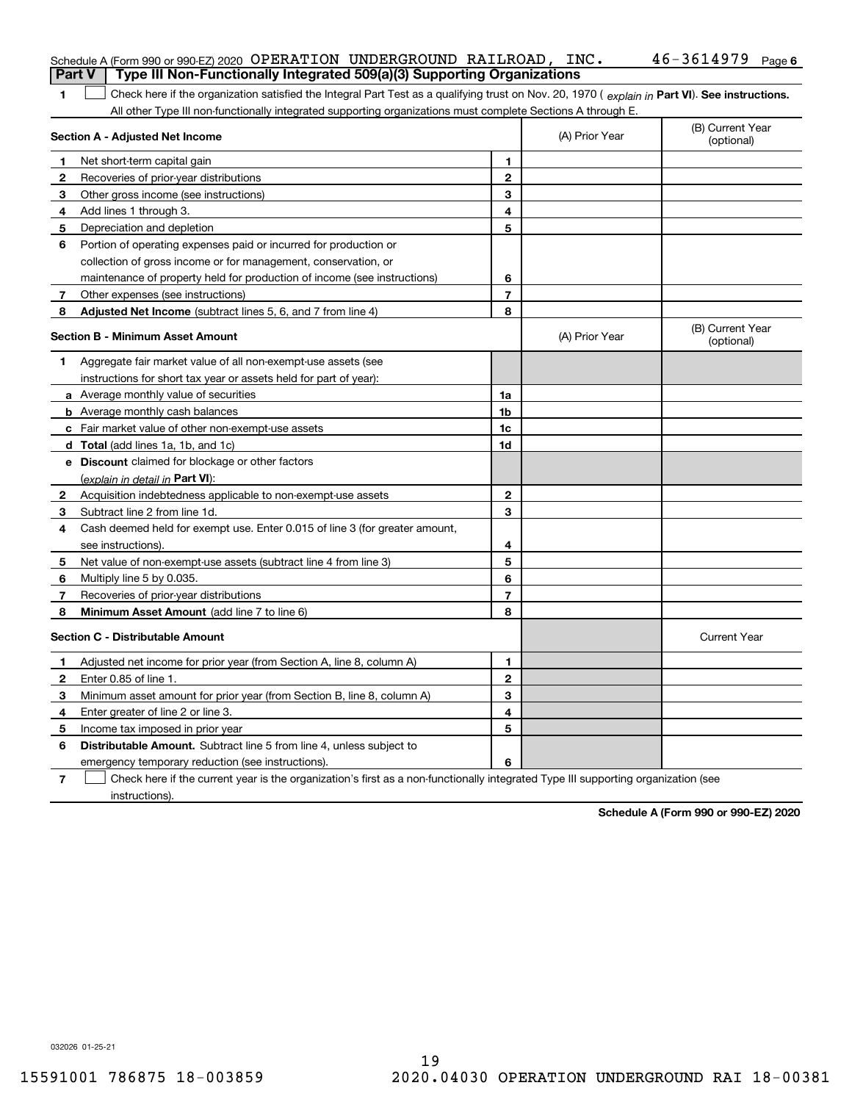|              | Schedule A (Form 990 or 990-EZ) 2020 OPERATION UNDERGROUND RAILROAD, INC.                                                                      |                |                | $46 - 3614979$ Page 6          |
|--------------|------------------------------------------------------------------------------------------------------------------------------------------------|----------------|----------------|--------------------------------|
|              | Type III Non-Functionally Integrated 509(a)(3) Supporting Organizations<br><b>Part V</b>                                                       |                |                |                                |
| 1.           | Check here if the organization satisfied the Integral Part Test as a qualifying trust on Nov. 20, 1970 (explain in Part VI). See instructions. |                |                |                                |
|              | All other Type III non-functionally integrated supporting organizations must complete Sections A through E.                                    |                |                |                                |
|              | Section A - Adjusted Net Income                                                                                                                |                | (A) Prior Year | (B) Current Year<br>(optional) |
| 1.           | Net short-term capital gain                                                                                                                    | 1.             |                |                                |
| 2            | Recoveries of prior-year distributions                                                                                                         | 2              |                |                                |
| 3            | Other gross income (see instructions)                                                                                                          | 3              |                |                                |
| 4            | Add lines 1 through 3.                                                                                                                         | 4              |                |                                |
| 5            | Depreciation and depletion                                                                                                                     | 5              |                |                                |
| 6            | Portion of operating expenses paid or incurred for production or                                                                               |                |                |                                |
|              | collection of gross income or for management, conservation, or                                                                                 |                |                |                                |
|              | maintenance of property held for production of income (see instructions)                                                                       | 6              |                |                                |
| 7            | Other expenses (see instructions)                                                                                                              | $\overline{7}$ |                |                                |
| 8            | Adjusted Net Income (subtract lines 5, 6, and 7 from line 4)                                                                                   | 8              |                |                                |
|              | <b>Section B - Minimum Asset Amount</b>                                                                                                        |                | (A) Prior Year | (B) Current Year<br>(optional) |
| 1            | Aggregate fair market value of all non-exempt-use assets (see                                                                                  |                |                |                                |
|              | instructions for short tax year or assets held for part of year):                                                                              |                |                |                                |
|              | <b>a</b> Average monthly value of securities                                                                                                   | 1a             |                |                                |
|              | <b>b</b> Average monthly cash balances                                                                                                         | 1b             |                |                                |
|              | c Fair market value of other non-exempt-use assets                                                                                             | 1c             |                |                                |
|              | d Total (add lines 1a, 1b, and 1c)                                                                                                             | 1d             |                |                                |
|              | e Discount claimed for blockage or other factors                                                                                               |                |                |                                |
|              | (explain in detail in Part VI):                                                                                                                |                |                |                                |
| $\mathbf{2}$ | Acquisition indebtedness applicable to non-exempt-use assets                                                                                   | $\mathbf{2}$   |                |                                |
| 3            | Subtract line 2 from line 1d.                                                                                                                  | 3              |                |                                |
| 4            | Cash deemed held for exempt use. Enter 0.015 of line 3 (for greater amount,                                                                    |                |                |                                |
|              | see instructions).                                                                                                                             | 4              |                |                                |
| 5            | Net value of non-exempt-use assets (subtract line 4 from line 3)                                                                               | 5              |                |                                |
| 6            | Multiply line 5 by 0.035.                                                                                                                      | 6              |                |                                |
| 7            | Recoveries of prior-year distributions                                                                                                         | $\overline{7}$ |                |                                |
| 8            | Minimum Asset Amount (add line 7 to line 6)                                                                                                    | 8              |                |                                |
|              | <b>Section C - Distributable Amount</b>                                                                                                        |                |                | <b>Current Year</b>            |
| 1.           | Adjusted net income for prior year (from Section A, line 8, column A)                                                                          | 1              |                |                                |
| 2            | Enter 0.85 of line 1.                                                                                                                          | 2              |                |                                |
| 3            | Minimum asset amount for prior year (from Section B, line 8, column A)                                                                         | 3              |                |                                |
| 4            | Enter greater of line 2 or line 3.                                                                                                             | 4              |                |                                |
| 5            | Income tax imposed in prior year                                                                                                               | 5              |                |                                |
| 6            | Distributable Amount. Subtract line 5 from line 4, unless subject to                                                                           |                |                |                                |
|              | emergency temporary reduction (see instructions).                                                                                              | 6              |                |                                |
| 7            | Check here if the current year is the organization's first as a non-functionally integrated Type III supporting organization (see              |                |                |                                |

**Schedule A (Form 990 or 990-EZ) 2020**

032026 01-25-21

instructions).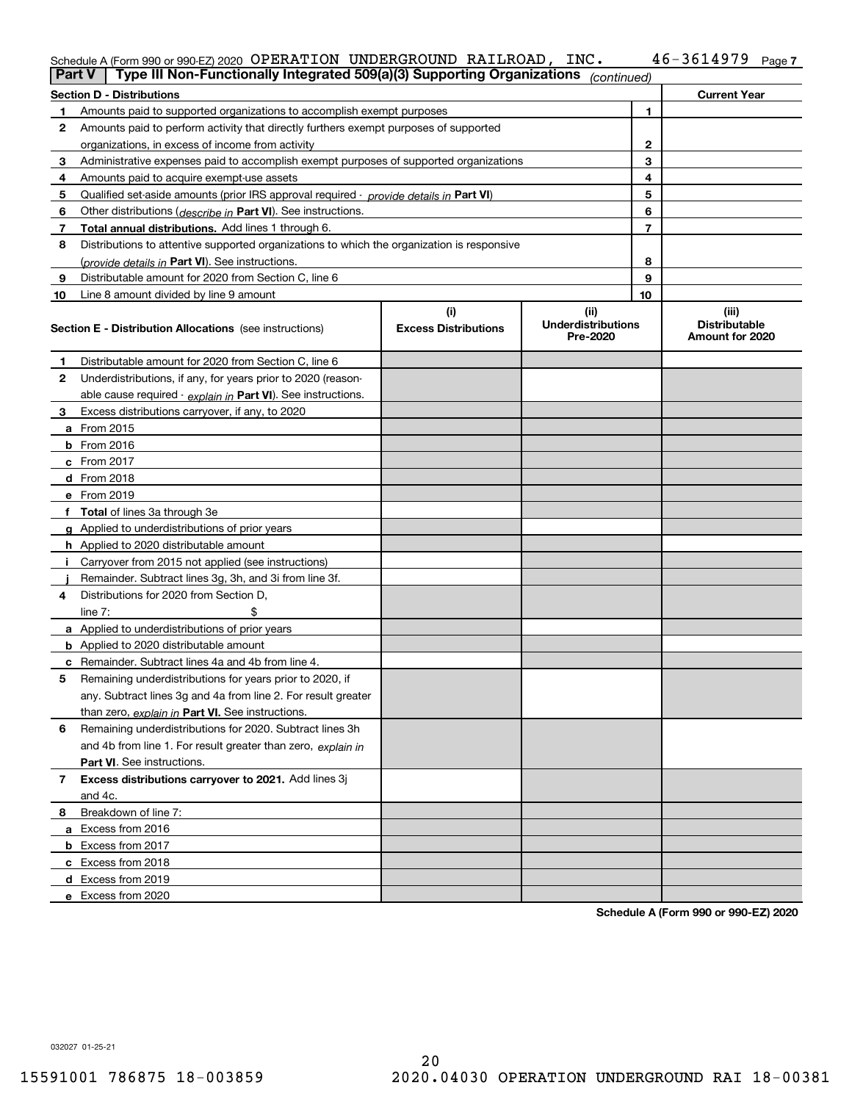#### Schedule A (Form 990 or 990-EZ) 2020 OPERATION UNDERGROUND RAILROAD, INC。 4 6 – 3 6 I 4 9 7 9 Page OPERATION UNDERGROUND RAILROAD, INC. 46-3614979

|                | Type III Non-Functionally Integrated 509(a)(3) Supporting Organizations<br>Part V          |                             | (continued)                           |              |                                         |
|----------------|--------------------------------------------------------------------------------------------|-----------------------------|---------------------------------------|--------------|-----------------------------------------|
|                | <b>Section D - Distributions</b>                                                           |                             |                                       |              | <b>Current Year</b>                     |
| 1              | Amounts paid to supported organizations to accomplish exempt purposes                      |                             |                                       | 1            |                                         |
| 2              | Amounts paid to perform activity that directly furthers exempt purposes of supported       |                             |                                       |              |                                         |
|                | organizations, in excess of income from activity                                           |                             |                                       | $\mathbf{2}$ |                                         |
| 3              | Administrative expenses paid to accomplish exempt purposes of supported organizations      |                             |                                       | 3            |                                         |
| 4              | Amounts paid to acquire exempt-use assets                                                  |                             |                                       | 4            |                                         |
| 5              | Qualified set-aside amounts (prior IRS approval required - provide details in Part VI)     |                             |                                       | 5            |                                         |
| 6              | Other distributions (describe in Part VI). See instructions.                               |                             |                                       | 6            |                                         |
| 7              | Total annual distributions. Add lines 1 through 6.                                         |                             |                                       | 7            |                                         |
| 8              | Distributions to attentive supported organizations to which the organization is responsive |                             |                                       |              |                                         |
|                | (provide details in Part VI). See instructions.                                            |                             |                                       | 8            |                                         |
| 9              | Distributable amount for 2020 from Section C, line 6                                       |                             |                                       | 9            |                                         |
| 10             | Line 8 amount divided by line 9 amount                                                     |                             |                                       | 10           |                                         |
|                |                                                                                            | (i)                         | (ii)                                  |              | (iii)                                   |
|                | <b>Section E - Distribution Allocations</b> (see instructions)                             | <b>Excess Distributions</b> | <b>Underdistributions</b><br>Pre-2020 |              | <b>Distributable</b><br>Amount for 2020 |
| 1              | Distributable amount for 2020 from Section C, line 6                                       |                             |                                       |              |                                         |
| 2              | Underdistributions, if any, for years prior to 2020 (reason-                               |                             |                                       |              |                                         |
|                | able cause required - explain in Part VI). See instructions.                               |                             |                                       |              |                                         |
| 3              | Excess distributions carryover, if any, to 2020                                            |                             |                                       |              |                                         |
|                | a From 2015                                                                                |                             |                                       |              |                                         |
|                | <b>b</b> From 2016                                                                         |                             |                                       |              |                                         |
|                | $c$ From 2017                                                                              |                             |                                       |              |                                         |
|                | d From 2018                                                                                |                             |                                       |              |                                         |
|                | e From 2019                                                                                |                             |                                       |              |                                         |
|                | f Total of lines 3a through 3e                                                             |                             |                                       |              |                                         |
|                | g Applied to underdistributions of prior years                                             |                             |                                       |              |                                         |
|                | <b>h</b> Applied to 2020 distributable amount                                              |                             |                                       |              |                                         |
|                | Carryover from 2015 not applied (see instructions)                                         |                             |                                       |              |                                         |
|                | Remainder. Subtract lines 3g, 3h, and 3i from line 3f.                                     |                             |                                       |              |                                         |
| 4              | Distributions for 2020 from Section D,                                                     |                             |                                       |              |                                         |
|                | line $7:$                                                                                  |                             |                                       |              |                                         |
|                | a Applied to underdistributions of prior years                                             |                             |                                       |              |                                         |
|                | <b>b</b> Applied to 2020 distributable amount                                              |                             |                                       |              |                                         |
|                | c Remainder. Subtract lines 4a and 4b from line 4.                                         |                             |                                       |              |                                         |
| 5              | Remaining underdistributions for years prior to 2020, if                                   |                             |                                       |              |                                         |
|                | any. Subtract lines 3g and 4a from line 2. For result greater                              |                             |                                       |              |                                         |
|                | than zero, explain in Part VI. See instructions.                                           |                             |                                       |              |                                         |
| 6              | Remaining underdistributions for 2020. Subtract lines 3h                                   |                             |                                       |              |                                         |
|                | and 4b from line 1. For result greater than zero, explain in                               |                             |                                       |              |                                         |
|                | Part VI. See instructions.                                                                 |                             |                                       |              |                                         |
| $\overline{7}$ | Excess distributions carryover to 2021. Add lines 3j                                       |                             |                                       |              |                                         |
|                | and 4c.                                                                                    |                             |                                       |              |                                         |
| 8              | Breakdown of line 7:                                                                       |                             |                                       |              |                                         |
|                | a Excess from 2016                                                                         |                             |                                       |              |                                         |
|                | <b>b</b> Excess from 2017                                                                  |                             |                                       |              |                                         |
|                | c Excess from 2018                                                                         |                             |                                       |              |                                         |
|                | d Excess from 2019                                                                         |                             |                                       |              |                                         |
|                | e Excess from 2020                                                                         |                             |                                       |              |                                         |

**Schedule A (Form 990 or 990-EZ) 2020**

032027 01-25-21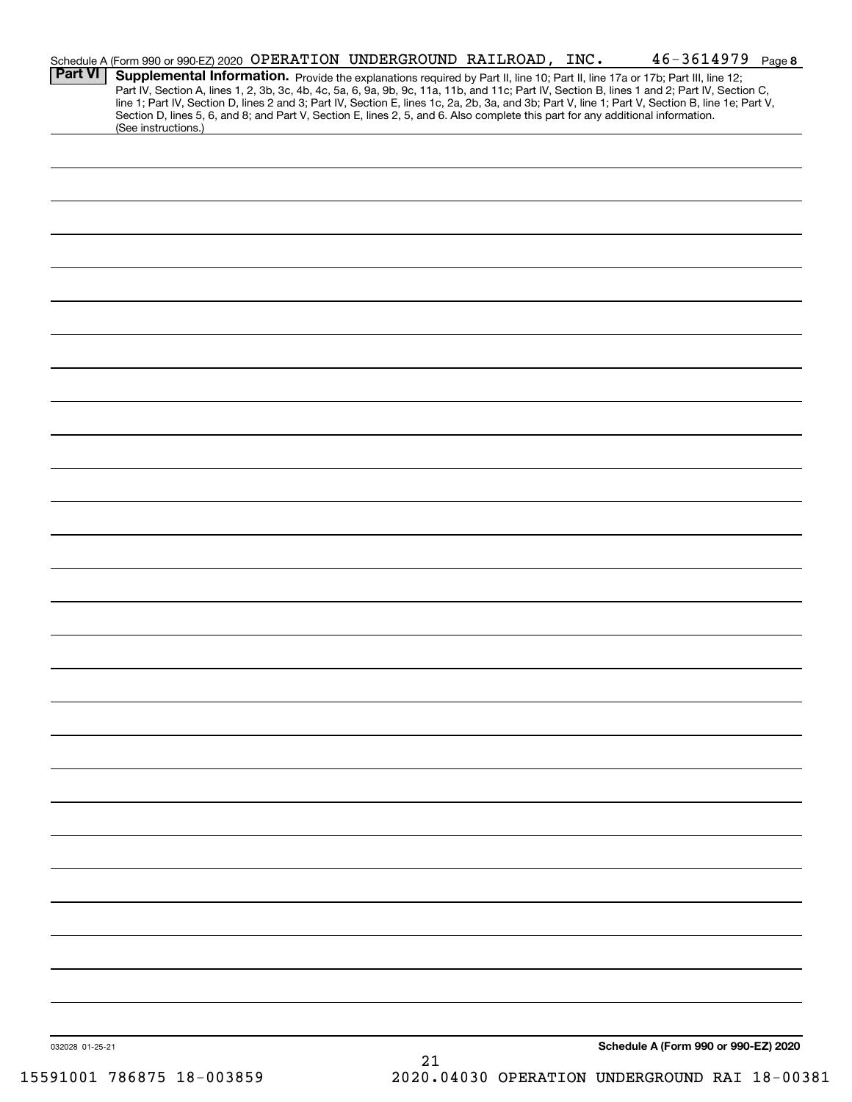| <b>Part VI</b>  | Schedule A (Form 990 or 990-EZ) 2020 OPERATION UNDERGROUND RAILROAD, INC.<br>Supplemental Information. Provide the explanations required by Part II, line 10; Part II, line 17a or 17b; Part III, line 12;                                                                                                                                                                                                                                                 |    |  | $46 - 3614979$ Page 8                |  |
|-----------------|------------------------------------------------------------------------------------------------------------------------------------------------------------------------------------------------------------------------------------------------------------------------------------------------------------------------------------------------------------------------------------------------------------------------------------------------------------|----|--|--------------------------------------|--|
|                 | Part IV, Section A, lines 1, 2, 3b, 3c, 4b, 4c, 5a, 6, 9a, 9b, 9c, 11a, 11b, and 11c; Part IV, Section B, lines 1 and 2; Part IV, Section C,<br>line 1; Part IV, Section D, lines 2 and 3; Part IV, Section E, lines 1c, 2a, 2b, 3a, and 3b; Part V, line 1; Part V, Section B, line 1e; Part V,<br>Section D, lines 5, 6, and 8; and Part V, Section E, lines 2, 5, and 6. Also complete this part for any additional information.<br>(See instructions.) |    |  |                                      |  |
|                 |                                                                                                                                                                                                                                                                                                                                                                                                                                                            |    |  |                                      |  |
|                 |                                                                                                                                                                                                                                                                                                                                                                                                                                                            |    |  |                                      |  |
|                 |                                                                                                                                                                                                                                                                                                                                                                                                                                                            |    |  |                                      |  |
|                 |                                                                                                                                                                                                                                                                                                                                                                                                                                                            |    |  |                                      |  |
|                 |                                                                                                                                                                                                                                                                                                                                                                                                                                                            |    |  |                                      |  |
|                 |                                                                                                                                                                                                                                                                                                                                                                                                                                                            |    |  |                                      |  |
|                 |                                                                                                                                                                                                                                                                                                                                                                                                                                                            |    |  |                                      |  |
|                 |                                                                                                                                                                                                                                                                                                                                                                                                                                                            |    |  |                                      |  |
|                 |                                                                                                                                                                                                                                                                                                                                                                                                                                                            |    |  |                                      |  |
|                 |                                                                                                                                                                                                                                                                                                                                                                                                                                                            |    |  |                                      |  |
|                 |                                                                                                                                                                                                                                                                                                                                                                                                                                                            |    |  |                                      |  |
|                 |                                                                                                                                                                                                                                                                                                                                                                                                                                                            |    |  |                                      |  |
|                 |                                                                                                                                                                                                                                                                                                                                                                                                                                                            |    |  |                                      |  |
|                 |                                                                                                                                                                                                                                                                                                                                                                                                                                                            |    |  |                                      |  |
|                 |                                                                                                                                                                                                                                                                                                                                                                                                                                                            |    |  |                                      |  |
|                 |                                                                                                                                                                                                                                                                                                                                                                                                                                                            |    |  |                                      |  |
|                 |                                                                                                                                                                                                                                                                                                                                                                                                                                                            |    |  |                                      |  |
|                 |                                                                                                                                                                                                                                                                                                                                                                                                                                                            |    |  |                                      |  |
|                 |                                                                                                                                                                                                                                                                                                                                                                                                                                                            |    |  |                                      |  |
|                 |                                                                                                                                                                                                                                                                                                                                                                                                                                                            |    |  |                                      |  |
|                 |                                                                                                                                                                                                                                                                                                                                                                                                                                                            |    |  |                                      |  |
|                 |                                                                                                                                                                                                                                                                                                                                                                                                                                                            |    |  |                                      |  |
|                 |                                                                                                                                                                                                                                                                                                                                                                                                                                                            |    |  |                                      |  |
|                 |                                                                                                                                                                                                                                                                                                                                                                                                                                                            |    |  |                                      |  |
|                 |                                                                                                                                                                                                                                                                                                                                                                                                                                                            |    |  |                                      |  |
|                 |                                                                                                                                                                                                                                                                                                                                                                                                                                                            |    |  |                                      |  |
| 032028 01-25-21 |                                                                                                                                                                                                                                                                                                                                                                                                                                                            | 21 |  | Schedule A (Form 990 or 990-EZ) 2020 |  |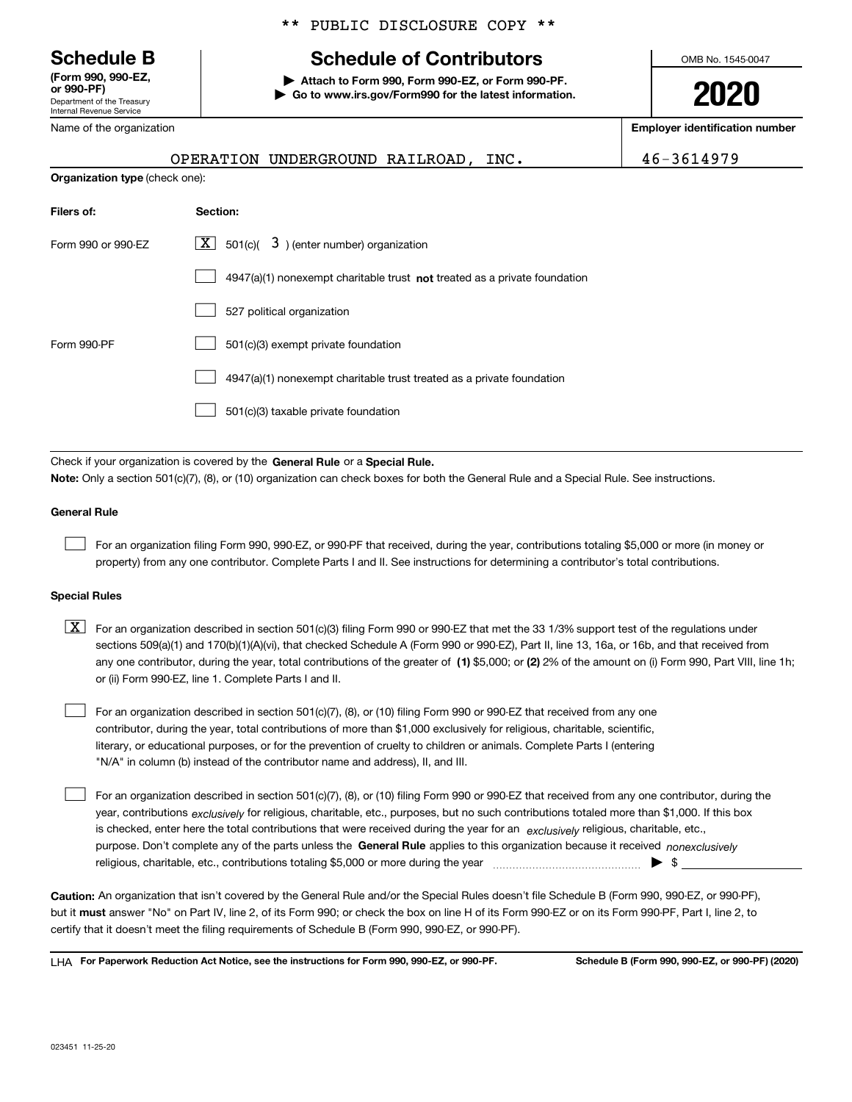Department of the Treasury Internal Revenue Service **(Form 990, 990-EZ, or 990-PF)**

Name of the organization

### \*\* PUBLIC DISCLOSURE COPY \*\*

## **Schedule B Schedule of Contributors**

**| Attach to Form 990, Form 990-EZ, or Form 990-PF. | Go to www.irs.gov/Form990 for the latest information.** OMB No. 1545-0047

**2020**

**Employer identification number**

| <b>Name of the organization</b>       |                                                                             | mipiojei iuominouuon i |
|---------------------------------------|-----------------------------------------------------------------------------|------------------------|
|                                       | OPERATION UNDERGROUND RAILROAD, INC.                                        | 46-3614979             |
| <b>Organization type (check one):</b> |                                                                             |                        |
| Filers of:                            | Section:                                                                    |                        |
| Form 990 or 990-EZ                    | X <br>501(c)( $3$ ) (enter number) organization                             |                        |
|                                       | $4947(a)(1)$ nonexempt charitable trust not treated as a private foundation |                        |
|                                       | 527 political organization                                                  |                        |
| Form 990-PF                           | 501(c)(3) exempt private foundation                                         |                        |
|                                       | 4947(a)(1) nonexempt charitable trust treated as a private foundation       |                        |
|                                       | 501(c)(3) taxable private foundation                                        |                        |
|                                       |                                                                             |                        |

Check if your organization is covered by the **General Rule** or a **Special Rule. Note:**  Only a section 501(c)(7), (8), or (10) organization can check boxes for both the General Rule and a Special Rule. See instructions.

### **General Rule**

 $\mathcal{L}^{\text{max}}$ 

For an organization filing Form 990, 990-EZ, or 990-PF that received, during the year, contributions totaling \$5,000 or more (in money or property) from any one contributor. Complete Parts I and II. See instructions for determining a contributor's total contributions.

### **Special Rules**

any one contributor, during the year, total contributions of the greater of  $\,$  (1) \$5,000; or **(2)** 2% of the amount on (i) Form 990, Part VIII, line 1h;  $\boxed{\textbf{X}}$  For an organization described in section 501(c)(3) filing Form 990 or 990-EZ that met the 33 1/3% support test of the regulations under sections 509(a)(1) and 170(b)(1)(A)(vi), that checked Schedule A (Form 990 or 990-EZ), Part II, line 13, 16a, or 16b, and that received from or (ii) Form 990-EZ, line 1. Complete Parts I and II.

For an organization described in section 501(c)(7), (8), or (10) filing Form 990 or 990-EZ that received from any one contributor, during the year, total contributions of more than \$1,000 exclusively for religious, charitable, scientific, literary, or educational purposes, or for the prevention of cruelty to children or animals. Complete Parts I (entering "N/A" in column (b) instead of the contributor name and address), II, and III.  $\mathcal{L}^{\text{max}}$ 

purpose. Don't complete any of the parts unless the **General Rule** applies to this organization because it received *nonexclusively* year, contributions <sub>exclusively</sub> for religious, charitable, etc., purposes, but no such contributions totaled more than \$1,000. If this box is checked, enter here the total contributions that were received during the year for an  $\;$ exclusively religious, charitable, etc., For an organization described in section 501(c)(7), (8), or (10) filing Form 990 or 990-EZ that received from any one contributor, during the religious, charitable, etc., contributions totaling \$5,000 or more during the year  $\Box$ — $\Box$   $\Box$  $\mathcal{L}^{\text{max}}$ 

**Caution:**  An organization that isn't covered by the General Rule and/or the Special Rules doesn't file Schedule B (Form 990, 990-EZ, or 990-PF),  **must** but it answer "No" on Part IV, line 2, of its Form 990; or check the box on line H of its Form 990-EZ or on its Form 990-PF, Part I, line 2, to certify that it doesn't meet the filing requirements of Schedule B (Form 990, 990-EZ, or 990-PF).

**For Paperwork Reduction Act Notice, see the instructions for Form 990, 990-EZ, or 990-PF. Schedule B (Form 990, 990-EZ, or 990-PF) (2020)** LHA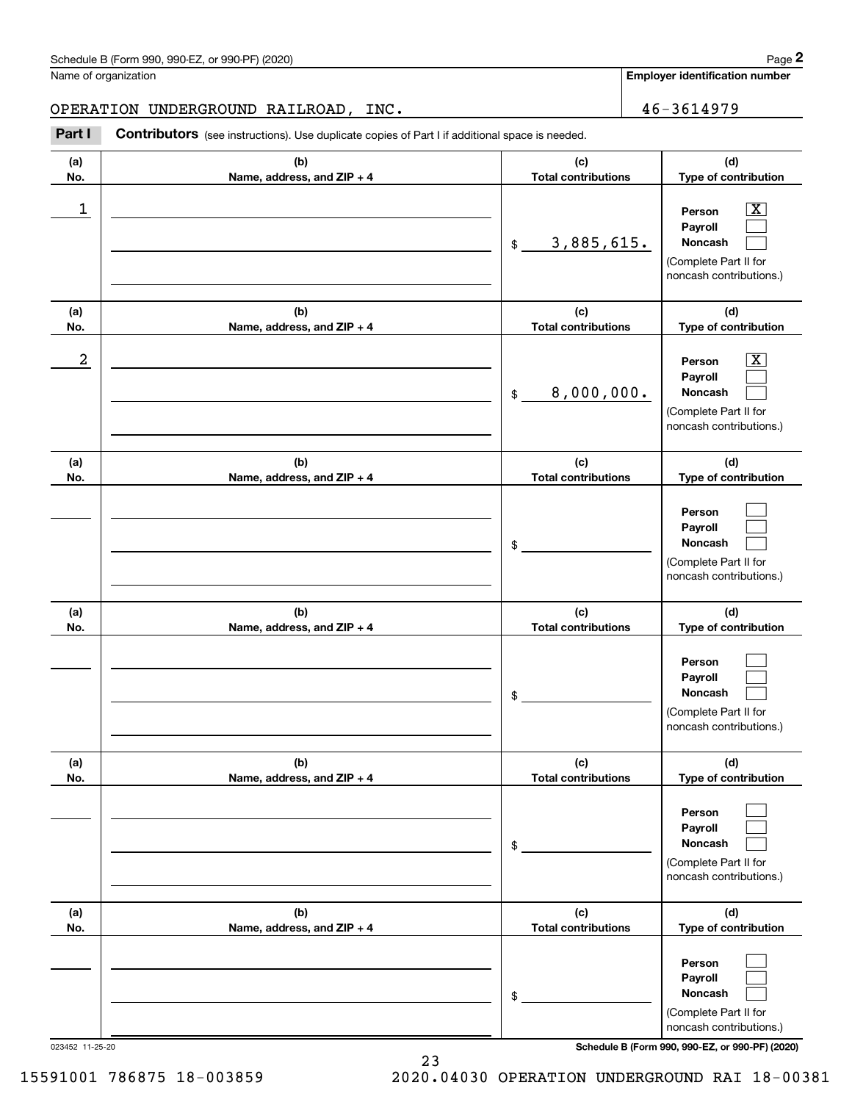|                         | Schedule B (Form 990, 990-EZ, or 990-PF) (2020)                                                       |                                   | Page 2                                                                                                    |
|-------------------------|-------------------------------------------------------------------------------------------------------|-----------------------------------|-----------------------------------------------------------------------------------------------------------|
|                         | Name of organization                                                                                  |                                   | <b>Employer identification number</b>                                                                     |
|                         | OPERATION UNDERGROUND RAILROAD, INC.                                                                  |                                   | 46-3614979                                                                                                |
| Part I                  | <b>Contributors</b> (see instructions). Use duplicate copies of Part I if additional space is needed. |                                   |                                                                                                           |
| (a)<br>No.              | (b)<br>Name, address, and ZIP + 4                                                                     | (c)<br><b>Total contributions</b> | (d)<br>Type of contribution                                                                               |
| $\mathbf 1$             |                                                                                                       | 3,885,615.<br>$\mathfrak{S}$      | $\overline{\text{X}}$<br>Person<br>Payroll<br>Noncash<br>(Complete Part II for<br>noncash contributions.) |
| (a)<br>No.              | (b)<br>Name, address, and ZIP + 4                                                                     | (c)<br><b>Total contributions</b> | (d)<br>Type of contribution                                                                               |
| $\overline{\mathbf{c}}$ |                                                                                                       | 8,000,000.<br>$\mathfrak{S}$      | $\overline{\text{X}}$<br>Person<br>Payroll<br>Noncash<br>(Complete Part II for<br>noncash contributions.) |
| (a)<br>No.              | (b)<br>Name, address, and ZIP + 4                                                                     | (c)<br><b>Total contributions</b> | (d)<br>Type of contribution                                                                               |
|                         |                                                                                                       | \$                                | Person<br>Payroll<br>Noncash<br>(Complete Part II for<br>noncash contributions.)                          |
| (a)<br>No.              | (b)<br>Name, address, and ZIP + 4                                                                     | (c)<br><b>Total contributions</b> | (d)<br>Type of contribution                                                                               |
|                         |                                                                                                       | \$                                | Person<br>Payroll<br>Noncash<br>(Complete Part II for<br>noncash contributions.)                          |
| (a)<br>No.              | (b)<br>Name, address, and ZIP + 4                                                                     | (c)<br><b>Total contributions</b> | (d)<br>Type of contribution                                                                               |
|                         |                                                                                                       | \$                                | Person<br>Payroll<br>Noncash<br>(Complete Part II for<br>noncash contributions.)                          |
| (a)<br>No.              | (b)<br>Name, address, and ZIP + 4                                                                     | (c)<br><b>Total contributions</b> | (d)<br>Type of contribution                                                                               |
|                         |                                                                                                       | \$                                | Person<br>Payroll<br>Noncash<br>(Complete Part II for<br>noncash contributions.)                          |

023452 11-25-20 **Schedule B (Form 990, 990-EZ, or 990-PF) (2020)**

23 15591001 786875 18-003859 2020.04030 OPERATION UNDERGROUND RAI 18-00381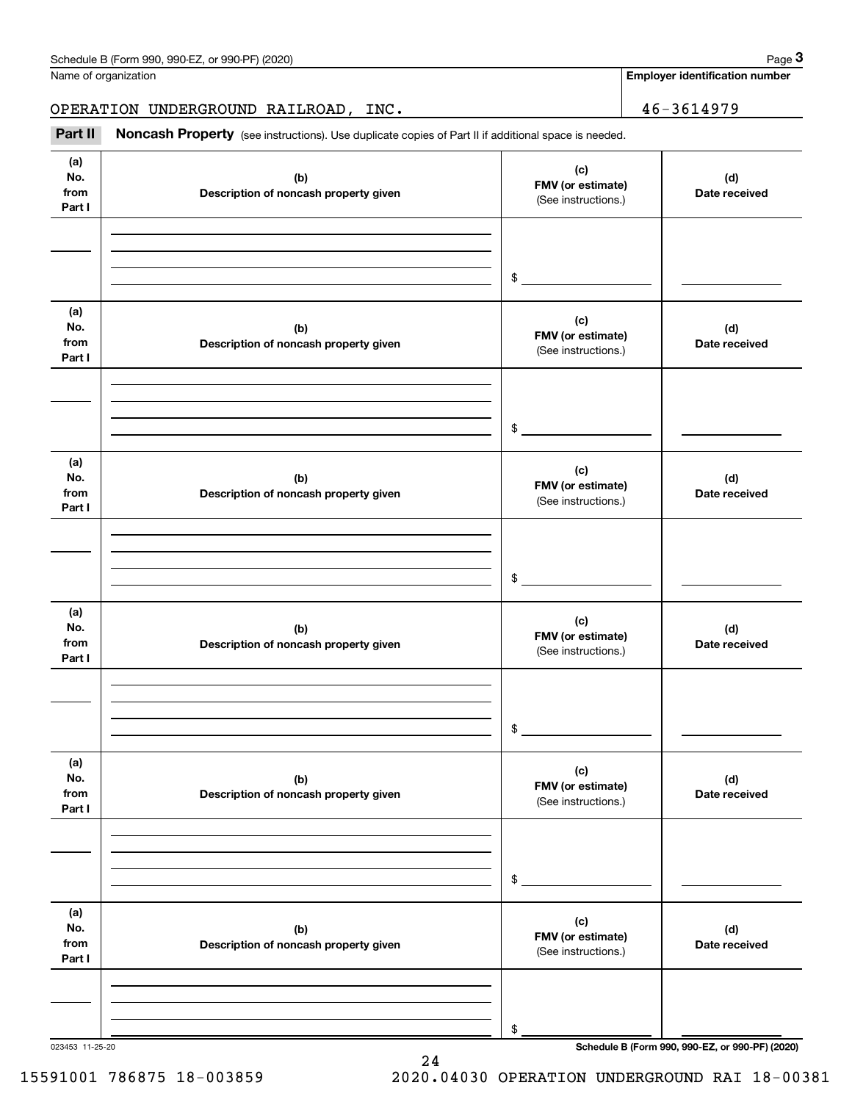|                              | Schedule B (Form 990, 990-EZ, or 990-PF) (2020)                                                     |                                                 | Page 3                                |
|------------------------------|-----------------------------------------------------------------------------------------------------|-------------------------------------------------|---------------------------------------|
|                              | Name of organization                                                                                |                                                 | <b>Employer identification number</b> |
|                              | OPERATION UNDERGROUND RAILROAD, INC.                                                                |                                                 | 46-3614979                            |
| Part II                      | Noncash Property (see instructions). Use duplicate copies of Part II if additional space is needed. |                                                 |                                       |
| (a)<br>No.<br>from<br>Part I | (b)<br>Description of noncash property given                                                        | (c)<br>FMV (or estimate)<br>(See instructions.) | (d)<br>Date received                  |
|                              |                                                                                                     | \$                                              |                                       |
| (a)<br>No.<br>from<br>Part I | (b)<br>Description of noncash property given                                                        | (c)<br>FMV (or estimate)<br>(See instructions.) | (d)<br>Date received                  |
|                              |                                                                                                     | \$                                              |                                       |
| (a)<br>No.<br>from<br>Part I | (b)<br>Description of noncash property given                                                        | (c)<br>FMV (or estimate)<br>(See instructions.) | (d)<br>Date received                  |
|                              |                                                                                                     | \$                                              |                                       |
| (a)<br>No.<br>from<br>Part I | (b)<br>Description of noncash property given                                                        | (c)<br>FMV (or estimate)<br>(See instructions.) | (d)<br>Date received                  |
|                              |                                                                                                     | \$                                              |                                       |
| (a)<br>No.<br>from<br>Part I | (b)<br>Description of noncash property given                                                        | (c)<br>FMV (or estimate)<br>(See instructions.) | (d)<br>Date received                  |
|                              |                                                                                                     | \$                                              |                                       |
| (a)<br>No.<br>from<br>Part I | (b)<br>Description of noncash property given                                                        | (c)<br>FMV (or estimate)<br>(See instructions.) | (d)<br>Date received                  |
|                              |                                                                                                     | \$                                              |                                       |

023453 11-25-20 **Schedule B (Form 990, 990-EZ, or 990-PF) (2020)**

15591001 786875 18-003859 2020.04030 OPERATION UNDERGROUND RAI 18-00381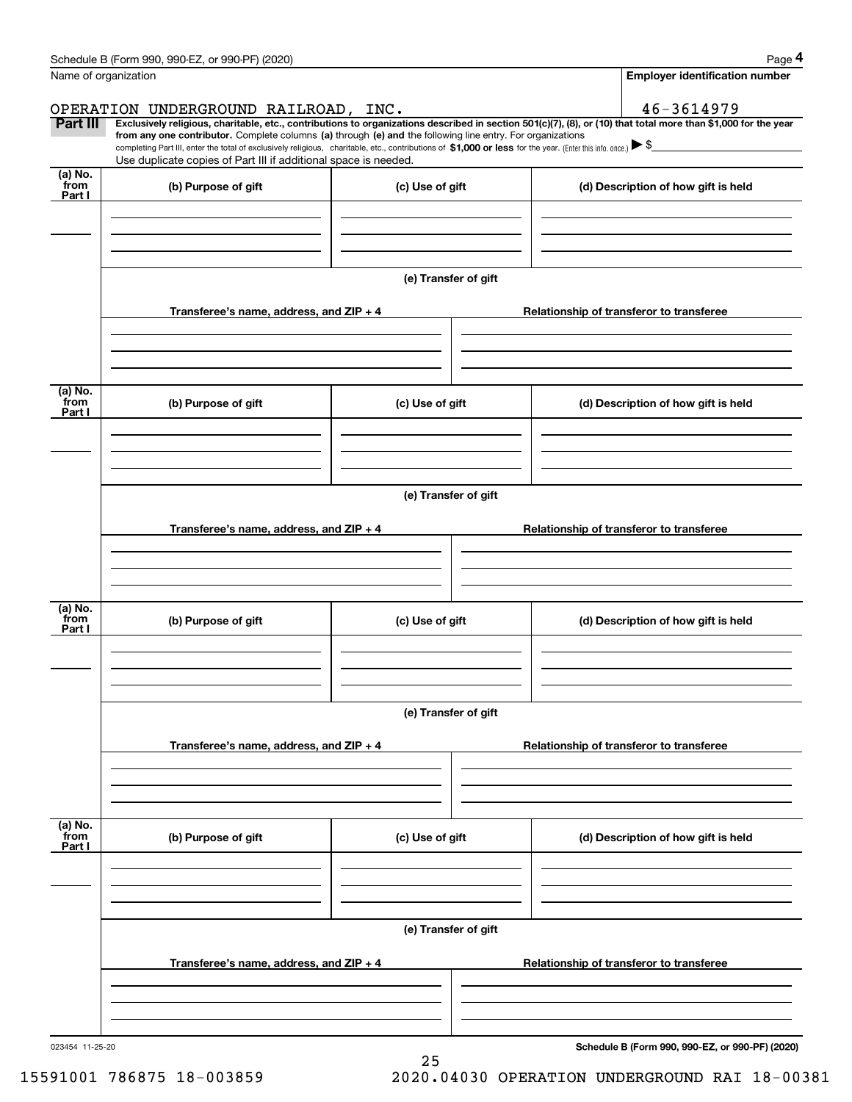|                 | Schedule B (Form 990, 990-EZ, or 990-PF) (2020)                                                                                                                                                                                 |                      | Page 4                                                                                                                                                         |  |  |  |  |
|-----------------|---------------------------------------------------------------------------------------------------------------------------------------------------------------------------------------------------------------------------------|----------------------|----------------------------------------------------------------------------------------------------------------------------------------------------------------|--|--|--|--|
|                 | Name of organization                                                                                                                                                                                                            |                      | <b>Employer identification number</b>                                                                                                                          |  |  |  |  |
|                 | OPERATION UNDERGROUND RAILROAD, INC.                                                                                                                                                                                            |                      | 46-3614979                                                                                                                                                     |  |  |  |  |
| <b>Part III</b> | from any one contributor. Complete columns (a) through (e) and the following line entry. For organizations                                                                                                                      |                      | Exclusively religious, charitable, etc., contributions to organizations described in section 501(c)(7), (8), or (10) that total more than \$1,000 for the year |  |  |  |  |
|                 | completing Part III, enter the total of exclusively religious, charitable, etc., contributions of \$1,000 or less for the year. (Enter this info. once.) \\$<br>Use duplicate copies of Part III if additional space is needed. |                      |                                                                                                                                                                |  |  |  |  |
| (a) No.<br>from |                                                                                                                                                                                                                                 |                      |                                                                                                                                                                |  |  |  |  |
| Part I          | (b) Purpose of gift                                                                                                                                                                                                             | (c) Use of gift      | (d) Description of how gift is held                                                                                                                            |  |  |  |  |
|                 |                                                                                                                                                                                                                                 |                      |                                                                                                                                                                |  |  |  |  |
|                 |                                                                                                                                                                                                                                 |                      |                                                                                                                                                                |  |  |  |  |
|                 |                                                                                                                                                                                                                                 |                      |                                                                                                                                                                |  |  |  |  |
|                 |                                                                                                                                                                                                                                 | (e) Transfer of gift |                                                                                                                                                                |  |  |  |  |
|                 | Transferee's name, address, and ZIP + 4                                                                                                                                                                                         |                      | Relationship of transferor to transferee                                                                                                                       |  |  |  |  |
|                 |                                                                                                                                                                                                                                 |                      |                                                                                                                                                                |  |  |  |  |
|                 |                                                                                                                                                                                                                                 |                      |                                                                                                                                                                |  |  |  |  |
|                 |                                                                                                                                                                                                                                 |                      |                                                                                                                                                                |  |  |  |  |
| (a) No.<br>from | (b) Purpose of gift                                                                                                                                                                                                             | (c) Use of gift      | (d) Description of how gift is held                                                                                                                            |  |  |  |  |
| Part I          |                                                                                                                                                                                                                                 |                      |                                                                                                                                                                |  |  |  |  |
|                 |                                                                                                                                                                                                                                 |                      |                                                                                                                                                                |  |  |  |  |
|                 |                                                                                                                                                                                                                                 |                      |                                                                                                                                                                |  |  |  |  |
|                 | (e) Transfer of gift                                                                                                                                                                                                            |                      |                                                                                                                                                                |  |  |  |  |
|                 |                                                                                                                                                                                                                                 |                      |                                                                                                                                                                |  |  |  |  |
|                 | Transferee's name, address, and ZIP + 4                                                                                                                                                                                         |                      | Relationship of transferor to transferee                                                                                                                       |  |  |  |  |
|                 |                                                                                                                                                                                                                                 |                      |                                                                                                                                                                |  |  |  |  |
|                 |                                                                                                                                                                                                                                 |                      |                                                                                                                                                                |  |  |  |  |
| (a) No.<br>from | (b) Purpose of gift                                                                                                                                                                                                             | (c) Use of gift      | (d) Description of how gift is held                                                                                                                            |  |  |  |  |
| Part I          |                                                                                                                                                                                                                                 |                      |                                                                                                                                                                |  |  |  |  |
|                 |                                                                                                                                                                                                                                 |                      |                                                                                                                                                                |  |  |  |  |
|                 |                                                                                                                                                                                                                                 |                      |                                                                                                                                                                |  |  |  |  |
|                 |                                                                                                                                                                                                                                 | (e) Transfer of gift |                                                                                                                                                                |  |  |  |  |
|                 |                                                                                                                                                                                                                                 |                      |                                                                                                                                                                |  |  |  |  |
|                 | Transferee's name, address, and ZIP + 4                                                                                                                                                                                         |                      | Relationship of transferor to transferee                                                                                                                       |  |  |  |  |
|                 |                                                                                                                                                                                                                                 |                      |                                                                                                                                                                |  |  |  |  |
|                 |                                                                                                                                                                                                                                 |                      |                                                                                                                                                                |  |  |  |  |
| (a) No.         |                                                                                                                                                                                                                                 |                      |                                                                                                                                                                |  |  |  |  |
| `from<br>Part I | (b) Purpose of gift                                                                                                                                                                                                             | (c) Use of gift      | (d) Description of how gift is held                                                                                                                            |  |  |  |  |
|                 |                                                                                                                                                                                                                                 |                      |                                                                                                                                                                |  |  |  |  |
|                 |                                                                                                                                                                                                                                 |                      |                                                                                                                                                                |  |  |  |  |
|                 |                                                                                                                                                                                                                                 |                      |                                                                                                                                                                |  |  |  |  |
|                 |                                                                                                                                                                                                                                 | (e) Transfer of gift |                                                                                                                                                                |  |  |  |  |
|                 | Transferee's name, address, and ZIP + 4                                                                                                                                                                                         |                      | Relationship of transferor to transferee                                                                                                                       |  |  |  |  |
|                 |                                                                                                                                                                                                                                 |                      |                                                                                                                                                                |  |  |  |  |
|                 |                                                                                                                                                                                                                                 |                      |                                                                                                                                                                |  |  |  |  |
|                 |                                                                                                                                                                                                                                 |                      |                                                                                                                                                                |  |  |  |  |
| 023454 11-25-20 |                                                                                                                                                                                                                                 |                      | Schedule B (Form 990, 990-EZ, or 990-PF) (2020)                                                                                                                |  |  |  |  |

25

**Schedule B (Form 990, 990-EZ, or 990-PF) (2020)**

15591001 786875 18-003859 2020.04030 OPERATION UNDERGROUND RAI 18-00381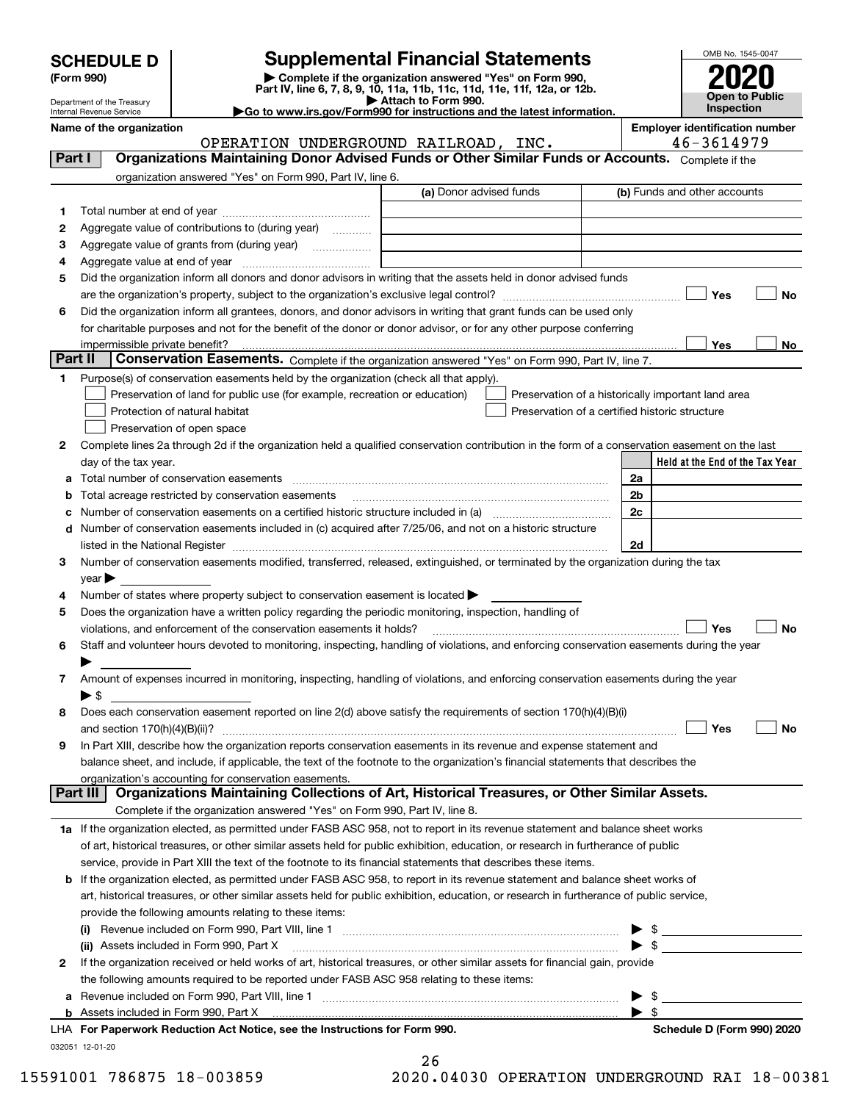| <b>SCHEDULE D</b> |  |
|-------------------|--|
|-------------------|--|

## **Supplemental Financial Statements**

(Form 990)<br>
Pepartment of the Treasury<br>
Department of the Treasury<br>
Department of the Treasury<br>
Department of the Treasury<br> **Co to www.irs.gov/Form990 for instructions and the latest information.**<br> **Co to www.irs.gov/Form9** 



Department of the Treasury Internal Revenue Service

**Name of the organization Employer identification number**

OPERATION UNDERGROUND RAILROAD, INC. 46-3614979

| Part I         |                            | <b>Organizations Maintaining Donor Advised Funds or Other Similar Funds or Accounts.</b> Complete if the                                                                                |                                                |                         |                                                    |
|----------------|----------------------------|-----------------------------------------------------------------------------------------------------------------------------------------------------------------------------------------|------------------------------------------------|-------------------------|----------------------------------------------------|
|                |                            | organization answered "Yes" on Form 990, Part IV, line 6.                                                                                                                               |                                                |                         |                                                    |
|                |                            |                                                                                                                                                                                         | (a) Donor advised funds                        |                         | (b) Funds and other accounts                       |
| 1.             |                            |                                                                                                                                                                                         |                                                |                         |                                                    |
| 2              |                            | Aggregate value of contributions to (during year)                                                                                                                                       |                                                |                         |                                                    |
| з              |                            | Aggregate value of grants from (during year)                                                                                                                                            |                                                |                         |                                                    |
| 4              |                            |                                                                                                                                                                                         |                                                |                         |                                                    |
| 5              |                            | Did the organization inform all donors and donor advisors in writing that the assets held in donor advised funds                                                                        |                                                |                         |                                                    |
|                |                            |                                                                                                                                                                                         |                                                |                         | Yes<br>No                                          |
| 6              |                            | Did the organization inform all grantees, donors, and donor advisors in writing that grant funds can be used only                                                                       |                                                |                         |                                                    |
|                |                            | for charitable purposes and not for the benefit of the donor or donor advisor, or for any other purpose conferring                                                                      |                                                |                         |                                                    |
|                |                            | impermissible private benefit?                                                                                                                                                          |                                                |                         | Yes<br>No                                          |
| <b>Part II</b> |                            | Conservation Easements. Complete if the organization answered "Yes" on Form 990, Part IV, line 7.                                                                                       |                                                |                         |                                                    |
| 1              |                            | Purpose(s) of conservation easements held by the organization (check all that apply).                                                                                                   |                                                |                         |                                                    |
|                |                            | Preservation of land for public use (for example, recreation or education)                                                                                                              |                                                |                         | Preservation of a historically important land area |
|                |                            | Protection of natural habitat                                                                                                                                                           | Preservation of a certified historic structure |                         |                                                    |
|                |                            | Preservation of open space                                                                                                                                                              |                                                |                         |                                                    |
| 2              |                            | Complete lines 2a through 2d if the organization held a qualified conservation contribution in the form of a conservation easement on the last                                          |                                                |                         |                                                    |
|                |                            | day of the tax year.                                                                                                                                                                    |                                                |                         | Held at the End of the Tax Year                    |
| а              |                            | Total number of conservation easements                                                                                                                                                  |                                                | 2a                      |                                                    |
| b              |                            | Total acreage restricted by conservation easements                                                                                                                                      |                                                | 2 <sub>b</sub>          |                                                    |
| c              |                            |                                                                                                                                                                                         |                                                | 2c                      |                                                    |
| d              |                            | Number of conservation easements included in (c) acquired after 7/25/06, and not on a historic structure                                                                                |                                                |                         |                                                    |
|                |                            |                                                                                                                                                                                         |                                                | 2d                      |                                                    |
| 3              |                            | Number of conservation easements modified, transferred, released, extinguished, or terminated by the organization during the tax                                                        |                                                |                         |                                                    |
|                | $year \blacktriangleright$ |                                                                                                                                                                                         |                                                |                         |                                                    |
| 4<br>5         |                            | Number of states where property subject to conservation easement is located ><br>Does the organization have a written policy regarding the periodic monitoring, inspection, handling of |                                                |                         |                                                    |
|                |                            | violations, and enforcement of the conservation easements it holds?                                                                                                                     |                                                |                         | Yes<br>No                                          |
| 6              |                            | Staff and volunteer hours devoted to monitoring, inspecting, handling of violations, and enforcing conservation easements during the year                                               |                                                |                         |                                                    |
|                |                            |                                                                                                                                                                                         |                                                |                         |                                                    |
| 7              |                            | Amount of expenses incurred in monitoring, inspecting, handling of violations, and enforcing conservation easements during the year                                                     |                                                |                         |                                                    |
|                | $\blacktriangleright$ \$   |                                                                                                                                                                                         |                                                |                         |                                                    |
| 8              |                            | Does each conservation easement reported on line 2(d) above satisfy the requirements of section 170(h)(4)(B)(i)                                                                         |                                                |                         |                                                    |
|                |                            |                                                                                                                                                                                         |                                                |                         | Yes<br>No                                          |
| 9              |                            | In Part XIII, describe how the organization reports conservation easements in its revenue and expense statement and                                                                     |                                                |                         |                                                    |
|                |                            | balance sheet, and include, if applicable, the text of the footnote to the organization's financial statements that describes the                                                       |                                                |                         |                                                    |
|                |                            | organization's accounting for conservation easements.                                                                                                                                   |                                                |                         |                                                    |
|                | <b>Part III</b>            | Organizations Maintaining Collections of Art, Historical Treasures, or Other Similar Assets.                                                                                            |                                                |                         |                                                    |
|                |                            | Complete if the organization answered "Yes" on Form 990, Part IV, line 8.                                                                                                               |                                                |                         |                                                    |
|                |                            | 1a If the organization elected, as permitted under FASB ASC 958, not to report in its revenue statement and balance sheet works                                                         |                                                |                         |                                                    |
|                |                            | of art, historical treasures, or other similar assets held for public exhibition, education, or research in furtherance of public                                                       |                                                |                         |                                                    |
|                |                            | service, provide in Part XIII the text of the footnote to its financial statements that describes these items.                                                                          |                                                |                         |                                                    |
|                |                            | <b>b</b> If the organization elected, as permitted under FASB ASC 958, to report in its revenue statement and balance sheet works of                                                    |                                                |                         |                                                    |
|                |                            | art, historical treasures, or other similar assets held for public exhibition, education, or research in furtherance of public service,                                                 |                                                |                         |                                                    |
|                |                            | provide the following amounts relating to these items:                                                                                                                                  |                                                |                         |                                                    |
|                |                            |                                                                                                                                                                                         |                                                |                         | $\blacktriangleright$ \$                           |
|                |                            | (ii) Assets included in Form 990, Part X                                                                                                                                                |                                                |                         | $\triangleright$ \$                                |
| $\mathbf{2}$   |                            | If the organization received or held works of art, historical treasures, or other similar assets for financial gain, provide                                                            |                                                |                         |                                                    |
|                |                            | the following amounts required to be reported under FASB ASC 958 relating to these items:                                                                                               |                                                |                         |                                                    |
|                |                            | a Revenue included on Form 990, Part VIII, line 1 [2000] [2000] [2000] [2000] [2000] [2000] [2000] [2000] [2000                                                                         |                                                |                         | $\mathbb{S}$ .                                     |
|                |                            | <b>b</b> Assets included in Form 990, Part X                                                                                                                                            |                                                | $\blacktriangleright$ s |                                                    |
|                |                            | LHA For Paperwork Reduction Act Notice, see the Instructions for Form 990.                                                                                                              |                                                |                         | Schedule D (Form 990) 2020                         |
|                | 032051 12-01-20            |                                                                                                                                                                                         |                                                |                         |                                                    |

| 26     |            |        |
|--------|------------|--------|
| $\sim$ | . <i>.</i> | ------ |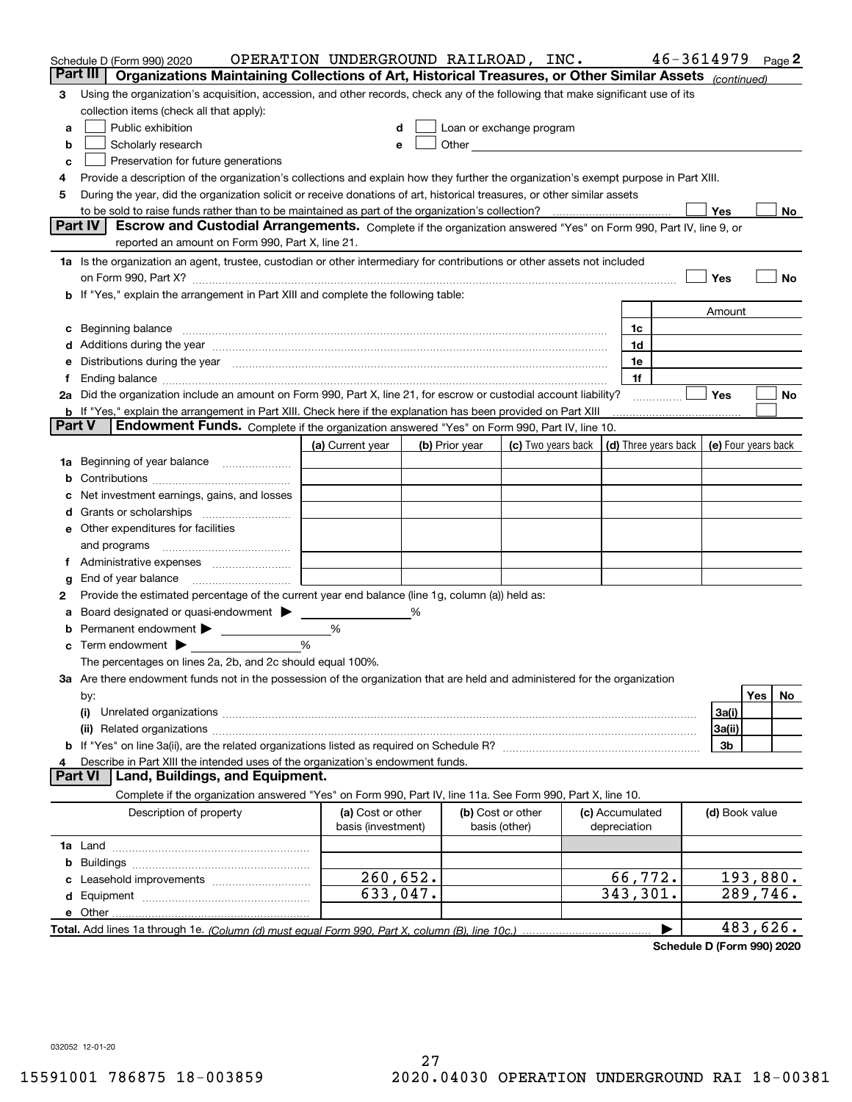|          | Schedule D (Form 990) 2020                                                                                                                                                                                                     | OPERATION UNDERGROUND RAILROAD, INC.    |                |                                                                                                                                                                                                                               |                                 | $46 - 3614979$                             | Page $2$  |
|----------|--------------------------------------------------------------------------------------------------------------------------------------------------------------------------------------------------------------------------------|-----------------------------------------|----------------|-------------------------------------------------------------------------------------------------------------------------------------------------------------------------------------------------------------------------------|---------------------------------|--------------------------------------------|-----------|
| Part III | Organizations Maintaining Collections of Art, Historical Treasures, or Other Similar Assets (continued)                                                                                                                        |                                         |                |                                                                                                                                                                                                                               |                                 |                                            |           |
| З        | Using the organization's acquisition, accession, and other records, check any of the following that make significant use of its                                                                                                |                                         |                |                                                                                                                                                                                                                               |                                 |                                            |           |
|          | collection items (check all that apply):                                                                                                                                                                                       |                                         |                |                                                                                                                                                                                                                               |                                 |                                            |           |
| a        | Public exhibition                                                                                                                                                                                                              |                                         |                | Loan or exchange program                                                                                                                                                                                                      |                                 |                                            |           |
| b        | Scholarly research                                                                                                                                                                                                             |                                         |                | Other and the contract of the contract of the contract of the contract of the contract of the contract of the contract of the contract of the contract of the contract of the contract of the contract of the contract of the |                                 |                                            |           |
| c        | Preservation for future generations                                                                                                                                                                                            |                                         |                |                                                                                                                                                                                                                               |                                 |                                            |           |
| 4        | Provide a description of the organization's collections and explain how they further the organization's exempt purpose in Part XIII.                                                                                           |                                         |                |                                                                                                                                                                                                                               |                                 |                                            |           |
| 5        | During the year, did the organization solicit or receive donations of art, historical treasures, or other similar assets                                                                                                       |                                         |                |                                                                                                                                                                                                                               |                                 |                                            |           |
|          | to be sold to raise funds rather than to be maintained as part of the organization's collection?                                                                                                                               |                                         |                |                                                                                                                                                                                                                               |                                 | Yes                                        | No.       |
|          | <b>Part IV</b><br>Escrow and Custodial Arrangements. Complete if the organization answered "Yes" on Form 990, Part IV, line 9, or                                                                                              |                                         |                |                                                                                                                                                                                                                               |                                 |                                            |           |
|          | reported an amount on Form 990, Part X, line 21.                                                                                                                                                                               |                                         |                |                                                                                                                                                                                                                               |                                 |                                            |           |
|          | 1a Is the organization an agent, trustee, custodian or other intermediary for contributions or other assets not included                                                                                                       |                                         |                |                                                                                                                                                                                                                               |                                 |                                            |           |
|          |                                                                                                                                                                                                                                |                                         |                |                                                                                                                                                                                                                               |                                 | Yes                                        | No        |
|          | <b>b</b> If "Yes," explain the arrangement in Part XIII and complete the following table:                                                                                                                                      |                                         |                |                                                                                                                                                                                                                               |                                 |                                            |           |
|          |                                                                                                                                                                                                                                |                                         |                |                                                                                                                                                                                                                               |                                 | Amount                                     |           |
|          |                                                                                                                                                                                                                                |                                         |                |                                                                                                                                                                                                                               | 1c                              |                                            |           |
|          | Additions during the year manufactured and an anti-manufactured and the year manufactured and all the year manufactured and all the year manufactured and all the year manufactured and all the year manufactured and all the  |                                         |                |                                                                                                                                                                                                                               | 1d                              |                                            |           |
|          | Distributions during the year manufactured and continuum and the year manufactured and the year manufactured and the year manufactured and the year manufactured and the year manufactured and the year manufactured and the y |                                         |                |                                                                                                                                                                                                                               | 1e<br>1f                        |                                            |           |
|          | 2a Did the organization include an amount on Form 990, Part X, line 21, for escrow or custodial account liability?                                                                                                             |                                         |                |                                                                                                                                                                                                                               |                                 | Yes                                        | No        |
|          | <b>b</b> If "Yes," explain the arrangement in Part XIII. Check here if the explanation has been provided on Part XIII                                                                                                          |                                         |                |                                                                                                                                                                                                                               |                                 |                                            |           |
| Part V   | Endowment Funds. Complete if the organization answered "Yes" on Form 990, Part IV, line 10.                                                                                                                                    |                                         |                |                                                                                                                                                                                                                               |                                 |                                            |           |
|          |                                                                                                                                                                                                                                | (a) Current year                        | (b) Prior year | (c) Two years back                                                                                                                                                                                                            |                                 | (d) Three years back   (e) Four years back |           |
| 1a       | Beginning of year balance                                                                                                                                                                                                      |                                         |                |                                                                                                                                                                                                                               |                                 |                                            |           |
|          |                                                                                                                                                                                                                                |                                         |                |                                                                                                                                                                                                                               |                                 |                                            |           |
|          | Net investment earnings, gains, and losses                                                                                                                                                                                     |                                         |                |                                                                                                                                                                                                                               |                                 |                                            |           |
|          |                                                                                                                                                                                                                                |                                         |                |                                                                                                                                                                                                                               |                                 |                                            |           |
| е        | Other expenditures for facilities                                                                                                                                                                                              |                                         |                |                                                                                                                                                                                                                               |                                 |                                            |           |
|          | and programs                                                                                                                                                                                                                   |                                         |                |                                                                                                                                                                                                                               |                                 |                                            |           |
|          |                                                                                                                                                                                                                                |                                         |                |                                                                                                                                                                                                                               |                                 |                                            |           |
| g        | End of year balance                                                                                                                                                                                                            |                                         |                |                                                                                                                                                                                                                               |                                 |                                            |           |
| 2        | Provide the estimated percentage of the current year end balance (line 1g, column (a)) held as:                                                                                                                                |                                         |                |                                                                                                                                                                                                                               |                                 |                                            |           |
|          | Board designated or quasi-endowment                                                                                                                                                                                            |                                         | %              |                                                                                                                                                                                                                               |                                 |                                            |           |
|          | Permanent endowment                                                                                                                                                                                                            | %                                       |                |                                                                                                                                                                                                                               |                                 |                                            |           |
| с        | Term endowment $\blacktriangleright$                                                                                                                                                                                           | %                                       |                |                                                                                                                                                                                                                               |                                 |                                            |           |
|          | The percentages on lines 2a, 2b, and 2c should equal 100%.                                                                                                                                                                     |                                         |                |                                                                                                                                                                                                                               |                                 |                                            |           |
|          | 3a Are there endowment funds not in the possession of the organization that are held and administered for the organization                                                                                                     |                                         |                |                                                                                                                                                                                                                               |                                 |                                            |           |
|          | by:                                                                                                                                                                                                                            |                                         |                |                                                                                                                                                                                                                               |                                 |                                            | Yes<br>No |
|          | (i)                                                                                                                                                                                                                            |                                         |                |                                                                                                                                                                                                                               |                                 | 3a(i)                                      |           |
|          |                                                                                                                                                                                                                                |                                         |                |                                                                                                                                                                                                                               |                                 | 3a(ii)                                     |           |
|          |                                                                                                                                                                                                                                |                                         |                |                                                                                                                                                                                                                               |                                 | 3b                                         |           |
|          | Describe in Part XIII the intended uses of the organization's endowment funds.<br>Land, Buildings, and Equipment.<br>Part VI                                                                                                   |                                         |                |                                                                                                                                                                                                                               |                                 |                                            |           |
|          |                                                                                                                                                                                                                                |                                         |                |                                                                                                                                                                                                                               |                                 |                                            |           |
|          | Complete if the organization answered "Yes" on Form 990, Part IV, line 11a. See Form 990, Part X, line 10.                                                                                                                     |                                         |                |                                                                                                                                                                                                                               |                                 |                                            |           |
|          | Description of property                                                                                                                                                                                                        | (a) Cost or other<br>basis (investment) |                | (b) Cost or other<br>basis (other)                                                                                                                                                                                            | (c) Accumulated<br>depreciation | (d) Book value                             |           |
|          |                                                                                                                                                                                                                                |                                         |                |                                                                                                                                                                                                                               |                                 |                                            |           |
| b        |                                                                                                                                                                                                                                |                                         |                |                                                                                                                                                                                                                               |                                 |                                            |           |
|          | Leasehold improvements                                                                                                                                                                                                         | 260,652.                                |                |                                                                                                                                                                                                                               | 66,772.                         |                                            | 193,880.  |
| d        |                                                                                                                                                                                                                                | $\overline{633}$ , 047.                 |                |                                                                                                                                                                                                                               | 343,301.                        |                                            | 289,746.  |
|          | e Other.                                                                                                                                                                                                                       |                                         |                |                                                                                                                                                                                                                               |                                 |                                            |           |
|          |                                                                                                                                                                                                                                |                                         |                |                                                                                                                                                                                                                               |                                 |                                            | 483,626.  |

**Schedule D (Form 990) 2020**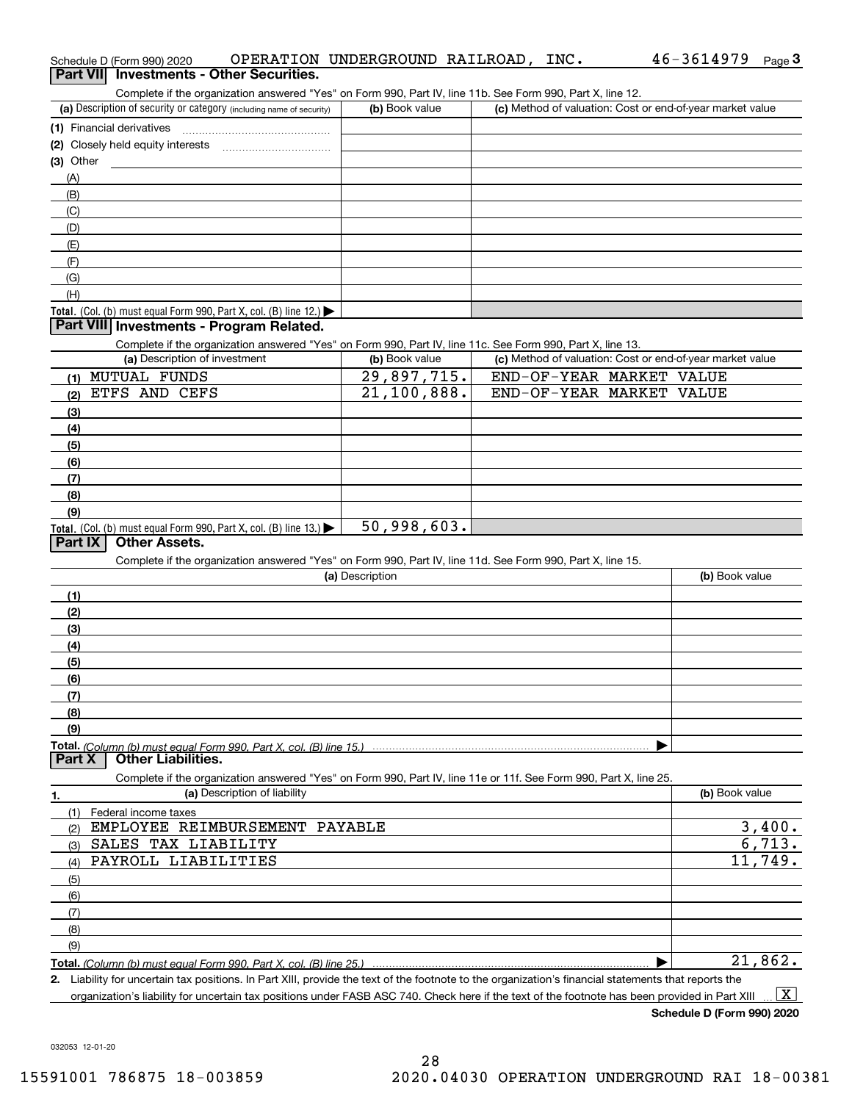| Schedule D (Form 990) 2020                                                                                                                           | OPERATION UNDERGROUND RAILROAD, INC. |                          | 46-3614979<br>Page $3$                                    |
|------------------------------------------------------------------------------------------------------------------------------------------------------|--------------------------------------|--------------------------|-----------------------------------------------------------|
| Part VII Investments - Other Securities.                                                                                                             |                                      |                          |                                                           |
| Complete if the organization answered "Yes" on Form 990, Part IV, line 11b. See Form 990, Part X, line 12.                                           |                                      |                          |                                                           |
| (a) Description of security or category (including name of security)                                                                                 | (b) Book value                       |                          | (c) Method of valuation: Cost or end-of-year market value |
| (1) Financial derivatives                                                                                                                            |                                      |                          |                                                           |
|                                                                                                                                                      |                                      |                          |                                                           |
| $(3)$ Other                                                                                                                                          |                                      |                          |                                                           |
| (A)                                                                                                                                                  |                                      |                          |                                                           |
| (B)                                                                                                                                                  |                                      |                          |                                                           |
| (C)                                                                                                                                                  |                                      |                          |                                                           |
| (D)                                                                                                                                                  |                                      |                          |                                                           |
| (E)                                                                                                                                                  |                                      |                          |                                                           |
| (F)                                                                                                                                                  |                                      |                          |                                                           |
| (G)                                                                                                                                                  |                                      |                          |                                                           |
| (H)                                                                                                                                                  |                                      |                          |                                                           |
| Total. (Col. (b) must equal Form 990, Part X, col. (B) line 12.)                                                                                     |                                      |                          |                                                           |
| Part VIII Investments - Program Related.                                                                                                             |                                      |                          |                                                           |
| Complete if the organization answered "Yes" on Form 990, Part IV, line 11c. See Form 990, Part X, line 13.                                           |                                      |                          |                                                           |
| (a) Description of investment                                                                                                                        | (b) Book value                       |                          | (c) Method of valuation: Cost or end-of-year market value |
| (1) MUTUAL FUNDS                                                                                                                                     | 29,897,715.                          | END-OF-YEAR MARKET VALUE |                                                           |
| ETFS AND CEFS<br>(2)                                                                                                                                 | 21,100,888.                          | END-OF-YEAR MARKET VALUE |                                                           |
| (3)                                                                                                                                                  |                                      |                          |                                                           |
| (4)                                                                                                                                                  |                                      |                          |                                                           |
| (5)                                                                                                                                                  |                                      |                          |                                                           |
| (6)                                                                                                                                                  |                                      |                          |                                                           |
| (7)                                                                                                                                                  |                                      |                          |                                                           |
| (8)                                                                                                                                                  |                                      |                          |                                                           |
| (9)                                                                                                                                                  |                                      |                          |                                                           |
| Total. (Col. (b) must equal Form 990, Part X, col. (B) line 13.)                                                                                     | 50,998,603.                          |                          |                                                           |
| Part $ X $<br><b>Other Assets.</b>                                                                                                                   |                                      |                          |                                                           |
| Complete if the organization answered "Yes" on Form 990, Part IV, line 11d. See Form 990, Part X, line 15.                                           |                                      |                          |                                                           |
|                                                                                                                                                      | (a) Description                      |                          | (b) Book value                                            |
| (1)                                                                                                                                                  |                                      |                          |                                                           |
| (2)                                                                                                                                                  |                                      |                          |                                                           |
| (3)                                                                                                                                                  |                                      |                          |                                                           |
| (4)                                                                                                                                                  |                                      |                          |                                                           |
| (5)                                                                                                                                                  |                                      |                          |                                                           |
| (6)                                                                                                                                                  |                                      |                          |                                                           |
| (7)                                                                                                                                                  |                                      |                          |                                                           |
| (8)                                                                                                                                                  |                                      |                          |                                                           |
| (9)                                                                                                                                                  |                                      |                          |                                                           |
|                                                                                                                                                      |                                      |                          |                                                           |
| <b>Other Liabilities.</b><br>Part X                                                                                                                  |                                      |                          |                                                           |
| Complete if the organization answered "Yes" on Form 990, Part IV, line 11e or 11f. See Form 990, Part X, line 25.                                    |                                      |                          |                                                           |
| (a) Description of liability                                                                                                                         |                                      |                          | (b) Book value                                            |
| 1.<br>Federal income taxes<br>(1)                                                                                                                    |                                      |                          |                                                           |
| EMPLOYEE REIMBURSEMENT PAYABLE                                                                                                                       |                                      |                          | 3,400.                                                    |
| (2)<br>SALES TAX LIABILITY                                                                                                                           |                                      |                          | 6,713.                                                    |
| (3)<br>PAYROLL LIABILITIES<br>(4)                                                                                                                    |                                      |                          | 11,749.                                                   |
|                                                                                                                                                      |                                      |                          |                                                           |
| (5)                                                                                                                                                  |                                      |                          |                                                           |
| (6)                                                                                                                                                  |                                      |                          |                                                           |
| (7)                                                                                                                                                  |                                      |                          |                                                           |
| (8)                                                                                                                                                  |                                      |                          |                                                           |
| (9)                                                                                                                                                  |                                      |                          |                                                           |
|                                                                                                                                                      |                                      |                          | 21,862.                                                   |
| 2. Liability for uncertain tax positions. In Part XIII, provide the text of the footnote to the organization's financial statements that reports the |                                      |                          |                                                           |

organization's liability for uncertain tax positions under FASB ASC 740. Check here if the text of the footnote has been provided in Part XIII.  $\boxed{\text{X}}$ 

**Schedule D (Form 990) 2020**

032053 12-01-20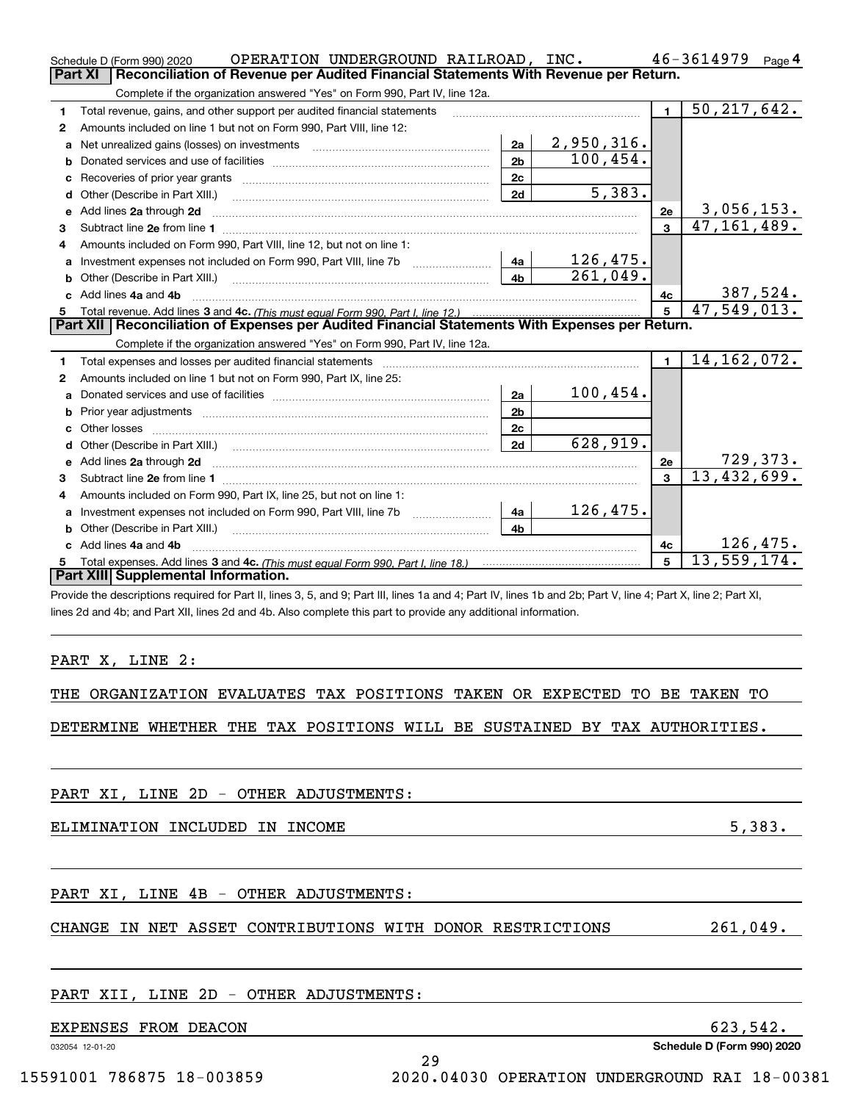|    | OPERATION UNDERGROUND RAILROAD, INC.<br>Schedule D (Form 990) 2020                                                                                                                                                                  |                |                             |                | 46-3614979                     | Page 4          |
|----|-------------------------------------------------------------------------------------------------------------------------------------------------------------------------------------------------------------------------------------|----------------|-----------------------------|----------------|--------------------------------|-----------------|
|    | Reconciliation of Revenue per Audited Financial Statements With Revenue per Return.<br><b>Part XI</b>                                                                                                                               |                |                             |                |                                |                 |
|    | Complete if the organization answered "Yes" on Form 990, Part IV, line 12a.                                                                                                                                                         |                |                             |                |                                |                 |
| 1  | Total revenue, gains, and other support per audited financial statements                                                                                                                                                            |                |                             | $\blacksquare$ | 50, 217, 642.                  |                 |
| 2  | Amounts included on line 1 but not on Form 990, Part VIII, line 12:                                                                                                                                                                 |                |                             |                |                                |                 |
| a  |                                                                                                                                                                                                                                     | 2a             | <u>2,950,316.</u>           |                |                                |                 |
| b  |                                                                                                                                                                                                                                     | 2 <sub>b</sub> | 100,454.                    |                |                                |                 |
| с  |                                                                                                                                                                                                                                     | 2c             |                             |                |                                |                 |
| d  |                                                                                                                                                                                                                                     | 2d             | $\overline{5,383.}$         |                |                                |                 |
| е  | Add lines 2a through 2d                                                                                                                                                                                                             |                |                             | 2е             | 3,056,153.                     |                 |
| 3  |                                                                                                                                                                                                                                     |                |                             | $\overline{3}$ | 47, 161, 489.                  |                 |
| 4  | Amounts included on Form 990. Part VIII. line 12, but not on line 1:                                                                                                                                                                |                |                             |                |                                |                 |
| a  | Investment expenses not included on Form 990, Part VIII, line 7b [11, 111, 111, 111]                                                                                                                                                | 4a             |                             |                |                                |                 |
| b  |                                                                                                                                                                                                                                     | 4b             | $\frac{126,475.}{261,049.}$ |                |                                |                 |
|    | Add lines 4a and 4b                                                                                                                                                                                                                 |                |                             | 4с             |                                | <u>387,524.</u> |
|    |                                                                                                                                                                                                                                     |                |                             | 5              | 47,549,013.                    |                 |
|    | Part XII   Reconciliation of Expenses per Audited Financial Statements With Expenses per Return.                                                                                                                                    |                |                             |                |                                |                 |
|    | Complete if the organization answered "Yes" on Form 990, Part IV, line 12a.                                                                                                                                                         |                |                             |                |                                |                 |
| 1  | Total expenses and losses per audited financial statements [11] [12] contain an intervention and contain a statements [13] [13] and the statements [13] [13] and the statements [13] and the statements [13] and the statement      |                |                             | $\blacksquare$ | 14, 162, 072.                  |                 |
| 2  | Amounts included on line 1 but not on Form 990, Part IX, line 25:                                                                                                                                                                   |                |                             |                |                                |                 |
| а  |                                                                                                                                                                                                                                     | 2a             | 100, 454.                   |                |                                |                 |
| b  | Prior year adjustments <i>www.www.www.www.www.www.www.www.www.</i> ww.                                                                                                                                                              | 2 <sub>b</sub> |                             |                |                                |                 |
| с  |                                                                                                                                                                                                                                     | 2c             |                             |                |                                |                 |
| d  | Other (Describe in Part XIII.) (2000) (2000) (2000) (2010) (2010) (2010) (2010) (2010) (2010) (2010) (2010) (20                                                                                                                     | 2d             | $\overline{628}$ , 919.     |                |                                |                 |
| е  | Add lines 2a through 2d                                                                                                                                                                                                             |                |                             | <b>2e</b>      |                                |                 |
| 3  |                                                                                                                                                                                                                                     |                |                             | 3              | $\frac{729,373.}{13,432,699.}$ |                 |
| 4  | Amounts included on Form 990, Part IX, line 25, but not on line 1:                                                                                                                                                                  |                |                             |                |                                |                 |
| a  | Investment expenses not included on Form 990, Part VIII, line 7b [11, 111, 111, 111]                                                                                                                                                | 4a             | 126,475.                    |                |                                |                 |
| b  | Other (Describe in Part XIII.) <b>Construction Contract Construction</b> Chemical Construction Chemical Chemical Chemical Chemical Chemical Chemical Chemical Chemical Chemical Chemical Chemical Chemical Chemical Chemical Chemic | 4b             |                             |                |                                |                 |
|    | c Add lines 4a and 4b                                                                                                                                                                                                               |                |                             | 4с             |                                | 126, 475.       |
| 5. |                                                                                                                                                                                                                                     |                |                             | 5              | 13,559,174.                    |                 |
|    | Part XIII Supplemental Information.                                                                                                                                                                                                 |                |                             |                |                                |                 |
|    | Provide the descriptions required for Part II, lines 3, 5, and 9; Part III, lines 1a and 4; Part IV, lines 1b and 2b; Part V, line 4; Part X, line 2; Part XI,                                                                      |                |                             |                |                                |                 |
|    | lines 2d and 4b; and Part XII, lines 2d and 4b. Also complete this part to provide any additional information.                                                                                                                      |                |                             |                |                                |                 |
|    |                                                                                                                                                                                                                                     |                |                             |                |                                |                 |
|    |                                                                                                                                                                                                                                     |                |                             |                |                                |                 |
|    | PART X, LINE 2:                                                                                                                                                                                                                     |                |                             |                |                                |                 |
|    |                                                                                                                                                                                                                                     |                |                             |                |                                |                 |
|    | THE ORGANIZATION EVALUATES TAX POSITIONS TAKEN OR EXPECTED TO BE TAKEN TO                                                                                                                                                           |                |                             |                |                                |                 |
|    |                                                                                                                                                                                                                                     |                |                             |                |                                |                 |
|    | DETERMINE WHETHER THE TAX POSITIONS WILL BE SUSTAINED BY TAX AUTHORITIES.                                                                                                                                                           |                |                             |                |                                |                 |
|    |                                                                                                                                                                                                                                     |                |                             |                |                                |                 |
|    |                                                                                                                                                                                                                                     |                |                             |                |                                |                 |
|    |                                                                                                                                                                                                                                     |                |                             |                |                                |                 |
|    | PART XI, LINE 2D - OTHER ADJUSTMENTS:                                                                                                                                                                                               |                |                             |                |                                |                 |
|    |                                                                                                                                                                                                                                     |                |                             |                |                                |                 |
|    | ELIMINATION INCLUDED IN INCOME                                                                                                                                                                                                      |                |                             |                |                                | 5,383.          |
|    |                                                                                                                                                                                                                                     |                |                             |                |                                |                 |
|    |                                                                                                                                                                                                                                     |                |                             |                |                                |                 |
|    |                                                                                                                                                                                                                                     |                |                             |                |                                |                 |

# PART XI, LINE 4B - OTHER ADJUSTMENTS:

## CHANGE IN NET ASSET CONTRIBUTIONS WITH DONOR RESTRICTIONS 261,049.

29

### PART XII, LINE 2D - OTHER ADJUSTMENTS:

EXPENSES FROM DEACON 623,542.

032054 12-01-20

**Schedule D (Form 990) 2020**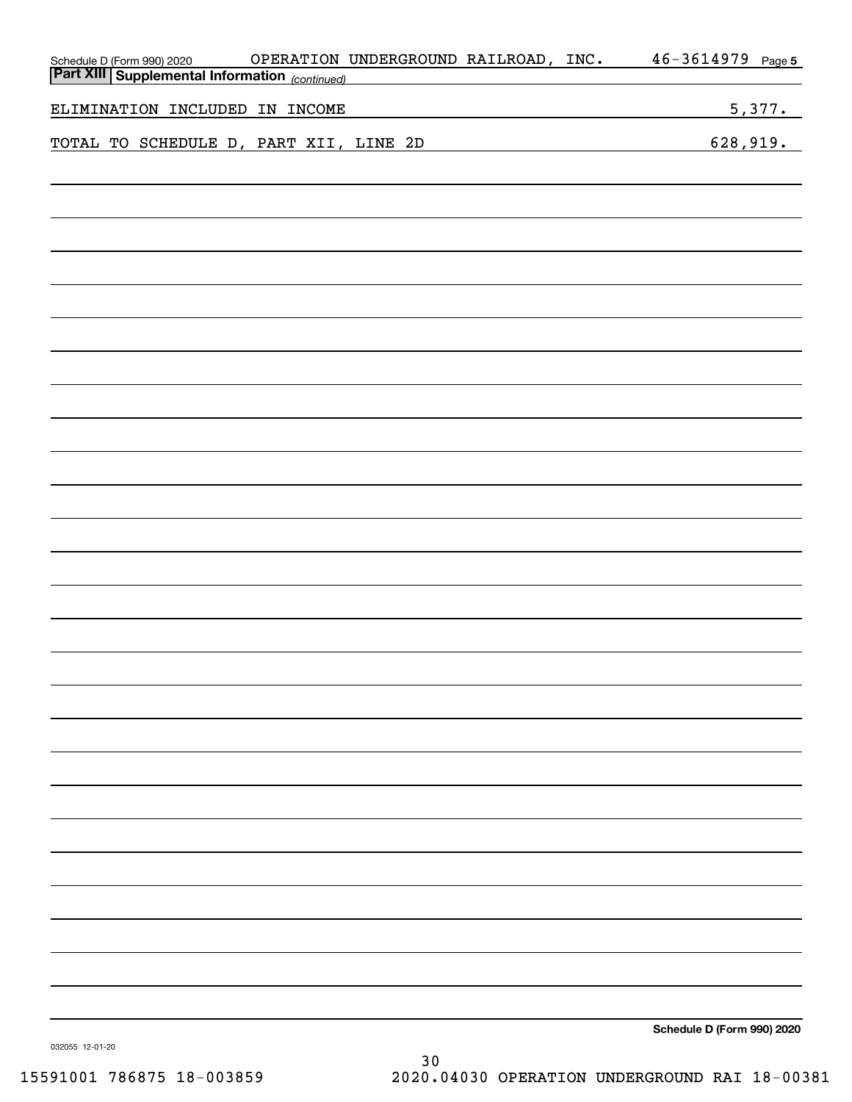| OPERATION UNDERGROUND RAILROAD, INC.<br>Schedule D (Form 990) 2020                                                                  | $46 - 3614979$ Page 5      |
|-------------------------------------------------------------------------------------------------------------------------------------|----------------------------|
| <b>Part XIII Supplemental Information</b> (continued)<br>the control of the control of the control of the control of the control of |                            |
| ELIMINATION INCLUDED IN INCOME<br><u> 1980 - Johann Barbara, martxa eta idazlea (h. 1980).</u>                                      | 5,377.                     |
| TOTAL TO SCHEDULE D, PART XII, LINE 2D                                                                                              | 628,919.                   |
|                                                                                                                                     |                            |
|                                                                                                                                     |                            |
|                                                                                                                                     |                            |
|                                                                                                                                     |                            |
|                                                                                                                                     |                            |
|                                                                                                                                     |                            |
|                                                                                                                                     |                            |
|                                                                                                                                     |                            |
|                                                                                                                                     |                            |
|                                                                                                                                     |                            |
|                                                                                                                                     |                            |
|                                                                                                                                     |                            |
|                                                                                                                                     |                            |
|                                                                                                                                     |                            |
|                                                                                                                                     |                            |
|                                                                                                                                     |                            |
|                                                                                                                                     |                            |
|                                                                                                                                     |                            |
|                                                                                                                                     |                            |
|                                                                                                                                     |                            |
|                                                                                                                                     |                            |
|                                                                                                                                     |                            |
|                                                                                                                                     |                            |
|                                                                                                                                     |                            |
|                                                                                                                                     |                            |
|                                                                                                                                     |                            |
|                                                                                                                                     |                            |
|                                                                                                                                     |                            |
|                                                                                                                                     |                            |
|                                                                                                                                     |                            |
|                                                                                                                                     |                            |
|                                                                                                                                     |                            |
|                                                                                                                                     |                            |
|                                                                                                                                     |                            |
|                                                                                                                                     |                            |
|                                                                                                                                     |                            |
|                                                                                                                                     |                            |
|                                                                                                                                     | Schedule D (Form 990) 2020 |
|                                                                                                                                     |                            |

032055 12-01-20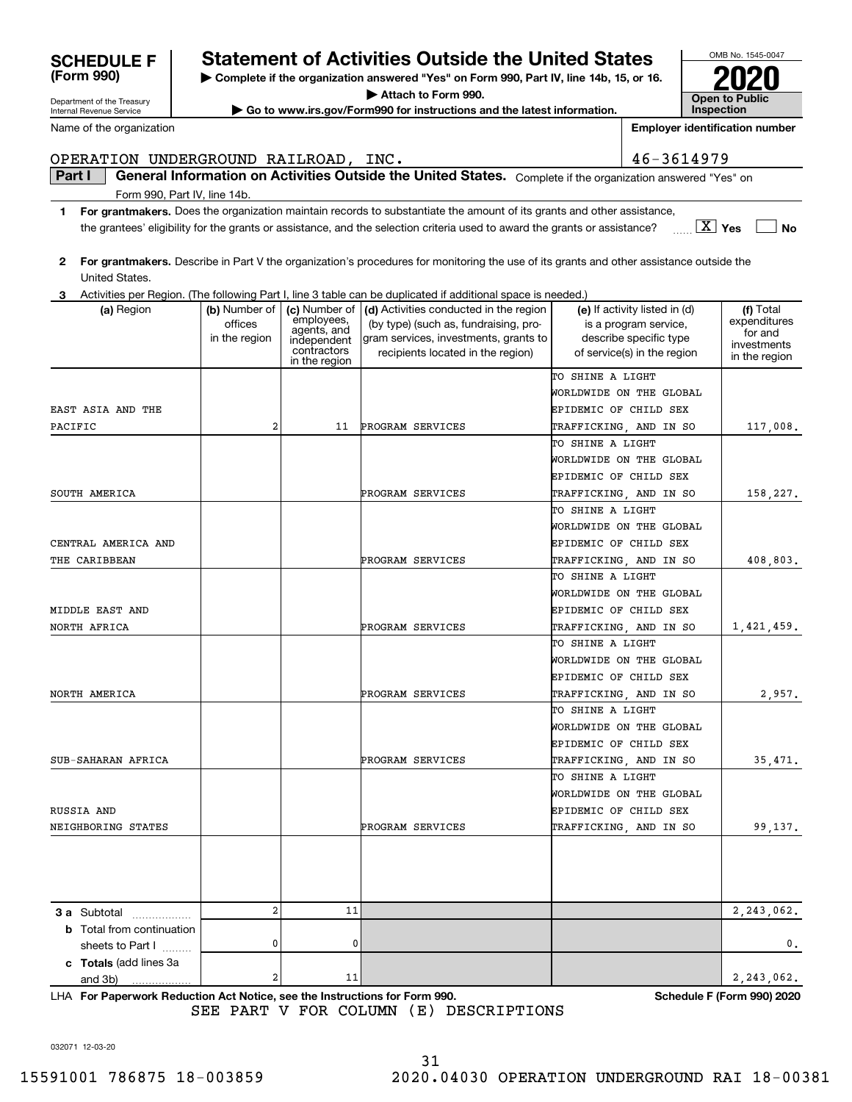032071 12-03-20

## **SCHEDULE F Statement of Activities Outside the United States**

**| Complete if the organization answered "Yes" on Form 990, Part IV, line 14b, 15, or 16.**

**| Attach to Form 990.**

**| Go to www.irs.gov/Form990 for instructions and the latest information.**

|                                  |                                           |                                                                          | 3 Activities per Region. (The following Part I, line 3 table can be duplicated if additional space is needed.)                                                                      |                                                                                                                 |                                                                      |
|----------------------------------|-------------------------------------------|--------------------------------------------------------------------------|-------------------------------------------------------------------------------------------------------------------------------------------------------------------------------------|-----------------------------------------------------------------------------------------------------------------|----------------------------------------------------------------------|
| (a) Region                       | (b) Number of<br>offices<br>in the region | employees,<br>agents, and<br>independent<br>contractors<br>in the region | (c) Number of $\vert$ (d) Activities conducted in the region<br>(by type) (such as, fundraising, pro-<br>gram services, investments, grants to<br>recipients located in the region) | (e) If activity listed in (d)<br>is a program service,<br>describe specific type<br>of service(s) in the region | (f) Total<br>expenditures<br>for and<br>investments<br>in the region |
|                                  |                                           |                                                                          |                                                                                                                                                                                     | TO SHINE A LIGHT                                                                                                |                                                                      |
|                                  |                                           |                                                                          |                                                                                                                                                                                     | WORLDWIDE ON THE GLOBAL                                                                                         |                                                                      |
| EAST ASIA AND THE                |                                           |                                                                          |                                                                                                                                                                                     | EPIDEMIC OF CHILD SEX                                                                                           |                                                                      |
| PACIFIC                          | 2                                         | 11                                                                       | PROGRAM SERVICES                                                                                                                                                                    | TRAFFICKING, AND IN SO                                                                                          | 117,008.                                                             |
|                                  |                                           |                                                                          |                                                                                                                                                                                     | TO SHINE A LIGHT                                                                                                |                                                                      |
|                                  |                                           |                                                                          |                                                                                                                                                                                     | WORLDWIDE ON THE GLOBAL                                                                                         |                                                                      |
|                                  |                                           |                                                                          |                                                                                                                                                                                     | EPIDEMIC OF CHILD SEX                                                                                           |                                                                      |
| SOUTH AMERICA                    |                                           |                                                                          | PROGRAM SERVICES                                                                                                                                                                    | TRAFFICKING, AND IN SO                                                                                          | 158,227.                                                             |
|                                  |                                           |                                                                          |                                                                                                                                                                                     | TO SHINE A LIGHT                                                                                                |                                                                      |
|                                  |                                           |                                                                          |                                                                                                                                                                                     | WORLDWIDE ON THE GLOBAL                                                                                         |                                                                      |
| CENTRAL AMERICA AND              |                                           |                                                                          |                                                                                                                                                                                     | EPIDEMIC OF CHILD SEX                                                                                           |                                                                      |
| THE CARIBBEAN                    |                                           |                                                                          | PROGRAM SERVICES                                                                                                                                                                    | TRAFFICKING, AND IN SO                                                                                          | 408,803.                                                             |
|                                  |                                           |                                                                          |                                                                                                                                                                                     | TO SHINE A LIGHT                                                                                                |                                                                      |
|                                  |                                           |                                                                          |                                                                                                                                                                                     | WORLDWIDE ON THE GLOBAL                                                                                         |                                                                      |
| MIDDLE EAST AND                  |                                           |                                                                          |                                                                                                                                                                                     | EPIDEMIC OF CHILD SEX                                                                                           |                                                                      |
| NORTH AFRICA                     |                                           |                                                                          | PROGRAM SERVICES                                                                                                                                                                    | TRAFFICKING, AND IN SO                                                                                          | 1,421,459.                                                           |
|                                  |                                           |                                                                          |                                                                                                                                                                                     | TO SHINE A LIGHT                                                                                                |                                                                      |
|                                  |                                           |                                                                          |                                                                                                                                                                                     | WORLDWIDE ON THE GLOBAL                                                                                         |                                                                      |
|                                  |                                           |                                                                          |                                                                                                                                                                                     | EPIDEMIC OF CHILD SEX                                                                                           |                                                                      |
| NORTH AMERICA                    |                                           |                                                                          | PROGRAM SERVICES                                                                                                                                                                    | TRAFFICKING, AND IN SO                                                                                          | 2,957.                                                               |
|                                  |                                           |                                                                          |                                                                                                                                                                                     | TO SHINE A LIGHT                                                                                                |                                                                      |
|                                  |                                           |                                                                          |                                                                                                                                                                                     | WORLDWIDE ON THE GLOBAL                                                                                         |                                                                      |
|                                  |                                           |                                                                          |                                                                                                                                                                                     | EPIDEMIC OF CHILD SEX                                                                                           |                                                                      |
| SUB-SAHARAN AFRICA               |                                           |                                                                          | PROGRAM SERVICES                                                                                                                                                                    | TRAFFICKING, AND IN SO                                                                                          | 35,471.                                                              |
|                                  |                                           |                                                                          |                                                                                                                                                                                     | TO SHINE A LIGHT                                                                                                |                                                                      |
|                                  |                                           |                                                                          |                                                                                                                                                                                     | WORLDWIDE ON THE GLOBAL                                                                                         |                                                                      |
| RUSSIA AND                       |                                           |                                                                          |                                                                                                                                                                                     | EPIDEMIC OF CHILD SEX                                                                                           |                                                                      |
| NEIGHBORING STATES               |                                           |                                                                          | PROGRAM SERVICES                                                                                                                                                                    | TRAFFICKING, AND IN SO                                                                                          | 99,137.                                                              |
|                                  |                                           |                                                                          |                                                                                                                                                                                     |                                                                                                                 |                                                                      |
|                                  |                                           |                                                                          |                                                                                                                                                                                     |                                                                                                                 |                                                                      |
|                                  | $\overline{a}$                            | 11                                                                       |                                                                                                                                                                                     |                                                                                                                 |                                                                      |
| 3 a Subtotal                     |                                           |                                                                          |                                                                                                                                                                                     |                                                                                                                 | 2,243,062.                                                           |
| <b>b</b> Total from continuation | 0                                         | 0                                                                        |                                                                                                                                                                                     |                                                                                                                 |                                                                      |
| sheets to Part I                 |                                           |                                                                          |                                                                                                                                                                                     |                                                                                                                 | $0$ .                                                                |
| c Totals (add lines 3a           | $\overline{\mathbf{c}}$                   | 11                                                                       |                                                                                                                                                                                     |                                                                                                                 | 2, 243, 062.                                                         |
| and 3b)<br>.                     |                                           |                                                                          |                                                                                                                                                                                     |                                                                                                                 |                                                                      |

**For Paperwork Reduction Act Notice, see the Instructions for Form 990. Schedule F (Form 990) 2020** LHA

SEE PART V FOR COLUMN (E) DESCRIPTIONS

**Yes** X the grantees' eligibility for the grants or assistance, and the selection criteria used to award the grants or assistance?

OPERATION UNDERGROUND RAILROAD, INC. 46-3614979

**1For grantmakers.**  Does the organization maintain records to substantiate the amount of its grants and other assistance,

**2For grantmakers.**  Describe in Part V the organization's procedures for monitoring the use of its grants and other assistance outside the United States.

**Part I**  $\parallel$  General Information on Activities Outside the United States. Complete if the organization answered "Yes" on

| -------------- |                                                                                                            |
|----------------|------------------------------------------------------------------------------------------------------------|
|                |                                                                                                            |
|                | O Letivities ass Design (The following Dest Line Q toble can be duplicated if additional appealing and let |

Department of the Treasury Internal Revenue Service

Form 990, Part IV, line 14b.

Name of the organization

| (Form 990) |  |
|------------|--|

OMB No. 1545-0047 **Open to Public Inspection2020**

**No**

**Employer identification number**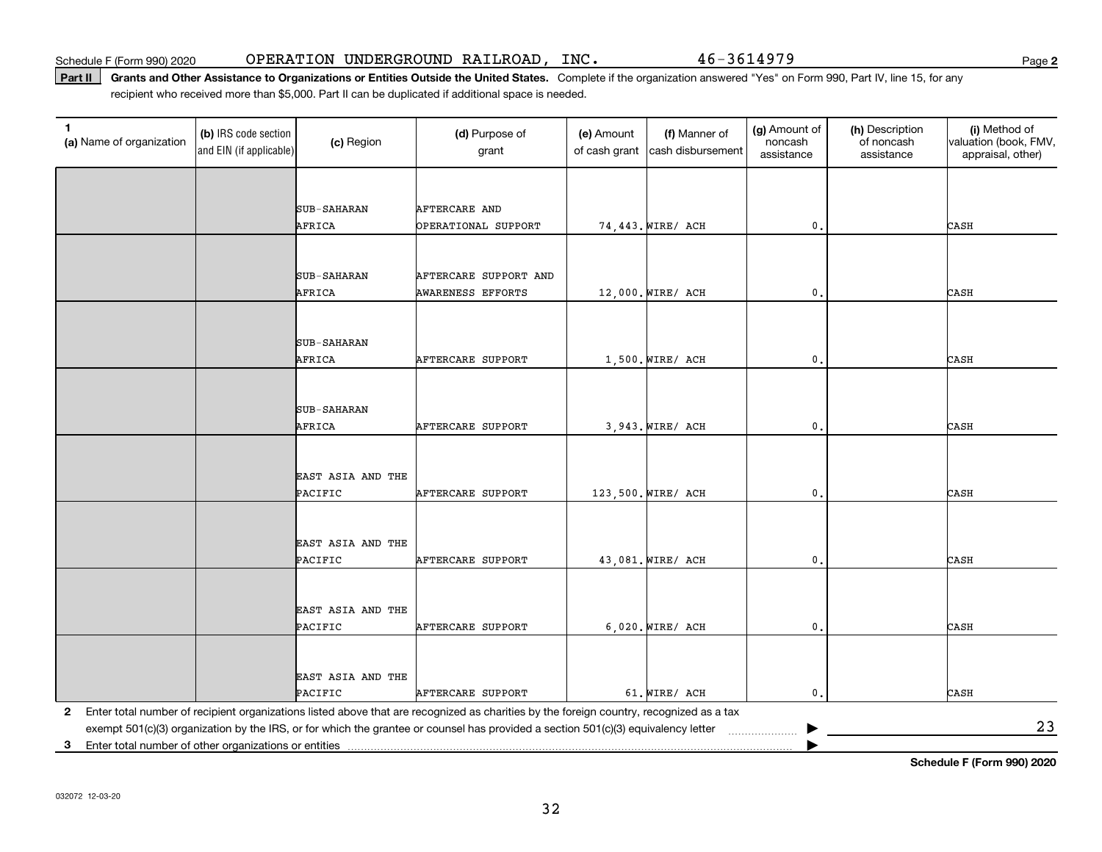Part II | Grants and Other Assistance to Organizations or Entities Outside the United States. Complete if the organization answered "Yes" on Form 990, Part IV, line 15, for any recipient who received more than \$5,000. Part II can be duplicated if additional space is needed.

| 1<br>(a) Name of organization                              | (b) IRS code section<br>and EIN (if applicable) | (c) Region                   | (d) Purpose of<br>grant                                                                                                                                                                                                                                                      | (e) Amount<br>of cash grant | (f) Manner of<br>cash disbursement | (g) Amount of<br>noncash<br>assistance | (h) Description<br>of noncash<br>assistance | (i) Method of<br>valuation (book, FMV,<br>appraisal, other) |
|------------------------------------------------------------|-------------------------------------------------|------------------------------|------------------------------------------------------------------------------------------------------------------------------------------------------------------------------------------------------------------------------------------------------------------------------|-----------------------------|------------------------------------|----------------------------------------|---------------------------------------------|-------------------------------------------------------------|
|                                                            |                                                 |                              |                                                                                                                                                                                                                                                                              |                             |                                    |                                        |                                             |                                                             |
|                                                            |                                                 | <b>SUB-SAHARAN</b>           | AFTERCARE AND                                                                                                                                                                                                                                                                |                             |                                    |                                        |                                             |                                                             |
|                                                            |                                                 | AFRICA                       | OPERATIONAL SUPPORT                                                                                                                                                                                                                                                          |                             | 74,443. WIRE/ ACH                  | $\mathbf{0}$ .                         |                                             | CASH                                                        |
|                                                            |                                                 |                              |                                                                                                                                                                                                                                                                              |                             |                                    |                                        |                                             |                                                             |
|                                                            |                                                 |                              |                                                                                                                                                                                                                                                                              |                             |                                    |                                        |                                             |                                                             |
|                                                            |                                                 | SUB-SAHARAN<br>AFRICA        | AFTERCARE SUPPORT AND<br>AWARENESS EFFORTS                                                                                                                                                                                                                                   |                             | 12,000. WIRE/ ACH                  | $\mathbf{0}$ .                         |                                             | CASH                                                        |
|                                                            |                                                 |                              |                                                                                                                                                                                                                                                                              |                             |                                    |                                        |                                             |                                                             |
|                                                            |                                                 |                              |                                                                                                                                                                                                                                                                              |                             |                                    |                                        |                                             |                                                             |
|                                                            |                                                 | <b>SUB-SAHARAN</b><br>AFRICA | AFTERCARE SUPPORT                                                                                                                                                                                                                                                            |                             |                                    | $\mathbf{0}$                           |                                             | CASH                                                        |
|                                                            |                                                 |                              |                                                                                                                                                                                                                                                                              |                             | $1,500.$ WIRE/ ACH                 |                                        |                                             |                                                             |
|                                                            |                                                 |                              |                                                                                                                                                                                                                                                                              |                             |                                    |                                        |                                             |                                                             |
|                                                            |                                                 | <b>SUB-SAHARAN</b>           |                                                                                                                                                                                                                                                                              |                             |                                    |                                        |                                             |                                                             |
|                                                            |                                                 | AFRICA                       | <b>AFTERCARE SUPPORT</b>                                                                                                                                                                                                                                                     |                             | 3,943. WIRE/ ACH                   | 0.                                     |                                             | CASH                                                        |
|                                                            |                                                 |                              |                                                                                                                                                                                                                                                                              |                             |                                    |                                        |                                             |                                                             |
|                                                            |                                                 | EAST ASIA AND THE            |                                                                                                                                                                                                                                                                              |                             |                                    |                                        |                                             |                                                             |
|                                                            |                                                 | PACIFIC                      | <b>AFTERCARE SUPPORT</b>                                                                                                                                                                                                                                                     |                             | 123,500. WIRE/ ACH                 | $\mathbf{0}$ .                         |                                             | CASH                                                        |
|                                                            |                                                 |                              |                                                                                                                                                                                                                                                                              |                             |                                    |                                        |                                             |                                                             |
|                                                            |                                                 | EAST ASIA AND THE            |                                                                                                                                                                                                                                                                              |                             |                                    |                                        |                                             |                                                             |
|                                                            |                                                 | PACIFIC                      | <b>AFTERCARE SUPPORT</b>                                                                                                                                                                                                                                                     |                             | 43,081. WIRE/ ACH                  | $\mathbf{0}$ .                         |                                             | CASH                                                        |
|                                                            |                                                 |                              |                                                                                                                                                                                                                                                                              |                             |                                    |                                        |                                             |                                                             |
|                                                            |                                                 |                              |                                                                                                                                                                                                                                                                              |                             |                                    |                                        |                                             |                                                             |
|                                                            |                                                 | EAST ASIA AND THE<br>PACIFIC | AFTERCARE SUPPORT                                                                                                                                                                                                                                                            |                             | 6,020. WIRE/ ACH                   | $\mathbf{0}$ .                         |                                             | CASH                                                        |
|                                                            |                                                 |                              |                                                                                                                                                                                                                                                                              |                             |                                    |                                        |                                             |                                                             |
|                                                            |                                                 |                              |                                                                                                                                                                                                                                                                              |                             |                                    |                                        |                                             |                                                             |
|                                                            |                                                 | EAST ASIA AND THE            |                                                                                                                                                                                                                                                                              |                             |                                    |                                        |                                             |                                                             |
|                                                            |                                                 | PACIFIC                      | <b>AFTERCARE SUPPORT</b>                                                                                                                                                                                                                                                     |                             | 61. WIRE/ ACH                      | $\mathbf{0}$ .                         |                                             | CASH                                                        |
| $\mathbf{2}$                                               |                                                 |                              | Enter total number of recipient organizations listed above that are recognized as charities by the foreign country, recognized as a tax<br>exempt 501(c)(3) organization by the IRS, or for which the grantee or counsel has provided a section 501(c)(3) equivalency letter |                             |                                    |                                        |                                             | 23                                                          |
| Enter total number of other organizations or entities<br>3 |                                                 |                              |                                                                                                                                                                                                                                                                              |                             |                                    |                                        |                                             |                                                             |

**Schedule F (Form 990) 2020**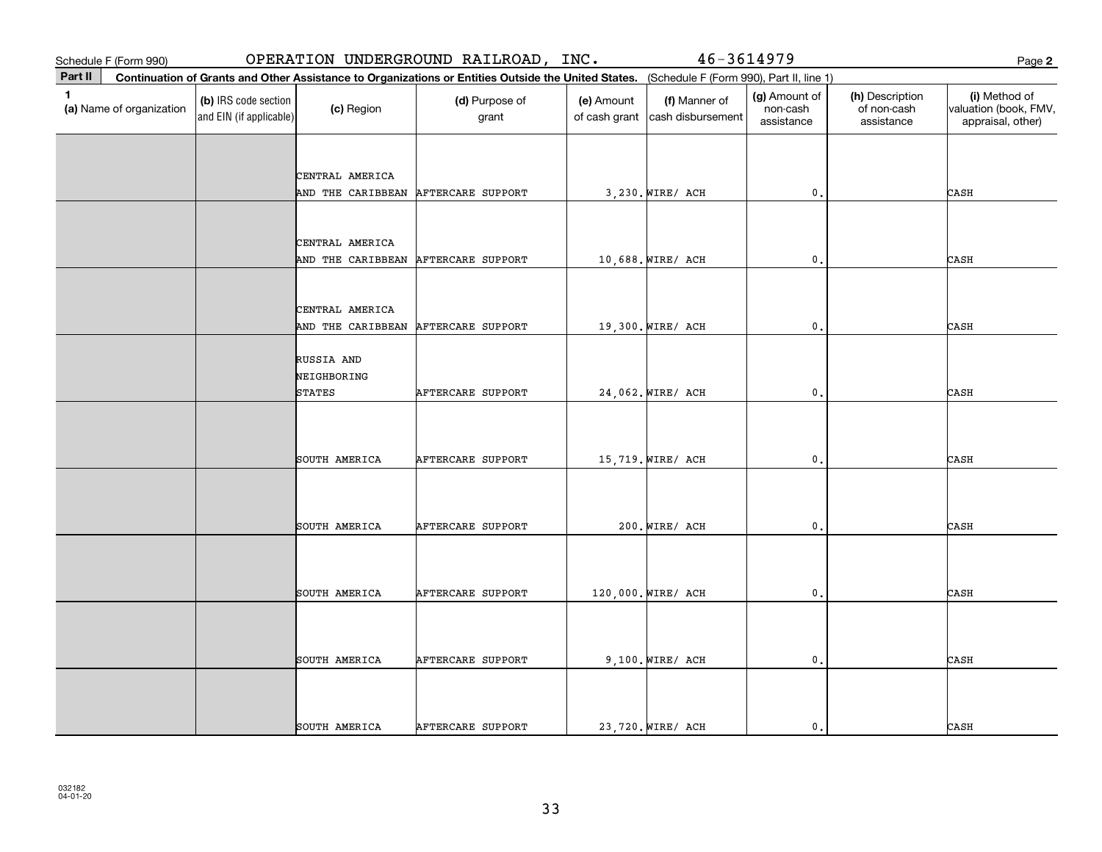|              | Schedule F (Form 990)    |                                                 |                                      | OPERATION UNDERGROUND RAILROAD, INC.                                                                                                         |                             | 46-3614979                         |                                         |                                              | Page 2                                                      |
|--------------|--------------------------|-------------------------------------------------|--------------------------------------|----------------------------------------------------------------------------------------------------------------------------------------------|-----------------------------|------------------------------------|-----------------------------------------|----------------------------------------------|-------------------------------------------------------------|
| Part II      |                          |                                                 |                                      | Continuation of Grants and Other Assistance to Organizations or Entities Outside the United States. (Schedule F (Form 990), Part II, line 1) |                             |                                    |                                         |                                              |                                                             |
| $\mathbf{1}$ | (a) Name of organization | (b) IRS code section<br>and EIN (if applicable) | (c) Region                           | (d) Purpose of<br>grant                                                                                                                      | (e) Amount<br>of cash grant | (f) Manner of<br>cash disbursement | (g) Amount of<br>non-cash<br>assistance | (h) Description<br>of non-cash<br>assistance | (i) Method of<br>valuation (book, FMV,<br>appraisal, other) |
|              |                          |                                                 |                                      |                                                                                                                                              |                             |                                    |                                         |                                              |                                                             |
|              |                          |                                                 | CENTRAL AMERICA                      |                                                                                                                                              |                             |                                    |                                         |                                              |                                                             |
|              |                          |                                                 | AND THE CARIBBEAN                    | AFTERCARE SUPPORT                                                                                                                            |                             | 3,230. WIRE/ ACH                   | $\mathfrak o$ .                         |                                              | CASH                                                        |
|              |                          |                                                 |                                      |                                                                                                                                              |                             |                                    |                                         |                                              |                                                             |
|              |                          |                                                 |                                      |                                                                                                                                              |                             |                                    |                                         |                                              |                                                             |
|              |                          |                                                 | CENTRAL AMERICA<br>AND THE CARIBBEAN | AFTERCARE SUPPORT                                                                                                                            |                             | 10,688. WIRE/ ACH                  | $\mathfrak o$ .                         |                                              | CASH                                                        |
|              |                          |                                                 |                                      |                                                                                                                                              |                             |                                    |                                         |                                              |                                                             |
|              |                          |                                                 |                                      |                                                                                                                                              |                             |                                    |                                         |                                              |                                                             |
|              |                          |                                                 | CENTRAL AMERICA<br>AND THE CARIBBEAN | AFTERCARE SUPPORT                                                                                                                            |                             | 19,300. WIRE/ ACH                  | $\mathbf{0}$                            |                                              | CASH                                                        |
|              |                          |                                                 |                                      |                                                                                                                                              |                             |                                    |                                         |                                              |                                                             |
|              |                          |                                                 | RUSSIA AND                           |                                                                                                                                              |                             |                                    |                                         |                                              |                                                             |
|              |                          |                                                 | NEIGHBORING                          |                                                                                                                                              |                             |                                    |                                         |                                              |                                                             |
|              |                          |                                                 | <b>STATES</b>                        | AFTERCARE SUPPORT                                                                                                                            |                             | 24,062. WIRE/ ACH                  | $\mathbf{0}$ .                          |                                              | CASH                                                        |
|              |                          |                                                 |                                      |                                                                                                                                              |                             |                                    |                                         |                                              |                                                             |
|              |                          |                                                 |                                      |                                                                                                                                              |                             |                                    |                                         |                                              |                                                             |
|              |                          |                                                 | SOUTH AMERICA                        | AFTERCARE SUPPORT                                                                                                                            |                             | 15,719. WIRE/ ACH                  | $\mathbf{0}$ .                          |                                              | CASH                                                        |
|              |                          |                                                 |                                      |                                                                                                                                              |                             |                                    |                                         |                                              |                                                             |
|              |                          |                                                 |                                      |                                                                                                                                              |                             |                                    |                                         |                                              |                                                             |
|              |                          |                                                 | SOUTH AMERICA                        | AFTERCARE SUPPORT                                                                                                                            |                             | 200. WIRE/ ACH                     | $\mathbf{0}$ .                          |                                              | CASH                                                        |
|              |                          |                                                 |                                      |                                                                                                                                              |                             |                                    |                                         |                                              |                                                             |
|              |                          |                                                 |                                      |                                                                                                                                              |                             |                                    |                                         |                                              |                                                             |
|              |                          |                                                 | SOUTH AMERICA                        | AFTERCARE SUPPORT                                                                                                                            |                             | 120,000. WIRE/ ACH                 | $\mathbf{0}$                            |                                              | CASH                                                        |
|              |                          |                                                 |                                      |                                                                                                                                              |                             |                                    |                                         |                                              |                                                             |
|              |                          |                                                 |                                      |                                                                                                                                              |                             |                                    |                                         |                                              |                                                             |
|              |                          |                                                 | SOUTH AMERICA                        | AFTERCARE SUPPORT                                                                                                                            |                             | $9,100.$ WIRE/ ACH                 | $\mathbf{0}$ .                          |                                              | CASH                                                        |
|              |                          |                                                 |                                      |                                                                                                                                              |                             |                                    |                                         |                                              |                                                             |
|              |                          |                                                 |                                      |                                                                                                                                              |                             |                                    |                                         |                                              |                                                             |
|              |                          |                                                 | SOUTH AMERICA                        | AFTERCARE SUPPORT                                                                                                                            |                             | 23,720. WIRE/ ACH                  | $\mathbf{0}$ .                          |                                              | CASH                                                        |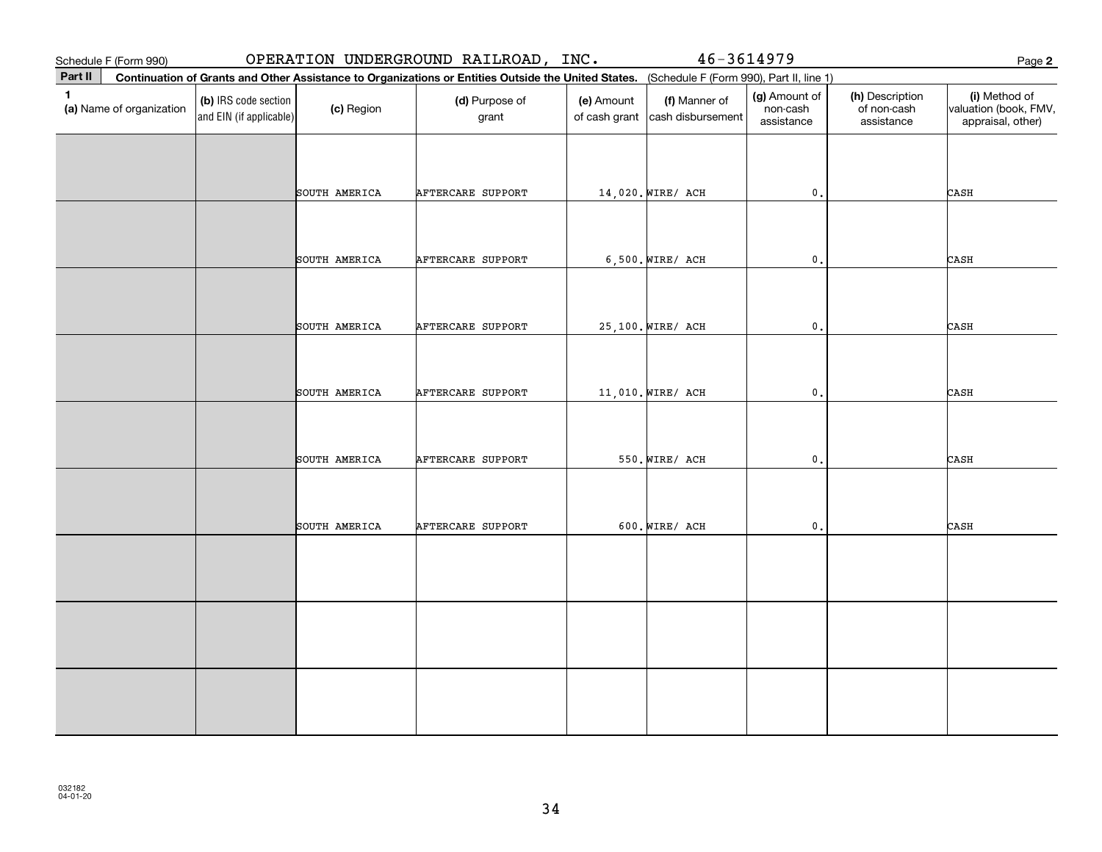| Schedule F (Form 990)                    |                                                 |               | OPERATION UNDERGROUND RAILROAD, INC.                                                                                                         |                             | 46-3614979                         |                                         |                                              | Page 2                                                      |
|------------------------------------------|-------------------------------------------------|---------------|----------------------------------------------------------------------------------------------------------------------------------------------|-----------------------------|------------------------------------|-----------------------------------------|----------------------------------------------|-------------------------------------------------------------|
| Part II                                  |                                                 |               | Continuation of Grants and Other Assistance to Organizations or Entities Outside the United States. (Schedule F (Form 990), Part II, line 1) |                             |                                    |                                         |                                              |                                                             |
| $\mathbf{1}$<br>(a) Name of organization | (b) IRS code section<br>and EIN (if applicable) | (c) Region    | (d) Purpose of<br>grant                                                                                                                      | (e) Amount<br>of cash grant | (f) Manner of<br>cash disbursement | (g) Amount of<br>non-cash<br>assistance | (h) Description<br>of non-cash<br>assistance | (i) Method of<br>valuation (book, FMV,<br>appraisal, other) |
|                                          |                                                 |               |                                                                                                                                              |                             |                                    |                                         |                                              |                                                             |
|                                          |                                                 | SOUTH AMERICA | <b>AFTERCARE SUPPORT</b>                                                                                                                     |                             | 14,020. WIRE/ ACH                  | $\mathbf{0}$ .                          |                                              | CASH                                                        |
|                                          |                                                 | SOUTH AMERICA | AFTERCARE SUPPORT                                                                                                                            |                             | $6,500.$ WIRE/ ACH                 | $\mathfrak o$ .                         |                                              | CASH                                                        |
|                                          |                                                 | SOUTH AMERICA | AFTERCARE SUPPORT                                                                                                                            |                             | 25,100. WIRE/ ACH                  | $\mathbf{0}$ .                          |                                              | CASH                                                        |
|                                          |                                                 |               |                                                                                                                                              |                             |                                    |                                         |                                              |                                                             |
|                                          |                                                 | SOUTH AMERICA | AFTERCARE SUPPORT                                                                                                                            |                             | 11,010. WIRE/ ACH                  | $\mathfrak o$ .                         |                                              | CASH                                                        |
|                                          |                                                 | SOUTH AMERICA | AFTERCARE SUPPORT                                                                                                                            |                             | 550. WIRE/ ACH                     | $\mathbf{0}$ .                          |                                              | CASH                                                        |
|                                          |                                                 | SOUTH AMERICA | AFTERCARE SUPPORT                                                                                                                            |                             | $600.$ WIRE/ ACH                   | $\mathbf 0$ .                           |                                              | CASH                                                        |
|                                          |                                                 |               |                                                                                                                                              |                             |                                    |                                         |                                              |                                                             |
|                                          |                                                 |               |                                                                                                                                              |                             |                                    |                                         |                                              |                                                             |
|                                          |                                                 |               |                                                                                                                                              |                             |                                    |                                         |                                              |                                                             |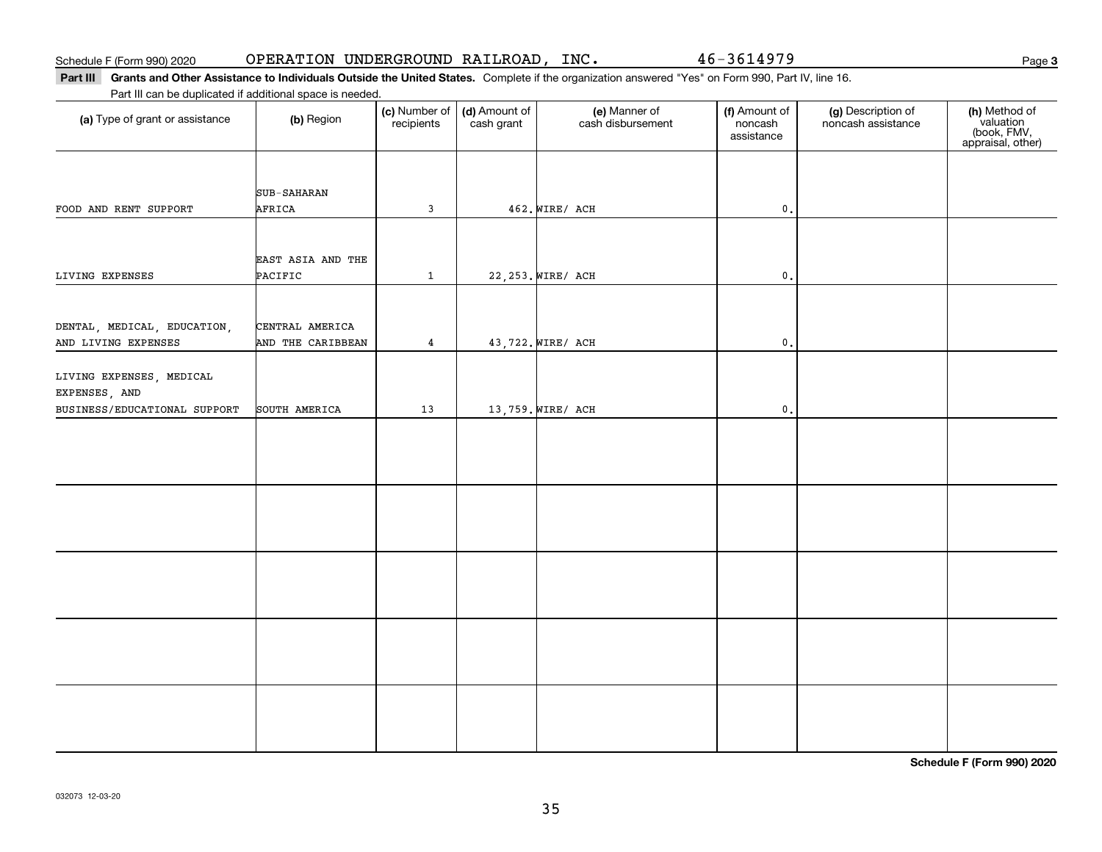#### Part III Grants and Other Assistance to Individuals Outside the United States. Complete if the organization answered "Yes" on Form 990, Part IV, line 16. Part III can be duplicated if additional space is needed.

| Part III can be duplicated if additional space is needed. |                   |                             |                             |                                    |                                        |                                          |                                                                |
|-----------------------------------------------------------|-------------------|-----------------------------|-----------------------------|------------------------------------|----------------------------------------|------------------------------------------|----------------------------------------------------------------|
| (a) Type of grant or assistance                           | (b) Region        | (c) Number of<br>recipients | (d) Amount of<br>cash grant | (e) Manner of<br>cash disbursement | (f) Amount of<br>noncash<br>assistance | (g) Description of<br>noncash assistance | (h) Method of<br>valuation<br>(book, FMV,<br>appraisal, other) |
|                                                           |                   |                             |                             |                                    |                                        |                                          |                                                                |
|                                                           |                   |                             |                             |                                    |                                        |                                          |                                                                |
|                                                           | SUB-SAHARAN       |                             |                             |                                    |                                        |                                          |                                                                |
| FOOD AND RENT SUPPORT                                     | AFRICA            | 3                           |                             | 462. WIRE/ ACH                     | $\mathfrak{o}$ .                       |                                          |                                                                |
|                                                           |                   |                             |                             |                                    |                                        |                                          |                                                                |
|                                                           | EAST ASIA AND THE |                             |                             |                                    |                                        |                                          |                                                                |
| LIVING EXPENSES                                           | PACIFIC           | $\mathbf{1}$                |                             | 22, 253. WIRE/ ACH                 | $\mathfrak o$ .                        |                                          |                                                                |
|                                                           |                   |                             |                             |                                    |                                        |                                          |                                                                |
|                                                           |                   |                             |                             |                                    |                                        |                                          |                                                                |
| DENTAL, MEDICAL, EDUCATION,                               | CENTRAL AMERICA   |                             |                             |                                    |                                        |                                          |                                                                |
| AND LIVING EXPENSES                                       | AND THE CARIBBEAN | 4                           |                             | 43,722. WIRE/ ACH                  | $\mathbf{0}$ .                         |                                          |                                                                |
| LIVING EXPENSES, MEDICAL                                  |                   |                             |                             |                                    |                                        |                                          |                                                                |
| EXPENSES, AND                                             |                   |                             |                             |                                    |                                        |                                          |                                                                |
| BUSINESS/EDUCATIONAL SUPPORT                              | SOUTH AMERICA     | 13                          |                             | 13,759. WIRE/ ACH                  | $\mathbf{0}$ .                         |                                          |                                                                |
|                                                           |                   |                             |                             |                                    |                                        |                                          |                                                                |
|                                                           |                   |                             |                             |                                    |                                        |                                          |                                                                |
|                                                           |                   |                             |                             |                                    |                                        |                                          |                                                                |
|                                                           |                   |                             |                             |                                    |                                        |                                          |                                                                |
|                                                           |                   |                             |                             |                                    |                                        |                                          |                                                                |
|                                                           |                   |                             |                             |                                    |                                        |                                          |                                                                |
|                                                           |                   |                             |                             |                                    |                                        |                                          |                                                                |
|                                                           |                   |                             |                             |                                    |                                        |                                          |                                                                |
|                                                           |                   |                             |                             |                                    |                                        |                                          |                                                                |
|                                                           |                   |                             |                             |                                    |                                        |                                          |                                                                |
|                                                           |                   |                             |                             |                                    |                                        |                                          |                                                                |
|                                                           |                   |                             |                             |                                    |                                        |                                          |                                                                |
|                                                           |                   |                             |                             |                                    |                                        |                                          |                                                                |
|                                                           |                   |                             |                             |                                    |                                        |                                          |                                                                |
|                                                           |                   |                             |                             |                                    |                                        |                                          |                                                                |
|                                                           |                   |                             |                             |                                    |                                        |                                          |                                                                |
|                                                           |                   |                             |                             |                                    |                                        |                                          |                                                                |
|                                                           |                   |                             |                             |                                    |                                        |                                          |                                                                |

**Schedule F (Form 990) 2020**

**3**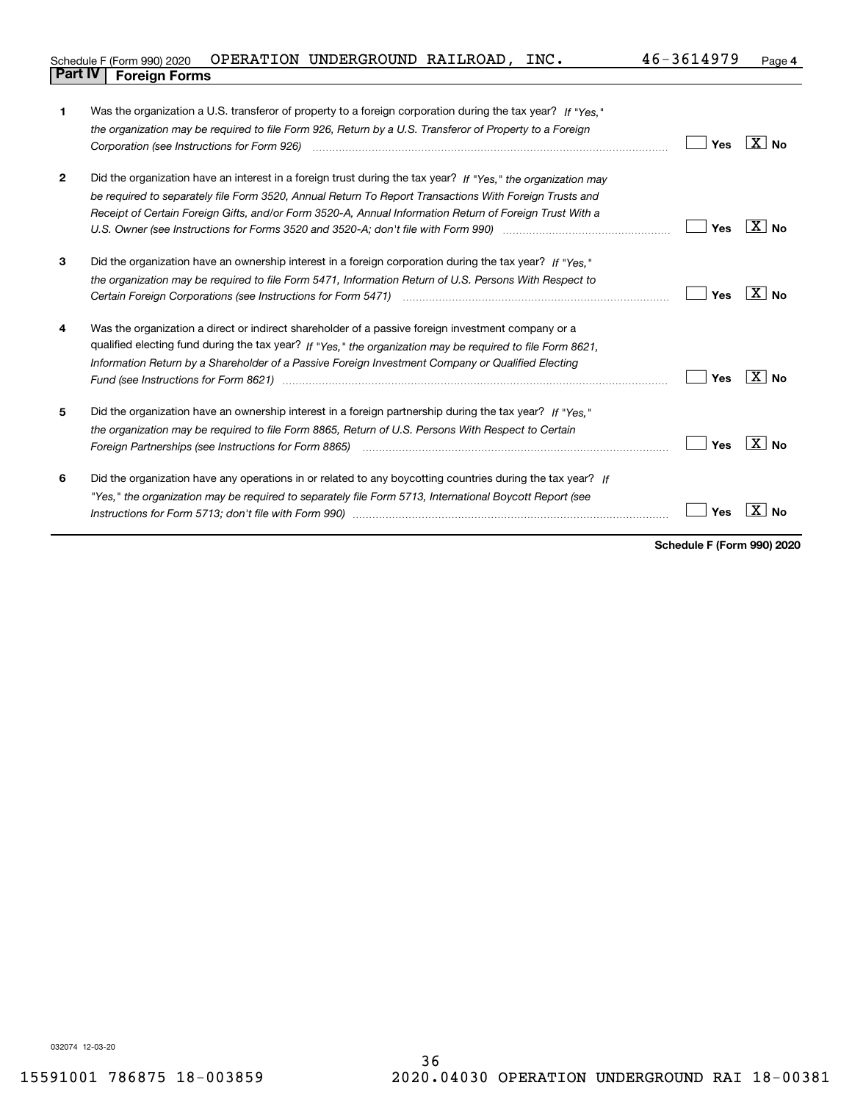| [ (Form 990) 2020<br>Schedule   | OPERATION | UNDERGROUND | RAILROAD | INC. | $4h -$<br>3h | Page 4 |
|---------------------------------|-----------|-------------|----------|------|--------------|--------|
| <b>Part IV</b><br>Foreian Forms |           |             |          |      |              |        |

| 1            | Was the organization a U.S. transferor of property to a foreign corporation during the tax year? If "Yes."                                                                                                                     |     |                   |
|--------------|--------------------------------------------------------------------------------------------------------------------------------------------------------------------------------------------------------------------------------|-----|-------------------|
|              | the organization may be required to file Form 926, Return by a U.S. Transferor of Property to a Foreign                                                                                                                        |     |                   |
|              |                                                                                                                                                                                                                                | Yes | $\overline{X}$ No |
|              |                                                                                                                                                                                                                                |     |                   |
| $\mathbf{2}$ | Did the organization have an interest in a foreign trust during the tax year? If "Yes," the organization may                                                                                                                   |     |                   |
|              | be required to separately file Form 3520, Annual Return To Report Transactions With Foreign Trusts and                                                                                                                         |     |                   |
|              | Receipt of Certain Foreign Gifts, and/or Form 3520-A, Annual Information Return of Foreign Trust With a                                                                                                                        |     |                   |
|              |                                                                                                                                                                                                                                | Yes | $\overline{X}$ No |
| 3            | Did the organization have an ownership interest in a foreign corporation during the tax year? If "Yes."                                                                                                                        |     |                   |
|              | the organization may be required to file Form 5471, Information Return of U.S. Persons With Respect to                                                                                                                         |     |                   |
|              |                                                                                                                                                                                                                                | Yes | $ X $ No          |
| 4            | Was the organization a direct or indirect shareholder of a passive foreign investment company or a                                                                                                                             |     |                   |
|              | qualified electing fund during the tax year? If "Yes," the organization may be required to file Form 8621,                                                                                                                     |     |                   |
|              | Information Return by a Shareholder of a Passive Foreign Investment Company or Qualified Electing                                                                                                                              |     |                   |
|              | Fund (see Instructions for Form 8621) manufactured control to the form of the state of the control of the state of the state of the state of the state of the state of the state of the state of the state of the state of the | Yes | ∣X∣No             |
| 5            | Did the organization have an ownership interest in a foreign partnership during the tax year? If "Yes."                                                                                                                        |     |                   |
|              | the organization may be required to file Form 8865, Return of U.S. Persons With Respect to Certain                                                                                                                             |     |                   |
|              |                                                                                                                                                                                                                                | Yes | ∣X∣No             |
| 6            | Did the organization have any operations in or related to any boycotting countries during the tax year? If                                                                                                                     |     |                   |
|              | "Yes," the organization may be required to separately file Form 5713, International Boycott Report (see                                                                                                                        |     |                   |
|              |                                                                                                                                                                                                                                | Yes | No                |
|              |                                                                                                                                                                                                                                |     |                   |

**Schedule F (Form 990) 2020**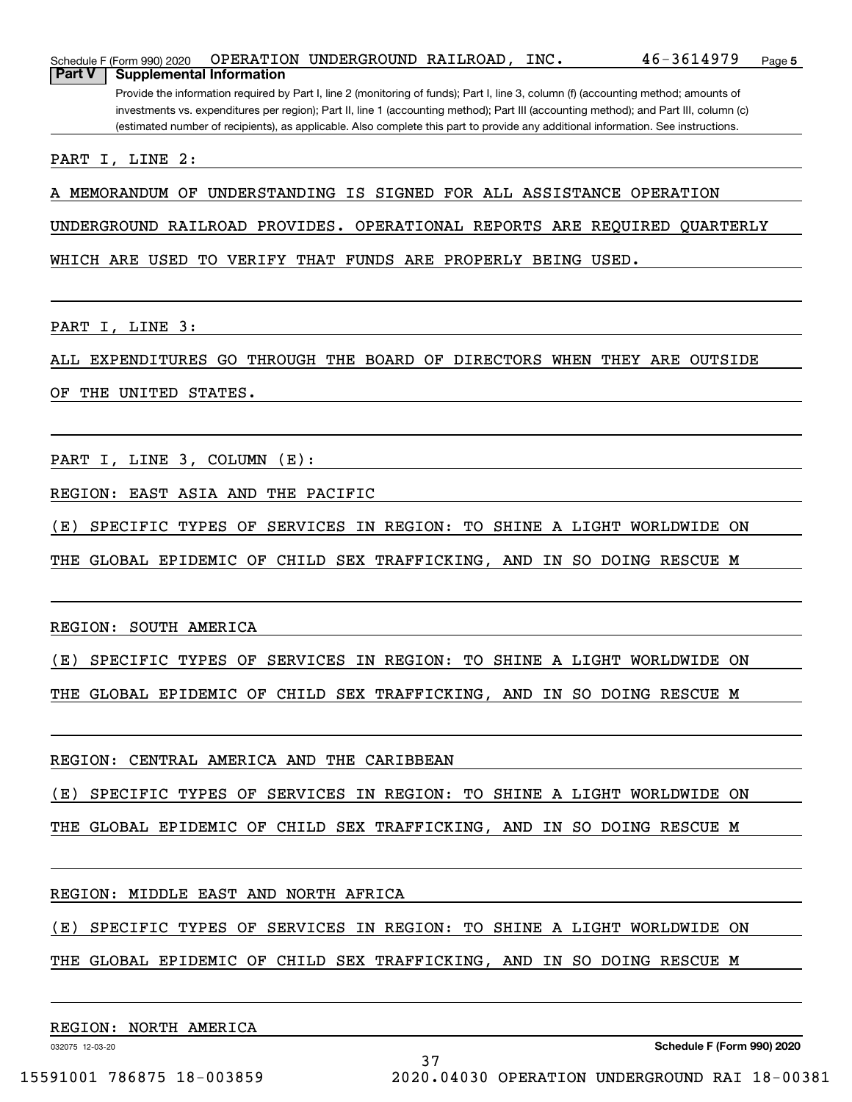| Schedule F (Form 990) 2020                                                                                                            |  | OPERATION UNDERGROUND RAILROAD, |  | INC. | 46-3614979                                                                                                                        | Page 5 |  |  |  |  |  |
|---------------------------------------------------------------------------------------------------------------------------------------|--|---------------------------------|--|------|-----------------------------------------------------------------------------------------------------------------------------------|--------|--|--|--|--|--|
| <b>Part V</b><br><b>Supplemental Information</b>                                                                                      |  |                                 |  |      |                                                                                                                                   |        |  |  |  |  |  |
| Provide the information required by Part I, line 2 (monitoring of funds); Part I, line 3, column (f) (accounting method; amounts of   |  |                                 |  |      |                                                                                                                                   |        |  |  |  |  |  |
| investments vs. expenditures per region); Part II, line 1 (accounting method); Part III (accounting method); and Part III, column (c) |  |                                 |  |      |                                                                                                                                   |        |  |  |  |  |  |
|                                                                                                                                       |  |                                 |  |      | (estimated number of recipients), as applicable. Also complete this part to provide any additional information. See instructions. |        |  |  |  |  |  |
| PART I, LINE 2:                                                                                                                       |  |                                 |  |      |                                                                                                                                   |        |  |  |  |  |  |

A MEMORANDUM OF UNDERSTANDING IS SIGNED FOR ALL ASSISTANCE OPERATION

UNDERGROUND RAILROAD PROVIDES. OPERATIONAL REPORTS ARE REQUIRED QUARTERLY

WHICH ARE USED TO VERIFY THAT FUNDS ARE PROPERLY BEING USED.

PART I, LINE 3:

ALL EXPENDITURES GO THROUGH THE BOARD OF DIRECTORS WHEN THEY ARE OUTSIDE

OF THE UNITED STATES.

PART I, LINE 3, COLUMN (E):

REGION: EAST ASIA AND THE PACIFIC

(E) SPECIFIC TYPES OF SERVICES IN REGION: TO SHINE A LIGHT WORLDWIDE ON

THE GLOBAL EPIDEMIC OF CHILD SEX TRAFFICKING, AND IN SO DOING RESCUE M

REGION: SOUTH AMERICA

(E) SPECIFIC TYPES OF SERVICES IN REGION: TO SHINE A LIGHT WORLDWIDE ON

THE GLOBAL EPIDEMIC OF CHILD SEX TRAFFICKING, AND IN SO DOING RESCUE M

REGION: CENTRAL AMERICA AND THE CARIBBEAN

(E) SPECIFIC TYPES OF SERVICES IN REGION: TO SHINE A LIGHT WORLDWIDE ON

THE GLOBAL EPIDEMIC OF CHILD SEX TRAFFICKING, AND IN SO DOING RESCUE M

REGION: MIDDLE EAST AND NORTH AFRICA

(E) SPECIFIC TYPES OF SERVICES IN REGION: TO SHINE A LIGHT WORLDWIDE ON

THE GLOBAL EPIDEMIC OF CHILD SEX TRAFFICKING, AND IN SO DOING RESCUE M

37

REGION: NORTH AMERICA

032075 12-03-20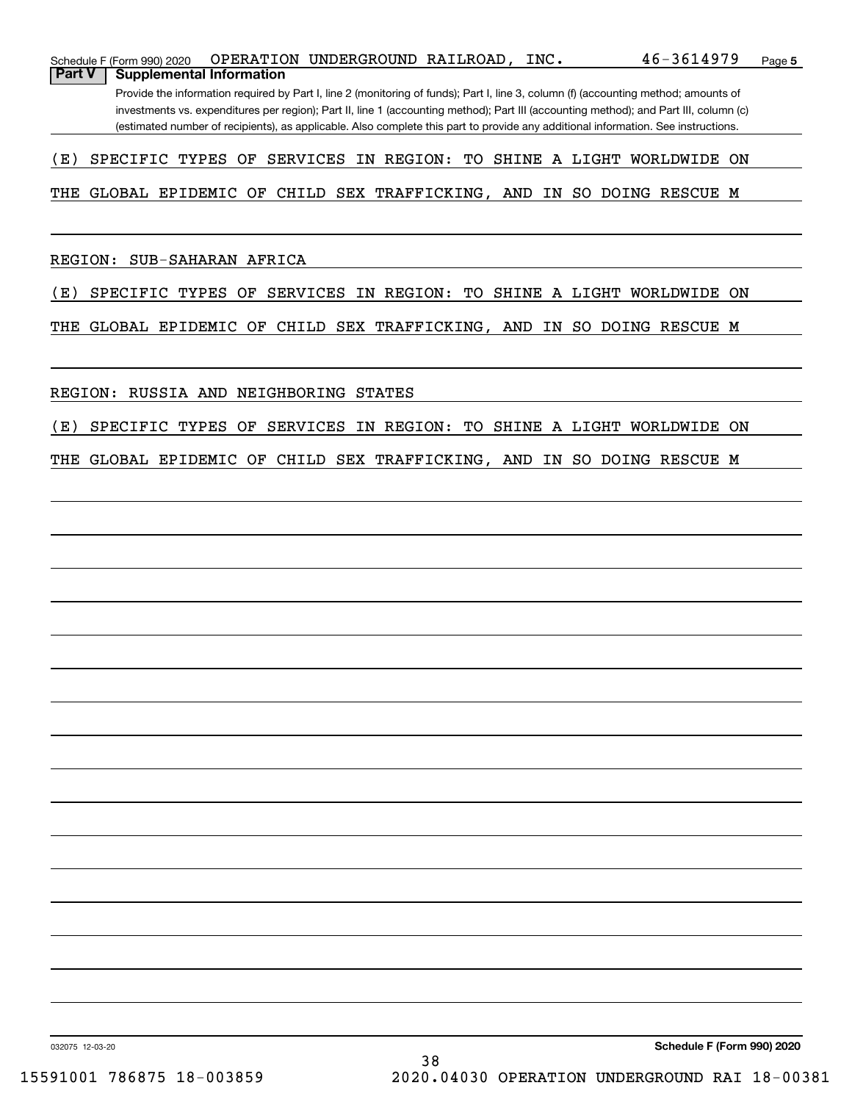|               | Schedule F (Form 990) 2020                                                                                                            |  | OPERATION UNDERGROUND RAILROAD, |  | INC. | 46-3614979                                                                                                                          | Page 5 |  |  |  |  |  |  |
|---------------|---------------------------------------------------------------------------------------------------------------------------------------|--|---------------------------------|--|------|-------------------------------------------------------------------------------------------------------------------------------------|--------|--|--|--|--|--|--|
| <b>Part V</b> | <b>Supplemental Information</b>                                                                                                       |  |                                 |  |      |                                                                                                                                     |        |  |  |  |  |  |  |
|               |                                                                                                                                       |  |                                 |  |      | Provide the information required by Part I, line 2 (monitoring of funds); Part I, line 3, column (f) (accounting method; amounts of |        |  |  |  |  |  |  |
|               | investments vs. expenditures per region); Part II, line 1 (accounting method); Part III (accounting method); and Part III, column (c) |  |                                 |  |      |                                                                                                                                     |        |  |  |  |  |  |  |

(estimated number of recipients), as applicable. Also complete this part to provide any additional information. See instructions.

## (E) SPECIFIC TYPES OF SERVICES IN REGION: TO SHINE A LIGHT WORLDWIDE ON

### THE GLOBAL EPIDEMIC OF CHILD SEX TRAFFICKING, AND IN SO DOING RESCUE M

REGION: SUB-SAHARAN AFRICA

(E) SPECIFIC TYPES OF SERVICES IN REGION: TO SHINE A LIGHT WORLDWIDE ON

THE GLOBAL EPIDEMIC OF CHILD SEX TRAFFICKING, AND IN SO DOING RESCUE M

REGION: RUSSIA AND NEIGHBORING STATES

(E) SPECIFIC TYPES OF SERVICES IN REGION: TO SHINE A LIGHT WORLDWIDE ON

THE GLOBAL EPIDEMIC OF CHILD SEX TRAFFICKING, AND IN SO DOING RESCUE M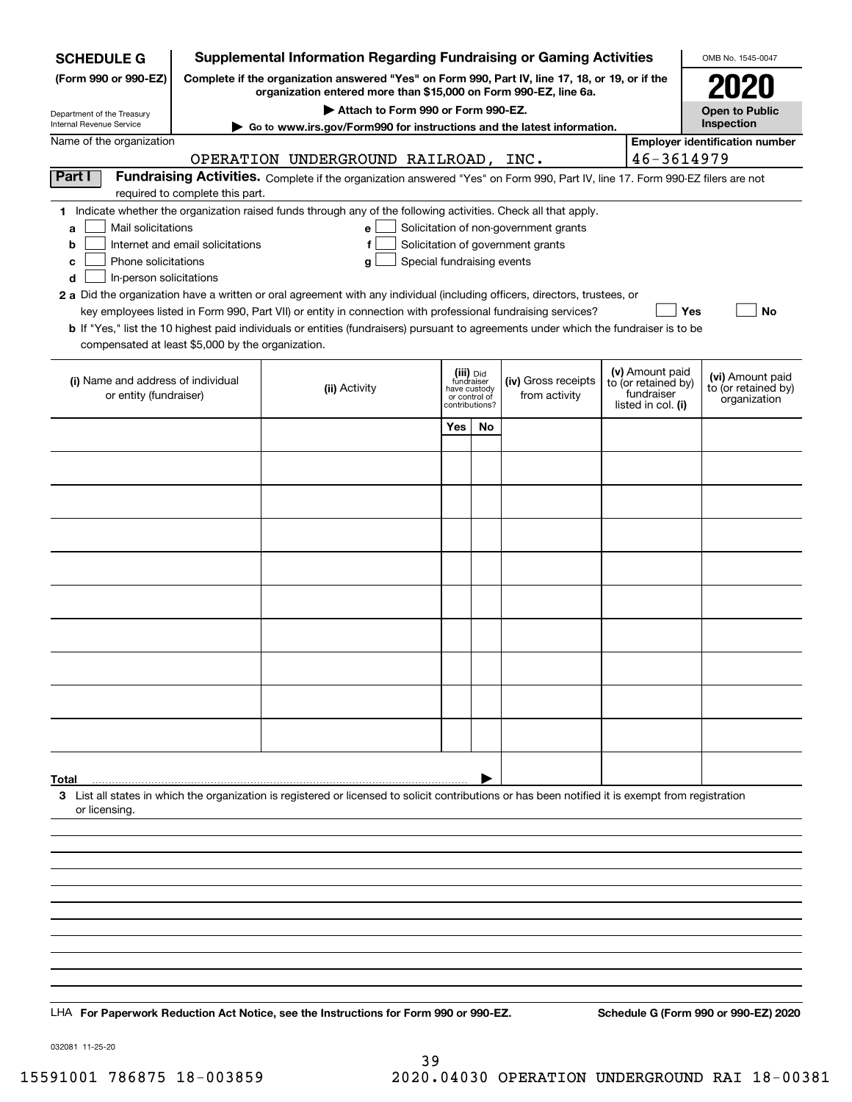| <b>SCHEDULE G</b>                                                                        |                                                                                                                                                                     | <b>Supplemental Information Regarding Fundraising or Gaming Activities</b>                                                                                                                                                                                                                                                                                                                                                                                                                                                                                |                                                                            |           |                                                                            |  |                                                                            | OMB No. 1545-0047                                       |  |  |  |  |  |
|------------------------------------------------------------------------------------------|---------------------------------------------------------------------------------------------------------------------------------------------------------------------|-----------------------------------------------------------------------------------------------------------------------------------------------------------------------------------------------------------------------------------------------------------------------------------------------------------------------------------------------------------------------------------------------------------------------------------------------------------------------------------------------------------------------------------------------------------|----------------------------------------------------------------------------|-----------|----------------------------------------------------------------------------|--|----------------------------------------------------------------------------|---------------------------------------------------------|--|--|--|--|--|
| (Form 990 or 990-EZ)                                                                     | Complete if the organization answered "Yes" on Form 990, Part IV, line 17, 18, or 19, or if the<br>organization entered more than \$15,000 on Form 990-EZ, line 6a. |                                                                                                                                                                                                                                                                                                                                                                                                                                                                                                                                                           |                                                                            |           |                                                                            |  |                                                                            |                                                         |  |  |  |  |  |
| Department of the Treasury                                                               |                                                                                                                                                                     | <b>Open to Public</b>                                                                                                                                                                                                                                                                                                                                                                                                                                                                                                                                     |                                                                            |           |                                                                            |  |                                                                            |                                                         |  |  |  |  |  |
| Internal Revenue Service                                                                 | ► Go to www.irs.gov/Form990 for instructions and the latest information.                                                                                            | Inspection                                                                                                                                                                                                                                                                                                                                                                                                                                                                                                                                                |                                                                            |           |                                                                            |  |                                                                            |                                                         |  |  |  |  |  |
| Name of the organization                                                                 | <b>Employer identification number</b><br>46-3614979<br>OPERATION UNDERGROUND RAILROAD, INC.                                                                         |                                                                                                                                                                                                                                                                                                                                                                                                                                                                                                                                                           |                                                                            |           |                                                                            |  |                                                                            |                                                         |  |  |  |  |  |
| Part I                                                                                   |                                                                                                                                                                     | Fundraising Activities. Complete if the organization answered "Yes" on Form 990, Part IV, line 17. Form 990-EZ filers are not                                                                                                                                                                                                                                                                                                                                                                                                                             |                                                                            |           |                                                                            |  |                                                                            |                                                         |  |  |  |  |  |
|                                                                                          | required to complete this part.                                                                                                                                     |                                                                                                                                                                                                                                                                                                                                                                                                                                                                                                                                                           |                                                                            |           |                                                                            |  |                                                                            |                                                         |  |  |  |  |  |
| Mail solicitations<br>a<br>b<br>Phone solicitations<br>c<br>In-person solicitations<br>d | Internet and email solicitations                                                                                                                                    | 1 Indicate whether the organization raised funds through any of the following activities. Check all that apply.<br>e<br>f<br>Special fundraising events<br>g<br>2 a Did the organization have a written or oral agreement with any individual (including officers, directors, trustees, or<br>key employees listed in Form 990, Part VII) or entity in connection with professional fundraising services?<br><b>b</b> If "Yes," list the 10 highest paid individuals or entities (fundraisers) pursuant to agreements under which the fundraiser is to be |                                                                            |           | Solicitation of non-government grants<br>Solicitation of government grants |  | Yes                                                                        | No                                                      |  |  |  |  |  |
| compensated at least \$5,000 by the organization.                                        |                                                                                                                                                                     |                                                                                                                                                                                                                                                                                                                                                                                                                                                                                                                                                           |                                                                            |           |                                                                            |  |                                                                            |                                                         |  |  |  |  |  |
| (i) Name and address of individual<br>or entity (fundraiser)                             |                                                                                                                                                                     | (ii) Activity                                                                                                                                                                                                                                                                                                                                                                                                                                                                                                                                             | (iii) Did<br>fundraiser<br>have custody<br>or control of<br>contributions? |           | (iv) Gross receipts<br>from activity                                       |  | (v) Amount paid<br>to (or retained by)<br>fundraiser<br>listed in col. (i) | (vi) Amount paid<br>to (or retained by)<br>organization |  |  |  |  |  |
|                                                                                          |                                                                                                                                                                     |                                                                                                                                                                                                                                                                                                                                                                                                                                                                                                                                                           | Yes                                                                        | <b>No</b> |                                                                            |  |                                                                            |                                                         |  |  |  |  |  |
|                                                                                          |                                                                                                                                                                     |                                                                                                                                                                                                                                                                                                                                                                                                                                                                                                                                                           |                                                                            |           |                                                                            |  |                                                                            |                                                         |  |  |  |  |  |
|                                                                                          |                                                                                                                                                                     |                                                                                                                                                                                                                                                                                                                                                                                                                                                                                                                                                           |                                                                            |           |                                                                            |  |                                                                            |                                                         |  |  |  |  |  |
|                                                                                          |                                                                                                                                                                     |                                                                                                                                                                                                                                                                                                                                                                                                                                                                                                                                                           |                                                                            |           |                                                                            |  |                                                                            |                                                         |  |  |  |  |  |
|                                                                                          |                                                                                                                                                                     |                                                                                                                                                                                                                                                                                                                                                                                                                                                                                                                                                           |                                                                            |           |                                                                            |  |                                                                            |                                                         |  |  |  |  |  |
|                                                                                          |                                                                                                                                                                     |                                                                                                                                                                                                                                                                                                                                                                                                                                                                                                                                                           |                                                                            |           |                                                                            |  |                                                                            |                                                         |  |  |  |  |  |
|                                                                                          |                                                                                                                                                                     |                                                                                                                                                                                                                                                                                                                                                                                                                                                                                                                                                           |                                                                            |           |                                                                            |  |                                                                            |                                                         |  |  |  |  |  |
|                                                                                          |                                                                                                                                                                     |                                                                                                                                                                                                                                                                                                                                                                                                                                                                                                                                                           |                                                                            |           |                                                                            |  |                                                                            |                                                         |  |  |  |  |  |
|                                                                                          |                                                                                                                                                                     |                                                                                                                                                                                                                                                                                                                                                                                                                                                                                                                                                           |                                                                            |           |                                                                            |  |                                                                            |                                                         |  |  |  |  |  |
|                                                                                          |                                                                                                                                                                     |                                                                                                                                                                                                                                                                                                                                                                                                                                                                                                                                                           |                                                                            |           |                                                                            |  |                                                                            |                                                         |  |  |  |  |  |
|                                                                                          |                                                                                                                                                                     |                                                                                                                                                                                                                                                                                                                                                                                                                                                                                                                                                           |                                                                            |           |                                                                            |  |                                                                            |                                                         |  |  |  |  |  |
|                                                                                          |                                                                                                                                                                     |                                                                                                                                                                                                                                                                                                                                                                                                                                                                                                                                                           |                                                                            |           |                                                                            |  |                                                                            |                                                         |  |  |  |  |  |
|                                                                                          |                                                                                                                                                                     |                                                                                                                                                                                                                                                                                                                                                                                                                                                                                                                                                           |                                                                            |           |                                                                            |  |                                                                            |                                                         |  |  |  |  |  |
|                                                                                          |                                                                                                                                                                     |                                                                                                                                                                                                                                                                                                                                                                                                                                                                                                                                                           |                                                                            |           |                                                                            |  |                                                                            |                                                         |  |  |  |  |  |
|                                                                                          |                                                                                                                                                                     |                                                                                                                                                                                                                                                                                                                                                                                                                                                                                                                                                           |                                                                            |           |                                                                            |  |                                                                            |                                                         |  |  |  |  |  |
|                                                                                          |                                                                                                                                                                     |                                                                                                                                                                                                                                                                                                                                                                                                                                                                                                                                                           |                                                                            |           |                                                                            |  |                                                                            |                                                         |  |  |  |  |  |
| Total                                                                                    |                                                                                                                                                                     | 3 List all states in which the organization is registered or licensed to solicit contributions or has been notified it is exempt from registration                                                                                                                                                                                                                                                                                                                                                                                                        |                                                                            |           |                                                                            |  |                                                                            |                                                         |  |  |  |  |  |
| or licensing.                                                                            |                                                                                                                                                                     |                                                                                                                                                                                                                                                                                                                                                                                                                                                                                                                                                           |                                                                            |           |                                                                            |  |                                                                            |                                                         |  |  |  |  |  |
|                                                                                          |                                                                                                                                                                     |                                                                                                                                                                                                                                                                                                                                                                                                                                                                                                                                                           |                                                                            |           |                                                                            |  |                                                                            |                                                         |  |  |  |  |  |
|                                                                                          |                                                                                                                                                                     |                                                                                                                                                                                                                                                                                                                                                                                                                                                                                                                                                           |                                                                            |           |                                                                            |  |                                                                            |                                                         |  |  |  |  |  |
|                                                                                          |                                                                                                                                                                     |                                                                                                                                                                                                                                                                                                                                                                                                                                                                                                                                                           |                                                                            |           |                                                                            |  |                                                                            |                                                         |  |  |  |  |  |
|                                                                                          |                                                                                                                                                                     |                                                                                                                                                                                                                                                                                                                                                                                                                                                                                                                                                           |                                                                            |           |                                                                            |  |                                                                            |                                                         |  |  |  |  |  |
|                                                                                          |                                                                                                                                                                     |                                                                                                                                                                                                                                                                                                                                                                                                                                                                                                                                                           |                                                                            |           |                                                                            |  |                                                                            |                                                         |  |  |  |  |  |
|                                                                                          |                                                                                                                                                                     |                                                                                                                                                                                                                                                                                                                                                                                                                                                                                                                                                           |                                                                            |           |                                                                            |  |                                                                            |                                                         |  |  |  |  |  |
|                                                                                          |                                                                                                                                                                     |                                                                                                                                                                                                                                                                                                                                                                                                                                                                                                                                                           |                                                                            |           |                                                                            |  |                                                                            |                                                         |  |  |  |  |  |
|                                                                                          |                                                                                                                                                                     |                                                                                                                                                                                                                                                                                                                                                                                                                                                                                                                                                           |                                                                            |           |                                                                            |  |                                                                            |                                                         |  |  |  |  |  |
|                                                                                          |                                                                                                                                                                     | LHA For Paperwork Reduction Act Notice, see the Instructions for Form 990 or 990-EZ.                                                                                                                                                                                                                                                                                                                                                                                                                                                                      |                                                                            |           |                                                                            |  |                                                                            | Schedule G (Form 990 or 990-EZ) 2020                    |  |  |  |  |  |

032081 11-25-20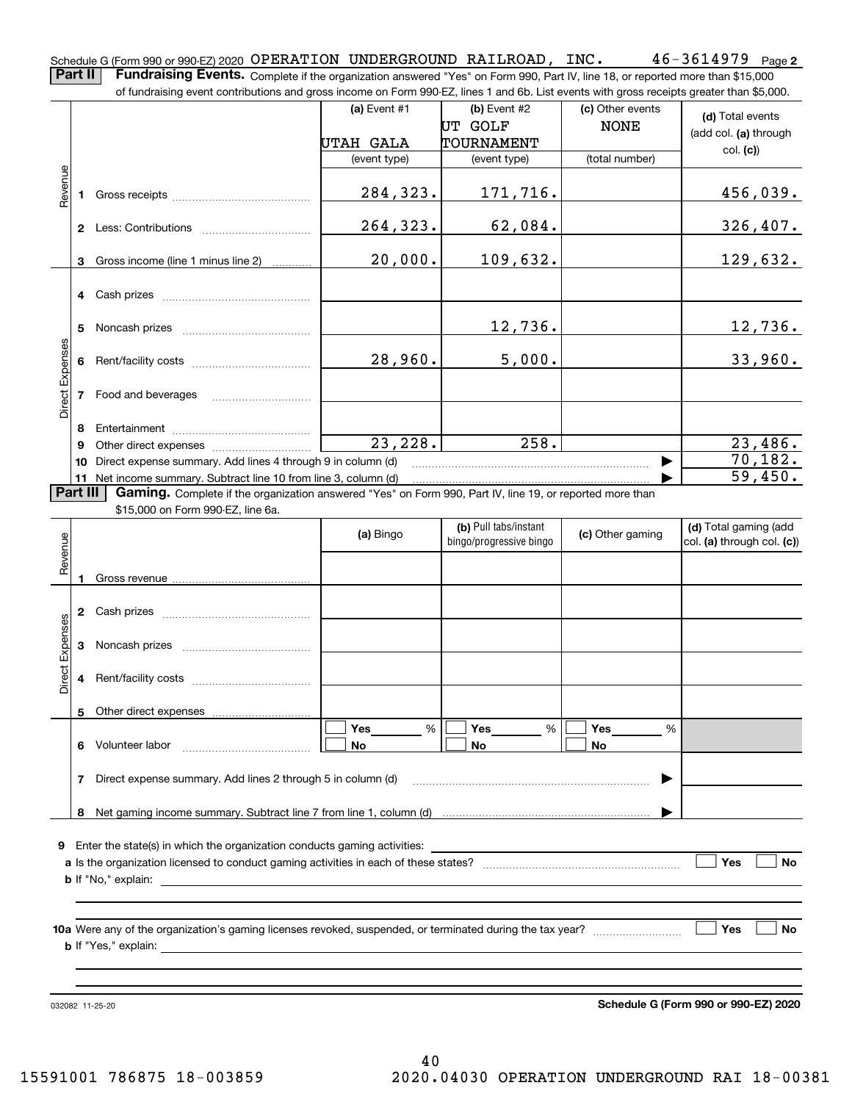$46 - 3614979$  Page 2 Schedule G (Form 990 or 990-EZ) 2020 <code>OPERATION UNDERGROUND</code> <code>RAILROAD</code> , <code>INC.</code>  $46$  –  $3614979$  <code>Page</code> **Part II** | Fundraising Events. Complete if the organization answered "Yes" on Form 990, Part IV, line 18, or reported more than \$15,000

of fundraising event contributions and gross income on Form 990-EZ, lines 1 and 6b. List events with gross receipts greater than \$5,000. (c) Other events **(a)** Event #1  $\vert$  **(b)** Event #2 **(d)**  Total events NONE UT GOLF (add col. **(a)** through UTAH GALA TOURNAMENT col. **(c)**) (event type) (event type) (total number) Revenue Revenue 284,323. 171,716. 456,039. **1**Gross receipts ~~~~~~~~~~~~~~264,323. 62,084. 326,407. **2** Less: Contributions ................................ 20,000. 109,632. Gross income (line 1 minus line 2) 129,632. **3**. . . . . . . . . . . . **4** Cash prizes \_\_\_\_\_\_\_\_\_\_\_\_\_\_\_\_\_\_\_\_\_\_\_\_\_\_\_\_\_\_\_\_ 12,736. 12,736. **5** Noncash prizes \_\_\_\_\_\_\_\_\_\_\_\_\_\_\_\_\_\_\_\_\_\_\_\_\_\_\_\_ Direct Expenses Direct Expenses 28,960. 5,000. 33,960. **6**Rent/facility costs ~~~~~~~~~~~~**7**Food and beverages **8**Entertainment ~~~~~~~~~~~~~~  $23,228.$  258. 258. 23,486. Other direct expenses ~~~~~~~~~~ **9**70,182.  $\blacktriangleright$ **10** Direct expense summary. Add lines 4 through 9 in column (d) 59,450. …… ▶ **11** Net income summary. Subtract line 10 from line 3, column (d)  $\sqrt{P}$ art III **Part III | Gaming.** Complete if the organization answered "Yes" on Form 990, Part IV, line 19, or reported more than \$15,000 on Form 990-EZ, line 6a. ┱ **(b)**  Pull tabs/instant **(d)**  Total gaming (add **(a)**  Bingo  $\left| \right|$  bings (pregressive bings  $\left| \right|$  (c) Other gaming **(c)**  bingo/progressive bingo col. **(a)** through col. **(c)**) **(a) (c)**

|                 |                |                                                             | (a) Bingo      | $ U $ and $ U $ and $ U $<br>bingo/progressive bingo | (c) Other gaming | (u) Tutai yammiy (auu<br>col. (a) through col. (c)) |
|-----------------|----------------|-------------------------------------------------------------|----------------|------------------------------------------------------|------------------|-----------------------------------------------------|
| Revenue         |                |                                                             |                |                                                      |                  |                                                     |
|                 | $\overline{2}$ |                                                             |                |                                                      |                  |                                                     |
|                 | 3              |                                                             |                |                                                      |                  |                                                     |
| Direct Expenses | 4              |                                                             |                |                                                      |                  |                                                     |
|                 | 5              |                                                             |                |                                                      |                  |                                                     |
|                 | 6              |                                                             | %<br><b>No</b> | %<br><b>No</b>                                       | %<br><b>No</b>   |                                                     |
|                 | 7              | Direct expense summary. Add lines 2 through 5 in column (d) |                |                                                      | ▶                |                                                     |
|                 | 8              |                                                             |                |                                                      |                  |                                                     |
| 9               |                |                                                             |                |                                                      |                  |                                                     |
|                 |                |                                                             |                |                                                      |                  | Yes<br><b>No</b>                                    |
|                 |                |                                                             |                |                                                      |                  |                                                     |
|                 |                |                                                             |                |                                                      |                  | Yes<br><b>No</b><br>$\mathbf{1}$                    |
|                 |                |                                                             |                |                                                      |                  |                                                     |

032082 11-25-20

**Schedule G (Form 990 or 990-EZ) 2020**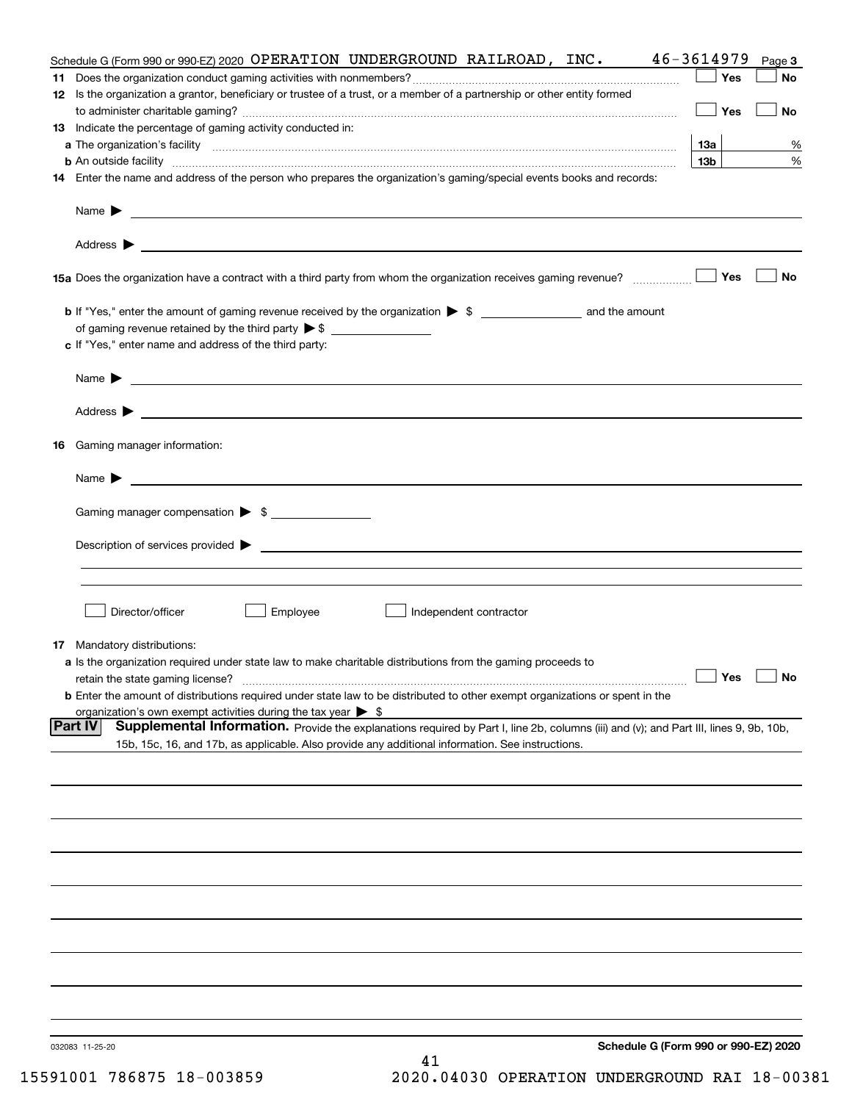| Schedule G (Form 990 or 990-EZ) 2020 OPERATION UNDERGROUND RAILROAD, INC.                                                                                                                                           | 46-3614979           | Page 3    |
|---------------------------------------------------------------------------------------------------------------------------------------------------------------------------------------------------------------------|----------------------|-----------|
|                                                                                                                                                                                                                     | Yes                  | No        |
| 12 Is the organization a grantor, beneficiary or trustee of a trust, or a member of a partnership or other entity formed                                                                                            |                      |           |
|                                                                                                                                                                                                                     | Yes                  | <b>No</b> |
| 13 Indicate the percentage of gaming activity conducted in:                                                                                                                                                         |                      |           |
|                                                                                                                                                                                                                     | <u>13a</u>           | %         |
| <b>b</b> An outside facility <i>www.communicality www.communicality.communicality www.communicality www.communicality.communicality www.communicality.com</i>                                                       | 13 <sub>b</sub>      | %         |
| 14 Enter the name and address of the person who prepares the organization's gaming/special events books and records:                                                                                                |                      |           |
|                                                                                                                                                                                                                     |                      |           |
|                                                                                                                                                                                                                     |                      |           |
|                                                                                                                                                                                                                     |                      |           |
|                                                                                                                                                                                                                     |                      |           |
| 15a Does the organization have a contract with a third party from whom the organization receives gaming revenue?                                                                                                    | Yes                  | No        |
|                                                                                                                                                                                                                     |                      |           |
| <b>b</b> If "Yes," enter the amount of gaming revenue received by the organization $\triangleright$ \$ ___________________ and the amount                                                                           |                      |           |
|                                                                                                                                                                                                                     |                      |           |
| c If "Yes," enter name and address of the third party:                                                                                                                                                              |                      |           |
| Name $\blacktriangleright$ $\_\_$                                                                                                                                                                                   |                      |           |
|                                                                                                                                                                                                                     |                      |           |
|                                                                                                                                                                                                                     |                      |           |
|                                                                                                                                                                                                                     |                      |           |
| 16 Gaming manager information:                                                                                                                                                                                      |                      |           |
|                                                                                                                                                                                                                     |                      |           |
| Name $\blacktriangleright$ $\frac{1}{\sqrt{1-\frac{1}{2}}\left(1-\frac{1}{2}\right)}$                                                                                                                               |                      |           |
|                                                                                                                                                                                                                     |                      |           |
| Gaming manager compensation > \$                                                                                                                                                                                    |                      |           |
|                                                                                                                                                                                                                     |                      |           |
|                                                                                                                                                                                                                     |                      |           |
|                                                                                                                                                                                                                     |                      |           |
|                                                                                                                                                                                                                     |                      |           |
| Director/officer<br>Employee<br>Independent contractor                                                                                                                                                              |                      |           |
|                                                                                                                                                                                                                     |                      |           |
| <b>17</b> Mandatory distributions:                                                                                                                                                                                  |                      |           |
| a Is the organization required under state law to make charitable distributions from the gaming proceeds to                                                                                                         | $\Box$ Yes $\Box$ No |           |
| retain the state gaming license?                                                                                                                                                                                    |                      |           |
| <b>b</b> Enter the amount of distributions required under state law to be distributed to other exempt organizations or spent in the<br>organization's own exempt activities during the tax year $\triangleright$ \$ |                      |           |
| <b>Part IV</b><br>Supplemental Information. Provide the explanations required by Part I, line 2b, columns (iii) and (v); and Part III, lines 9, 9b, 10b,                                                            |                      |           |
| 15b, 15c, 16, and 17b, as applicable. Also provide any additional information. See instructions.                                                                                                                    |                      |           |
|                                                                                                                                                                                                                     |                      |           |
|                                                                                                                                                                                                                     |                      |           |
|                                                                                                                                                                                                                     |                      |           |
|                                                                                                                                                                                                                     |                      |           |
|                                                                                                                                                                                                                     |                      |           |
|                                                                                                                                                                                                                     |                      |           |
|                                                                                                                                                                                                                     |                      |           |
|                                                                                                                                                                                                                     |                      |           |
|                                                                                                                                                                                                                     |                      |           |
|                                                                                                                                                                                                                     |                      |           |
|                                                                                                                                                                                                                     |                      |           |
|                                                                                                                                                                                                                     |                      |           |
|                                                                                                                                                                                                                     |                      |           |
|                                                                                                                                                                                                                     |                      |           |
|                                                                                                                                                                                                                     |                      |           |
|                                                                                                                                                                                                                     |                      |           |
| Schedule G (Form 990 or 990-EZ) 2020<br>032083 11-25-20<br>41                                                                                                                                                       |                      |           |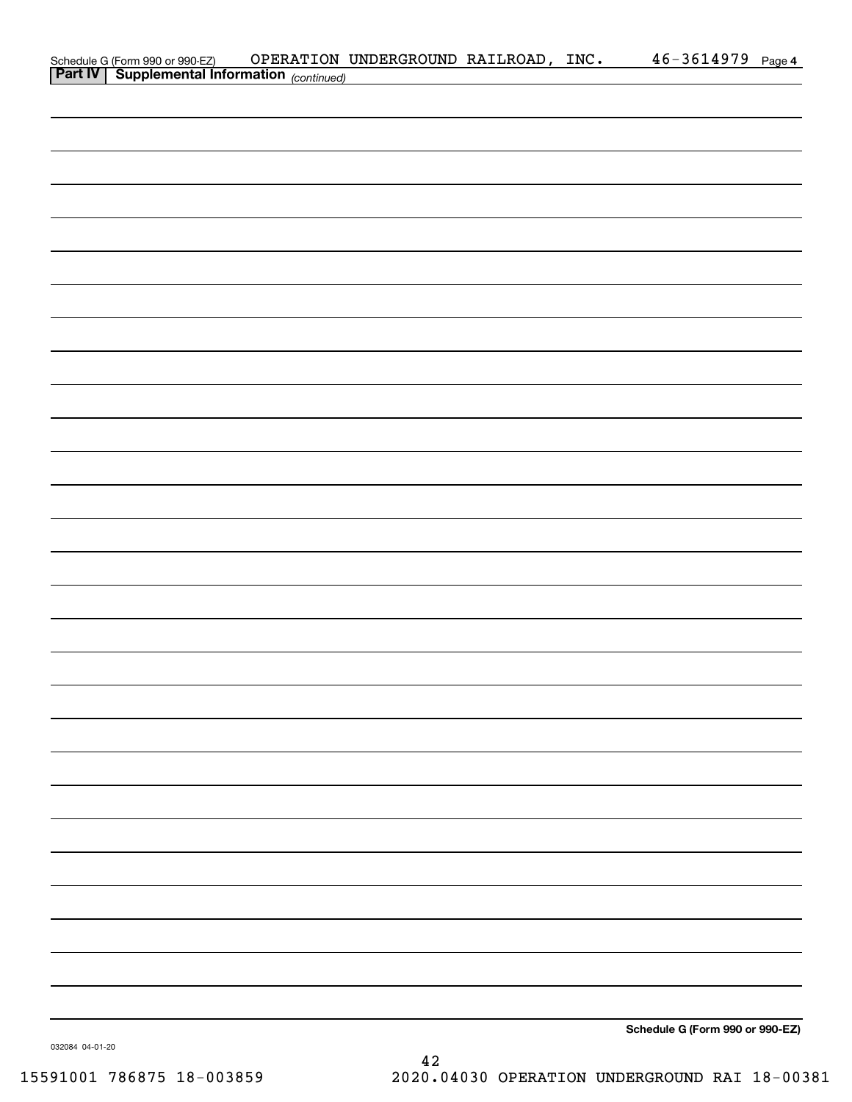| Schedule G (Form 990 or 990-EZ) OPERATION<br><b>Part IV</b> Supplemental Information (continued) | OPERATION UNDERGROUND RAILROAD, INC. |  | 46-3614979 Page 4               |  |
|--------------------------------------------------------------------------------------------------|--------------------------------------|--|---------------------------------|--|
|                                                                                                  |                                      |  |                                 |  |
|                                                                                                  |                                      |  |                                 |  |
|                                                                                                  |                                      |  |                                 |  |
|                                                                                                  |                                      |  |                                 |  |
|                                                                                                  |                                      |  |                                 |  |
|                                                                                                  |                                      |  |                                 |  |
|                                                                                                  |                                      |  |                                 |  |
|                                                                                                  |                                      |  |                                 |  |
|                                                                                                  |                                      |  |                                 |  |
|                                                                                                  |                                      |  |                                 |  |
|                                                                                                  |                                      |  |                                 |  |
|                                                                                                  |                                      |  |                                 |  |
|                                                                                                  |                                      |  |                                 |  |
|                                                                                                  |                                      |  |                                 |  |
|                                                                                                  |                                      |  |                                 |  |
|                                                                                                  |                                      |  |                                 |  |
|                                                                                                  |                                      |  |                                 |  |
|                                                                                                  |                                      |  |                                 |  |
|                                                                                                  |                                      |  |                                 |  |
|                                                                                                  |                                      |  |                                 |  |
|                                                                                                  |                                      |  |                                 |  |
|                                                                                                  |                                      |  |                                 |  |
|                                                                                                  |                                      |  |                                 |  |
|                                                                                                  |                                      |  |                                 |  |
|                                                                                                  |                                      |  |                                 |  |
|                                                                                                  |                                      |  |                                 |  |
|                                                                                                  |                                      |  |                                 |  |
|                                                                                                  |                                      |  |                                 |  |
|                                                                                                  |                                      |  |                                 |  |
|                                                                                                  |                                      |  |                                 |  |
|                                                                                                  |                                      |  |                                 |  |
|                                                                                                  |                                      |  |                                 |  |
|                                                                                                  |                                      |  |                                 |  |
|                                                                                                  |                                      |  |                                 |  |
|                                                                                                  |                                      |  |                                 |  |
|                                                                                                  |                                      |  |                                 |  |
|                                                                                                  |                                      |  |                                 |  |
|                                                                                                  |                                      |  | Schedule G (Form 990 or 990-EZ) |  |

032084 04-01-20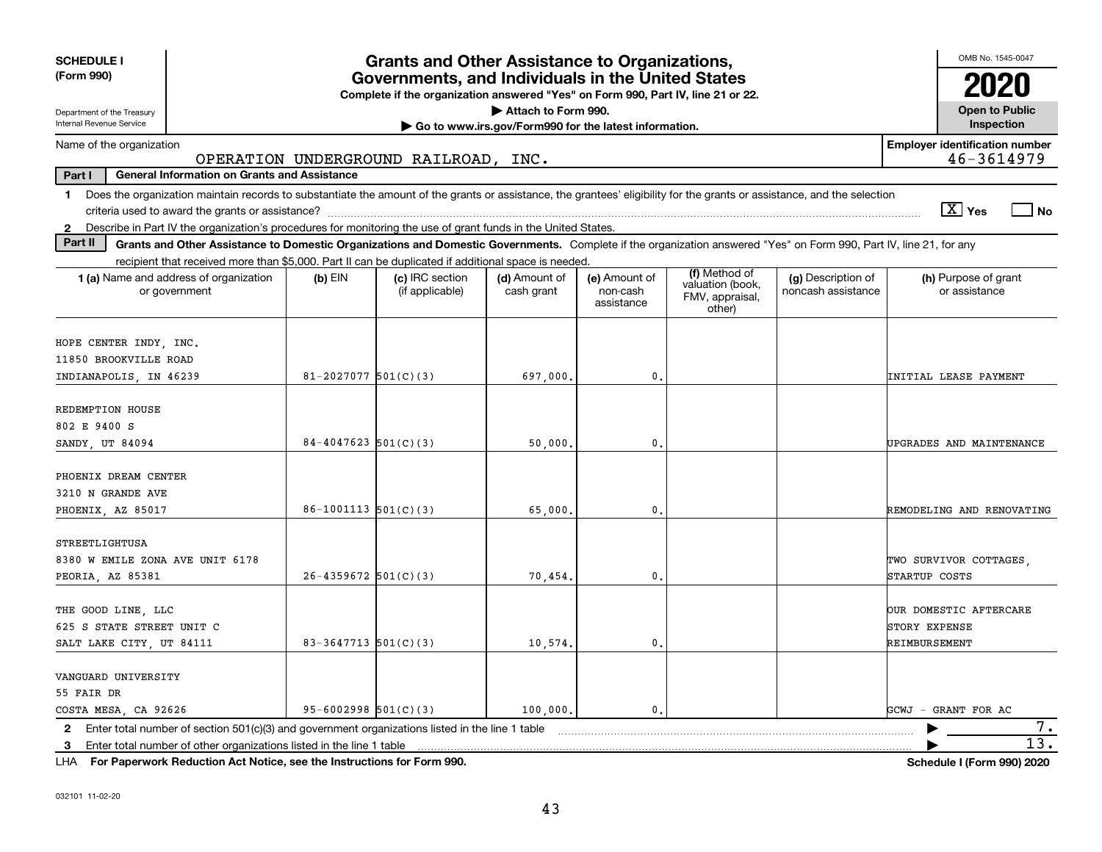| <b>SCHEDULE I</b><br>(Form 990)                                                                                                                                                                                                                                                                                                             |                                                                                                                                       | <b>Grants and Other Assistance to Organizations,</b> |                                                       |                |  |  | OMB No. 1545-0047                                        |  |  |  |  |  |  |  |
|---------------------------------------------------------------------------------------------------------------------------------------------------------------------------------------------------------------------------------------------------------------------------------------------------------------------------------------------|---------------------------------------------------------------------------------------------------------------------------------------|------------------------------------------------------|-------------------------------------------------------|----------------|--|--|----------------------------------------------------------|--|--|--|--|--|--|--|
|                                                                                                                                                                                                                                                                                                                                             | Governments, and Individuals in the United States<br>Complete if the organization answered "Yes" on Form 990, Part IV, line 21 or 22. |                                                      |                                                       |                |  |  |                                                          |  |  |  |  |  |  |  |
| Department of the Treasury                                                                                                                                                                                                                                                                                                                  |                                                                                                                                       |                                                      | Attach to Form 990.                                   |                |  |  | <b>Open to Public</b>                                    |  |  |  |  |  |  |  |
| Internal Revenue Service                                                                                                                                                                                                                                                                                                                    |                                                                                                                                       |                                                      | Go to www.irs.gov/Form990 for the latest information. |                |  |  | Inspection                                               |  |  |  |  |  |  |  |
| Name of the organization                                                                                                                                                                                                                                                                                                                    |                                                                                                                                       | OPERATION UNDERGROUND RAILROAD, INC.                 |                                                       |                |  |  | <b>Employer identification number</b><br>46-3614979      |  |  |  |  |  |  |  |
| Part I<br><b>General Information on Grants and Assistance</b>                                                                                                                                                                                                                                                                               |                                                                                                                                       |                                                      |                                                       |                |  |  |                                                          |  |  |  |  |  |  |  |
| 1 Does the organization maintain records to substantiate the amount of the grants or assistance, the grantees' eligibility for the grants or assistance, and the selection                                                                                                                                                                  |                                                                                                                                       |                                                      |                                                       |                |  |  |                                                          |  |  |  |  |  |  |  |
|                                                                                                                                                                                                                                                                                                                                             |                                                                                                                                       |                                                      |                                                       |                |  |  | $\sqrt{X}$ Yes<br>l No                                   |  |  |  |  |  |  |  |
| Describe in Part IV the organization's procedures for monitoring the use of grant funds in the United States.<br>$\mathbf{2}$                                                                                                                                                                                                               |                                                                                                                                       |                                                      |                                                       |                |  |  |                                                          |  |  |  |  |  |  |  |
| Part II<br>Grants and Other Assistance to Domestic Organizations and Domestic Governments. Complete if the organization answered "Yes" on Form 990, Part IV, line 21, for any                                                                                                                                                               |                                                                                                                                       |                                                      |                                                       |                |  |  |                                                          |  |  |  |  |  |  |  |
| recipient that received more than \$5,000. Part II can be duplicated if additional space is needed.                                                                                                                                                                                                                                         |                                                                                                                                       |                                                      |                                                       |                |  |  |                                                          |  |  |  |  |  |  |  |
| (f) Method of<br>(g) Description of<br>1 (a) Name and address of organization<br>$(b)$ EIN<br>(c) IRC section<br>(d) Amount of<br>(e) Amount of<br>(h) Purpose of grant<br>valuation (book,<br>noncash assistance<br>or assistance<br>or government<br>(if applicable)<br>cash grant<br>non-cash<br>FMV, appraisal,<br>assistance<br>other) |                                                                                                                                       |                                                      |                                                       |                |  |  |                                                          |  |  |  |  |  |  |  |
| HOPE CENTER INDY, INC.<br>11850 BROOKVILLE ROAD                                                                                                                                                                                                                                                                                             |                                                                                                                                       |                                                      |                                                       |                |  |  |                                                          |  |  |  |  |  |  |  |
| INDIANAPOLIS, IN 46239                                                                                                                                                                                                                                                                                                                      | $81 - 2027077$ 501(C)(3)                                                                                                              |                                                      | 697,000                                               | 0.             |  |  | <b>INITIAL LEASE PAYMENT</b>                             |  |  |  |  |  |  |  |
| REDEMPTION HOUSE                                                                                                                                                                                                                                                                                                                            |                                                                                                                                       |                                                      |                                                       |                |  |  |                                                          |  |  |  |  |  |  |  |
| 802 E 9400 S<br>SANDY UT 84094                                                                                                                                                                                                                                                                                                              | $84 - 4047623$ 501(C)(3)                                                                                                              |                                                      | 50,000                                                | $\mathbf{0}$ . |  |  | UPGRADES AND MAINTENANCE                                 |  |  |  |  |  |  |  |
|                                                                                                                                                                                                                                                                                                                                             |                                                                                                                                       |                                                      |                                                       |                |  |  |                                                          |  |  |  |  |  |  |  |
| PHOENIX DREAM CENTER<br>3210 N GRANDE AVE                                                                                                                                                                                                                                                                                                   |                                                                                                                                       |                                                      |                                                       |                |  |  |                                                          |  |  |  |  |  |  |  |
| PHOENIX, AZ 85017                                                                                                                                                                                                                                                                                                                           | $86-1001113$ $501(C)(3)$                                                                                                              |                                                      | 65,000                                                | $\mathbf{0}$ . |  |  | REMODELING AND RENOVATING                                |  |  |  |  |  |  |  |
| STREETLIGHTUSA<br>8380 W EMILE ZONA AVE UNIT 6178<br>PEORIA, AZ 85381                                                                                                                                                                                                                                                                       | $26 - 4359672$ 501(C)(3)                                                                                                              |                                                      | 70,454,                                               | $\mathbf 0$ .  |  |  | TWO SURVIVOR COTTAGES<br>STARTUP COSTS                   |  |  |  |  |  |  |  |
| THE GOOD LINE LLC<br>625 S STATE STREET UNIT C<br>SALT LAKE CITY, UT 84111                                                                                                                                                                                                                                                                  | $83 - 3647713$ $501(C)(3)$                                                                                                            |                                                      | 10,574.                                               | $\mathbf{0}$ . |  |  | OUR DOMESTIC AFTERCARE<br>STORY EXPENSE<br>REIMBURSEMENT |  |  |  |  |  |  |  |
| VANGUARD UNIVERSITY<br>55 FAIR DR<br>COSTA MESA, CA 92626                                                                                                                                                                                                                                                                                   | $95 - 6002998$ $501(C)(3)$                                                                                                            |                                                      | 100,000.                                              | 0.             |  |  | GCWJ - GRANT FOR AC                                      |  |  |  |  |  |  |  |
| 2 Enter total number of section 501(c)(3) and government organizations listed in the line 1 table                                                                                                                                                                                                                                           |                                                                                                                                       |                                                      |                                                       |                |  |  | 7.                                                       |  |  |  |  |  |  |  |
| 3 Enter total number of other organizations listed in the line 1 table                                                                                                                                                                                                                                                                      |                                                                                                                                       |                                                      |                                                       |                |  |  | $\overline{13}$ .                                        |  |  |  |  |  |  |  |

**For Paperwork Reduction Act Notice, see the Instructions for Form 990. Schedule I (Form 990) 2020** LHA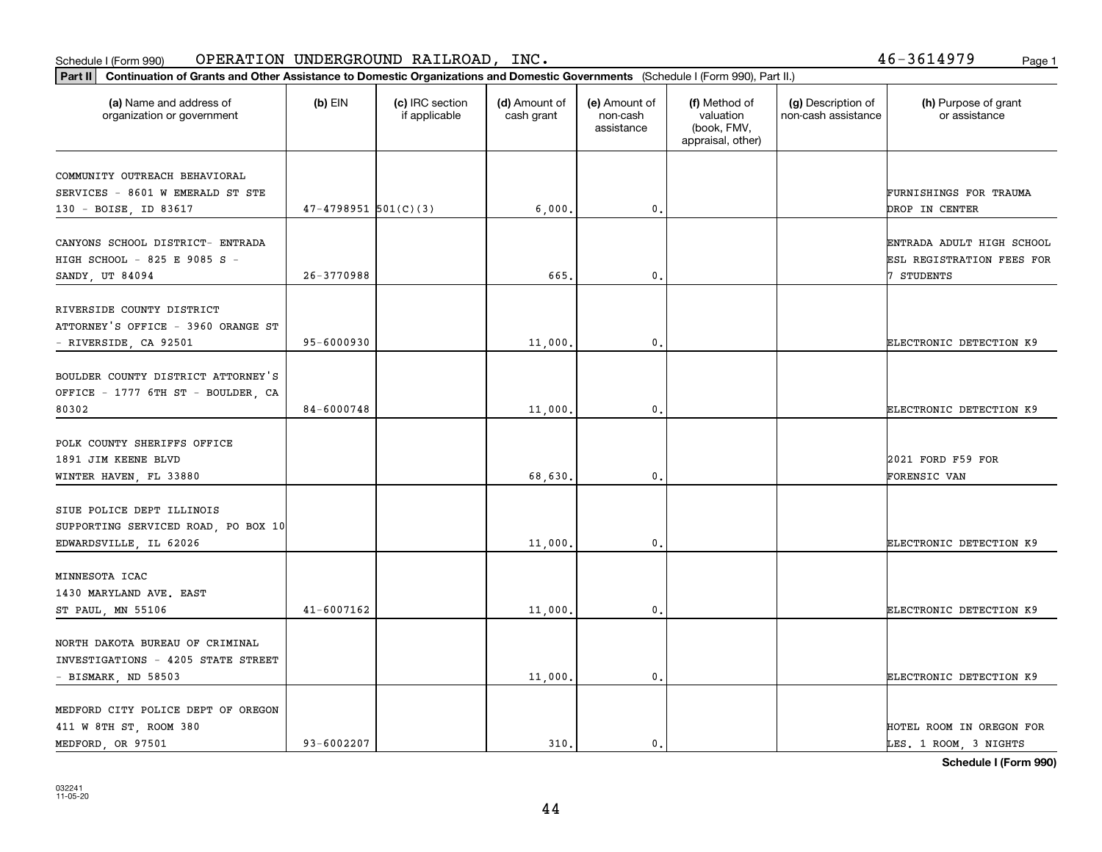### Schedule I (Form 990) OPERATION UNDERGROUND RAILROAD, INC • Page 1

| (a) Name and address of<br>organization or government                                                        | $(b)$ EIN                | (c) IRC section<br>if applicable | (d) Amount of<br>cash grant | (e) Amount of<br>non-cash<br>assistance | (f) Method of<br>valuation<br>(book, FMV,<br>appraisal, other) | (g) Description of<br>non-cash assistance | (h) Purpose of grant<br>or assistance                                |
|--------------------------------------------------------------------------------------------------------------|--------------------------|----------------------------------|-----------------------------|-----------------------------------------|----------------------------------------------------------------|-------------------------------------------|----------------------------------------------------------------------|
| COMMUNITY OUTREACH BEHAVIORAL<br>SERVICES - 8601 W EMERALD ST STE                                            | $47 - 4798951$ 501(C)(3) |                                  |                             | 0.                                      |                                                                |                                           | FURNISHINGS FOR TRAUMA<br><b>DROP IN CENTER</b>                      |
| 130 - BOISE, ID 83617<br>CANYONS SCHOOL DISTRICT- ENTRADA<br>HIGH SCHOOL - 825 E 9085 S -<br>SANDY, UT 84094 | 26-3770988               |                                  | 6,000,<br>665.              | $\mathbf{0}$                            |                                                                |                                           | ENTRADA ADULT HIGH SCHOOL<br>ESL REGISTRATION FEES FOR<br>7 STUDENTS |
| RIVERSIDE COUNTY DISTRICT<br>ATTORNEY'S OFFICE - 3960 ORANGE ST<br>- RIVERSIDE, CA 92501                     | 95-6000930               |                                  | 11,000.                     | $\mathfrak{o}$ .                        |                                                                |                                           | ELECTRONIC DETECTION K9                                              |
| BOULDER COUNTY DISTRICT ATTORNEY'S<br>OFFICE - 1777 6TH ST - BOULDER, CA<br>80302                            | 84-6000748               |                                  | 11,000                      | 0.                                      |                                                                |                                           | ELECTRONIC DETECTION K9                                              |
| POLK COUNTY SHERIFFS OFFICE<br>1891 JIM KEENE BLVD<br>WINTER HAVEN, FL 33880                                 |                          |                                  | 68,630                      | $\mathbf 0$ .                           |                                                                |                                           | 2021 FORD F59 FOR<br>FORENSIC VAN                                    |
| SIUE POLICE DEPT ILLINOIS<br>SUPPORTING SERVICED ROAD, PO BOX 10<br>EDWARDSVILLE, IL 62026                   |                          |                                  | 11,000.                     | $\mathbf{0}$                            |                                                                |                                           | ELECTRONIC DETECTION K9                                              |
| MINNESOTA ICAC<br>1430 MARYLAND AVE. EAST<br>ST PAUL, MN 55106                                               | $41 - 6007162$           |                                  | 11,000                      | 0.                                      |                                                                |                                           | ELECTRONIC DETECTION K9                                              |
| NORTH DAKOTA BUREAU OF CRIMINAL<br>INVESTIGATIONS - 4205 STATE STREET<br>- BISMARK, ND 58503                 |                          |                                  | 11,000                      | $\mathbf{0}$                            |                                                                |                                           | ELECTRONIC DETECTION K9                                              |
| MEDFORD CITY POLICE DEPT OF OREGON<br>411 W 8TH ST, ROOM 380<br>MEDFORD, OR 97501                            | 93-6002207               |                                  | 310.                        | $\mathbf{0}$ .                          |                                                                |                                           | HOTEL ROOM IN OREGON FOR<br>LES. 1 ROOM, 3 NIGHTS                    |

**Schedule I (Form 990)**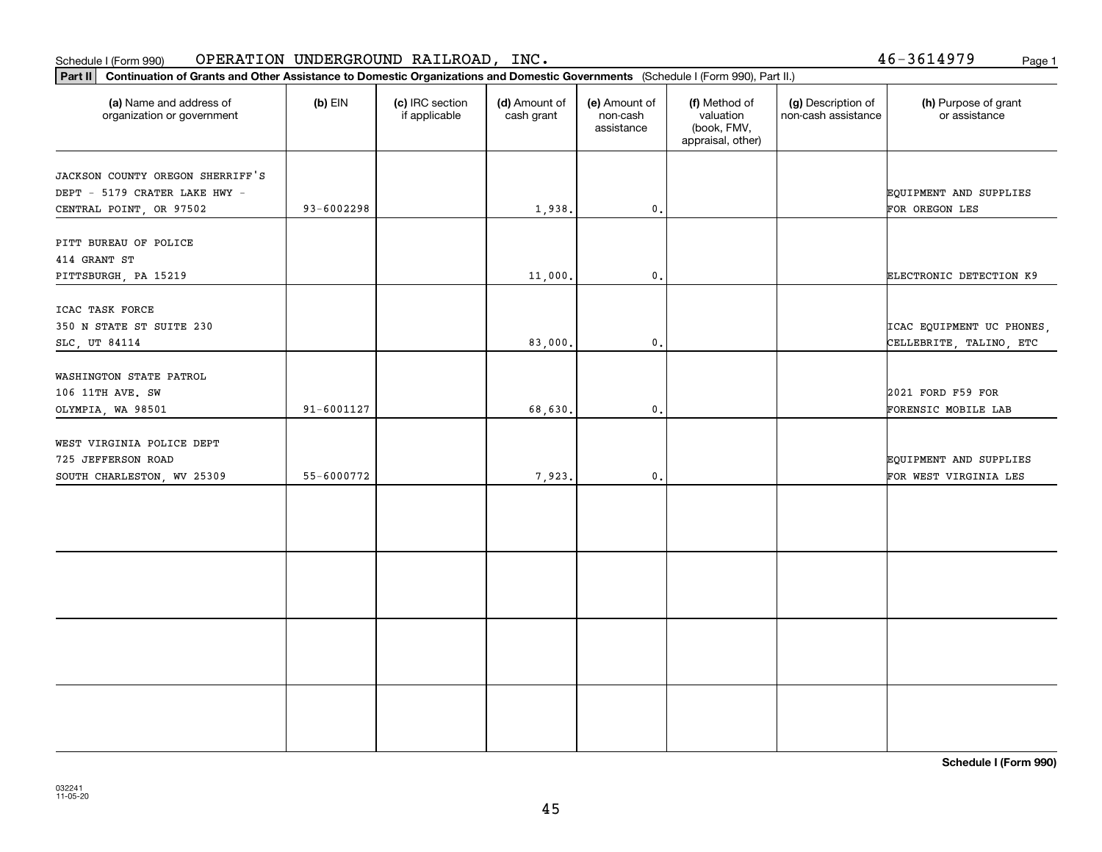### **Part II Continuation of Grants and Other Assistance to Domestic Organization**<br>**Part II** Continuation of Grants and Other Assistance to Domestic Organization Schedule I (Form 990) OPERATION UNDERGROUND RAILROAD, INC • Page 1

46-3614979

| Continuation of Grants and Other Assistance to Domestic Organizations and Domestic Governments (Schedule I (Form 990), Part II.)<br>Part II |            |                                  |                             |                                         |                                                                |                                           |                                                      |  |  |  |  |  |
|---------------------------------------------------------------------------------------------------------------------------------------------|------------|----------------------------------|-----------------------------|-----------------------------------------|----------------------------------------------------------------|-------------------------------------------|------------------------------------------------------|--|--|--|--|--|
| (a) Name and address of<br>organization or government                                                                                       | $(b)$ EIN  | (c) IRC section<br>if applicable | (d) Amount of<br>cash grant | (e) Amount of<br>non-cash<br>assistance | (f) Method of<br>valuation<br>(book, FMV,<br>appraisal, other) | (g) Description of<br>non-cash assistance | (h) Purpose of grant<br>or assistance                |  |  |  |  |  |
| JACKSON COUNTY OREGON SHERRIFF'S<br>DEPT - 5179 CRATER LAKE HWY -<br>CENTRAL POINT, OR 97502                                                | 93-6002298 |                                  | 1,938.                      | $\mathbf 0$ .                           |                                                                |                                           | <b>EQUIPMENT AND SUPPLIES</b><br>FOR OREGON LES      |  |  |  |  |  |
| PITT BUREAU OF POLICE<br>414 GRANT ST<br>PITTSBURGH, PA 15219                                                                               |            |                                  | 11,000.                     | $\mathbf{0}$ .                          |                                                                |                                           | ELECTRONIC DETECTION K9                              |  |  |  |  |  |
| ICAC TASK FORCE<br>350 N STATE ST SUITE 230<br>SLC, UT 84114                                                                                |            |                                  | 83,000                      | 0.                                      |                                                                |                                           | ICAC EQUIPMENT UC PHONES,<br>CELLEBRITE, TALINO, ETC |  |  |  |  |  |
| WASHINGTON STATE PATROL<br>106 11TH AVE. SW<br>OLYMPIA, WA 98501                                                                            | 91-6001127 |                                  | 68,630.                     | $\mathfrak o$ .                         |                                                                |                                           | 2021 FORD F59 FOR<br>FORENSIC MOBILE LAB             |  |  |  |  |  |
| WEST VIRGINIA POLICE DEPT<br>725 JEFFERSON ROAD<br>SOUTH CHARLESTON, WV 25309                                                               | 55-6000772 |                                  | 7,923.                      | $\mathsf{0}$ .                          |                                                                |                                           | EQUIPMENT AND SUPPLIES<br>FOR WEST VIRGINIA LES      |  |  |  |  |  |
|                                                                                                                                             |            |                                  |                             |                                         |                                                                |                                           |                                                      |  |  |  |  |  |
|                                                                                                                                             |            |                                  |                             |                                         |                                                                |                                           |                                                      |  |  |  |  |  |
|                                                                                                                                             |            |                                  |                             |                                         |                                                                |                                           |                                                      |  |  |  |  |  |
|                                                                                                                                             |            |                                  |                             |                                         |                                                                |                                           |                                                      |  |  |  |  |  |

**Schedule I (Form 990)**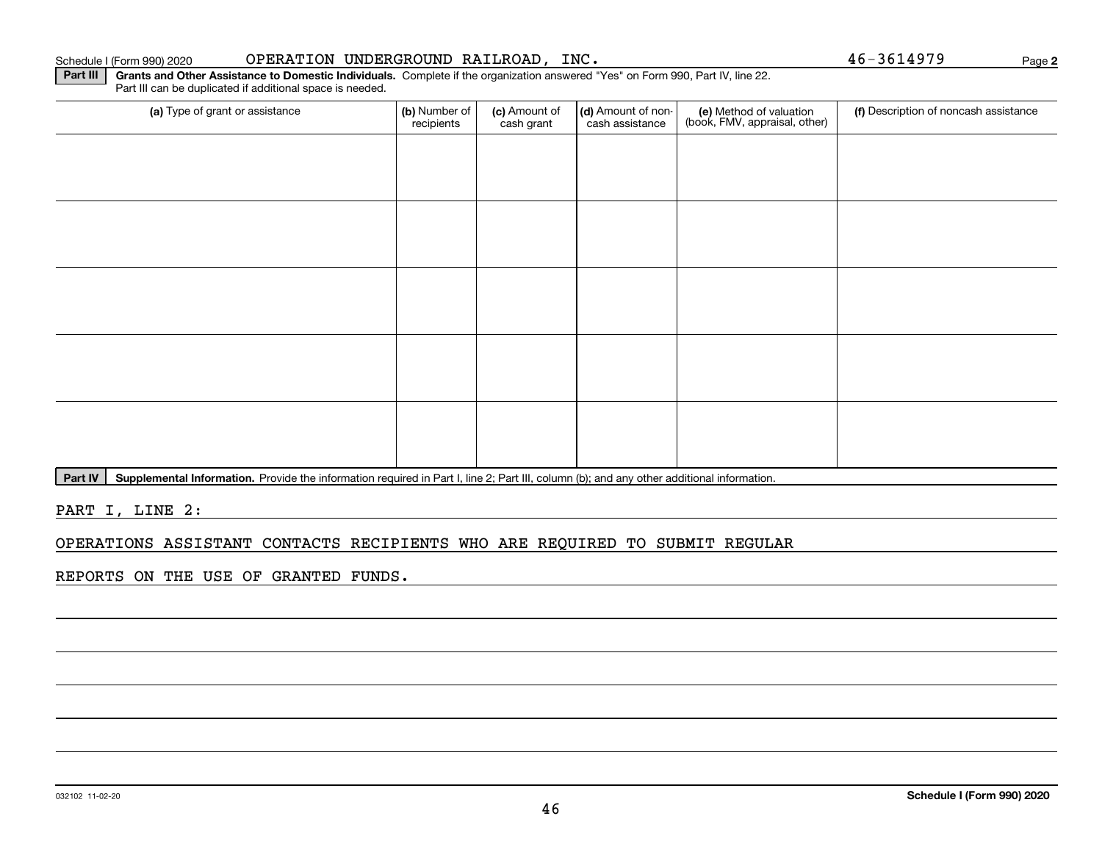### Schedule I (Form 990) 2020 Page OPERATION UNDERGROUND RAILROAD, INC. 46-3614979

**Part III | Grants and Other Assistance to Domestic Individuals. Complete if the organization answered "Yes" on Form 990, Part IV, line 22.** Part III can be duplicated if additional space is needed.

| (a) Type of grant or assistance | (b) Number of<br>recipients | (c) Amount of<br>cash grant | (d) Amount of non-<br>cash assistance | (e) Method of valuation<br>(book, FMV, appraisal, other) | (f) Description of noncash assistance |
|---------------------------------|-----------------------------|-----------------------------|---------------------------------------|----------------------------------------------------------|---------------------------------------|
|                                 |                             |                             |                                       |                                                          |                                       |
|                                 |                             |                             |                                       |                                                          |                                       |
|                                 |                             |                             |                                       |                                                          |                                       |
|                                 |                             |                             |                                       |                                                          |                                       |
|                                 |                             |                             |                                       |                                                          |                                       |
|                                 |                             |                             |                                       |                                                          |                                       |
|                                 |                             |                             |                                       |                                                          |                                       |
|                                 |                             |                             |                                       |                                                          |                                       |
|                                 |                             |                             |                                       |                                                          |                                       |
|                                 |                             |                             |                                       |                                                          |                                       |

Part IV | Supplemental Information. Provide the information required in Part I, line 2; Part III, column (b); and any other additional information.

PART I, LINE 2:

### OPERATIONS ASSISTANT CONTACTS RECIPIENTS WHO ARE REQUIRED TO SUBMIT REGULAR

REPORTS ON THE USE OF GRANTED FUNDS.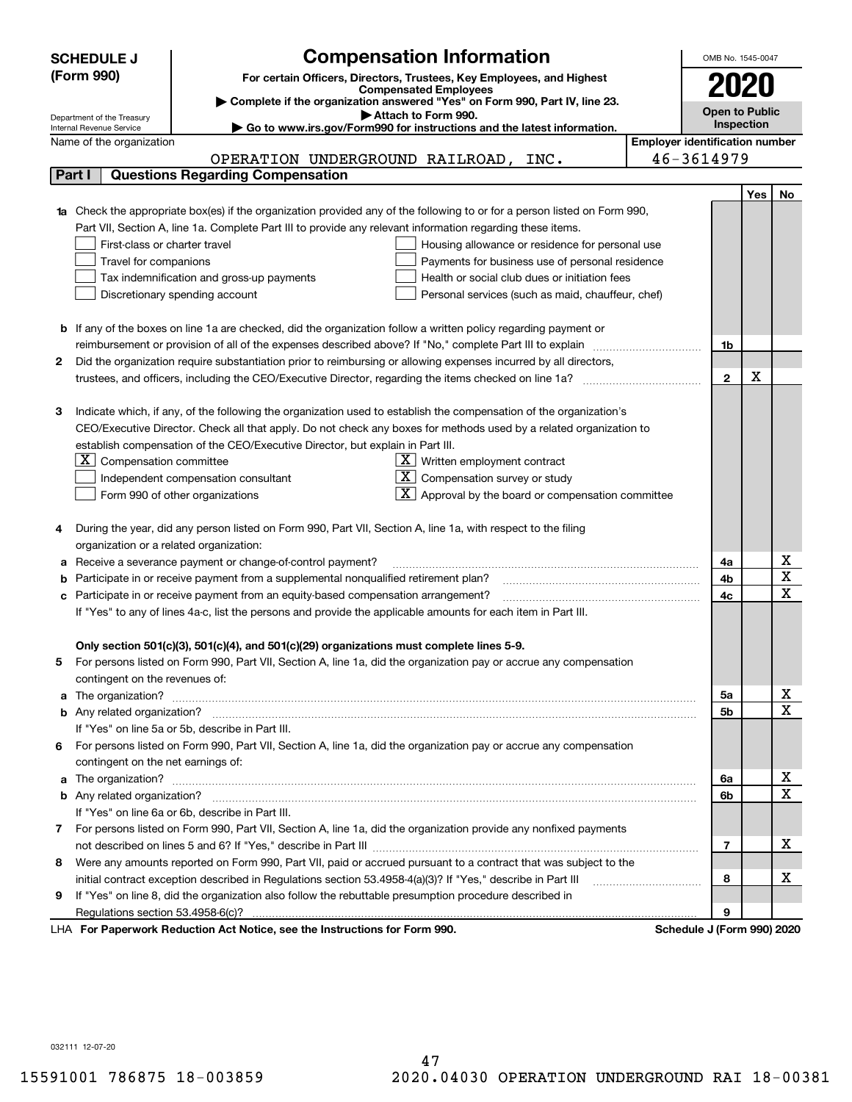|        | <b>Compensation Information</b><br><b>SCHEDULE J</b>                                                                                                                                                                                 |                                       | OMB No. 1545-0047          |     |                         |  |  |  |  |
|--------|--------------------------------------------------------------------------------------------------------------------------------------------------------------------------------------------------------------------------------------|---------------------------------------|----------------------------|-----|-------------------------|--|--|--|--|
|        | (Form 990)<br>For certain Officers, Directors, Trustees, Key Employees, and Highest                                                                                                                                                  |                                       |                            |     |                         |  |  |  |  |
|        | <b>Compensated Employees</b>                                                                                                                                                                                                         |                                       | 2020                       |     |                         |  |  |  |  |
|        | Complete if the organization answered "Yes" on Form 990, Part IV, line 23.<br>Attach to Form 990.                                                                                                                                    |                                       | <b>Open to Public</b>      |     |                         |  |  |  |  |
|        | Department of the Treasury<br>Go to www.irs.gov/Form990 for instructions and the latest information.<br>Internal Revenue Service                                                                                                     |                                       | <b>Inspection</b>          |     |                         |  |  |  |  |
|        | Name of the organization                                                                                                                                                                                                             | <b>Employer identification number</b> |                            |     |                         |  |  |  |  |
|        | OPERATION UNDERGROUND RAILROAD, INC.                                                                                                                                                                                                 |                                       | 46-3614979                 |     |                         |  |  |  |  |
| Part I | <b>Questions Regarding Compensation</b>                                                                                                                                                                                              |                                       |                            |     |                         |  |  |  |  |
|        |                                                                                                                                                                                                                                      |                                       |                            | Yes | No                      |  |  |  |  |
|        | 1a Check the appropriate box(es) if the organization provided any of the following to or for a person listed on Form 990,                                                                                                            |                                       |                            |     |                         |  |  |  |  |
|        | Part VII, Section A, line 1a. Complete Part III to provide any relevant information regarding these items.                                                                                                                           |                                       |                            |     |                         |  |  |  |  |
|        | First-class or charter travel<br>Housing allowance or residence for personal use                                                                                                                                                     |                                       |                            |     |                         |  |  |  |  |
|        | Travel for companions<br>Payments for business use of personal residence                                                                                                                                                             |                                       |                            |     |                         |  |  |  |  |
|        | Tax indemnification and gross-up payments<br>Health or social club dues or initiation fees                                                                                                                                           |                                       |                            |     |                         |  |  |  |  |
|        | Discretionary spending account<br>Personal services (such as maid, chauffeur, chef)                                                                                                                                                  |                                       |                            |     |                         |  |  |  |  |
|        |                                                                                                                                                                                                                                      |                                       |                            |     |                         |  |  |  |  |
|        | <b>b</b> If any of the boxes on line 1a are checked, did the organization follow a written policy regarding payment or                                                                                                               |                                       |                            |     |                         |  |  |  |  |
|        | reimbursement or provision of all of the expenses described above? If "No," complete Part III to explain                                                                                                                             |                                       | 1b                         |     |                         |  |  |  |  |
| 2      | Did the organization require substantiation prior to reimbursing or allowing expenses incurred by all directors,                                                                                                                     |                                       |                            |     |                         |  |  |  |  |
|        | trustees, and officers, including the CEO/Executive Director, regarding the items checked on line 1a?                                                                                                                                |                                       | $\mathbf{2}$               | х   |                         |  |  |  |  |
|        |                                                                                                                                                                                                                                      |                                       |                            |     |                         |  |  |  |  |
| з      | Indicate which, if any, of the following the organization used to establish the compensation of the organization's                                                                                                                   |                                       |                            |     |                         |  |  |  |  |
|        | CEO/Executive Director. Check all that apply. Do not check any boxes for methods used by a related organization to                                                                                                                   |                                       |                            |     |                         |  |  |  |  |
|        | establish compensation of the CEO/Executive Director, but explain in Part III.                                                                                                                                                       |                                       |                            |     |                         |  |  |  |  |
|        | $X$ Compensation committee<br>$X$ Written employment contract                                                                                                                                                                        |                                       |                            |     |                         |  |  |  |  |
|        | $X$ Compensation survey or study<br>Independent compensation consultant                                                                                                                                                              |                                       |                            |     |                         |  |  |  |  |
|        | $\lfloor \underline{X} \rfloor$ Approval by the board or compensation committee<br>Form 990 of other organizations                                                                                                                   |                                       |                            |     |                         |  |  |  |  |
|        |                                                                                                                                                                                                                                      |                                       |                            |     |                         |  |  |  |  |
|        | During the year, did any person listed on Form 990, Part VII, Section A, line 1a, with respect to the filing                                                                                                                         |                                       |                            |     |                         |  |  |  |  |
|        | organization or a related organization:                                                                                                                                                                                              |                                       |                            |     |                         |  |  |  |  |
| а      | Receive a severance payment or change-of-control payment?                                                                                                                                                                            |                                       | 4a                         |     | х                       |  |  |  |  |
| b      | Participate in or receive payment from a supplemental nonqualified retirement plan?                                                                                                                                                  |                                       | 4b                         |     | $\overline{\texttt{x}}$ |  |  |  |  |
| с      | Participate in or receive payment from an equity-based compensation arrangement?                                                                                                                                                     |                                       | 4c                         |     | $\overline{\text{x}}$   |  |  |  |  |
|        | If "Yes" to any of lines 4a-c, list the persons and provide the applicable amounts for each item in Part III.                                                                                                                        |                                       |                            |     |                         |  |  |  |  |
|        |                                                                                                                                                                                                                                      |                                       |                            |     |                         |  |  |  |  |
|        | Only section 501(c)(3), 501(c)(4), and 501(c)(29) organizations must complete lines 5-9.                                                                                                                                             |                                       |                            |     |                         |  |  |  |  |
|        | For persons listed on Form 990, Part VII, Section A, line 1a, did the organization pay or accrue any compensation                                                                                                                    |                                       |                            |     |                         |  |  |  |  |
|        | contingent on the revenues of:                                                                                                                                                                                                       |                                       |                            |     |                         |  |  |  |  |
|        | a The organization? <b>Entitled Strategies and Strategies and Strategies and Strategies and Strategies and Strategies and Strategies and Strategies and Strategies and Strategies and Strategies and Strategies and Strategies a</b> |                                       | 5а                         |     | x                       |  |  |  |  |
|        |                                                                                                                                                                                                                                      |                                       | <b>5b</b>                  |     | $\overline{\text{x}}$   |  |  |  |  |
|        | If "Yes" on line 5a or 5b, describe in Part III.                                                                                                                                                                                     |                                       |                            |     |                         |  |  |  |  |
| 6.     | For persons listed on Form 990, Part VII, Section A, line 1a, did the organization pay or accrue any compensation                                                                                                                    |                                       |                            |     |                         |  |  |  |  |
|        | contingent on the net earnings of:                                                                                                                                                                                                   |                                       |                            |     |                         |  |  |  |  |
|        | a The organization? <b>Entitled Strategies and Strategies and Strategies and Strategies and Strategies and Strategies and Strategies and Strategies and Strategies and Strategies and Strategies and Strategies and Strategies a</b> |                                       | 6а                         |     | x                       |  |  |  |  |
|        |                                                                                                                                                                                                                                      |                                       | 6b                         |     | $\overline{\text{x}}$   |  |  |  |  |
|        | If "Yes" on line 6a or 6b, describe in Part III.                                                                                                                                                                                     |                                       |                            |     |                         |  |  |  |  |
|        | 7 For persons listed on Form 990, Part VII, Section A, line 1a, did the organization provide any nonfixed payments                                                                                                                   |                                       |                            |     |                         |  |  |  |  |
|        |                                                                                                                                                                                                                                      |                                       | 7                          |     | х                       |  |  |  |  |
| 8      | Were any amounts reported on Form 990, Part VII, paid or accrued pursuant to a contract that was subject to the                                                                                                                      |                                       |                            |     |                         |  |  |  |  |
|        | initial contract exception described in Regulations section 53.4958-4(a)(3)? If "Yes," describe in Part III                                                                                                                          |                                       |                            |     |                         |  |  |  |  |
| 9      | If "Yes" on line 8, did the organization also follow the rebuttable presumption procedure described in                                                                                                                               |                                       | 8                          |     | x                       |  |  |  |  |
|        | Regulations section 53.4958-6(c)?                                                                                                                                                                                                    |                                       | 9                          |     |                         |  |  |  |  |
|        | LHA For Paperwork Reduction Act Notice, see the Instructions for Form 990.                                                                                                                                                           |                                       | Schedule J (Form 990) 2020 |     |                         |  |  |  |  |

032111 12-07-20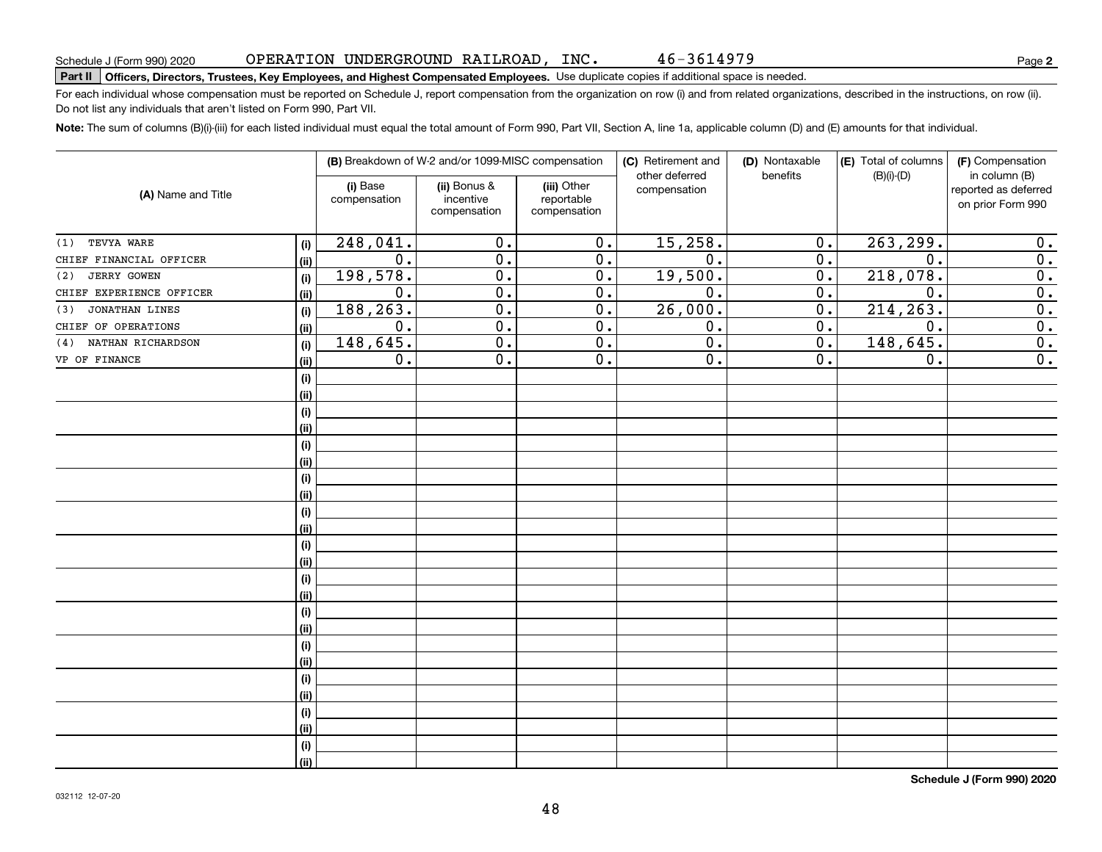46-3614979

# **Part II Officers, Directors, Trustees, Key Employees, and Highest Compensated Employees.**  Schedule J (Form 990) 2020 Page Use duplicate copies if additional space is needed.

For each individual whose compensation must be reported on Schedule J, report compensation from the organization on row (i) and from related organizations, described in the instructions, on row (ii). Do not list any individuals that aren't listed on Form 990, Part VII.

**Note:**  The sum of columns (B)(i)-(iii) for each listed individual must equal the total amount of Form 990, Part VII, Section A, line 1a, applicable column (D) and (E) amounts for that individual.

| (B) Breakdown of W-2 and/or 1099-MISC compensation<br>(C) Retirement and<br>(D) Nontaxable<br>(E) Total of columns<br>(F) Compensation<br>benefits<br>$(B)(i)-(D)$<br>in column (B)<br>other deferred<br>(ii) Bonus &<br>(i) Base<br>(iii) Other<br>compensation<br>reported as deferred<br>(A) Name and Title<br>compensation<br>incentive<br>reportable<br>on prior Form 990<br>compensation<br>compensation<br>248,041.<br>15,258.<br>263, 299.<br>$\overline{0}$ .<br>$\overline{0}$ .<br>0.<br>0.<br>TEVYA WARE<br>(1)<br>(i)<br>$\overline{0}$ .<br>$\overline{0}$ .<br>$\overline{0}$ .<br>$\overline{0}$ .<br>$\overline{0}$ .<br>$\overline{0}$ .<br>$\overline{0}$ .<br>CHIEF FINANCIAL OFFICER<br>(ii)<br>198,578.<br>19,500.<br>218,078.<br>$\overline{0}$ .<br>$\overline{0}$ .<br>$\overline{0}$ .<br>$\overline{0}$ .<br><b>JERRY GOWEN</b><br>(2)<br>(i)<br>$\overline{0}$ .<br>$\overline{0}$ .<br>$\overline{0}$ .<br>$\overline{0}$ .<br>$\overline{0}$ .<br>$\overline{0}$ .<br>$\overline{0}$ .<br>CHIEF EXPERIENCE OFFICER<br>(ii)<br>188, 263.<br>26,000.<br>$\overline{0}$ .<br>$\overline{0}$ .<br>$\overline{0}$ .<br>214,263.<br>$\overline{0}$ .<br><b>JONATHAN LINES</b><br>(3)<br>(i)<br>$\overline{0}$ .<br>$\overline{0}$ .<br>$\overline{0}$ .<br>$\overline{0}$ .<br>$\overline{0}$ .<br>$\overline{0}$ .<br>0.<br>CHIEF OF OPERATIONS<br>(ii)<br>148,645.<br>148,645.<br>$\overline{0}$ .<br>$\overline{0}$ .<br>$\overline{0}$ .<br>$\overline{0}$ .<br>$\overline{0}$ .<br>NATHAN RICHARDSON<br>(4)<br>(i)<br>$\overline{0}$ .<br>$\overline{0}$ .<br>$\overline{0}$ .<br>$\overline{0}$ .<br>$\overline{0}$ .<br>0.<br>VP OF FINANCE<br>(ii)<br>(i)<br>(ii)<br>(i)<br>(ii)<br>(i)<br>(ii)<br>(i)<br>(ii)<br>(i)<br>(ii)<br>(i)<br>(ii)<br>(i)<br>(ii)<br>(i)<br>(ii)<br>(i)<br>(ii)<br>(i)<br>(ii)<br>(i)<br>(ii)<br>(i)<br>(ii) |  |  |  |  |  |                  |
|------------------------------------------------------------------------------------------------------------------------------------------------------------------------------------------------------------------------------------------------------------------------------------------------------------------------------------------------------------------------------------------------------------------------------------------------------------------------------------------------------------------------------------------------------------------------------------------------------------------------------------------------------------------------------------------------------------------------------------------------------------------------------------------------------------------------------------------------------------------------------------------------------------------------------------------------------------------------------------------------------------------------------------------------------------------------------------------------------------------------------------------------------------------------------------------------------------------------------------------------------------------------------------------------------------------------------------------------------------------------------------------------------------------------------------------------------------------------------------------------------------------------------------------------------------------------------------------------------------------------------------------------------------------------------------------------------------------------------------------------------------------------------------------------------------------------------------------------------------------------|--|--|--|--|--|------------------|
|                                                                                                                                                                                                                                                                                                                                                                                                                                                                                                                                                                                                                                                                                                                                                                                                                                                                                                                                                                                                                                                                                                                                                                                                                                                                                                                                                                                                                                                                                                                                                                                                                                                                                                                                                                                                                                                                        |  |  |  |  |  |                  |
|                                                                                                                                                                                                                                                                                                                                                                                                                                                                                                                                                                                                                                                                                                                                                                                                                                                                                                                                                                                                                                                                                                                                                                                                                                                                                                                                                                                                                                                                                                                                                                                                                                                                                                                                                                                                                                                                        |  |  |  |  |  |                  |
|                                                                                                                                                                                                                                                                                                                                                                                                                                                                                                                                                                                                                                                                                                                                                                                                                                                                                                                                                                                                                                                                                                                                                                                                                                                                                                                                                                                                                                                                                                                                                                                                                                                                                                                                                                                                                                                                        |  |  |  |  |  |                  |
|                                                                                                                                                                                                                                                                                                                                                                                                                                                                                                                                                                                                                                                                                                                                                                                                                                                                                                                                                                                                                                                                                                                                                                                                                                                                                                                                                                                                                                                                                                                                                                                                                                                                                                                                                                                                                                                                        |  |  |  |  |  |                  |
|                                                                                                                                                                                                                                                                                                                                                                                                                                                                                                                                                                                                                                                                                                                                                                                                                                                                                                                                                                                                                                                                                                                                                                                                                                                                                                                                                                                                                                                                                                                                                                                                                                                                                                                                                                                                                                                                        |  |  |  |  |  |                  |
|                                                                                                                                                                                                                                                                                                                                                                                                                                                                                                                                                                                                                                                                                                                                                                                                                                                                                                                                                                                                                                                                                                                                                                                                                                                                                                                                                                                                                                                                                                                                                                                                                                                                                                                                                                                                                                                                        |  |  |  |  |  |                  |
|                                                                                                                                                                                                                                                                                                                                                                                                                                                                                                                                                                                                                                                                                                                                                                                                                                                                                                                                                                                                                                                                                                                                                                                                                                                                                                                                                                                                                                                                                                                                                                                                                                                                                                                                                                                                                                                                        |  |  |  |  |  |                  |
|                                                                                                                                                                                                                                                                                                                                                                                                                                                                                                                                                                                                                                                                                                                                                                                                                                                                                                                                                                                                                                                                                                                                                                                                                                                                                                                                                                                                                                                                                                                                                                                                                                                                                                                                                                                                                                                                        |  |  |  |  |  |                  |
|                                                                                                                                                                                                                                                                                                                                                                                                                                                                                                                                                                                                                                                                                                                                                                                                                                                                                                                                                                                                                                                                                                                                                                                                                                                                                                                                                                                                                                                                                                                                                                                                                                                                                                                                                                                                                                                                        |  |  |  |  |  |                  |
|                                                                                                                                                                                                                                                                                                                                                                                                                                                                                                                                                                                                                                                                                                                                                                                                                                                                                                                                                                                                                                                                                                                                                                                                                                                                                                                                                                                                                                                                                                                                                                                                                                                                                                                                                                                                                                                                        |  |  |  |  |  | $\overline{0}$ . |
|                                                                                                                                                                                                                                                                                                                                                                                                                                                                                                                                                                                                                                                                                                                                                                                                                                                                                                                                                                                                                                                                                                                                                                                                                                                                                                                                                                                                                                                                                                                                                                                                                                                                                                                                                                                                                                                                        |  |  |  |  |  |                  |
|                                                                                                                                                                                                                                                                                                                                                                                                                                                                                                                                                                                                                                                                                                                                                                                                                                                                                                                                                                                                                                                                                                                                                                                                                                                                                                                                                                                                                                                                                                                                                                                                                                                                                                                                                                                                                                                                        |  |  |  |  |  |                  |
|                                                                                                                                                                                                                                                                                                                                                                                                                                                                                                                                                                                                                                                                                                                                                                                                                                                                                                                                                                                                                                                                                                                                                                                                                                                                                                                                                                                                                                                                                                                                                                                                                                                                                                                                                                                                                                                                        |  |  |  |  |  |                  |
|                                                                                                                                                                                                                                                                                                                                                                                                                                                                                                                                                                                                                                                                                                                                                                                                                                                                                                                                                                                                                                                                                                                                                                                                                                                                                                                                                                                                                                                                                                                                                                                                                                                                                                                                                                                                                                                                        |  |  |  |  |  |                  |
|                                                                                                                                                                                                                                                                                                                                                                                                                                                                                                                                                                                                                                                                                                                                                                                                                                                                                                                                                                                                                                                                                                                                                                                                                                                                                                                                                                                                                                                                                                                                                                                                                                                                                                                                                                                                                                                                        |  |  |  |  |  |                  |
|                                                                                                                                                                                                                                                                                                                                                                                                                                                                                                                                                                                                                                                                                                                                                                                                                                                                                                                                                                                                                                                                                                                                                                                                                                                                                                                                                                                                                                                                                                                                                                                                                                                                                                                                                                                                                                                                        |  |  |  |  |  |                  |
|                                                                                                                                                                                                                                                                                                                                                                                                                                                                                                                                                                                                                                                                                                                                                                                                                                                                                                                                                                                                                                                                                                                                                                                                                                                                                                                                                                                                                                                                                                                                                                                                                                                                                                                                                                                                                                                                        |  |  |  |  |  |                  |
|                                                                                                                                                                                                                                                                                                                                                                                                                                                                                                                                                                                                                                                                                                                                                                                                                                                                                                                                                                                                                                                                                                                                                                                                                                                                                                                                                                                                                                                                                                                                                                                                                                                                                                                                                                                                                                                                        |  |  |  |  |  |                  |
|                                                                                                                                                                                                                                                                                                                                                                                                                                                                                                                                                                                                                                                                                                                                                                                                                                                                                                                                                                                                                                                                                                                                                                                                                                                                                                                                                                                                                                                                                                                                                                                                                                                                                                                                                                                                                                                                        |  |  |  |  |  |                  |
|                                                                                                                                                                                                                                                                                                                                                                                                                                                                                                                                                                                                                                                                                                                                                                                                                                                                                                                                                                                                                                                                                                                                                                                                                                                                                                                                                                                                                                                                                                                                                                                                                                                                                                                                                                                                                                                                        |  |  |  |  |  |                  |
|                                                                                                                                                                                                                                                                                                                                                                                                                                                                                                                                                                                                                                                                                                                                                                                                                                                                                                                                                                                                                                                                                                                                                                                                                                                                                                                                                                                                                                                                                                                                                                                                                                                                                                                                                                                                                                                                        |  |  |  |  |  |                  |
|                                                                                                                                                                                                                                                                                                                                                                                                                                                                                                                                                                                                                                                                                                                                                                                                                                                                                                                                                                                                                                                                                                                                                                                                                                                                                                                                                                                                                                                                                                                                                                                                                                                                                                                                                                                                                                                                        |  |  |  |  |  |                  |
|                                                                                                                                                                                                                                                                                                                                                                                                                                                                                                                                                                                                                                                                                                                                                                                                                                                                                                                                                                                                                                                                                                                                                                                                                                                                                                                                                                                                                                                                                                                                                                                                                                                                                                                                                                                                                                                                        |  |  |  |  |  |                  |
|                                                                                                                                                                                                                                                                                                                                                                                                                                                                                                                                                                                                                                                                                                                                                                                                                                                                                                                                                                                                                                                                                                                                                                                                                                                                                                                                                                                                                                                                                                                                                                                                                                                                                                                                                                                                                                                                        |  |  |  |  |  |                  |
|                                                                                                                                                                                                                                                                                                                                                                                                                                                                                                                                                                                                                                                                                                                                                                                                                                                                                                                                                                                                                                                                                                                                                                                                                                                                                                                                                                                                                                                                                                                                                                                                                                                                                                                                                                                                                                                                        |  |  |  |  |  |                  |
|                                                                                                                                                                                                                                                                                                                                                                                                                                                                                                                                                                                                                                                                                                                                                                                                                                                                                                                                                                                                                                                                                                                                                                                                                                                                                                                                                                                                                                                                                                                                                                                                                                                                                                                                                                                                                                                                        |  |  |  |  |  |                  |
|                                                                                                                                                                                                                                                                                                                                                                                                                                                                                                                                                                                                                                                                                                                                                                                                                                                                                                                                                                                                                                                                                                                                                                                                                                                                                                                                                                                                                                                                                                                                                                                                                                                                                                                                                                                                                                                                        |  |  |  |  |  |                  |
|                                                                                                                                                                                                                                                                                                                                                                                                                                                                                                                                                                                                                                                                                                                                                                                                                                                                                                                                                                                                                                                                                                                                                                                                                                                                                                                                                                                                                                                                                                                                                                                                                                                                                                                                                                                                                                                                        |  |  |  |  |  |                  |
|                                                                                                                                                                                                                                                                                                                                                                                                                                                                                                                                                                                                                                                                                                                                                                                                                                                                                                                                                                                                                                                                                                                                                                                                                                                                                                                                                                                                                                                                                                                                                                                                                                                                                                                                                                                                                                                                        |  |  |  |  |  |                  |
|                                                                                                                                                                                                                                                                                                                                                                                                                                                                                                                                                                                                                                                                                                                                                                                                                                                                                                                                                                                                                                                                                                                                                                                                                                                                                                                                                                                                                                                                                                                                                                                                                                                                                                                                                                                                                                                                        |  |  |  |  |  |                  |
|                                                                                                                                                                                                                                                                                                                                                                                                                                                                                                                                                                                                                                                                                                                                                                                                                                                                                                                                                                                                                                                                                                                                                                                                                                                                                                                                                                                                                                                                                                                                                                                                                                                                                                                                                                                                                                                                        |  |  |  |  |  |                  |
|                                                                                                                                                                                                                                                                                                                                                                                                                                                                                                                                                                                                                                                                                                                                                                                                                                                                                                                                                                                                                                                                                                                                                                                                                                                                                                                                                                                                                                                                                                                                                                                                                                                                                                                                                                                                                                                                        |  |  |  |  |  |                  |
|                                                                                                                                                                                                                                                                                                                                                                                                                                                                                                                                                                                                                                                                                                                                                                                                                                                                                                                                                                                                                                                                                                                                                                                                                                                                                                                                                                                                                                                                                                                                                                                                                                                                                                                                                                                                                                                                        |  |  |  |  |  |                  |
|                                                                                                                                                                                                                                                                                                                                                                                                                                                                                                                                                                                                                                                                                                                                                                                                                                                                                                                                                                                                                                                                                                                                                                                                                                                                                                                                                                                                                                                                                                                                                                                                                                                                                                                                                                                                                                                                        |  |  |  |  |  |                  |

**Schedule J (Form 990) 2020**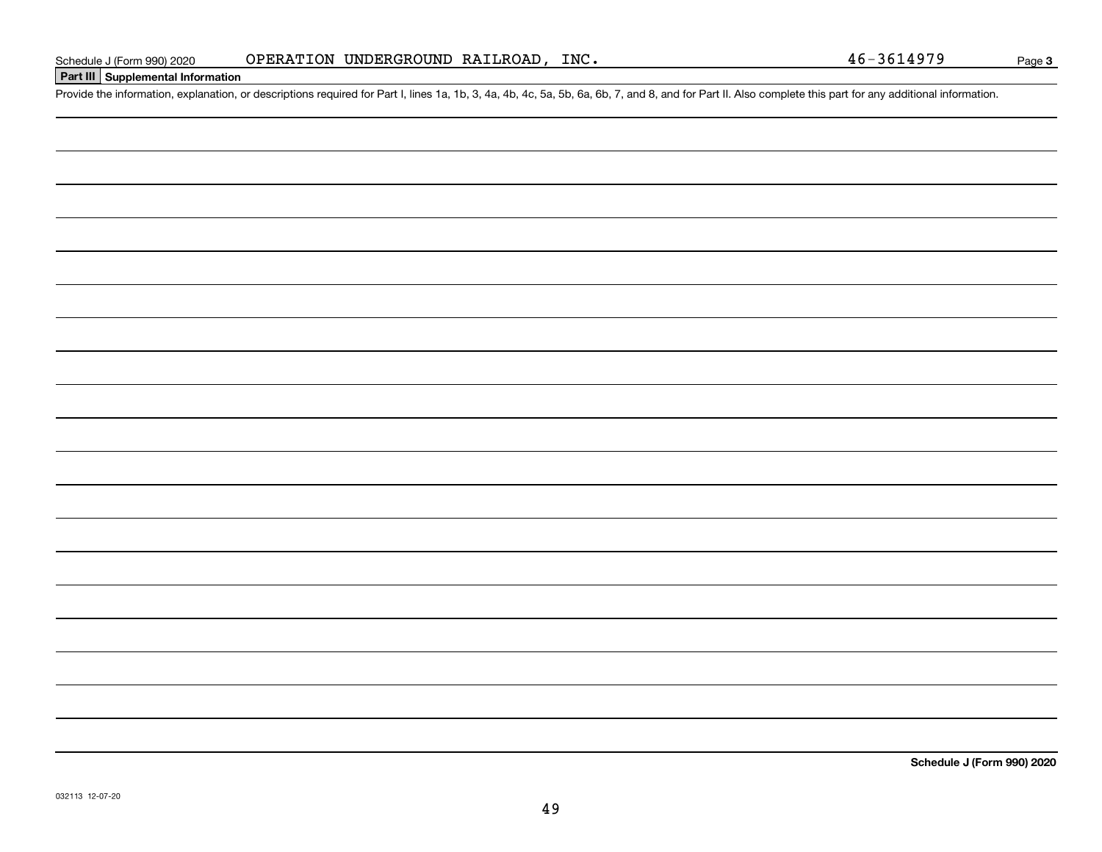## **Part III Supplemental Information**

Schedule J (Form 990) 2020 OPERATION UNDERGROUND RAILROAD, INC.<br>Part III Supplemental Information<br>Provide the information, explanation, or descriptions required for Part I, lines 1a, 1b, 3, 4a, 4b, 4c, 5a, 5b, 6a, 6b, 7, a

**Schedule J (Form 990) 2020**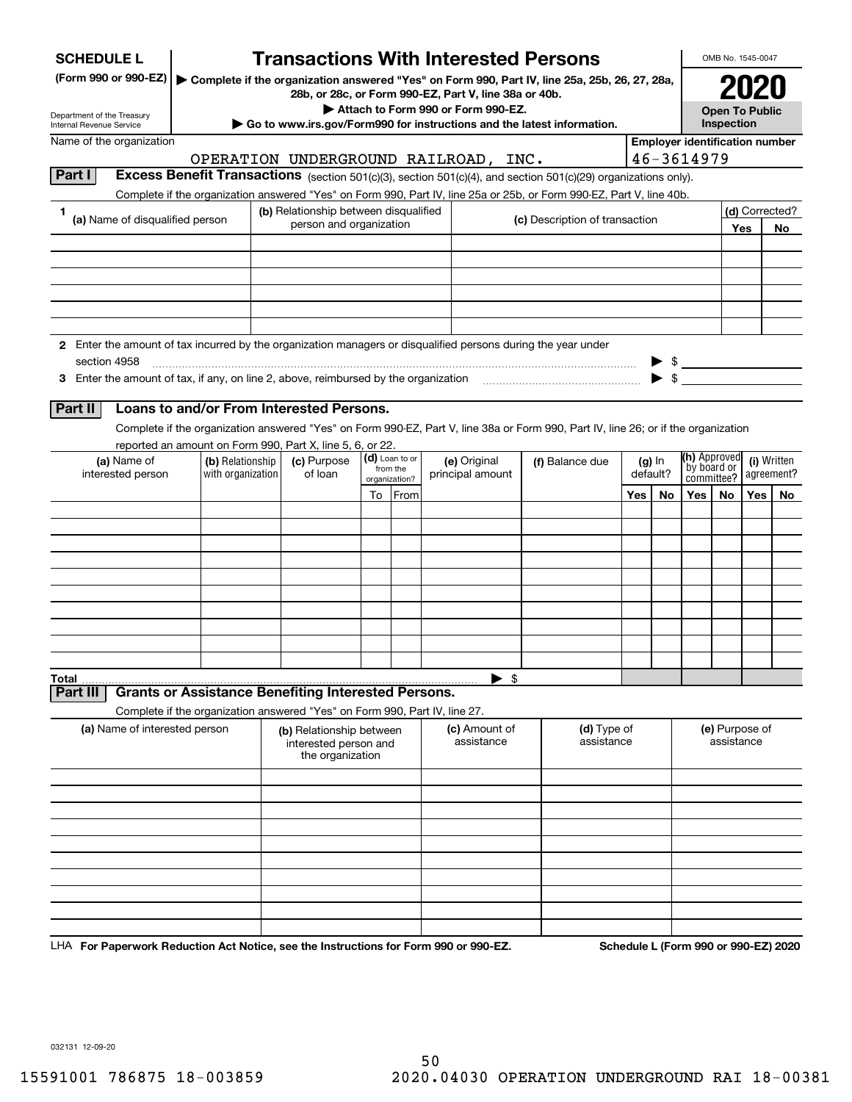| <b>SCHEDULE L</b>                                                                                                             |                                                                                                                                    | <b>Transactions With Interested Persons</b>                           |    |                           |                                    |                                                                                                 |     |          |                                                     | OMB No. 1545-0047            |      |                                      |
|-------------------------------------------------------------------------------------------------------------------------------|------------------------------------------------------------------------------------------------------------------------------------|-----------------------------------------------------------------------|----|---------------------------|------------------------------------|-------------------------------------------------------------------------------------------------|-----|----------|-----------------------------------------------------|------------------------------|------|--------------------------------------|
| (Form 990 or 990-EZ)                                                                                                          |                                                                                                                                    | 28b, or 28c, or Form 990-EZ, Part V, line 38a or 40b.                 |    |                           |                                    | ▶ Complete if the organization answered "Yes" on Form 990, Part IV, line 25a, 25b, 26, 27, 28a, |     |          |                                                     |                              | 2020 |                                      |
| Department of the Treasury                                                                                                    |                                                                                                                                    |                                                                       |    |                           | Attach to Form 990 or Form 990-EZ. |                                                                                                 |     |          |                                                     | <b>Open To Public</b>        |      |                                      |
| Internal Revenue Service<br>Name of the organization                                                                          |                                                                                                                                    |                                                                       |    |                           |                                    | Go to www.irs.gov/Form990 for instructions and the latest information.                          |     |          | Inspection<br><b>Employer identification number</b> |                              |      |                                      |
|                                                                                                                               |                                                                                                                                    | OPERATION UNDERGROUND RAILROAD, INC.                                  |    |                           |                                    |                                                                                                 |     |          | 46-3614979                                          |                              |      |                                      |
| Part I                                                                                                                        | Excess Benefit Transactions (section 501(c)(3), section 501(c)(4), and section 501(c)(29) organizations only).                     |                                                                       |    |                           |                                    |                                                                                                 |     |          |                                                     |                              |      |                                      |
|                                                                                                                               | Complete if the organization answered "Yes" on Form 990, Part IV, line 25a or 25b, or Form 990-EZ, Part V, line 40b.               |                                                                       |    |                           |                                    |                                                                                                 |     |          |                                                     |                              |      |                                      |
| 1<br>(a) Name of disqualified person                                                                                          |                                                                                                                                    | (b) Relationship between disqualified                                 |    |                           |                                    | (c) Description of transaction                                                                  |     |          |                                                     |                              |      | (d) Corrected?                       |
|                                                                                                                               |                                                                                                                                    | person and organization                                               |    |                           |                                    |                                                                                                 |     |          |                                                     |                              | Yes  | No                                   |
|                                                                                                                               |                                                                                                                                    |                                                                       |    |                           |                                    |                                                                                                 |     |          |                                                     |                              |      |                                      |
|                                                                                                                               |                                                                                                                                    |                                                                       |    |                           |                                    |                                                                                                 |     |          |                                                     |                              |      |                                      |
|                                                                                                                               |                                                                                                                                    |                                                                       |    |                           |                                    |                                                                                                 |     |          |                                                     |                              |      |                                      |
|                                                                                                                               |                                                                                                                                    |                                                                       |    |                           |                                    |                                                                                                 |     |          |                                                     |                              |      |                                      |
|                                                                                                                               |                                                                                                                                    |                                                                       |    |                           |                                    |                                                                                                 |     |          |                                                     |                              |      |                                      |
| 2 Enter the amount of tax incurred by the organization managers or disqualified persons during the year under<br>section 4958 |                                                                                                                                    |                                                                       |    |                           |                                    |                                                                                                 |     |          |                                                     |                              |      |                                      |
|                                                                                                                               |                                                                                                                                    |                                                                       |    |                           |                                    |                                                                                                 |     |          | $\blacktriangleright$ \$                            |                              |      |                                      |
|                                                                                                                               |                                                                                                                                    |                                                                       |    |                           |                                    |                                                                                                 |     |          |                                                     |                              |      |                                      |
| Part II                                                                                                                       | Loans to and/or From Interested Persons.                                                                                           |                                                                       |    |                           |                                    |                                                                                                 |     |          |                                                     |                              |      |                                      |
|                                                                                                                               | Complete if the organization answered "Yes" on Form 990-EZ, Part V, line 38a or Form 990, Part IV, line 26; or if the organization |                                                                       |    |                           |                                    |                                                                                                 |     |          |                                                     |                              |      |                                      |
| (a) Name of                                                                                                                   | reported an amount on Form 990, Part X, line 5, 6, or 22.<br>(b) Relationship                                                      | (c) Purpose                                                           |    | (d) Loan to or            | (e) Original                       | (f) Balance due                                                                                 |     | (g) In   | <b>(h)</b> Approved                                 |                              |      | (i) Written                          |
| with organization<br>interested person                                                                                        |                                                                                                                                    | of loan                                                               |    | from the<br>organization? | principal amount                   |                                                                                                 |     | default? | by board or<br>committee?                           |                              |      | agreement?                           |
|                                                                                                                               |                                                                                                                                    |                                                                       | To | From                      |                                    |                                                                                                 | Yes | No       | Yes                                                 | No                           | Yes  | No                                   |
|                                                                                                                               |                                                                                                                                    |                                                                       |    |                           |                                    |                                                                                                 |     |          |                                                     |                              |      |                                      |
|                                                                                                                               |                                                                                                                                    |                                                                       |    |                           |                                    |                                                                                                 |     |          |                                                     |                              |      |                                      |
|                                                                                                                               |                                                                                                                                    |                                                                       |    |                           |                                    |                                                                                                 |     |          |                                                     |                              |      |                                      |
|                                                                                                                               |                                                                                                                                    |                                                                       |    |                           |                                    |                                                                                                 |     |          |                                                     |                              |      |                                      |
|                                                                                                                               |                                                                                                                                    |                                                                       |    |                           |                                    |                                                                                                 |     |          |                                                     |                              |      |                                      |
|                                                                                                                               |                                                                                                                                    |                                                                       |    |                           |                                    |                                                                                                 |     |          |                                                     |                              |      |                                      |
|                                                                                                                               |                                                                                                                                    |                                                                       |    |                           |                                    |                                                                                                 |     |          |                                                     |                              |      |                                      |
|                                                                                                                               |                                                                                                                                    |                                                                       |    |                           |                                    |                                                                                                 |     |          |                                                     |                              |      |                                      |
| Total                                                                                                                         |                                                                                                                                    |                                                                       |    |                           | \$<br>▶                            |                                                                                                 |     |          |                                                     |                              |      |                                      |
| <b>Part II</b>                                                                                                                | <b>Grants or Assistance Benefiting Interested Persons.</b>                                                                         |                                                                       |    |                           |                                    |                                                                                                 |     |          |                                                     |                              |      |                                      |
|                                                                                                                               | Complete if the organization answered "Yes" on Form 990, Part IV, line 27.                                                         |                                                                       |    |                           |                                    |                                                                                                 |     |          |                                                     |                              |      |                                      |
| (a) Name of interested person                                                                                                 |                                                                                                                                    | (b) Relationship between<br>interested person and<br>the organization |    |                           | (c) Amount of<br>assistance        | (d) Type of<br>assistance                                                                       |     |          |                                                     | (e) Purpose of<br>assistance |      |                                      |
|                                                                                                                               |                                                                                                                                    |                                                                       |    |                           |                                    |                                                                                                 |     |          |                                                     |                              |      |                                      |
|                                                                                                                               |                                                                                                                                    |                                                                       |    |                           |                                    |                                                                                                 |     |          |                                                     |                              |      |                                      |
|                                                                                                                               |                                                                                                                                    |                                                                       |    |                           |                                    |                                                                                                 |     |          |                                                     |                              |      |                                      |
|                                                                                                                               |                                                                                                                                    |                                                                       |    |                           |                                    |                                                                                                 |     |          |                                                     |                              |      |                                      |
|                                                                                                                               |                                                                                                                                    |                                                                       |    |                           |                                    |                                                                                                 |     |          |                                                     |                              |      |                                      |
|                                                                                                                               |                                                                                                                                    |                                                                       |    |                           |                                    |                                                                                                 |     |          |                                                     |                              |      |                                      |
|                                                                                                                               |                                                                                                                                    |                                                                       |    |                           |                                    |                                                                                                 |     |          |                                                     |                              |      |                                      |
|                                                                                                                               |                                                                                                                                    |                                                                       |    |                           |                                    |                                                                                                 |     |          |                                                     |                              |      |                                      |
|                                                                                                                               |                                                                                                                                    |                                                                       |    |                           |                                    |                                                                                                 |     |          |                                                     |                              |      |                                      |
| LHA For Paperwork Reduction Act Notice, see the Instructions for Form 990 or 990-EZ.                                          |                                                                                                                                    |                                                                       |    |                           |                                    |                                                                                                 |     |          |                                                     |                              |      | Schedule L (Form 990 or 990-EZ) 2020 |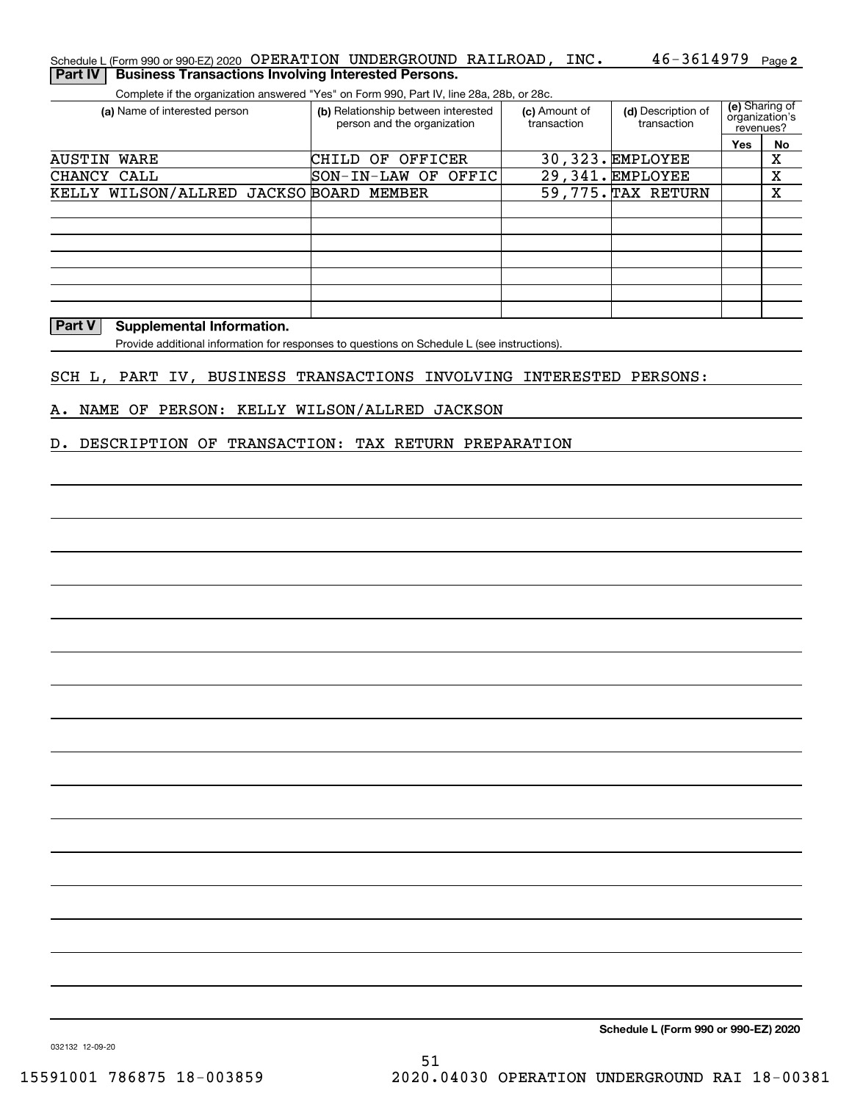### Schedule L (Form 990 or 990-EZ) 2020 OPERATION UNDERGROUND RAILROAD , INC 46-3614979 <sub>Page</sub> 2 **Part IV Business Transactions Involving Interested Persons.**

Complete if the organization answered "Yes" on Form 990, Part IV, line 28a, 28b, or 28c.

| (a) Name of interested person           | (b) Relationship between interested<br>person and the organization | (c) Amount of<br>transaction | (d) Description of<br>transaction | (e) Sharing of<br>organization's<br>revenues? |    |
|-----------------------------------------|--------------------------------------------------------------------|------------------------------|-----------------------------------|-----------------------------------------------|----|
|                                         |                                                                    |                              |                                   | Yes                                           | No |
| AUSTIN<br>WARE                          | OF<br>OFFICER<br>CHILD                                             |                              | 30,323. EMPLOYEE                  |                                               | х  |
| CHANCY CALL                             | SON-IN-LAW OF OFFIC                                                |                              | 29,341. EMPLOYEE                  |                                               | х  |
| KELLY WILSON/ALLRED JACKSO BOARD MEMBER |                                                                    |                              | 59,775. TAX RETURN                |                                               | х  |
|                                         |                                                                    |                              |                                   |                                               |    |
|                                         |                                                                    |                              |                                   |                                               |    |
|                                         |                                                                    |                              |                                   |                                               |    |
|                                         |                                                                    |                              |                                   |                                               |    |
|                                         |                                                                    |                              |                                   |                                               |    |
|                                         |                                                                    |                              |                                   |                                               |    |
|                                         |                                                                    |                              |                                   |                                               |    |

### **Part V** Supplemental Information.

Provide additional information for responses to questions on Schedule L (see instructions).

### SCH L, PART IV, BUSINESS TRANSACTIONS INVOLVING INTERESTED PERSONS:

### A. NAME OF PERSON: KELLY WILSON/ALLRED JACKSON

### D. DESCRIPTION OF TRANSACTION: TAX RETURN PREPARATION

**Schedule L (Form 990 or 990-EZ) 2020**

032132 12-09-20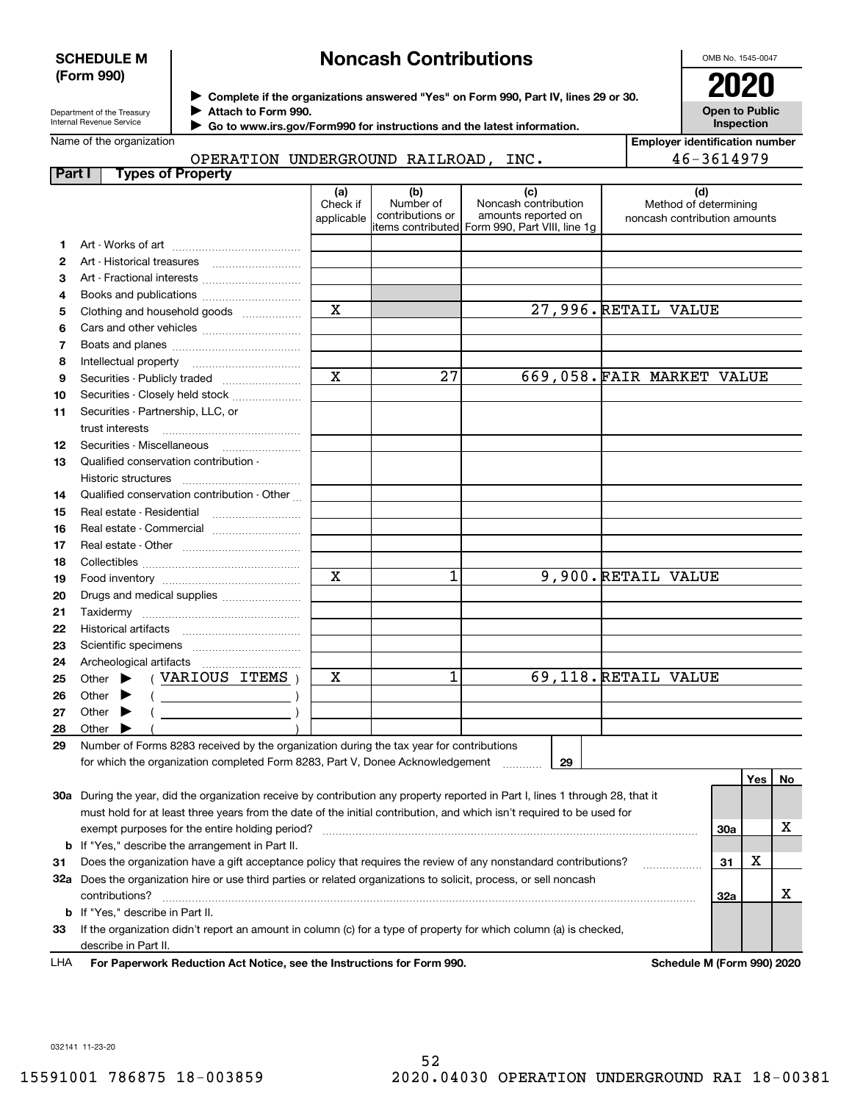### **SCHEDULE M (Form 990)**

## **Noncash Contributions**

OMB No. 1545-0047

**Open to Public Inspection**

| Department of the Treasury |
|----------------------------|
| Internal Revenue Service   |

**Complete if the organizations answered "Yes" on Form 990, Part IV, lines 29 or 30.** <sup>J</sup>**2020**

**Attach to Form 990.** J

 **Go to www.irs.gov/Form990 for instructions and the latest information.** J

Name of the organization

| חות הגרפת המוחדמת המוחדש המדיחות המוחדש |  |  |
|-----------------------------------------|--|--|

**Employer identification number** 46-3614979

|  | OPERATION UNDERGROUND RAILROAD, | INC. |
|--|---------------------------------|------|
|  |                                 |      |

| Part I |       |                             | <b>Types of Property</b>                                                                                                                                                                                                                                            |                               |                                      |                                                                                                      |                                                              |     |     |    |
|--------|-------|-----------------------------|---------------------------------------------------------------------------------------------------------------------------------------------------------------------------------------------------------------------------------------------------------------------|-------------------------------|--------------------------------------|------------------------------------------------------------------------------------------------------|--------------------------------------------------------------|-----|-----|----|
|        |       |                             |                                                                                                                                                                                                                                                                     | (a)<br>Check if<br>applicable | (b)<br>Number of<br>contributions or | (c)<br>Noncash contribution<br>amounts reported on<br>items contributed Form 990, Part VIII, line 1g | (d)<br>Method of determining<br>noncash contribution amounts |     |     |    |
| 1.     |       |                             |                                                                                                                                                                                                                                                                     |                               |                                      |                                                                                                      |                                                              |     |     |    |
| 2      |       |                             |                                                                                                                                                                                                                                                                     |                               |                                      |                                                                                                      |                                                              |     |     |    |
| З      |       |                             | Art - Fractional interests                                                                                                                                                                                                                                          |                               |                                      |                                                                                                      |                                                              |     |     |    |
| 4      |       |                             |                                                                                                                                                                                                                                                                     |                               |                                      |                                                                                                      |                                                              |     |     |    |
| 5      |       |                             | Clothing and household goods                                                                                                                                                                                                                                        | $\mathbf x$                   |                                      |                                                                                                      | 27,996. RETAIL VALUE                                         |     |     |    |
| 6      |       |                             |                                                                                                                                                                                                                                                                     |                               |                                      |                                                                                                      |                                                              |     |     |    |
| 7      |       |                             |                                                                                                                                                                                                                                                                     |                               |                                      |                                                                                                      |                                                              |     |     |    |
| 8      |       | Intellectual property       |                                                                                                                                                                                                                                                                     |                               |                                      |                                                                                                      |                                                              |     |     |    |
| 9      |       |                             | Securities - Publicly traded                                                                                                                                                                                                                                        | $\overline{\mathbf{x}}$       | $\overline{27}$                      |                                                                                                      | 669,058. FAIR MARKET VALUE                                   |     |     |    |
| 10     |       |                             | Securities - Closely held stock                                                                                                                                                                                                                                     |                               |                                      |                                                                                                      |                                                              |     |     |    |
| 11     |       | trust interests             | Securities - Partnership, LLC, or                                                                                                                                                                                                                                   |                               |                                      |                                                                                                      |                                                              |     |     |    |
| 12     |       |                             |                                                                                                                                                                                                                                                                     |                               |                                      |                                                                                                      |                                                              |     |     |    |
| 13     |       |                             | Qualified conservation contribution -                                                                                                                                                                                                                               |                               |                                      |                                                                                                      |                                                              |     |     |    |
|        |       |                             |                                                                                                                                                                                                                                                                     |                               |                                      |                                                                                                      |                                                              |     |     |    |
| 14     |       |                             | Qualified conservation contribution - Other                                                                                                                                                                                                                         |                               |                                      |                                                                                                      |                                                              |     |     |    |
| 15     |       |                             | Real estate - Residential                                                                                                                                                                                                                                           |                               |                                      |                                                                                                      |                                                              |     |     |    |
| 16     |       |                             |                                                                                                                                                                                                                                                                     |                               |                                      |                                                                                                      |                                                              |     |     |    |
| 17     |       |                             |                                                                                                                                                                                                                                                                     |                               |                                      |                                                                                                      |                                                              |     |     |    |
| 18     |       |                             |                                                                                                                                                                                                                                                                     |                               |                                      |                                                                                                      |                                                              |     |     |    |
| 19     |       |                             |                                                                                                                                                                                                                                                                     | $\mathbf x$                   | 1                                    |                                                                                                      | 9,900. RETAIL VALUE                                          |     |     |    |
| 20     |       |                             | Drugs and medical supplies                                                                                                                                                                                                                                          |                               |                                      |                                                                                                      |                                                              |     |     |    |
| 21     |       |                             |                                                                                                                                                                                                                                                                     |                               |                                      |                                                                                                      |                                                              |     |     |    |
| 22     |       |                             |                                                                                                                                                                                                                                                                     |                               |                                      |                                                                                                      |                                                              |     |     |    |
| 23     |       |                             |                                                                                                                                                                                                                                                                     |                               |                                      |                                                                                                      |                                                              |     |     |    |
| 24     |       |                             | Archeological artifacts                                                                                                                                                                                                                                             |                               |                                      |                                                                                                      |                                                              |     |     |    |
| 25     |       | Other $\blacktriangleright$ | (VARIOUS ITEMS)                                                                                                                                                                                                                                                     | х                             | 1                                    |                                                                                                      | 69,118. RETAIL VALUE                                         |     |     |    |
| 26     |       | Other $\blacktriangleright$ | $\left(\begin{array}{ccc}\n\frac{1}{2} & \frac{1}{2} & \frac{1}{2} \\ \frac{1}{2} & \frac{1}{2} & \frac{1}{2} \\ \frac{1}{2} & \frac{1}{2} & \frac{1}{2} \\ \frac{1}{2} & \frac{1}{2} & \frac{1}{2} \\ \frac{1}{2} & \frac{1}{2} & \frac{1}{2}\n\end{array}\right)$ |                               |                                      |                                                                                                      |                                                              |     |     |    |
| 27     |       | Other $\blacktriangleright$ |                                                                                                                                                                                                                                                                     |                               |                                      |                                                                                                      |                                                              |     |     |    |
| 28     | Other |                             |                                                                                                                                                                                                                                                                     |                               |                                      |                                                                                                      |                                                              |     |     |    |
| 29     |       |                             | Number of Forms 8283 received by the organization during the tax year for contributions                                                                                                                                                                             |                               |                                      |                                                                                                      |                                                              |     |     |    |
|        |       |                             | for which the organization completed Form 8283, Part V, Donee Acknowledgement                                                                                                                                                                                       |                               |                                      | 29                                                                                                   |                                                              |     |     |    |
|        |       |                             |                                                                                                                                                                                                                                                                     |                               |                                      |                                                                                                      |                                                              |     | Yes | No |
|        |       |                             | 30a During the year, did the organization receive by contribution any property reported in Part I, lines 1 through 28, that it                                                                                                                                      |                               |                                      |                                                                                                      |                                                              |     |     |    |
|        |       |                             | must hold for at least three years from the date of the initial contribution, and which isn't required to be used for                                                                                                                                               |                               |                                      |                                                                                                      |                                                              |     |     |    |
|        |       |                             | exempt purposes for the entire holding period?                                                                                                                                                                                                                      |                               |                                      |                                                                                                      |                                                              | 30a |     | х  |
|        |       |                             | <b>b</b> If "Yes," describe the arrangement in Part II.                                                                                                                                                                                                             |                               |                                      |                                                                                                      |                                                              |     |     |    |
| 31     |       |                             | Does the organization have a gift acceptance policy that requires the review of any nonstandard contributions?                                                                                                                                                      |                               |                                      |                                                                                                      |                                                              | 31  | х   |    |
|        |       | contributions?              | 32a Does the organization hire or use third parties or related organizations to solicit, process, or sell noncash                                                                                                                                                   |                               |                                      |                                                                                                      |                                                              | 32a |     | х  |
|        |       |                             | <b>b</b> If "Yes," describe in Part II.                                                                                                                                                                                                                             |                               |                                      |                                                                                                      |                                                              |     |     |    |
|        |       |                             | 23 If the organization didn't report an amount in column (c) for a type of property for which column (a) is checked                                                                                                                                                 |                               |                                      |                                                                                                      |                                                              |     |     |    |

**33**amount in column (c) for a type or property describe in Part II.

**For Paperwork Reduction Act Notice, see the Instructions for Form 990. Schedule M (Form 990) 2020** LHA

032141 11-23-20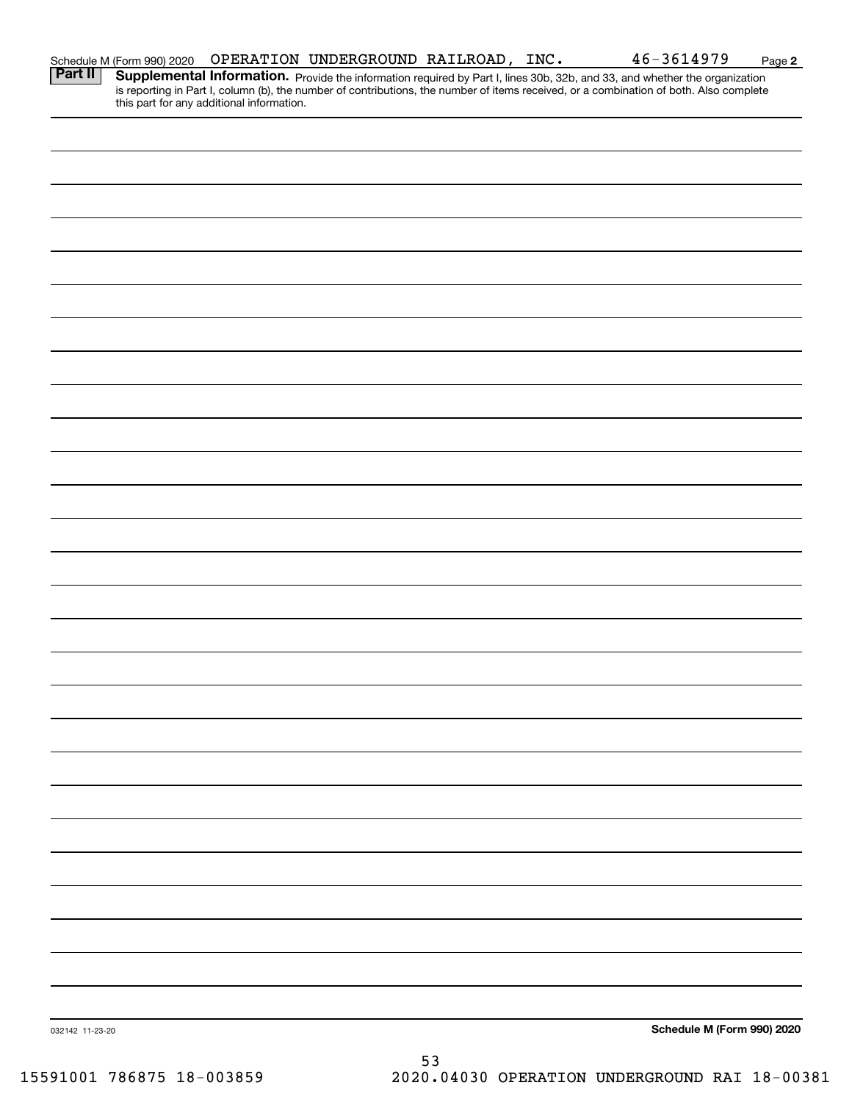|                 | Schedule M (Form 990) 2020 |                                           | OPERATION UNDERGROUND RAILROAD, INC. |  | 46-3614979                                                                                                                                                                                                                                                           | Page 2 |
|-----------------|----------------------------|-------------------------------------------|--------------------------------------|--|----------------------------------------------------------------------------------------------------------------------------------------------------------------------------------------------------------------------------------------------------------------------|--------|
| Part II         |                            | this part for any additional information. |                                      |  | Supplemental Information. Provide the information required by Part I, lines 30b, 32b, and 33, and whether the organization<br>is reporting in Part I, column (b), the number of contributions, the number of items received, or a combination of both. Also complete |        |
|                 |                            |                                           |                                      |  |                                                                                                                                                                                                                                                                      |        |
|                 |                            |                                           |                                      |  |                                                                                                                                                                                                                                                                      |        |
|                 |                            |                                           |                                      |  |                                                                                                                                                                                                                                                                      |        |
|                 |                            |                                           |                                      |  |                                                                                                                                                                                                                                                                      |        |
|                 |                            |                                           |                                      |  |                                                                                                                                                                                                                                                                      |        |
|                 |                            |                                           |                                      |  |                                                                                                                                                                                                                                                                      |        |
|                 |                            |                                           |                                      |  |                                                                                                                                                                                                                                                                      |        |
|                 |                            |                                           |                                      |  |                                                                                                                                                                                                                                                                      |        |
|                 |                            |                                           |                                      |  |                                                                                                                                                                                                                                                                      |        |
|                 |                            |                                           |                                      |  |                                                                                                                                                                                                                                                                      |        |
|                 |                            |                                           |                                      |  |                                                                                                                                                                                                                                                                      |        |
|                 |                            |                                           |                                      |  |                                                                                                                                                                                                                                                                      |        |
|                 |                            |                                           |                                      |  |                                                                                                                                                                                                                                                                      |        |
|                 |                            |                                           |                                      |  |                                                                                                                                                                                                                                                                      |        |
|                 |                            |                                           |                                      |  |                                                                                                                                                                                                                                                                      |        |
|                 |                            |                                           |                                      |  |                                                                                                                                                                                                                                                                      |        |
|                 |                            |                                           |                                      |  |                                                                                                                                                                                                                                                                      |        |
|                 |                            |                                           |                                      |  |                                                                                                                                                                                                                                                                      |        |
|                 |                            |                                           |                                      |  |                                                                                                                                                                                                                                                                      |        |
|                 |                            |                                           |                                      |  |                                                                                                                                                                                                                                                                      |        |
|                 |                            |                                           |                                      |  |                                                                                                                                                                                                                                                                      |        |
|                 |                            |                                           |                                      |  |                                                                                                                                                                                                                                                                      |        |
|                 |                            |                                           |                                      |  |                                                                                                                                                                                                                                                                      |        |
|                 |                            |                                           |                                      |  |                                                                                                                                                                                                                                                                      |        |
|                 |                            |                                           |                                      |  |                                                                                                                                                                                                                                                                      |        |
|                 |                            |                                           |                                      |  |                                                                                                                                                                                                                                                                      |        |
| 032142 11-23-20 |                            |                                           |                                      |  | Schedule M (Form 990) 2020                                                                                                                                                                                                                                           |        |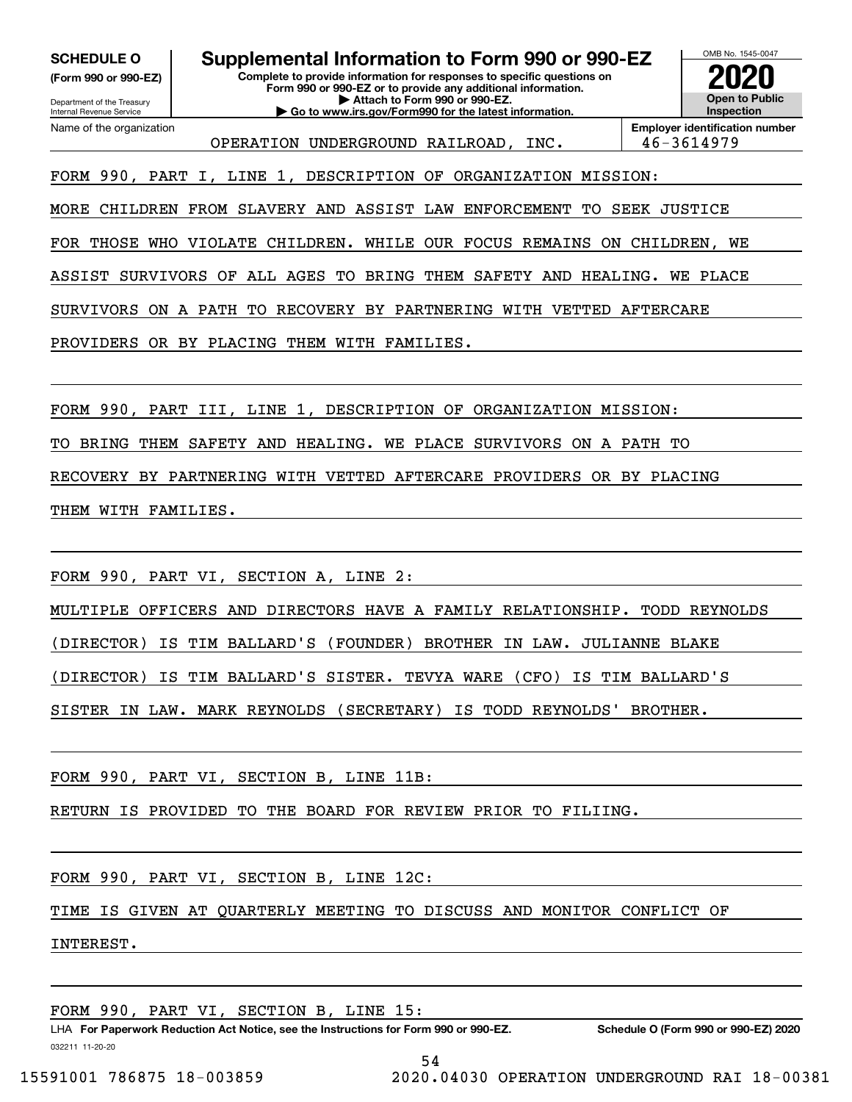**(Form 990 or 990-EZ)**

Department of the Treasury Internal Revenue Service Name of the organization

**Complete to provide information for responses to specific questions on Form 990 or 990-EZ or to provide any additional information. | Attach to Form 990 or 990-EZ. | Go to www.irs.gov/Form990 for the latest information. SCHEDULE O Supplemental Information to Form 990 or 990-EZ**



OPERATION UNDERGROUND RAILROAD, INC. 46-3614979

**Employer identification number**

FORM 990, PART I, LINE 1, DESCRIPTION OF ORGANIZATION MISSION:

MORE CHILDREN FROM SLAVERY AND ASSIST LAW ENFORCEMENT TO SEEK JUSTICE

FOR THOSE WHO VIOLATE CHILDREN. WHILE OUR FOCUS REMAINS ON CHILDREN, WE

ASSIST SURVIVORS OF ALL AGES TO BRING THEM SAFETY AND HEALING. WE PLACE

SURVIVORS ON A PATH TO RECOVERY BY PARTNERING WITH VETTED AFTERCARE

PROVIDERS OR BY PLACING THEM WITH FAMILIES.

FORM 990, PART III, LINE 1, DESCRIPTION OF ORGANIZATION MISSION:

TO BRING THEM SAFETY AND HEALING. WE PLACE SURVIVORS ON A PATH TO

RECOVERY BY PARTNERING WITH VETTED AFTERCARE PROVIDERS OR BY PLACING

THEM WITH FAMILIES.

FORM 990, PART VI, SECTION A, LINE 2:

MULTIPLE OFFICERS AND DIRECTORS HAVE A FAMILY RELATIONSHIP. TODD REYNOLDS

(DIRECTOR) IS TIM BALLARD'S (FOUNDER) BROTHER IN LAW. JULIANNE BLAKE

(DIRECTOR) IS TIM BALLARD'S SISTER. TEVYA WARE (CFO) IS TIM BALLARD'S

SISTER IN LAW. MARK REYNOLDS (SECRETARY) IS TODD REYNOLDS' BROTHER.

FORM 990, PART VI, SECTION B, LINE 11B:

RETURN IS PROVIDED TO THE BOARD FOR REVIEW PRIOR TO FILIING.

FORM 990, PART VI, SECTION B, LINE 12C:

TIME IS GIVEN AT QUARTERLY MEETING TO DISCUSS AND MONITOR CONFLICT OF

INTEREST.

FORM 990, PART VI, SECTION B, LINE 15: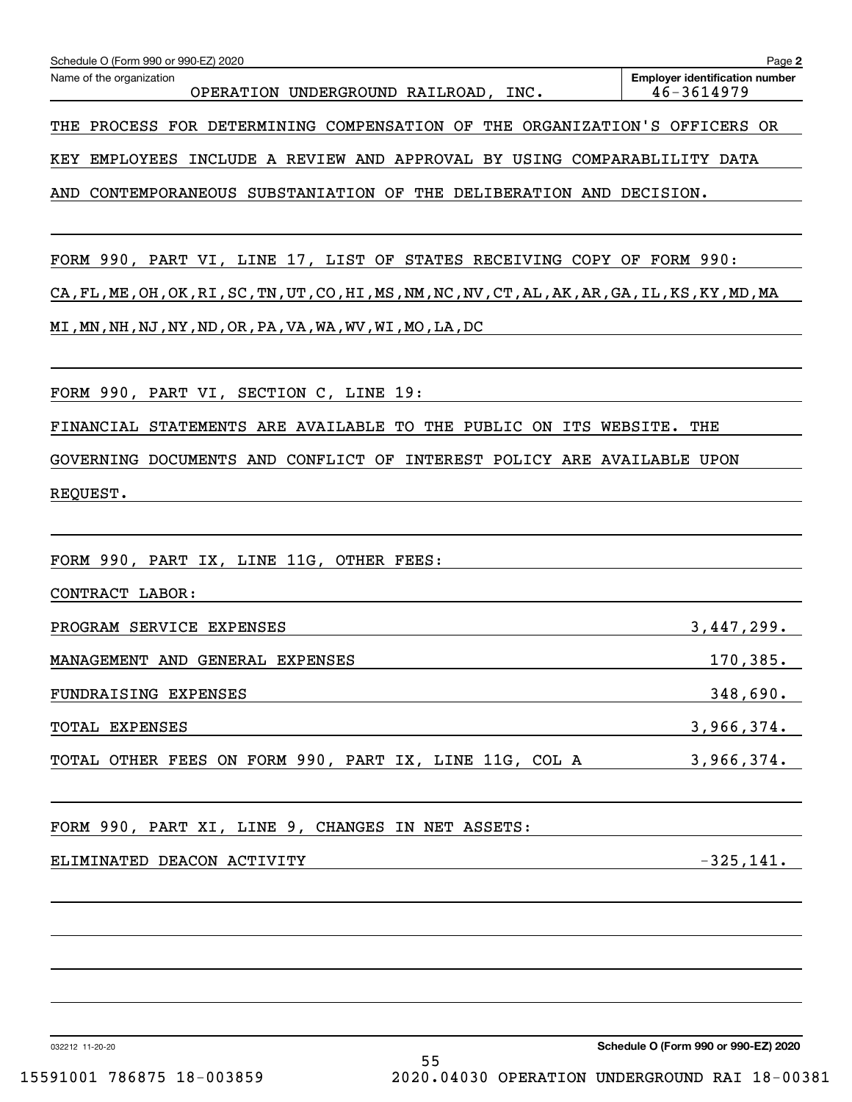| Schedule O (Form 990 or 990-EZ) 2020                                                               | Page 2                                              |
|----------------------------------------------------------------------------------------------------|-----------------------------------------------------|
| Name of the organization<br>OPERATION UNDERGROUND RAILROAD, INC.                                   | <b>Employer identification number</b><br>46-3614979 |
| THE PROCESS FOR DETERMINING COMPENSATION OF THE ORGANIZATION'S OFFICERS OR                         |                                                     |
| EMPLOYEES INCLUDE A REVIEW AND APPROVAL BY USING COMPARABLILITY DATA<br>KEY                        |                                                     |
| AND<br>CONTEMPORANEOUS SUBSTANIATION OF THE DELIBERATION AND DECISION.                             |                                                     |
| FORM 990, PART VI, LINE 17, LIST OF STATES RECEIVING COPY OF FORM 990:                             |                                                     |
| CA, FL, ME, OH, OK, RI, SC, TN, UT, CO, HI, MS, NM, NC, NV, CT, AL, AK, AR, GA, IL, KS, KY, MD, MA |                                                     |
| MI, MN, NH, NJ, NY, ND, OR, PA, VA, WA, WV, WI, MO, LA, DC                                         |                                                     |
| FORM 990, PART VI, SECTION C, LINE 19:                                                             |                                                     |
| FINANCIAL STATEMENTS ARE AVAILABLE TO THE PUBLIC ON ITS WEBSITE. THE                               |                                                     |
| GOVERNING DOCUMENTS AND CONFLICT OF INTEREST POLICY ARE AVAILABLE UPON                             |                                                     |
| REQUEST.                                                                                           |                                                     |
|                                                                                                    |                                                     |
| FORM 990, PART IX, LINE 11G, OTHER FEES:                                                           |                                                     |
| CONTRACT LABOR:                                                                                    |                                                     |
| PROGRAM SERVICE EXPENSES                                                                           | 3,447,299.                                          |
| MANAGEMENT AND GENERAL EXPENSES                                                                    | 170,385.                                            |
| FUNDRAISING EXPENSES                                                                               | 348,690.                                            |
| TOTAL EXPENSES                                                                                     | 3,966,374.                                          |
| TOTAL OTHER FEES ON FORM 990, PART IX, LINE 11G, COL A                                             | 3,966,374.                                          |
| FORM 990, PART XI, LINE 9, CHANGES IN NET ASSETS:                                                  |                                                     |
| ELIMINATED DEACON ACTIVITY                                                                         | $-325,141.$                                         |
|                                                                                                    |                                                     |
|                                                                                                    |                                                     |
|                                                                                                    |                                                     |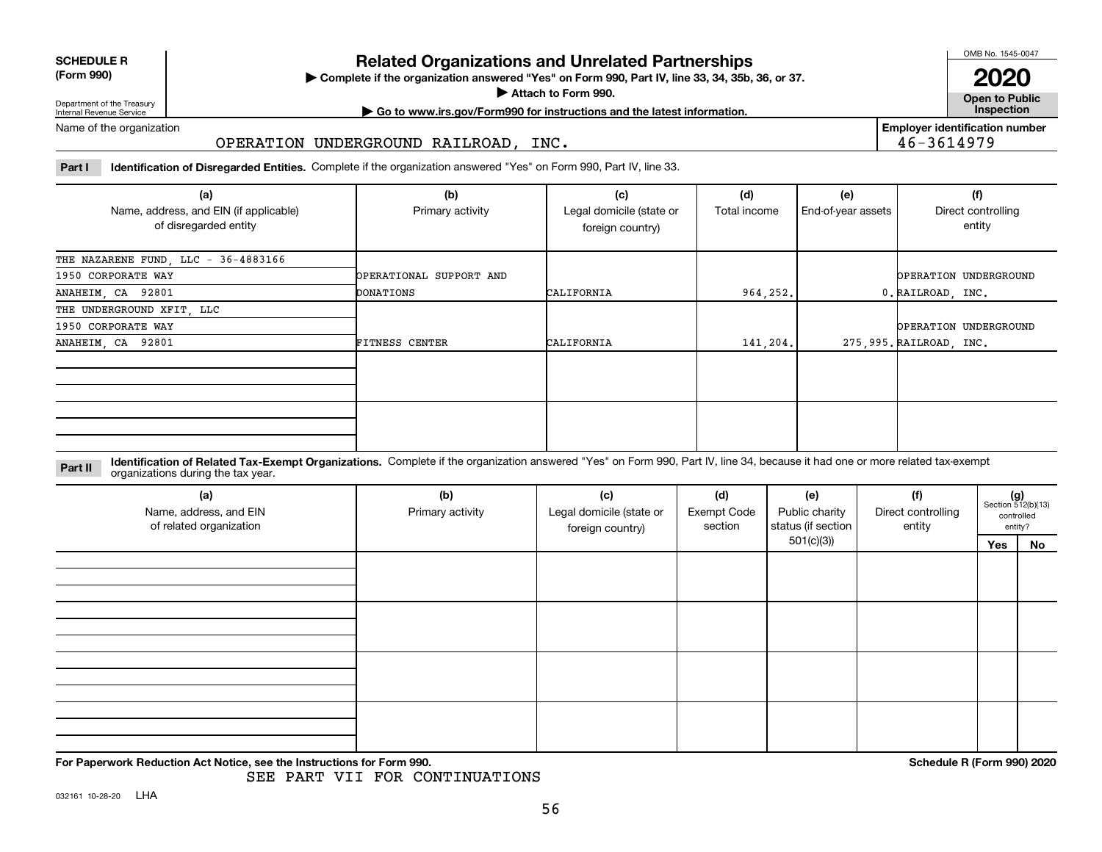| <b>SCHEDULE R</b>           |  |
|-----------------------------|--|
| $\mathbf{r}$ . $\mathbf{r}$ |  |

### **(Form 990)**

**Complete if the organization answered "Yes" on Form 990, Part IV, line 33, 34, 35b, 36, or 37.** | **Related Organizations and Unrelated Partnerships**

**Attach to Form 990.**  |

OMB No. 1545-0047

**Open to Public 2020**

**Employer identification number**

46-3614979

Department of the Treasury Internal Revenue Service

**| Go to www.irs.gov/Form990 for instructions and the latest information. Inspection**

Name of the organization

### OPERATION UNDERGROUND RAILROAD, INC.

**Part I Identification of Disregarded Entities.**  Complete if the organization answered "Yes" on Form 990, Part IV, line 33.

| (a)<br>Name, address, and EIN (if applicable)<br>of disregarded entity | (b)<br>Primary activity | (c)<br>Legal domicile (state or<br>foreign country) | (d)<br>Total income | (e)<br>End-of-year assets | (f)<br>Direct controlling<br>entity |
|------------------------------------------------------------------------|-------------------------|-----------------------------------------------------|---------------------|---------------------------|-------------------------------------|
| THE NAZARENE FUND, LLC - 36-4883166                                    |                         |                                                     |                     |                           |                                     |
| 1950 CORPORATE WAY                                                     | OPERATIONAL SUPPORT AND |                                                     |                     |                           | OPERATION UNDERGROUND               |
| ANAHEIM, CA 92801                                                      | DONATIONS               | CALIFORNIA                                          | 964, 252.           |                           | 0. RAILROAD, INC.                   |
| THE UNDERGROUND XFIT, LLC                                              |                         |                                                     |                     |                           |                                     |
| 1950 CORPORATE WAY                                                     |                         |                                                     |                     |                           | OPERATION UNDERGROUND               |
| ANAHEIM, CA 92801                                                      | <b>FITNESS CENTER</b>   | CALIFORNIA                                          | 141,204.            |                           | 275,995. RAILROAD, INC.             |
|                                                                        |                         |                                                     |                     |                           |                                     |
|                                                                        |                         |                                                     |                     |                           |                                     |

**Identification of Related Tax-Exempt Organizations.** Complete if the organization answered "Yes" on Form 990, Part IV, line 34, because it had one or more related tax-exempt **Part II** organizations during the tax year.

| (a)<br>Name, address, and EIN<br>of related organization | (b)<br>Primary activity | (c)<br>(d)<br>(e)<br>Legal domicile (state or<br><b>Exempt Code</b><br>section<br>foreign country) |  | Public charity<br>status (if section | (f)<br>Direct controlling<br>entity | $(g)$<br>Section 512(b)(13) | controlled<br>entity? |
|----------------------------------------------------------|-------------------------|----------------------------------------------------------------------------------------------------|--|--------------------------------------|-------------------------------------|-----------------------------|-----------------------|
|                                                          |                         |                                                                                                    |  | 501(c)(3))                           |                                     | Yes                         | No                    |
|                                                          |                         |                                                                                                    |  |                                      |                                     |                             |                       |
|                                                          |                         |                                                                                                    |  |                                      |                                     |                             |                       |
|                                                          |                         |                                                                                                    |  |                                      |                                     |                             |                       |

**For Paperwork Reduction Act Notice, see the Instructions for Form 990. Schedule R (Form 990) 2020**

SEE PART VII FOR CONTINUATIONS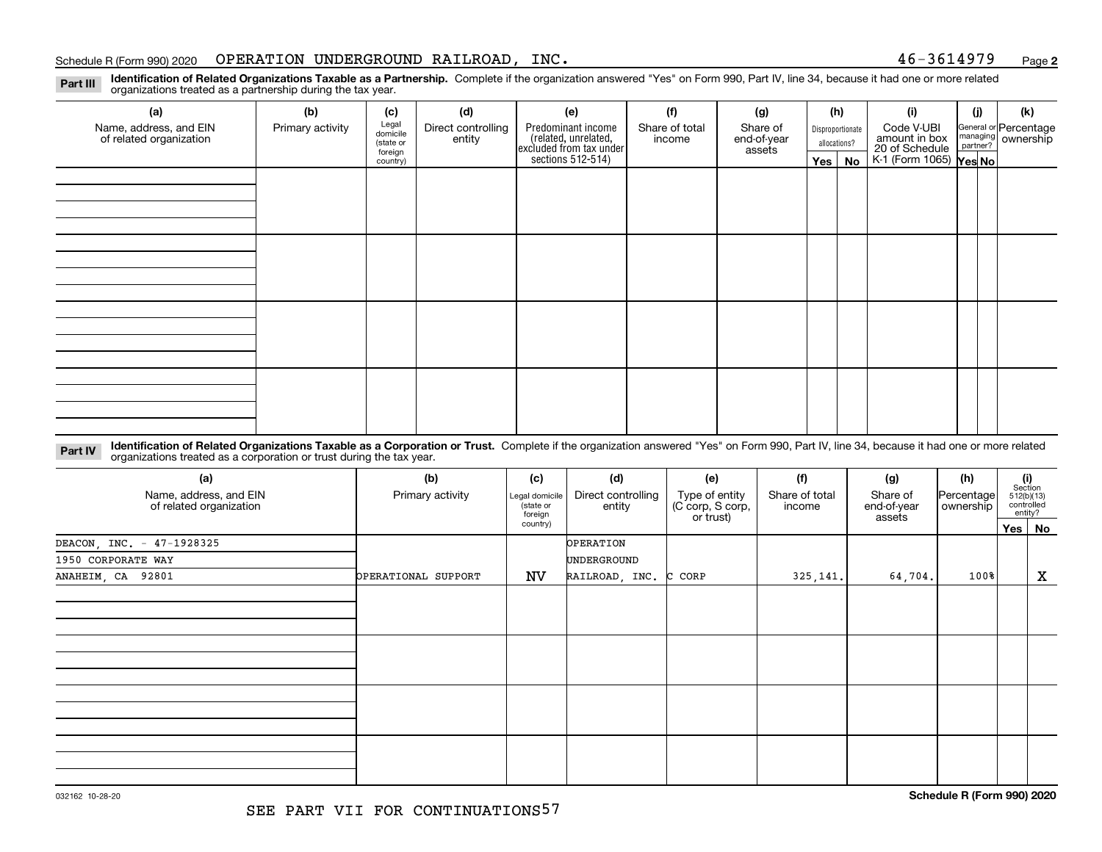#### Schedule R (Form 990) 2020 Page OPERATION UNDERGROUND RAILROAD, INC. 46-3614979

**2**

**Identification of Related Organizations Taxable as a Partnership.** Complete if the organization answered "Yes" on Form 990, Part IV, line 34, because it had one or more related **Part III** organizations treated as a partnership during the tax year.

| (a)                     | (b)              | (c)               | (d)                | (e)                                                                 | (f)            | (g)         |            | (h)              | (i)                                      | (i) | (k)                                                       |
|-------------------------|------------------|-------------------|--------------------|---------------------------------------------------------------------|----------------|-------------|------------|------------------|------------------------------------------|-----|-----------------------------------------------------------|
| Name, address, and EIN  | Primary activity | Legal<br>domicile | Direct controlling | Predominant income                                                  | Share of total | Share of    |            | Disproportionate | Code V-UBI                               |     |                                                           |
| of related organization |                  | (state or         | entity             | related, unrelated,<br>excluded from tax under<br>sections 512-514) | income         | end-of-year |            | allocations?     | amount in box                            |     | General or Percentage<br>managing<br>partner?<br>partner? |
|                         |                  | foreign           |                    |                                                                     |                | assets      |            |                  | 20 of Schedule<br>K-1 (Form 1065) Yes No |     |                                                           |
|                         |                  | country)          |                    |                                                                     |                |             | $Yes \mid$ | No               |                                          |     |                                                           |
|                         |                  |                   |                    |                                                                     |                |             |            |                  |                                          |     |                                                           |
|                         |                  |                   |                    |                                                                     |                |             |            |                  |                                          |     |                                                           |
|                         |                  |                   |                    |                                                                     |                |             |            |                  |                                          |     |                                                           |
|                         |                  |                   |                    |                                                                     |                |             |            |                  |                                          |     |                                                           |
|                         |                  |                   |                    |                                                                     |                |             |            |                  |                                          |     |                                                           |
|                         |                  |                   |                    |                                                                     |                |             |            |                  |                                          |     |                                                           |
|                         |                  |                   |                    |                                                                     |                |             |            |                  |                                          |     |                                                           |
|                         |                  |                   |                    |                                                                     |                |             |            |                  |                                          |     |                                                           |
|                         |                  |                   |                    |                                                                     |                |             |            |                  |                                          |     |                                                           |
|                         |                  |                   |                    |                                                                     |                |             |            |                  |                                          |     |                                                           |
|                         |                  |                   |                    |                                                                     |                |             |            |                  |                                          |     |                                                           |
|                         |                  |                   |                    |                                                                     |                |             |            |                  |                                          |     |                                                           |
|                         |                  |                   |                    |                                                                     |                |             |            |                  |                                          |     |                                                           |
|                         |                  |                   |                    |                                                                     |                |             |            |                  |                                          |     |                                                           |
|                         |                  |                   |                    |                                                                     |                |             |            |                  |                                          |     |                                                           |
|                         |                  |                   |                    |                                                                     |                |             |            |                  |                                          |     |                                                           |
|                         |                  |                   |                    |                                                                     |                |             |            |                  |                                          |     |                                                           |
|                         |                  |                   |                    |                                                                     |                |             |            |                  |                                          |     |                                                           |
|                         |                  |                   |                    |                                                                     |                |             |            |                  |                                          |     |                                                           |
|                         |                  |                   |                    |                                                                     |                |             |            |                  |                                          |     |                                                           |

**Identification of Related Organizations Taxable as a Corporation or Trust.** Complete if the organization answered "Yes" on Form 990, Part IV, line 34, because it had one or more related **Part IV** organizations treated as a corporation or trust during the tax year.

| (a)<br>Name, address, and EIN<br>of related organization | (b)<br>Primary activity | (c)<br>Legal domicile<br>state or<br>foreign<br>country) | (d)<br>Direct controlling<br>entity | (e)<br>Type of entity<br>(C corp, S corp,<br>or trust) | (f)<br>Share of total<br>income | (g)<br>Share of<br>end-of-year<br>assets | (h)<br>Percentage<br>ownership | $\begin{array}{c} \textbf{(i)}\\ \text{Section}\\ 512 \text{(b)} \text{(13)}\\ \text{controlled}\end{array}$ | entity? |
|----------------------------------------------------------|-------------------------|----------------------------------------------------------|-------------------------------------|--------------------------------------------------------|---------------------------------|------------------------------------------|--------------------------------|--------------------------------------------------------------------------------------------------------------|---------|
|                                                          |                         |                                                          | OPERATION                           |                                                        |                                 |                                          |                                |                                                                                                              | Yes No  |
| DEACON, INC. - 47-1928325<br>1950 CORPORATE WAY          |                         |                                                          | UNDERGROUND                         |                                                        |                                 |                                          |                                |                                                                                                              |         |
| ANAHEIM, CA 92801                                        | OPERATIONAL SUPPORT     | NV                                                       | RAILROAD, INC. C CORP               |                                                        | 325, 141.                       | 64,704.                                  | $100$ <sup>8</sup>             |                                                                                                              | X       |
|                                                          |                         |                                                          |                                     |                                                        |                                 |                                          |                                |                                                                                                              |         |
|                                                          |                         |                                                          |                                     |                                                        |                                 |                                          |                                |                                                                                                              |         |
|                                                          |                         |                                                          |                                     |                                                        |                                 |                                          |                                |                                                                                                              |         |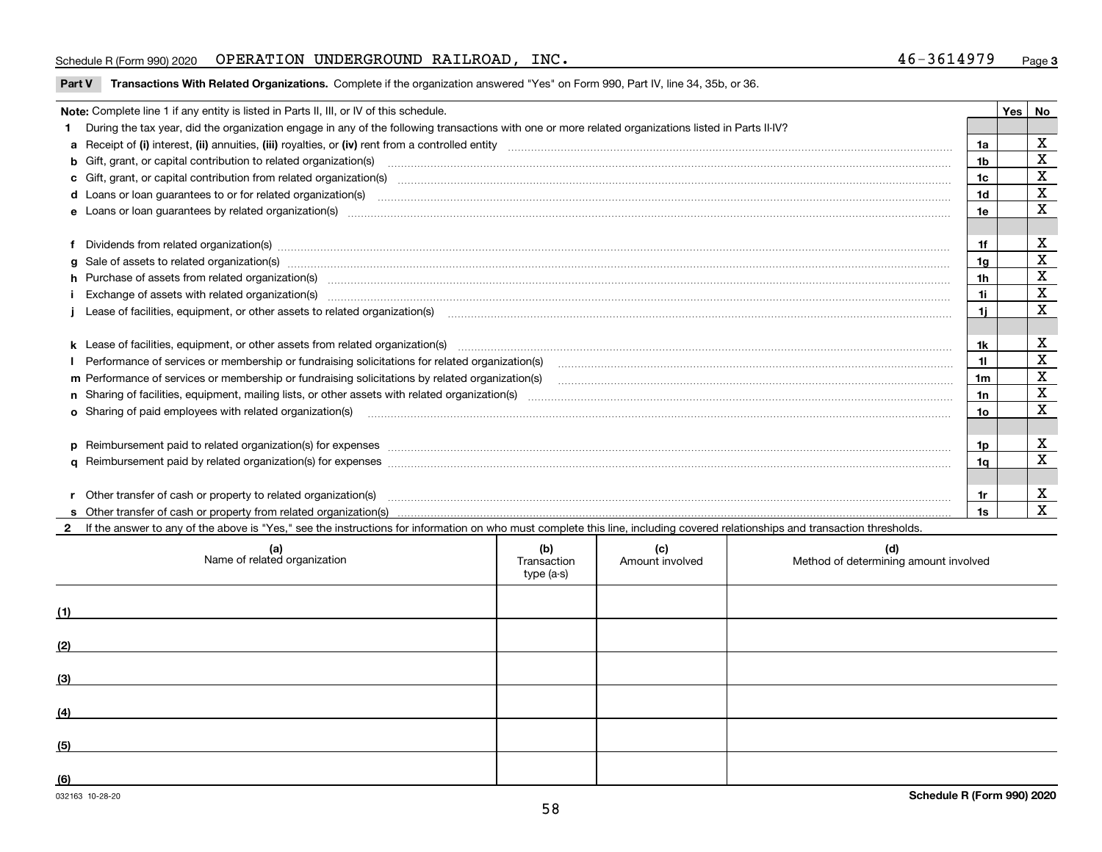### Schedule R (Form 990) 2020 Page OPERATION UNDERGROUND RAILROAD, INC. 46-3614979

**Part V** T**ransactions With Related Organizations.** Complete if the organization answered "Yes" on Form 990, Part IV, line 34, 35b, or 36.

|   | Note: Complete line 1 if any entity is listed in Parts II, III, or IV of this schedule.                                                                                                                                        |                | Yes I | No           |
|---|--------------------------------------------------------------------------------------------------------------------------------------------------------------------------------------------------------------------------------|----------------|-------|--------------|
|   | During the tax year, did the organization engage in any of the following transactions with one or more related organizations listed in Parts II-IV?                                                                            |                |       |              |
|   |                                                                                                                                                                                                                                | 1a             |       | X            |
|   | b Gift, grant, or capital contribution to related organization(s) mature and contained account of the contribution to related organization(s) matures are contained and contribution to related organization(s) matures are co | 1b             |       | X            |
|   |                                                                                                                                                                                                                                | 1c             |       | X            |
|   |                                                                                                                                                                                                                                | 1d             |       | X            |
|   |                                                                                                                                                                                                                                | 1e             |       | X            |
|   |                                                                                                                                                                                                                                |                |       |              |
|   | Dividends from related organization(s) manufactured and contract and contract and contract and contract and contract and contract and contract and contract and contract and contract and contract and contract and contract a | 1f             |       | х            |
| a |                                                                                                                                                                                                                                | 1g             |       | $\mathbf X$  |
|   | h Purchase of assets from related organization(s) manufactured and content to content the content of assets from related organization(s)                                                                                       | 1h             |       | X            |
|   |                                                                                                                                                                                                                                | 1i.            |       | X            |
|   | Lease of facilities, equipment, or other assets to related organization(s) manufactured content and content and content and content and content and content and content and content and content and content and content and co | 1i.            |       | X            |
|   |                                                                                                                                                                                                                                |                |       |              |
|   |                                                                                                                                                                                                                                | 1k             |       | х            |
|   |                                                                                                                                                                                                                                | 11.            |       | X            |
|   | m Performance of services or membership or fundraising solicitations by related organization(s)                                                                                                                                | 1 <sub>m</sub> |       | $\mathbf X$  |
|   |                                                                                                                                                                                                                                | 1n             |       | $\mathbf x$  |
|   | <b>o</b> Sharing of paid employees with related organization(s)                                                                                                                                                                | 1o             |       | X            |
|   |                                                                                                                                                                                                                                |                |       |              |
|   | p Reimbursement paid to related organization(s) for expenses [11111] [12] reasonal content of the separation (s) for expenses [11111] [12] reasonal content in the separation (s) for expenses [1111] [12] reasonal content in | 1p.            |       | х            |
|   |                                                                                                                                                                                                                                | 1q             |       | $\mathbf X$  |
|   |                                                                                                                                                                                                                                |                |       |              |
|   | Other transfer of cash or property to related organization(s)                                                                                                                                                                  | 1r             |       | X            |
|   |                                                                                                                                                                                                                                | 1s             |       | $\mathbf{x}$ |

| (a)<br>Name of related organization | (b)<br>Transaction<br>type (a-s) | (c)<br>Amount involved | (d)<br>Method of determining amount involved |
|-------------------------------------|----------------------------------|------------------------|----------------------------------------------|
| (1)                                 |                                  |                        |                                              |
| (2)                                 |                                  |                        |                                              |
| (3)                                 |                                  |                        |                                              |
| (4)                                 |                                  |                        |                                              |
| (5)                                 |                                  |                        |                                              |
| (6)                                 |                                  |                        |                                              |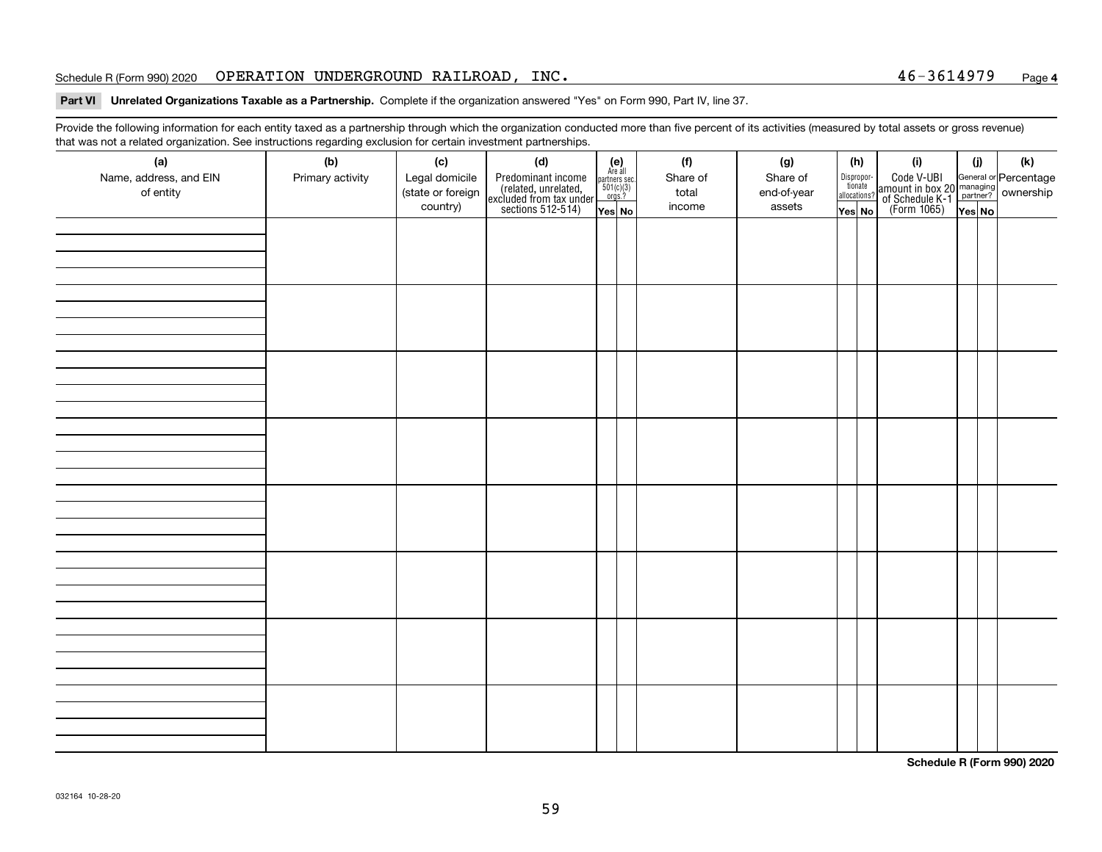### Schedule R (Form 990) 2020  $\,$   $\,$  OPERATION UNDERGROUND RAILROAD , INC  $\,$   $\,$

#### **Part VI Unrelated Organizations Taxable as a Partnership. Complete if the organization answered "Yes" on Form 990, Part IV, line 37.**

Provide the following information for each entity taxed as a partnership through which the organization conducted more than five percent of its activities (measured by total assets or gross revenue) that was not a related organization. See instructions regarding exclusion for certain investment partnerships.

| (a)<br>Name, address, and EIN<br>of entity | $\tilde{}$<br>(b)<br>Primary activity | (c)<br>Legal domicile<br>(state or foreign<br>country) | (d)<br>Predominant income<br>(related, unrelated,<br>excluded from tax under<br>sections 512-514) | $(e)$<br>Are all<br>$\begin{array}{c}\n\text{partners} \sec.\n\\ \n501(c)(3)\n\\ \n0rgs.?\n\end{array}$<br>Yes No | (f)<br>Share of<br>total<br>income | (g)<br>Share of<br>end-of-year<br>assets | (h)<br>Dispropor-<br>tionate<br>allocations?<br>Yes No | (i)<br>Code V-UBI<br>amount in box 20 managing<br>of Schedule K-1<br>(Form 1065)<br>$\overline{Yes}$ No | (i)<br>Yes No | (k) |
|--------------------------------------------|---------------------------------------|--------------------------------------------------------|---------------------------------------------------------------------------------------------------|-------------------------------------------------------------------------------------------------------------------|------------------------------------|------------------------------------------|--------------------------------------------------------|---------------------------------------------------------------------------------------------------------|---------------|-----|
|                                            |                                       |                                                        |                                                                                                   |                                                                                                                   |                                    |                                          |                                                        |                                                                                                         |               |     |
|                                            |                                       |                                                        |                                                                                                   |                                                                                                                   |                                    |                                          |                                                        |                                                                                                         |               |     |
|                                            |                                       |                                                        |                                                                                                   |                                                                                                                   |                                    |                                          |                                                        |                                                                                                         |               |     |
|                                            |                                       |                                                        |                                                                                                   |                                                                                                                   |                                    |                                          |                                                        |                                                                                                         |               |     |
|                                            |                                       |                                                        |                                                                                                   |                                                                                                                   |                                    |                                          |                                                        |                                                                                                         |               |     |
|                                            |                                       |                                                        |                                                                                                   |                                                                                                                   |                                    |                                          |                                                        |                                                                                                         |               |     |
|                                            |                                       |                                                        |                                                                                                   |                                                                                                                   |                                    |                                          |                                                        |                                                                                                         |               |     |
|                                            |                                       |                                                        |                                                                                                   |                                                                                                                   |                                    |                                          |                                                        |                                                                                                         |               |     |

**Schedule R (Form 990) 2020**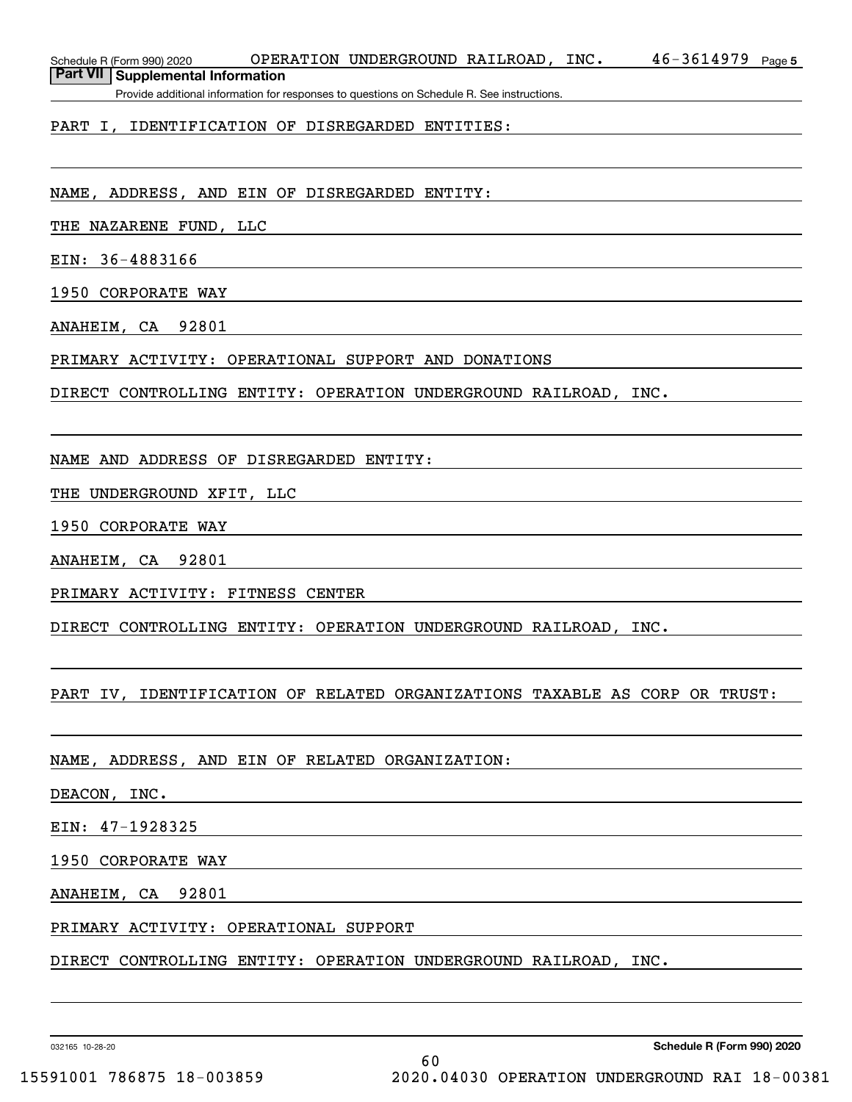Schedule R (Form 990) 2020 OPERATION UNDERGROUND RAILROAD , INC 46-3614979 <sub>Page 5</sub>

**Part VII Supplemental Information**

Provide additional information for responses to questions on Schedule R. See instructions.

### PART I, IDENTIFICATION OF DISREGARDED ENTITIES:

NAME, ADDRESS, AND EIN OF DISREGARDED ENTITY:

THE NAZARENE FUND, LLC

EIN: 36-4883166

1950 CORPORATE WAY

ANAHEIM, CA 92801

PRIMARY ACTIVITY: OPERATIONAL SUPPORT AND DONATIONS

DIRECT CONTROLLING ENTITY: OPERATION UNDERGROUND RAILROAD, INC.

NAME AND ADDRESS OF DISREGARDED ENTITY:

THE UNDERGROUND XFIT, LLC

1950 CORPORATE WAY

ANAHEIM, CA 92801

PRIMARY ACTIVITY: FITNESS CENTER

DIRECT CONTROLLING ENTITY: OPERATION UNDERGROUND RAILROAD, INC.

PART IV, IDENTIFICATION OF RELATED ORGANIZATIONS TAXABLE AS CORP OR TRUST:

NAME, ADDRESS, AND EIN OF RELATED ORGANIZATION:

DEACON, INC.

EIN: 47-1928325

1950 CORPORATE WAY

ANAHEIM, CA 92801

PRIMARY ACTIVITY: OPERATIONAL SUPPORT

DIRECT CONTROLLING ENTITY: OPERATION UNDERGROUND RAILROAD, INC.

032165 10-28-20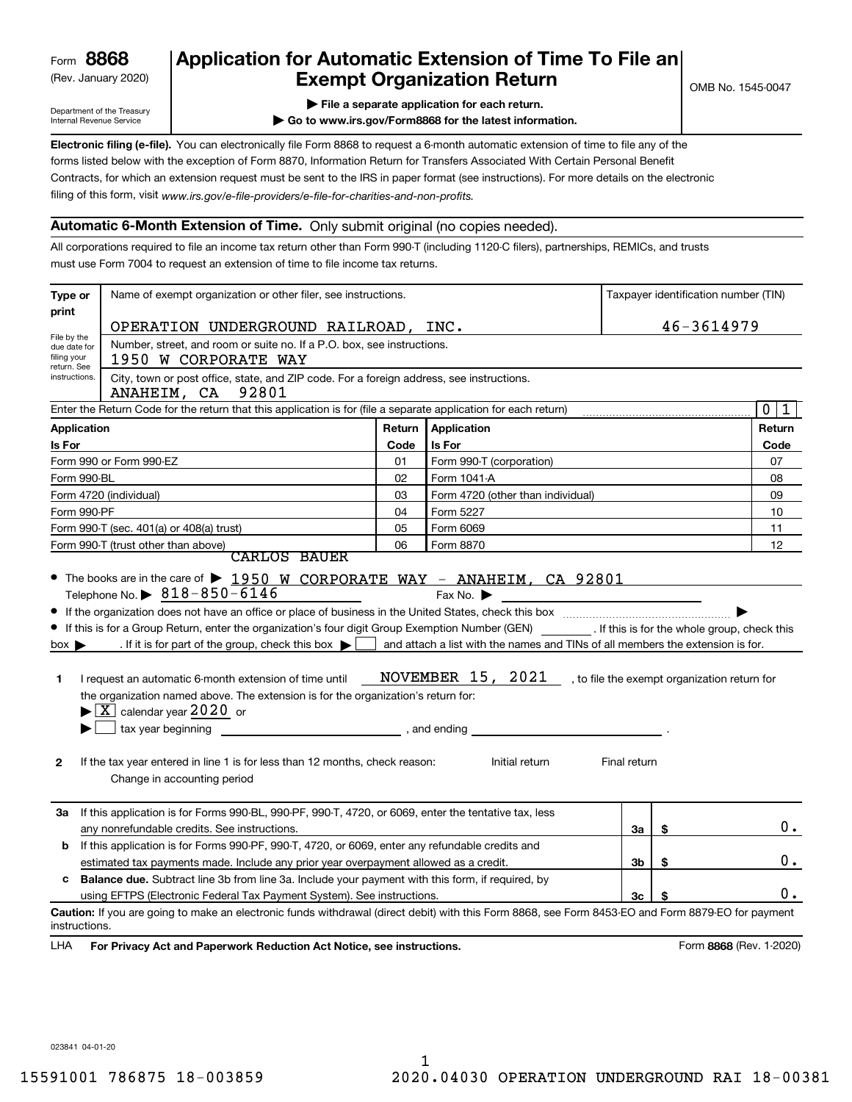(Rev. January 2020)

## **Application for Automatic Extension of Time To File an Exempt Organization Return**

Department of the Treasury Internal Revenue Service

**| File a separate application for each return.**

**| Go to www.irs.gov/Form8868 for the latest information.**

**Electronic filing (e-file).**  You can electronically file Form 8868 to request a 6-month automatic extension of time to file any of the filing of this form, visit www.irs.gov/e-file-providers/e-file-for-charities-and-non-profits. forms listed below with the exception of Form 8870, Information Return for Transfers Associated With Certain Personal Benefit Contracts, for which an extension request must be sent to the IRS in paper format (see instructions). For more details on the electronic

### **Automatic 6-Month Extension of Time.** Only submit original (no copies needed).

All corporations required to file an income tax return other than Form 990-T (including 1120-C filers), partnerships, REMICs, and trusts must use Form 7004 to request an extension of time to file income tax returns.

| Type or                                    | Name of exempt organization or other filer, see instructions.                                                                                                                                                                                                                                                                                                                                                                                                                                                                                                                          | Taxpayer identification number (TIN)  |                                                                                                                                                                    |                |    |                         |
|--------------------------------------------|----------------------------------------------------------------------------------------------------------------------------------------------------------------------------------------------------------------------------------------------------------------------------------------------------------------------------------------------------------------------------------------------------------------------------------------------------------------------------------------------------------------------------------------------------------------------------------------|---------------------------------------|--------------------------------------------------------------------------------------------------------------------------------------------------------------------|----------------|----|-------------------------|
| print                                      | OPERATION UNDERGROUND RAILROAD, INC.                                                                                                                                                                                                                                                                                                                                                                                                                                                                                                                                                   |                                       |                                                                                                                                                                    |                |    | 46-3614979              |
| File by the<br>due date for<br>filing your | Number, street, and room or suite no. If a P.O. box, see instructions.<br>1950 W CORPORATE WAY                                                                                                                                                                                                                                                                                                                                                                                                                                                                                         |                                       |                                                                                                                                                                    |                |    |                         |
| return. See<br>instructions.               | City, town or post office, state, and ZIP code. For a foreign address, see instructions.<br>92801<br>ANAHEIM, CA                                                                                                                                                                                                                                                                                                                                                                                                                                                                       |                                       |                                                                                                                                                                    |                |    |                         |
|                                            | Enter the Return Code for the return that this application is for (file a separate application for each return)                                                                                                                                                                                                                                                                                                                                                                                                                                                                        |                                       |                                                                                                                                                                    |                |    | $\mathbf 0$<br>1        |
| <b>Application</b>                         |                                                                                                                                                                                                                                                                                                                                                                                                                                                                                                                                                                                        | Return                                | Application                                                                                                                                                        |                |    | Return                  |
| Is For                                     |                                                                                                                                                                                                                                                                                                                                                                                                                                                                                                                                                                                        | Code                                  | Is For                                                                                                                                                             |                |    | Code                    |
|                                            | Form 990 or Form 990-EZ                                                                                                                                                                                                                                                                                                                                                                                                                                                                                                                                                                | 01                                    | Form 990-T (corporation)                                                                                                                                           |                |    | 07                      |
| Form 990-BL                                |                                                                                                                                                                                                                                                                                                                                                                                                                                                                                                                                                                                        | 02                                    | Form 1041-A                                                                                                                                                        |                |    | 08                      |
|                                            | Form 4720 (individual)                                                                                                                                                                                                                                                                                                                                                                                                                                                                                                                                                                 | 03                                    | Form 4720 (other than individual)                                                                                                                                  |                |    | 09                      |
| Form 990-PF                                |                                                                                                                                                                                                                                                                                                                                                                                                                                                                                                                                                                                        | 04                                    | Form 5227                                                                                                                                                          |                |    | 10                      |
|                                            | Form 990-T (sec. 401(a) or 408(a) trust)                                                                                                                                                                                                                                                                                                                                                                                                                                                                                                                                               | 05                                    | Form 6069                                                                                                                                                          |                |    | 11                      |
|                                            | Form 990-T (trust other than above)<br><b>CARLOS BAUER</b>                                                                                                                                                                                                                                                                                                                                                                                                                                                                                                                             | 06                                    | Form 8870                                                                                                                                                          |                |    | 12                      |
| $box \blacktriangleright$<br>1<br>2        | • If this is for a Group Return, enter the organization's four digit Group Exemption Number (GEN) _________. If this is for the whole group, check this<br>. If it is for part of the group, check this box $\blacktriangleright$<br>I request an automatic 6-month extension of time until<br>the organization named above. The extension is for the organization's return for:<br>$\blacktriangleright$ $\boxed{\text{X}}$ calendar year 2020 or<br>tax year beginning<br>If the tax year entered in line 1 is for less than 12 months, check reason:<br>Change in accounting period | $\overline{\phantom{a}}$ , and ending | and attach a list with the names and TINs of all members the extension is for.<br>NOVEMBER 15, 2021 , to file the exempt organization return for<br>Initial return | Final return   |    |                         |
| За                                         | If this application is for Forms 990-BL, 990-PF, 990-T, 4720, or 6069, enter the tentative tax, less<br>any nonrefundable credits. See instructions.                                                                                                                                                                                                                                                                                                                                                                                                                                   |                                       |                                                                                                                                                                    | За             | \$ | $0$ .                   |
| b                                          | If this application is for Forms 990-PF, 990-T, 4720, or 6069, enter any refundable credits and                                                                                                                                                                                                                                                                                                                                                                                                                                                                                        |                                       |                                                                                                                                                                    |                |    |                         |
|                                            | estimated tax payments made. Include any prior year overpayment allowed as a credit.                                                                                                                                                                                                                                                                                                                                                                                                                                                                                                   |                                       |                                                                                                                                                                    | 3 <sub>b</sub> | \$ | 0.                      |
| c                                          | <b>Balance due.</b> Subtract line 3b from line 3a. Include your payment with this form, if required, by                                                                                                                                                                                                                                                                                                                                                                                                                                                                                |                                       |                                                                                                                                                                    |                |    |                         |
|                                            | using EFTPS (Electronic Federal Tax Payment System). See instructions.                                                                                                                                                                                                                                                                                                                                                                                                                                                                                                                 |                                       |                                                                                                                                                                    | 3c             | \$ | $0$ .                   |
| instructions.<br><b>LHA</b>                | Caution: If you are going to make an electronic funds withdrawal (direct debit) with this Form 8868, see Form 8453-EO and Form 8879-EO for payment<br>For Privacy Act and Paperwork Reduction Act Notice, see instructions.                                                                                                                                                                                                                                                                                                                                                            |                                       |                                                                                                                                                                    |                |    | Form 8868 (Rev. 1-2020) |

023841 04-01-20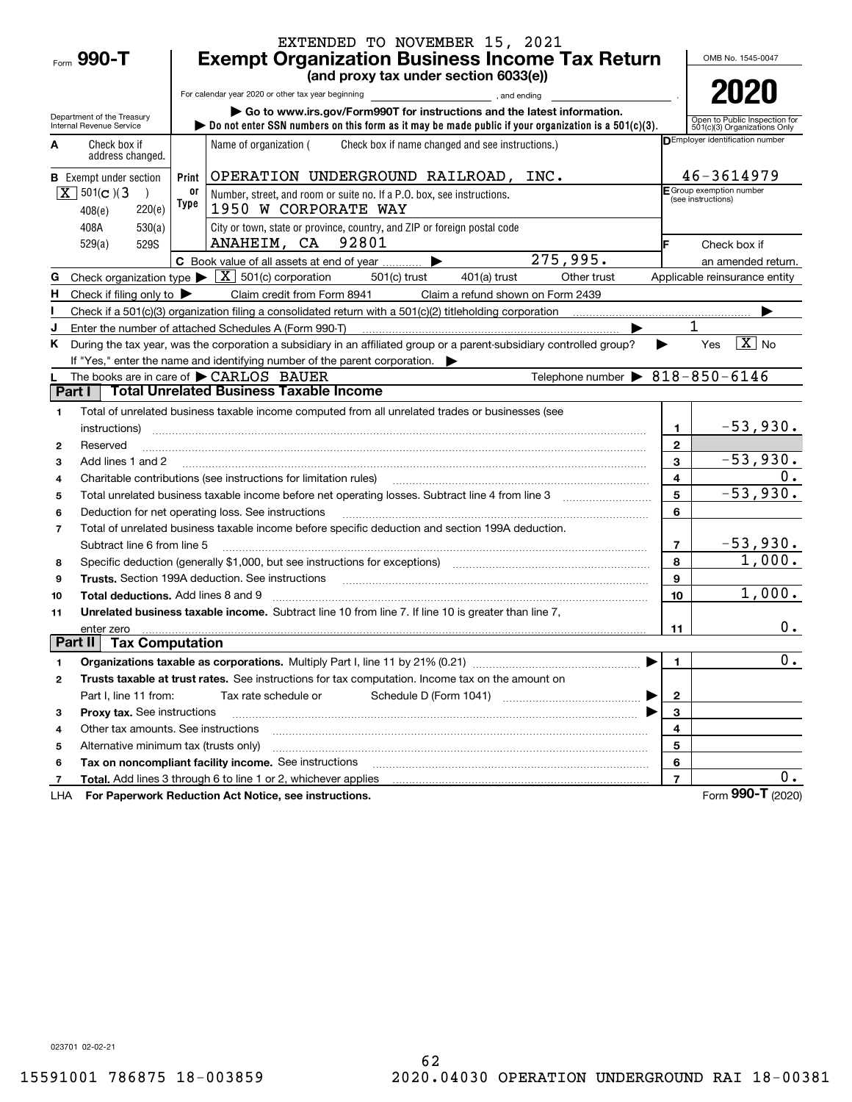|                |                                                  |            | EXTENDED TO NOVEMBER 15, 2021                                                                                                                                                                                                  |                |                                                               |
|----------------|--------------------------------------------------|------------|--------------------------------------------------------------------------------------------------------------------------------------------------------------------------------------------------------------------------------|----------------|---------------------------------------------------------------|
|                | Form 990-T                                       |            | <b>Exempt Organization Business Income Tax Return</b>                                                                                                                                                                          |                | OMB No. 1545-0047                                             |
|                |                                                  |            | (and proxy tax under section 6033(e))                                                                                                                                                                                          |                |                                                               |
|                |                                                  |            | For calendar year 2020 or other tax year beginning<br>and ending, and ending                                                                                                                                                   |                | 2020                                                          |
|                | Department of the Treasury                       |            | Go to www.irs.gov/Form990T for instructions and the latest information.                                                                                                                                                        |                |                                                               |
|                | Internal Revenue Service                         |            | Do not enter SSN numbers on this form as it may be made public if your organization is a $501(c)(3)$ .                                                                                                                         |                | Open to Public Inspection for<br>501(c)(3) Organizations Only |
| A              | Check box if<br>address changed.                 |            | Check box if name changed and see instructions.)<br>Name of organization (                                                                                                                                                     |                | <b>DEmployer identification number</b>                        |
|                | <b>B</b> Exempt under section                    | Print      | OPERATION UNDERGROUND RAILROAD, INC.                                                                                                                                                                                           |                | 46-3614979                                                    |
|                | $X \ 501(c)$ (3<br>$\lambda$<br>220(e)<br>408(e) | 0ľ<br>Type | Number, street, and room or suite no. If a P.O. box, see instructions.<br>1950 W CORPORATE WAY                                                                                                                                 |                | E Group exemption number<br>(see instructions)                |
|                | 408A<br>530(a)<br>529(a)<br>529S                 |            | City or town, state or province, country, and ZIP or foreign postal code<br>ANAHEIM, CA 92801                                                                                                                                  |                | Check box if                                                  |
|                |                                                  |            | $\overline{275,995}$ .<br>C Book value of all assets at end of year                                                                                                                                                            |                | an amended return.                                            |
| G              |                                                  |            | Check organization type $\blacktriangleright \boxed{X}$ 501(c) corporation<br>Other trust<br>501(c) trust<br>401(a) trust                                                                                                      |                | Applicable reinsurance entity                                 |
| н              | Check if filing only to $\blacktriangleright$    |            | Claim credit from Form 8941<br>Claim a refund shown on Form 2439                                                                                                                                                               |                |                                                               |
|                |                                                  |            | Check if a 501(c)(3) organization filing a consolidated return with a 501(c)(2) titleholding corporation                                                                                                                       |                |                                                               |
|                |                                                  |            | Enter the number of attached Schedules A (Form 990-T)                                                                                                                                                                          |                |                                                               |
| Κ              |                                                  |            | During the tax year, was the corporation a subsidiary in an affiliated group or a parent-subsidiary controlled group?                                                                                                          |                | $\boxed{\text{X}}$ No<br>Yes                                  |
|                |                                                  |            | If "Yes," enter the name and identifying number of the parent corporation.                                                                                                                                                     |                |                                                               |
|                |                                                  |            | Telephone number $\triangleright$ 818-850-6146<br>The books are in care of CARLOS BAUER                                                                                                                                        |                |                                                               |
|                | Part I                                           |            | <b>Total Unrelated Business Taxable Income</b>                                                                                                                                                                                 |                |                                                               |
| 1              |                                                  |            | Total of unrelated business taxable income computed from all unrelated trades or businesses (see                                                                                                                               |                |                                                               |
|                | instructions)                                    |            |                                                                                                                                                                                                                                | 1              | $-53,930.$                                                    |
| 2              | Reserved                                         |            |                                                                                                                                                                                                                                | $\mathbf{2}$   |                                                               |
| 3              | Add lines 1 and 2                                |            |                                                                                                                                                                                                                                | 3              | $-53,930.$                                                    |
| 4              |                                                  |            | Charitable contributions (see instructions for limitation rules) [11] manufactured contributions (see instructions for limitation rules) [11] manufactured contributions (see instructions for limitation rules) [11] manufact | 4              | 0.                                                            |
| 5              |                                                  |            |                                                                                                                                                                                                                                | 5              | $-53,930.$                                                    |
| 6              |                                                  |            | Deduction for net operating loss. See instructions                                                                                                                                                                             | 6              |                                                               |
| $\overline{7}$ |                                                  |            | Total of unrelated business taxable income before specific deduction and section 199A deduction.                                                                                                                               |                |                                                               |
|                | Subtract line 6 from line 5                      |            |                                                                                                                                                                                                                                | $\overline{7}$ | $-53,930.$                                                    |
| 8              |                                                  |            | Specific deduction (generally \$1,000, but see instructions for exceptions) manufactured in the substitution of                                                                                                                | 8              | 1,000.                                                        |
| 9              |                                                  |            | Trusts. Section 199A deduction. See instructions [11] material material material material material material material material material material material material material material material material material material materi | 9              |                                                               |
| 10             | <b>Total deductions.</b> Add lines 8 and 9       |            |                                                                                                                                                                                                                                | 10             | 1,000.                                                        |
| 11             |                                                  |            | Unrelated business taxable income. Subtract line 10 from line 7. If line 10 is greater than line 7,                                                                                                                            |                |                                                               |
|                | enter zero                                       |            |                                                                                                                                                                                                                                | 11             | $0$ .                                                         |
|                | Part II   Tax Computation                        |            |                                                                                                                                                                                                                                |                |                                                               |
| 1              |                                                  |            |                                                                                                                                                                                                                                | $\mathbf{1}$   | $\mathbf 0$ .                                                 |
| 2              |                                                  |            | Trusts taxable at trust rates. See instructions for tax computation. Income tax on the amount on                                                                                                                               |                |                                                               |
|                | Part I, line 11 from:                            |            | Tax rate schedule or                                                                                                                                                                                                           | $\mathbf{2}$   |                                                               |
| 3              | Proxy tax. See instructions                      |            |                                                                                                                                                                                                                                | 3              |                                                               |
| 4              | Other tax amounts. See instructions              |            |                                                                                                                                                                                                                                | 4              |                                                               |
| 5              | Alternative minimum tax (trusts only)            |            |                                                                                                                                                                                                                                | 5              |                                                               |
| 6              |                                                  |            | Tax on noncompliant facility income. See instructions                                                                                                                                                                          | 6              |                                                               |
| 7              |                                                  |            | Total. Add lines 3 through 6 to line 1 or 2, whichever applies                                                                                                                                                                 | $\overline{7}$ | 0.                                                            |
| LHA            |                                                  |            | For Paperwork Reduction Act Notice, see instructions.                                                                                                                                                                          |                | Form 990-T (2020)                                             |

023701 02-02-21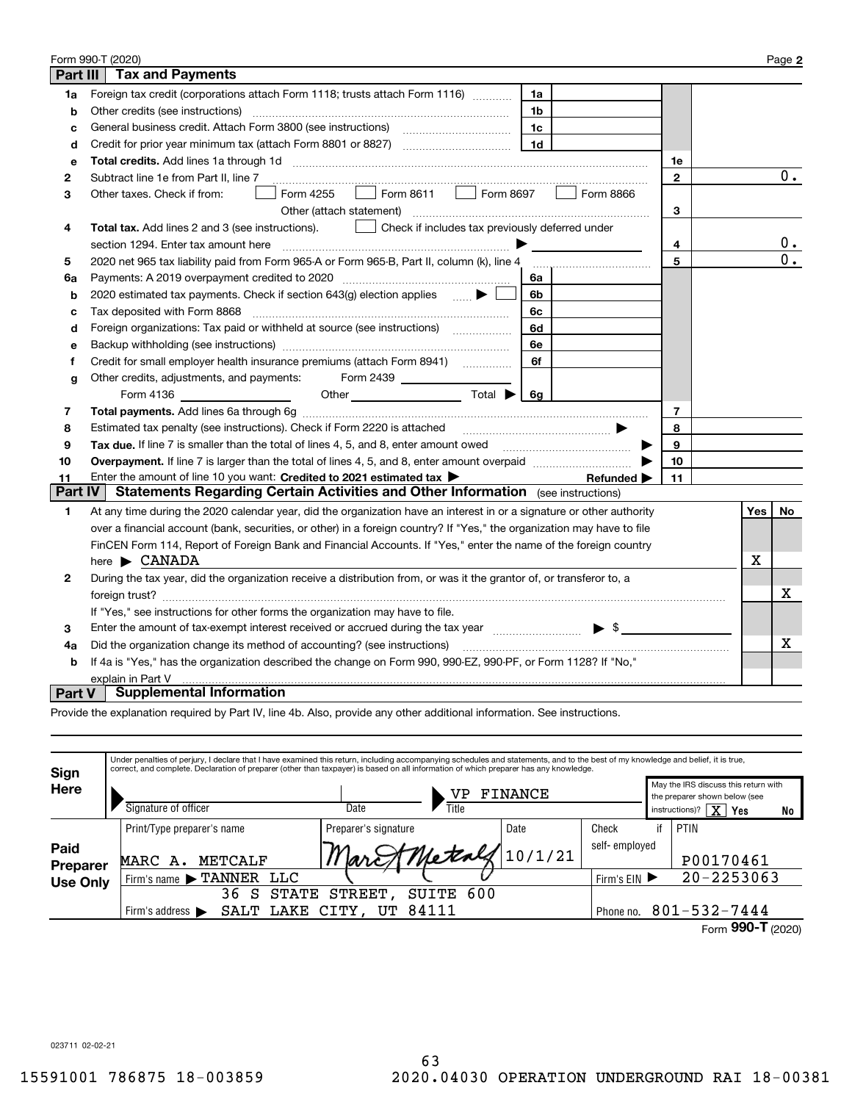|          | Form 990-T (2020)                                                                                                                |              |     | Page 2           |
|----------|----------------------------------------------------------------------------------------------------------------------------------|--------------|-----|------------------|
| Part III | <b>Tax and Payments</b>                                                                                                          |              |     |                  |
| 1a       | Foreign tax credit (corporations attach Form 1118; trusts attach Form 1116)<br>1a                                                |              |     |                  |
| b        | Other credits (see instructions)<br>1b                                                                                           |              |     |                  |
| c        | 1c                                                                                                                               |              |     |                  |
| d        | 1 <sub>d</sub>                                                                                                                   |              |     |                  |
| е        |                                                                                                                                  | 1е           |     |                  |
| 2        | Subtract line 1e from Part II, line 7                                                                                            | $\mathbf{2}$ |     | $\overline{0}$ . |
| З        | $\boxed{\phantom{0}}$ Form 8611 $\phantom{0}$ Form 8697<br>Form 4255<br>Form 8866<br>Other taxes. Check if from:<br>$\mathbf{1}$ |              |     |                  |
|          | Other (attach statement)                                                                                                         | 3            |     |                  |
| 4        | Check if includes tax previously deferred under<br><b>Total tax.</b> Add lines 2 and 3 (see instructions).                       |              |     |                  |
|          | section 1294. Enter tax amount here                                                                                              | 4            |     | 0.               |
| 5        | 2020 net 965 tax liability paid from Form 965-A or Form 965-B, Part II, column (k), line 4                                       | 5            |     | $\overline{0}$ . |
| 6a       | Payments: A 2019 overpayment credited to 2020 [11] [11] maximum materials: A 2019 overpayment credited to 2020<br>6a             |              |     |                  |
| b        | 2020 estimated tax payments. Check if section $643(g)$ election applies<br>6b                                                    |              |     |                  |
| c        | Tax deposited with Form 8868<br>6c                                                                                               |              |     |                  |
| d        | Foreign organizations: Tax paid or withheld at source (see instructions) [<br>6d                                                 |              |     |                  |
| е        | 6e                                                                                                                               |              |     |                  |
| f        | 6f                                                                                                                               |              |     |                  |
| g        | Other credits, adjustments, and payments:<br>Form 2439                                                                           |              |     |                  |
|          |                                                                                                                                  |              |     |                  |
| 7        |                                                                                                                                  | 7            |     |                  |
| 8        |                                                                                                                                  | 8            |     |                  |
| 9        | Tax due. If line 7 is smaller than the total of lines 4, 5, and 8, enter amount owed <i>manumenon containers</i>                 | 9            |     |                  |
| 10       |                                                                                                                                  | 10           |     |                  |
| 11       | Enter the amount of line 10 you want: Credited to 2021 estimated tax ><br>Refunded $\blacktriangleright$                         | 11           |     |                  |
| Part IV  | <b>Statements Regarding Certain Activities and Other Information</b> (see instructions)                                          |              |     |                  |
| 1.       | At any time during the 2020 calendar year, did the organization have an interest in or a signature or other authority            |              | Yes | No               |
|          | over a financial account (bank, securities, or other) in a foreign country? If "Yes," the organization may have to file          |              |     |                  |
|          | FinCEN Form 114, Report of Foreign Bank and Financial Accounts. If "Yes," enter the name of the foreign country                  |              |     |                  |
|          | here $\blacktriangleright$ CANADA                                                                                                |              | х   |                  |
| 2        | During the tax year, did the organization receive a distribution from, or was it the grantor of, or transferor to, a             |              |     |                  |
|          |                                                                                                                                  |              |     | х                |
|          | If "Yes," see instructions for other forms the organization may have to file.                                                    |              |     |                  |
| 3        | Enter the amount of tax-exempt interest received or accrued during the tax year manufactured $\bullet$ \$                        |              |     |                  |
| 4a       | Did the organization change its method of accounting? (see instructions)                                                         |              |     | х                |
| b        | If 4a is "Yes," has the organization described the change on Form 990, 990-EZ, 990-PF, or Form 1128? If "No,"                    |              |     |                  |
|          | explain in Part V                                                                                                                |              |     |                  |
| Part V   | <b>Supplemental Information</b>                                                                                                  |              |     |                  |

Provide the explanation required by Part IV, line 4b. Also, provide any other additional information. See instructions.

| Sign             | Under penalties of perjury, I declare that I have examined this return, including accompanying schedules and statements, and to the best of my knowledge and belief, it is true,<br>correct, and complete. Declaration of preparer (other than taxpayer) is based on all information of which preparer has any knowledge. |                        |                      |               |                |                                                                       |    |
|------------------|---------------------------------------------------------------------------------------------------------------------------------------------------------------------------------------------------------------------------------------------------------------------------------------------------------------------------|------------------------|----------------------|---------------|----------------|-----------------------------------------------------------------------|----|
| Here             |                                                                                                                                                                                                                                                                                                                           | FINANCE<br>VP          |                      |               |                | May the IRS discuss this return with<br>the preparer shown below (see |    |
|                  | Signature of officer                                                                                                                                                                                                                                                                                                      | Date                   | Title                |               | instructions)? | $\overline{\text{X}}$<br>Yes                                          | No |
|                  | Print/Type preparer's name                                                                                                                                                                                                                                                                                                | Preparer's signature   | Date                 | Check         | if             | PTIN                                                                  |    |
| Paid<br>Preparer | METCALF<br>MARC A.                                                                                                                                                                                                                                                                                                        |                        | March Metals 10/1/21 | self-employed |                | P00170461                                                             |    |
| <b>Use Only</b>  | <b>LLC</b><br>Firm's name FTANNER                                                                                                                                                                                                                                                                                         |                        |                      | Firm's $EIN$  |                | $20 - 2253063$                                                        |    |
|                  | 36<br><b>STATE</b><br>S                                                                                                                                                                                                                                                                                                   | <b>STREET</b><br>SUITE | 600                  |               |                |                                                                       |    |
|                  | LAKE<br>SALT<br>Firm's address $\blacktriangleright$                                                                                                                                                                                                                                                                      | 84111<br>CITY, UT      |                      | Phone no.     |                | $801 - 532 - 7444$                                                    |    |
|                  |                                                                                                                                                                                                                                                                                                                           |                        |                      |               |                | 000T                                                                  |    |

Form (2020)  **990-T**

023711 02-02-21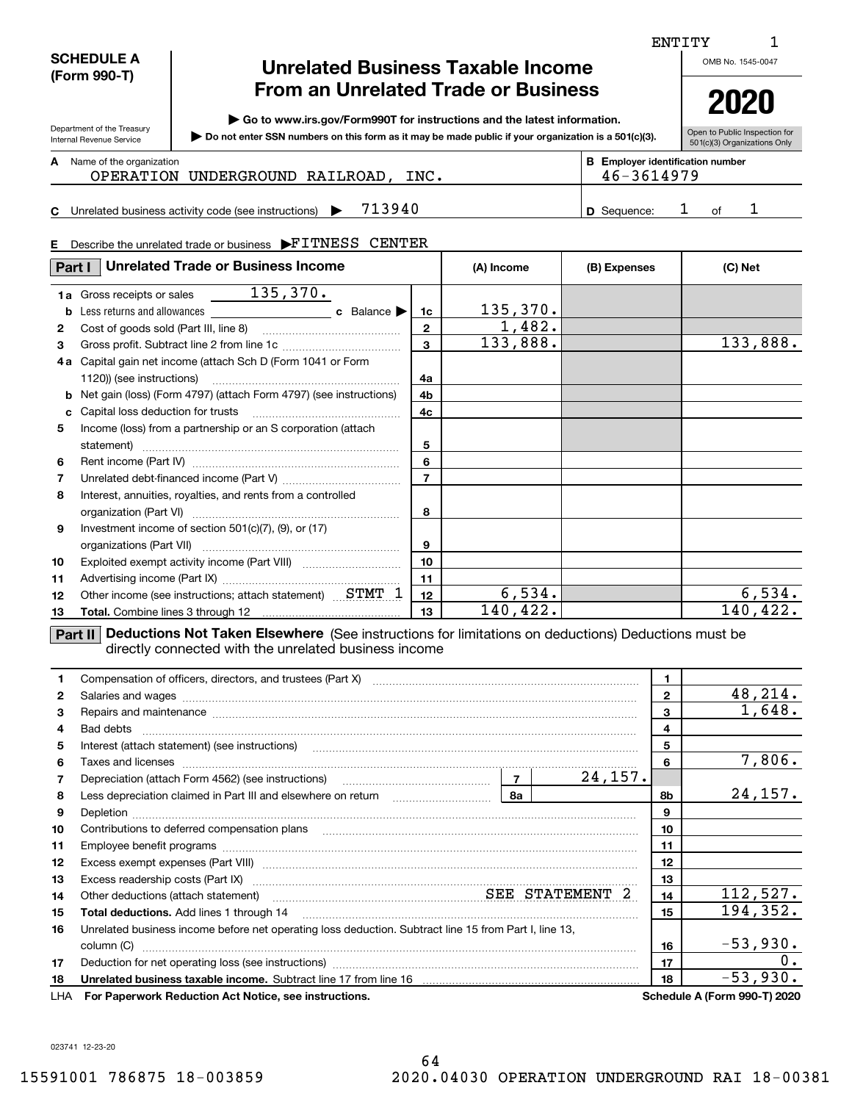### **SCHEDULE A (Form 990-T)**

Department of the Treasury Internal Revenue Service

**C**

## **Unrelated Business Taxable Income From an Unrelated Trade or Business**

**| Go to www.irs.gov/Form990T for instructions and the latest information.**

**Do not enter SSN numbers on this form as it may be made public if your organization is a 501(c)(3). |** 

Open to Public Inspection for **2020**

| 501(c)(3) Organizations Only |
|------------------------------|

### **A**

| Name of the organization<br>OPERATION UNDERGROUND RAILROAD<br>INC. | <b>B</b> Employer identification number<br>46-3614979 |    |  |
|--------------------------------------------------------------------|-------------------------------------------------------|----|--|
| 713940<br>Unrelated business activity code (see instructions)      | <b>D</b> Sequence:                                    | റf |  |

# **E** Describe the unrelated trade or business  $\blacktriangleright$ FITNESS CENTER

| Part I       | <b>Unrelated Trade or Business Income</b>                             |                         | (A) Income | (B) Expenses | (C) Net  |
|--------------|-----------------------------------------------------------------------|-------------------------|------------|--------------|----------|
| 1a           | Gross receipts or sales 135, 370.                                     |                         |            |              |          |
| b            | Less returns and allowances<br><b>c</b> Balance $\blacktriangleright$ | 1c                      | 135,370.   |              |          |
| $\mathbf{2}$ | Cost of goods sold (Part III, line 8)                                 | $\mathbf{2}$            | 1,482.     |              |          |
| 3            |                                                                       | $\overline{\mathbf{3}}$ | 133,888.   |              | 133,888. |
| 4а           | Capital gain net income (attach Sch D (Form 1041 or Form              |                         |            |              |          |
|              | 1120)) (see instructions)                                             | 4a                      |            |              |          |
| b            | Net gain (loss) (Form 4797) (attach Form 4797) (see instructions)     | 4b                      |            |              |          |
| c            |                                                                       | 4c                      |            |              |          |
| 5            | Income (loss) from a partnership or an S corporation (attach          |                         |            |              |          |
|              | statement)                                                            | 5                       |            |              |          |
| 6            |                                                                       | 6                       |            |              |          |
| 7            |                                                                       | $\overline{7}$          |            |              |          |
| 8            | Interest, annuities, royalties, and rents from a controlled           |                         |            |              |          |
|              |                                                                       | 8                       |            |              |          |
| 9            | Investment income of section $501(c)(7)$ , $(9)$ , or $(17)$          |                         |            |              |          |
|              |                                                                       | 9                       |            |              |          |
| 10           |                                                                       | 10                      |            |              |          |
| 11           |                                                                       | 11                      |            |              |          |
| 12           | Other income (see instructions; attach statement)  STMT 1             | 12                      | 6,534.     |              | 6,534.   |
| 13           |                                                                       | 13                      | 140,422.   |              | 140,422. |

**Part II Deductions Not Taken Elsewhere** (See instructions for limitations on deductions) Deductions must be directly connected with the unrelated business income

|              |                                                                                                                                                                                                                                     | 1.           |                              |
|--------------|-------------------------------------------------------------------------------------------------------------------------------------------------------------------------------------------------------------------------------------|--------------|------------------------------|
| $\mathbf{2}$ | Salaries and wages with the continuum contract of the contract of the contract of the contract of the contract of the contract of the contract of the contract of the contract of the contract of the contract of the contract      | $\mathbf{2}$ | 48,214.                      |
| 3            | Repairs and maintenance material content content content and material content and maintenance material content                                                                                                                      | 3            | 1,648.                       |
| 4            |                                                                                                                                                                                                                                     | 4            |                              |
| 5            |                                                                                                                                                                                                                                     | 5            |                              |
| 6            | Taxes and licenses <b>communications</b> and constructions of the construction of the construction of the construction of the construction of the construction of the construction of the construction of the construction of the c | 6            | 7,806.                       |
| 7            | 24, 157.                                                                                                                                                                                                                            |              |                              |
| 8            | Less depreciation claimed in Part III and elsewhere on return [1, 1, 1, 1, 1, 1, 1, 1, 1, 1, 1, 1, 1<br>8a                                                                                                                          | 8b           | 24,157.                      |
| 9            |                                                                                                                                                                                                                                     | 9            |                              |
| 10           | Contributions to deferred compensation plans                                                                                                                                                                                        | 10           |                              |
| 11           |                                                                                                                                                                                                                                     | 11           |                              |
| 12           |                                                                                                                                                                                                                                     | 12           |                              |
| 13           |                                                                                                                                                                                                                                     | 13           |                              |
| 14           |                                                                                                                                                                                                                                     | 14           | 112,527.                     |
| 15           | <b>Total deductions.</b> Add lines 1 through 14                                                                                                                                                                                     | 15           | 194, 352.                    |
| 16           | Unrelated business income before net operating loss deduction. Subtract line 15 from Part I, line 13,                                                                                                                               |              |                              |
|              | column (C)                                                                                                                                                                                                                          | 16           | $-53,930.$                   |
| 17           |                                                                                                                                                                                                                                     | 17           | $0$ .                        |
| 18           |                                                                                                                                                                                                                                     | 18           | $-53,930.$                   |
| LHA          | For Paperwork Reduction Act Notice, see instructions.                                                                                                                                                                               |              | Schedule A (Form 990-T) 2020 |

023741 12-23-20

ENTITY

OMB No. 1545-0047

1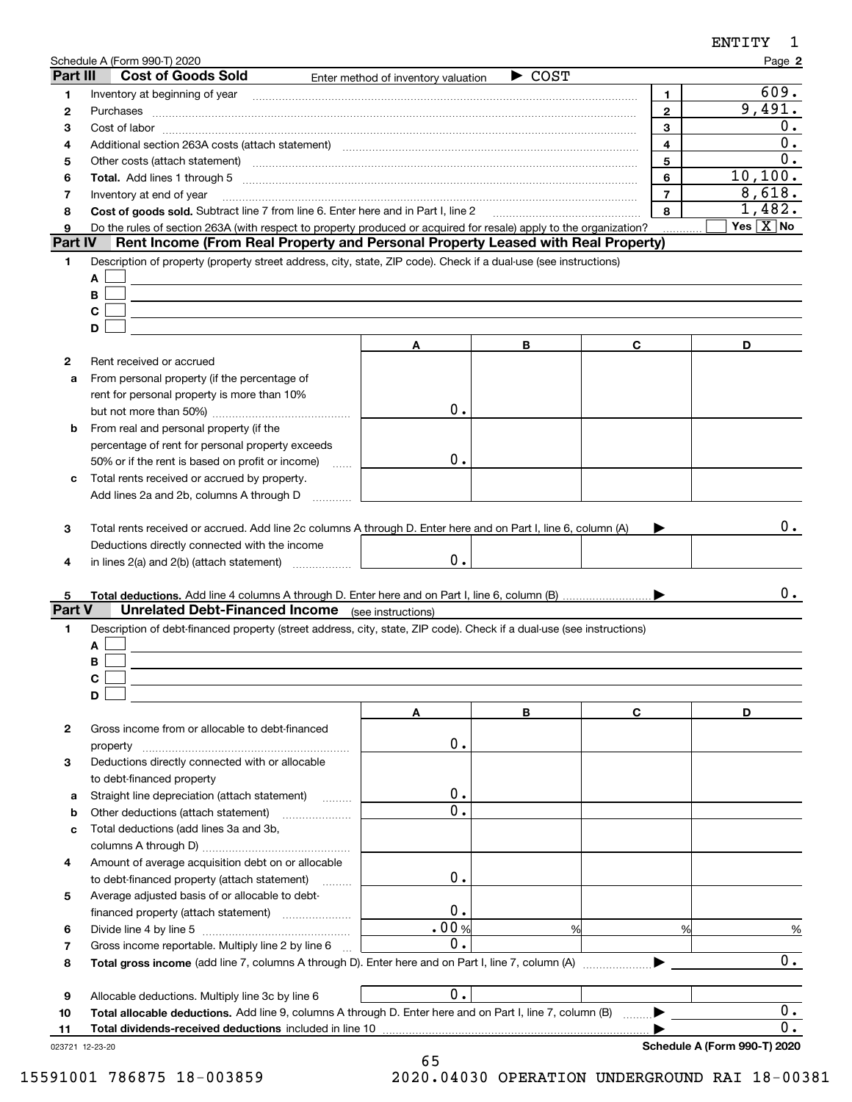|             | Schedule A (Form 990-T) 2020                                                                                                                                                                                                   |                                     |                            |                | Page 2                    |
|-------------|--------------------------------------------------------------------------------------------------------------------------------------------------------------------------------------------------------------------------------|-------------------------------------|----------------------------|----------------|---------------------------|
| Part III    | <b>Cost of Goods Sold</b>                                                                                                                                                                                                      | Enter method of inventory valuation | $\blacktriangleright$ COST |                |                           |
| 1           |                                                                                                                                                                                                                                |                                     |                            | 1.             | 609.                      |
| 2           | Purchases                                                                                                                                                                                                                      |                                     |                            | $\overline{2}$ | 9,491.                    |
| З           | $Cost of labor  \label{thm:main}$                                                                                                                                                                                              |                                     |                            | 3              | $0$ .                     |
| 4           | Additional section 263A costs (attach statement) material content and according to the Additional section 263A                                                                                                                 |                                     |                            | 4              | 0.                        |
| 5           | Other costs (attach statement) manufactured and contract and contract and contract and contract and contract and contract and contract and contract and contract and contract and contract and contract and contract and contr |                                     |                            | 5              | 0.                        |
| 6           |                                                                                                                                                                                                                                |                                     |                            | 6              | 10, 100.                  |
| 7           | Inventory at end of year                                                                                                                                                                                                       |                                     |                            | $\overline{7}$ | 8,618.                    |
| 8           | Cost of goods sold. Subtract line 7 from line 6. Enter here and in Part I, line 2 [11, 111] Cost of goods sold. Subtract line 7 from line 6. Enter here and in Part I, line 2                                                  |                                     |                            | 8              | 1,482.                    |
| 9           | Do the rules of section 263A (with respect to property produced or acquired for resale) apply to the organization?                                                                                                             |                                     |                            |                | Yes $\boxed{\text{X}}$ No |
| Part IV     | Rent Income (From Real Property and Personal Property Leased with Real Property)                                                                                                                                               |                                     |                            |                |                           |
| 1           | Description of property (property street address, city, state, ZIP code). Check if a dual-use (see instructions)                                                                                                               |                                     |                            |                |                           |
|             | Α                                                                                                                                                                                                                              |                                     |                            |                |                           |
|             | В                                                                                                                                                                                                                              |                                     |                            |                |                           |
|             | C                                                                                                                                                                                                                              |                                     |                            |                |                           |
|             | D                                                                                                                                                                                                                              |                                     |                            |                |                           |
|             |                                                                                                                                                                                                                                | A                                   | В                          | C              | D                         |
| 2           | Rent received or accrued                                                                                                                                                                                                       |                                     |                            |                |                           |
| a           | From personal property (if the percentage of                                                                                                                                                                                   |                                     |                            |                |                           |
|             | rent for personal property is more than 10%                                                                                                                                                                                    | 0.                                  |                            |                |                           |
|             |                                                                                                                                                                                                                                |                                     |                            |                |                           |
| b           | From real and personal property (if the                                                                                                                                                                                        |                                     |                            |                |                           |
|             | percentage of rent for personal property exceeds                                                                                                                                                                               | 0.                                  |                            |                |                           |
|             | 50% or if the rent is based on profit or income)                                                                                                                                                                               | $\ldots$                            |                            |                |                           |
| c           | Total rents received or accrued by property.                                                                                                                                                                                   |                                     |                            |                |                           |
|             | Add lines 2a and 2b, columns A through D                                                                                                                                                                                       |                                     |                            |                |                           |
|             |                                                                                                                                                                                                                                |                                     |                            |                | 0.                        |
| 3           | Total rents received or accrued. Add line 2c columns A through D. Enter here and on Part I, line 6, column (A)                                                                                                                 |                                     |                            |                |                           |
|             | Deductions directly connected with the income                                                                                                                                                                                  | 0.                                  |                            |                |                           |
| 4           | in lines 2(a) and 2(b) (attach statement)                                                                                                                                                                                      |                                     |                            |                |                           |
|             |                                                                                                                                                                                                                                |                                     |                            |                | 0.                        |
| 5<br>Part V | <b>Unrelated Debt-Financed Income</b> (see instructions)                                                                                                                                                                       |                                     |                            |                |                           |
| 1           | Description of debt-financed property (street address, city, state, ZIP code). Check if a dual-use (see instructions)                                                                                                          |                                     |                            |                |                           |
|             | Α                                                                                                                                                                                                                              |                                     |                            |                |                           |
|             | В                                                                                                                                                                                                                              |                                     |                            |                |                           |
|             | C                                                                                                                                                                                                                              |                                     |                            |                |                           |
|             | D                                                                                                                                                                                                                              |                                     |                            |                |                           |
|             |                                                                                                                                                                                                                                | Α                                   | В                          | C              | D                         |
| 2           | Gross income from or allocable to debt-financed                                                                                                                                                                                |                                     |                            |                |                           |
|             | property                                                                                                                                                                                                                       | 0.                                  |                            |                |                           |
| 3           | Deductions directly connected with or allocable                                                                                                                                                                                |                                     |                            |                |                           |
|             | to debt-financed property                                                                                                                                                                                                      |                                     |                            |                |                           |
| а           | Straight line depreciation (attach statement)                                                                                                                                                                                  | 0.                                  |                            |                |                           |
| b           | Other deductions (attach statement)                                                                                                                                                                                            | 0.                                  |                            |                |                           |
| с           | Total deductions (add lines 3a and 3b,                                                                                                                                                                                         |                                     |                            |                |                           |
|             |                                                                                                                                                                                                                                |                                     |                            |                |                           |
| 4           | Amount of average acquisition debt on or allocable                                                                                                                                                                             |                                     |                            |                |                           |
|             | to debt-financed property (attach statement)                                                                                                                                                                                   | 0.                                  |                            |                |                           |
| 5           | Average adjusted basis of or allocable to debt-                                                                                                                                                                                |                                     |                            |                |                           |
|             |                                                                                                                                                                                                                                | 0.                                  |                            |                |                           |
| 6           |                                                                                                                                                                                                                                | .00%                                |                            | %<br>%         | $\frac{9}{6}$             |
| 7           | Gross income reportable. Multiply line 2 by line 6                                                                                                                                                                             | 0.                                  |                            |                |                           |
| 8           |                                                                                                                                                                                                                                |                                     |                            |                | $\overline{0}$ .          |
|             |                                                                                                                                                                                                                                |                                     |                            |                |                           |
| 9           | Allocable deductions. Multiply line 3c by line 6                                                                                                                                                                               | 0.                                  |                            |                |                           |
| 10          | Total allocable deductions. Add line 9, columns A through D. Enter here and on Part I, line 7, column (B)                                                                                                                      |                                     |                            |                | $0$ .                     |
| 11          |                                                                                                                                                                                                                                |                                     |                            |                | 0.                        |
|             | Total dividends-received deductions included in line 10                                                                                                                                                                        |                                     |                            |                |                           |

65 15591001 786875 18-003859 2020.04030 OPERATION UNDERGROUND RAI 18-00381

ENTITY 1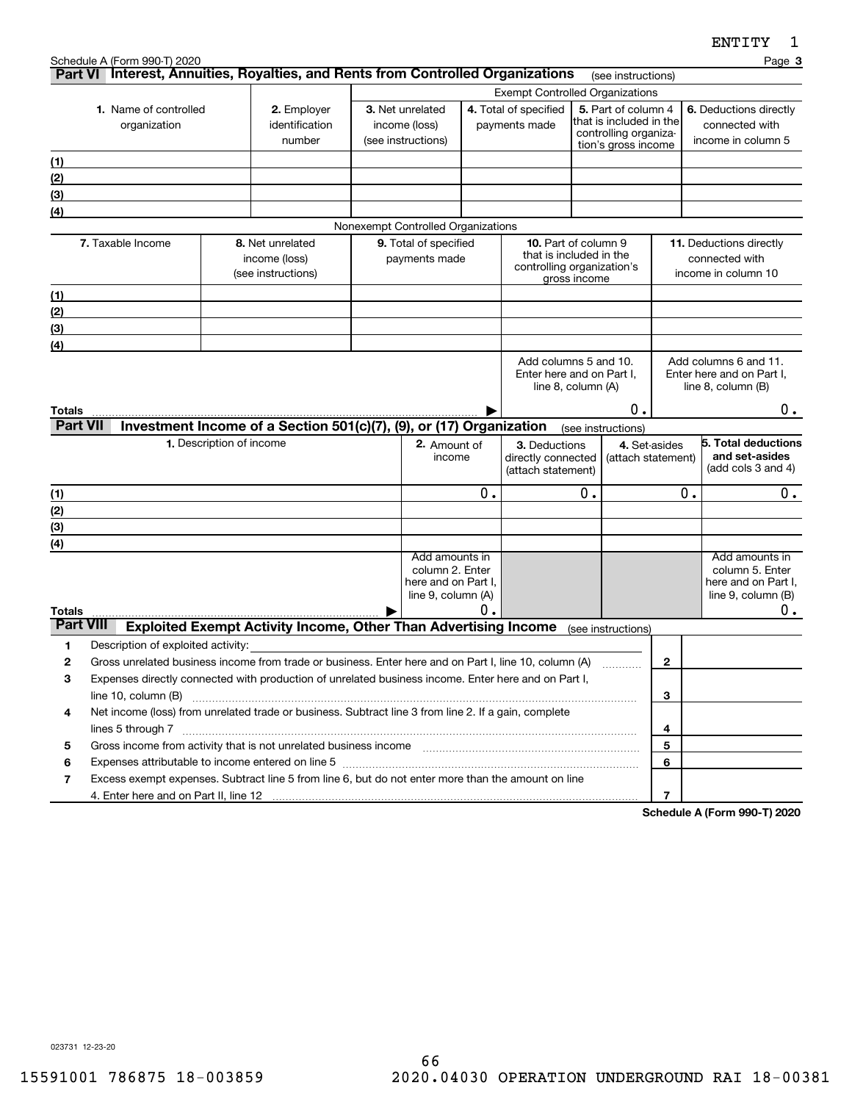**3**

| 1. Name of controlled<br>organization |                                                                                                                      | 2. Employer<br>identification<br>number | 3. Net unrelated<br>income (loss)<br>(see instructions)                            | 4. Total of specified<br>payments made                                         |    |                                                                          | 5. Part of column 4<br>that is included in the<br>controlling organiza-<br>tion's gross income |                    | 6. Deductions directly<br>connected with<br>income in column 5           |  |                                                                                      |
|---------------------------------------|----------------------------------------------------------------------------------------------------------------------|-----------------------------------------|------------------------------------------------------------------------------------|--------------------------------------------------------------------------------|----|--------------------------------------------------------------------------|------------------------------------------------------------------------------------------------|--------------------|--------------------------------------------------------------------------|--|--------------------------------------------------------------------------------------|
| (1)                                   |                                                                                                                      |                                         |                                                                                    |                                                                                |    |                                                                          |                                                                                                |                    |                                                                          |  |                                                                                      |
| (2)                                   |                                                                                                                      |                                         |                                                                                    |                                                                                |    |                                                                          |                                                                                                |                    |                                                                          |  |                                                                                      |
| (3)                                   |                                                                                                                      |                                         |                                                                                    |                                                                                |    |                                                                          |                                                                                                |                    |                                                                          |  |                                                                                      |
| (4)                                   |                                                                                                                      |                                         |                                                                                    | Nonexempt Controlled Organizations                                             |    |                                                                          |                                                                                                |                    |                                                                          |  |                                                                                      |
|                                       | 7. Taxable Income                                                                                                    |                                         | 8. Net unrelated                                                                   | 9. Total of specified                                                          |    | 10. Part of column 9                                                     |                                                                                                |                    |                                                                          |  | 11. Deductions directly                                                              |
|                                       |                                                                                                                      |                                         | income (loss)<br>(see instructions)                                                | payments made                                                                  |    | that is included in the<br>controlling organization's                    | gross income                                                                                   |                    | connected with<br>income in column 10                                    |  |                                                                                      |
| (1)                                   |                                                                                                                      |                                         |                                                                                    |                                                                                |    |                                                                          |                                                                                                |                    |                                                                          |  |                                                                                      |
| (2)                                   |                                                                                                                      |                                         |                                                                                    |                                                                                |    |                                                                          |                                                                                                |                    |                                                                          |  |                                                                                      |
| (3)                                   |                                                                                                                      |                                         |                                                                                    |                                                                                |    |                                                                          |                                                                                                |                    |                                                                          |  |                                                                                      |
| (4)                                   |                                                                                                                      |                                         |                                                                                    |                                                                                |    |                                                                          |                                                                                                |                    |                                                                          |  |                                                                                      |
|                                       |                                                                                                                      |                                         |                                                                                    |                                                                                |    | Add columns 5 and 10.<br>Enter here and on Part I.<br>line 8, column (A) |                                                                                                |                    | Add columns 6 and 11.<br>Enter here and on Part I,<br>line 8, column (B) |  |                                                                                      |
| <b>Totals</b>                         |                                                                                                                      |                                         |                                                                                    |                                                                                |    |                                                                          |                                                                                                | 0.                 |                                                                          |  | 0.                                                                                   |
| <b>Part VII</b>                       |                                                                                                                      |                                         | Investment Income of a Section 501(c)(7), (9), or (17) Organization                |                                                                                |    |                                                                          |                                                                                                | (see instructions) |                                                                          |  |                                                                                      |
|                                       |                                                                                                                      | 1. Description of income                |                                                                                    | 2. Amount of<br>income                                                         |    | 3. Deductions<br>directly connected<br>(attach statement)                |                                                                                                | (attach statement) | 4. Set-asides                                                            |  | 5. Total deductions<br>and set-asides<br>(add cols 3 and 4)                          |
| (1)                                   |                                                                                                                      |                                         |                                                                                    |                                                                                | 0. |                                                                          | 0.                                                                                             |                    | 0.                                                                       |  | 0.                                                                                   |
| (2)                                   |                                                                                                                      |                                         |                                                                                    |                                                                                |    |                                                                          |                                                                                                |                    |                                                                          |  |                                                                                      |
| (3)                                   |                                                                                                                      |                                         |                                                                                    |                                                                                |    |                                                                          |                                                                                                |                    |                                                                          |  |                                                                                      |
| (4)                                   |                                                                                                                      |                                         |                                                                                    |                                                                                |    |                                                                          |                                                                                                |                    |                                                                          |  |                                                                                      |
| Totals                                |                                                                                                                      |                                         |                                                                                    | Add amounts in<br>column 2. Enter<br>here and on Part I,<br>line 9, column (A) | Ο. |                                                                          |                                                                                                |                    |                                                                          |  | Add amounts in<br>column 5. Enter<br>here and on Part I,<br>line 9, column (B)<br>0. |
| <b>Part VIII</b>                      |                                                                                                                      |                                         | Exploited Exempt Activity Income, Other Than Advertising Income (see instructions) |                                                                                |    |                                                                          |                                                                                                |                    |                                                                          |  |                                                                                      |
| 1                                     | Description of exploited activity:                                                                                   |                                         |                                                                                    |                                                                                |    |                                                                          |                                                                                                |                    |                                                                          |  |                                                                                      |
| $\mathbf{2}$                          | Gross unrelated business income from trade or business. Enter here and on Part I, line 10, column (A)                |                                         |                                                                                    |                                                                                |    |                                                                          |                                                                                                | 1.1.1.1.1.1.1.1.1  | $\mathbf{2}$                                                             |  |                                                                                      |
| 3                                     | Expenses directly connected with production of unrelated business income. Enter here and on Part I,                  |                                         |                                                                                    |                                                                                |    |                                                                          |                                                                                                |                    |                                                                          |  |                                                                                      |
|                                       |                                                                                                                      |                                         |                                                                                    |                                                                                |    |                                                                          |                                                                                                |                    | 3                                                                        |  |                                                                                      |
| 4                                     | Net income (loss) from unrelated trade or business. Subtract line 3 from line 2. If a gain, complete                 |                                         |                                                                                    |                                                                                |    |                                                                          |                                                                                                |                    |                                                                          |  |                                                                                      |
|                                       | lines 5 through 7 www.assemblance.com/news/community/intervention-community-community-community-community-community- |                                         |                                                                                    |                                                                                |    |                                                                          |                                                                                                |                    | 4                                                                        |  |                                                                                      |
| 5                                     |                                                                                                                      |                                         |                                                                                    |                                                                                |    |                                                                          |                                                                                                |                    | 5                                                                        |  |                                                                                      |
| 6<br>$\overline{7}$                   | Expenses attributable to income entered on line 5 [111] [12] material contents at the income entered on line 5       |                                         |                                                                                    |                                                                                |    |                                                                          |                                                                                                |                    | 6                                                                        |  |                                                                                      |
|                                       | Excess exempt expenses. Subtract line 5 from line 6, but do not enter more than the amount on line                   |                                         |                                                                                    |                                                                                |    |                                                                          |                                                                                                |                    | $\overline{7}$                                                           |  |                                                                                      |
|                                       |                                                                                                                      |                                         |                                                                                    |                                                                                |    |                                                                          |                                                                                                |                    |                                                                          |  | Cahadula A (Faum 000 T) 0000                                                         |

Schedule A (Form 990-T) 2020 Page

Exempt Controlled Organizations

**Part VI** Interest, Annuities, Royalties, and Rents from Controlled Organizations rese instructions)

**Schedule A (Form 990-T) 2020**

023731 12-23-20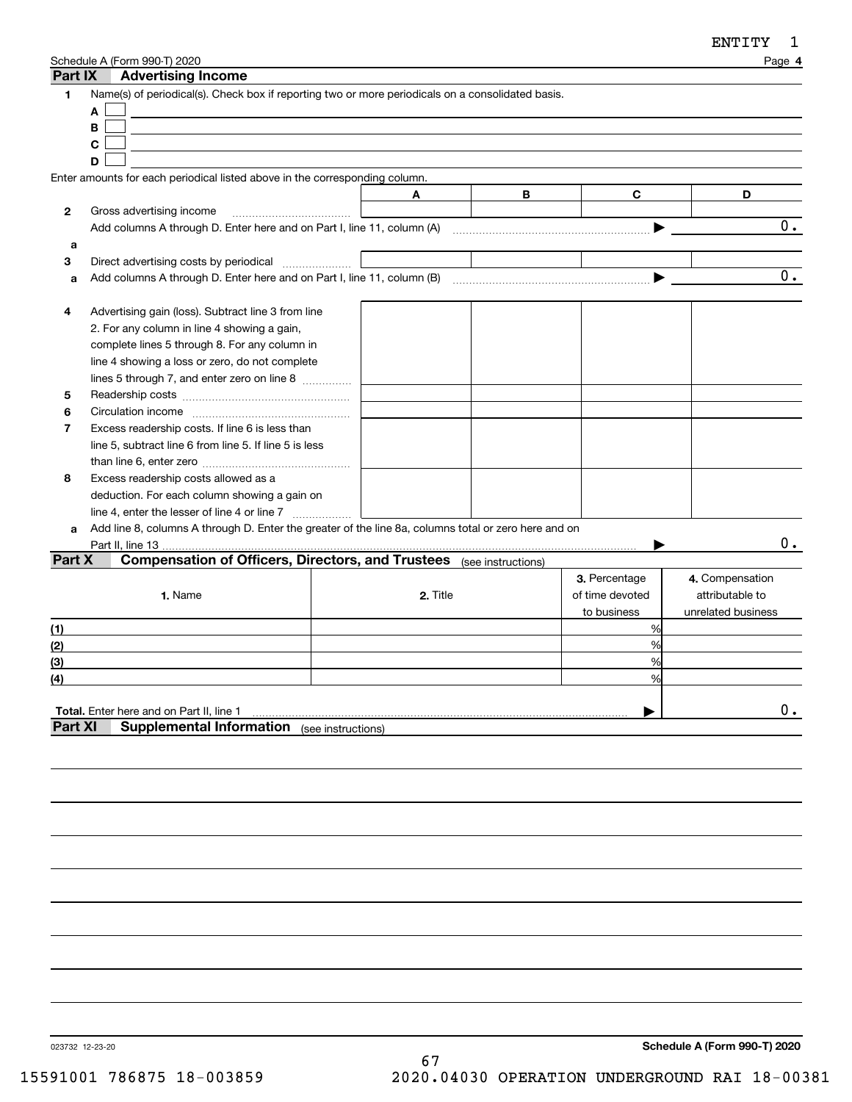| Part IX        | Schedule A (Form 990-T) 2020<br><b>Advertising Income</b>                                                      |                    |          |   |                 | Page 4                             |
|----------------|----------------------------------------------------------------------------------------------------------------|--------------------|----------|---|-----------------|------------------------------------|
| 1              | Name(s) of periodical(s). Check box if reporting two or more periodicals on a consolidated basis.              |                    |          |   |                 |                                    |
|                | A                                                                                                              |                    |          |   |                 |                                    |
|                | B                                                                                                              |                    |          |   |                 |                                    |
|                | C                                                                                                              |                    |          |   |                 |                                    |
|                | D                                                                                                              |                    |          |   |                 |                                    |
|                | Enter amounts for each periodical listed above in the corresponding column.                                    |                    |          |   |                 |                                    |
|                |                                                                                                                |                    | A        | В | C               | D                                  |
| 2              | Gross advertising income                                                                                       |                    |          |   |                 |                                    |
|                | Add columns A through D. Enter here and on Part I, line 11, column (A) manufactured columns A through D. Enter |                    |          |   |                 | 0.                                 |
| a              |                                                                                                                |                    |          |   |                 |                                    |
| 3              | Direct advertising costs by periodical                                                                         |                    |          |   |                 |                                    |
| a              |                                                                                                                |                    |          |   |                 | 0.                                 |
|                |                                                                                                                |                    |          |   |                 |                                    |
| 4              | Advertising gain (loss). Subtract line 3 from line                                                             |                    |          |   |                 |                                    |
|                | 2. For any column in line 4 showing a gain,                                                                    |                    |          |   |                 |                                    |
|                | complete lines 5 through 8. For any column in                                                                  |                    |          |   |                 |                                    |
|                | line 4 showing a loss or zero, do not complete                                                                 |                    |          |   |                 |                                    |
|                | lines 5 through 7, and enter zero on line 8                                                                    |                    |          |   |                 |                                    |
| 5              |                                                                                                                |                    |          |   |                 |                                    |
| 6              |                                                                                                                |                    |          |   |                 |                                    |
| 7              | Excess readership costs. If line 6 is less than                                                                |                    |          |   |                 |                                    |
|                | line 5, subtract line 6 from line 5. If line 5 is less                                                         |                    |          |   |                 |                                    |
|                |                                                                                                                |                    |          |   |                 |                                    |
| 8              | Excess readership costs allowed as a                                                                           |                    |          |   |                 |                                    |
|                | deduction. For each column showing a gain on                                                                   |                    |          |   |                 |                                    |
|                | line 4, enter the lesser of line 4 or line 7                                                                   |                    |          |   |                 |                                    |
| a              | Add line 8, columns A through D. Enter the greater of the line 8a, columns total or zero here and on           |                    |          |   |                 |                                    |
|                | Part II, line 13                                                                                               |                    |          |   |                 | 0.                                 |
| Part X         | <b>Compensation of Officers, Directors, and Trustees</b> (see instructions)                                    |                    |          |   |                 |                                    |
|                |                                                                                                                |                    |          |   | 3. Percentage   |                                    |
|                | 1. Name                                                                                                        |                    | 2. Title |   |                 | 4. Compensation<br>attributable to |
|                |                                                                                                                |                    |          |   | of time devoted |                                    |
|                |                                                                                                                |                    |          |   | to business     | unrelated business                 |
| (1)            |                                                                                                                |                    |          |   | %               |                                    |
| (2)            |                                                                                                                |                    |          |   | %               |                                    |
| (3)            |                                                                                                                |                    |          |   | %               |                                    |
| (4)            |                                                                                                                |                    |          |   | $\frac{0}{0}$   |                                    |
|                |                                                                                                                |                    |          |   |                 |                                    |
|                | <b>Total.</b> Enter here and on Part II, line 1                                                                |                    |          |   |                 | $\mathbf 0$ .                      |
| <b>Part XI</b> | <b>Supplemental Information</b>                                                                                | (see instructions) |          |   |                 |                                    |
|                |                                                                                                                |                    |          |   |                 |                                    |
|                |                                                                                                                |                    |          |   |                 |                                    |

023732 12-23-20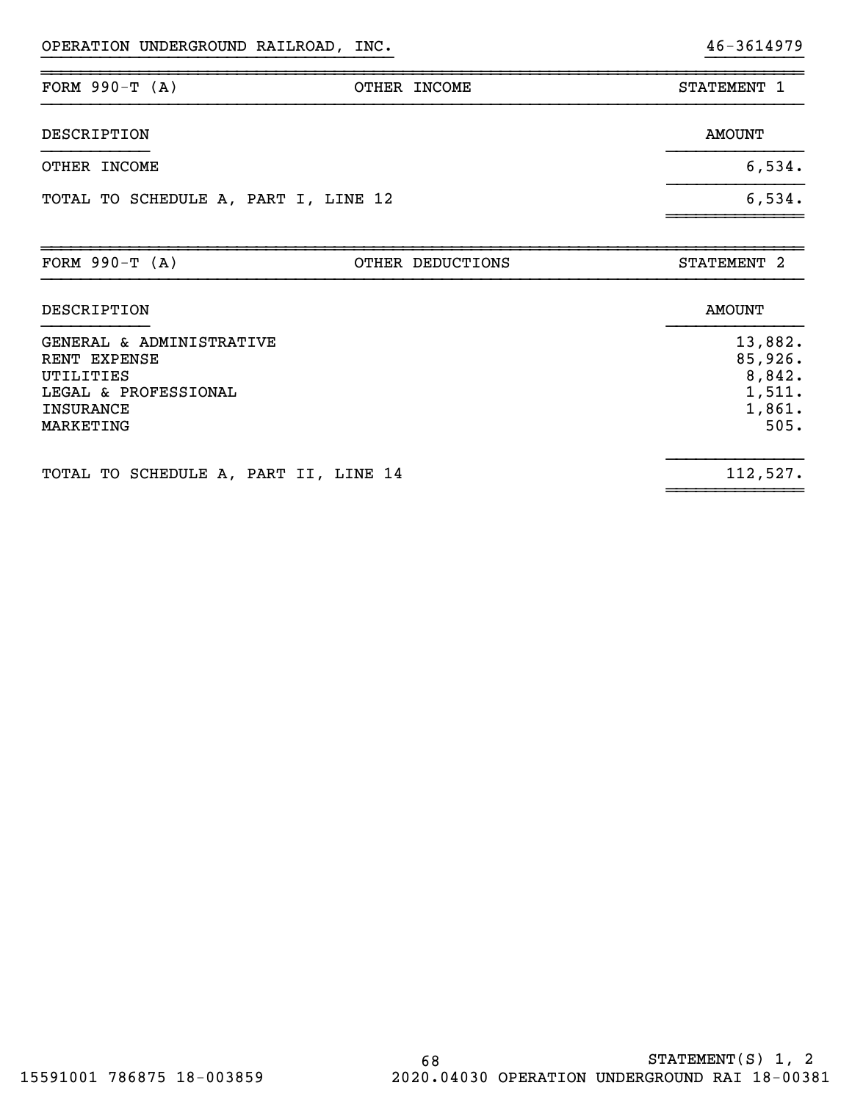| FORM $990-T (A)$                                                                                               | OTHER INCOME     | STATEMENT 1                                              |
|----------------------------------------------------------------------------------------------------------------|------------------|----------------------------------------------------------|
| DESCRIPTION                                                                                                    |                  | <b>AMOUNT</b>                                            |
| OTHER INCOME                                                                                                   |                  | 6,534.                                                   |
| TOTAL TO SCHEDULE A, PART I, LINE 12                                                                           |                  | 6,534.                                                   |
| FORM $990-T (A)$                                                                                               | OTHER DEDUCTIONS | STATEMENT 2                                              |
| DESCRIPTION                                                                                                    |                  | <b>AMOUNT</b>                                            |
| GENERAL & ADMINISTRATIVE<br>RENT EXPENSE<br>UTILITIES<br>LEGAL & PROFESSIONAL<br><b>INSURANCE</b><br>MARKETING |                  | 13,882.<br>85,926.<br>8,842.<br>1,511.<br>1,861.<br>505. |
| TOTAL TO SCHEDULE A, PART II, LINE 14                                                                          |                  | 112,527.                                                 |

}}}}}}}}}}}}}}}}}}}}}}}}}}}}}}}}}}}} }}}}}}}}}}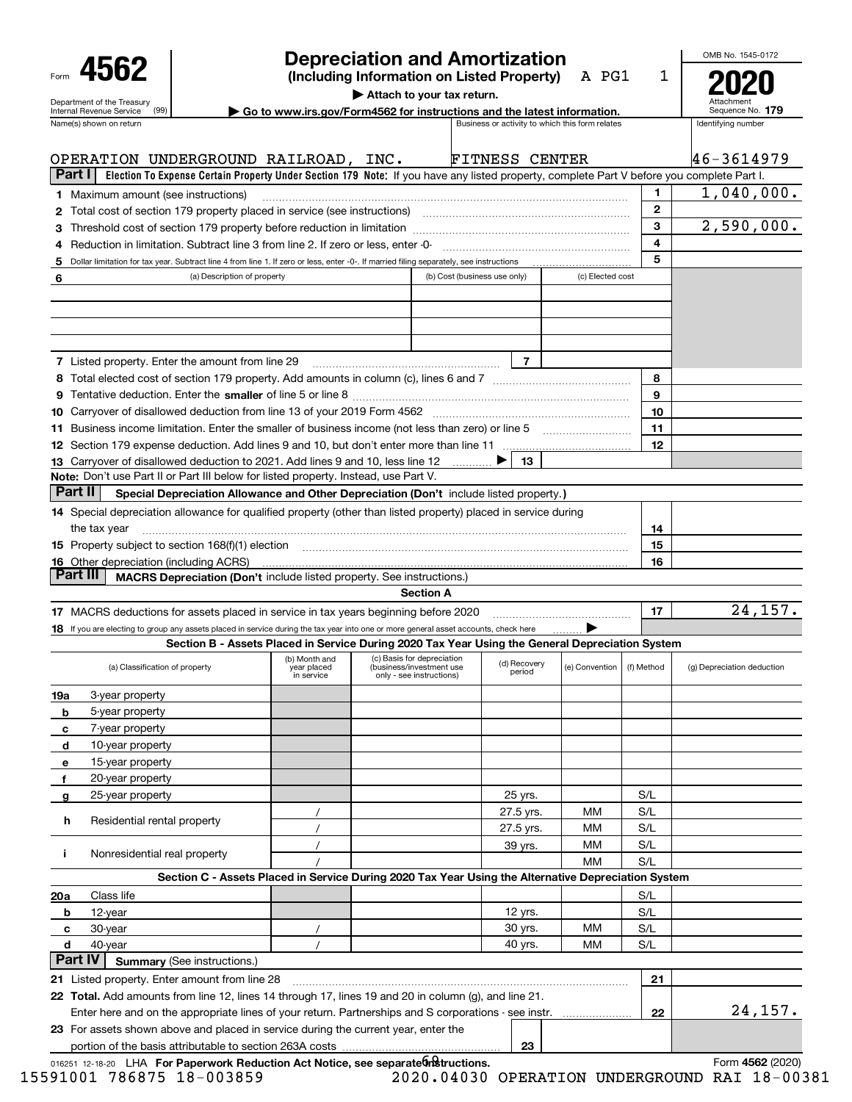| Form |                                                        |  |
|------|--------------------------------------------------------|--|
|      | Department of the Treasury<br>Internal Revenue Service |  |

## **Depreciation and Amortization**

**(Including Information on Listed Property)** A PG1

**| Attach to your tax return.**

Attachment Sequence No. **2020**

1

OMB No. 1545-0172

| Go to www.irs.gov/Form4562 for instructions and the latest information. |                                                 |
|-------------------------------------------------------------------------|-------------------------------------------------|
|                                                                         | Rusiness or activity to which this form relates |

|          | Name(s) shown on return                                                                                                                                  |                                            |                                                                                    |                              | Business or activity to which this form relates |                  |              | Identifying number         |
|----------|----------------------------------------------------------------------------------------------------------------------------------------------------------|--------------------------------------------|------------------------------------------------------------------------------------|------------------------------|-------------------------------------------------|------------------|--------------|----------------------------|
|          | OPERATION UNDERGROUND RAILROAD, INC.                                                                                                                     |                                            |                                                                                    |                              | <b>FITNESS CENTER</b>                           |                  |              | 46-3614979                 |
| Part I   | Election To Expense Certain Property Under Section 179 Note: If you have any listed property, complete Part V before you complete Part I.                |                                            |                                                                                    |                              |                                                 |                  |              |                            |
|          | <b>1</b> Maximum amount (see instructions)                                                                                                               |                                            |                                                                                    |                              |                                                 |                  | 1.           | 1,040,000.                 |
|          | 2 Total cost of section 179 property placed in service (see instructions) manufactured cost of section 179 property placed in service (see instructions) |                                            |                                                                                    |                              |                                                 |                  | $\mathbf{2}$ |                            |
|          |                                                                                                                                                          |                                            |                                                                                    |                              |                                                 |                  | 3            | 2,590,000.                 |
| 4        | Reduction in limitation. Subtract line 3 from line 2. If zero or less, enter -0-                                                                         |                                            |                                                                                    |                              |                                                 |                  | 4            |                            |
| 5        | Dollar limitation for tax year. Subtract line 4 from line 1. If zero or less, enter -0-. If married filing separately, see instructions                  |                                            |                                                                                    |                              |                                                 |                  | 5            |                            |
| 6        | (a) Description of property                                                                                                                              |                                            |                                                                                    | (b) Cost (business use only) |                                                 | (c) Elected cost |              |                            |
|          |                                                                                                                                                          |                                            |                                                                                    |                              |                                                 |                  |              |                            |
|          |                                                                                                                                                          |                                            |                                                                                    |                              |                                                 |                  |              |                            |
|          |                                                                                                                                                          |                                            |                                                                                    |                              |                                                 |                  |              |                            |
|          |                                                                                                                                                          |                                            |                                                                                    |                              |                                                 |                  |              |                            |
|          | 7 Listed property. Enter the amount from line 29                                                                                                         |                                            |                                                                                    |                              | 7                                               |                  |              |                            |
|          |                                                                                                                                                          |                                            |                                                                                    |                              |                                                 |                  | 8            |                            |
|          |                                                                                                                                                          |                                            |                                                                                    |                              |                                                 |                  | 9            |                            |
|          |                                                                                                                                                          |                                            |                                                                                    |                              |                                                 |                  | 10           |                            |
|          | 11 Business income limitation. Enter the smaller of business income (not less than zero) or line 5                                                       |                                            |                                                                                    |                              |                                                 |                  | 11           |                            |
|          |                                                                                                                                                          |                                            |                                                                                    |                              |                                                 |                  | 12           |                            |
|          | 13 Carryover of disallowed deduction to 2021. Add lines 9 and 10, less line 12                                                                           |                                            |                                                                                    |                              | ▶<br>13                                         |                  |              |                            |
|          | Note: Don't use Part II or Part III below for listed property. Instead, use Part V.                                                                      |                                            |                                                                                    |                              |                                                 |                  |              |                            |
| Part II  | Special Depreciation Allowance and Other Depreciation (Don't include listed property.)                                                                   |                                            |                                                                                    |                              |                                                 |                  |              |                            |
|          | 14 Special depreciation allowance for qualified property (other than listed property) placed in service during                                           |                                            |                                                                                    |                              |                                                 |                  |              |                            |
|          | the tax year                                                                                                                                             |                                            |                                                                                    |                              |                                                 |                  | 14           |                            |
|          | 15 Property subject to section 168(f)(1) election material content content and property subject to section 168(f)(1) election                            |                                            |                                                                                    |                              |                                                 |                  | 15           |                            |
|          | 16 Other depreciation (including ACRS)                                                                                                                   |                                            |                                                                                    |                              |                                                 |                  | 16           |                            |
| Part III | <b>MACRS Depreciation (Don't include listed property. See instructions.)</b>                                                                             |                                            |                                                                                    |                              |                                                 |                  |              |                            |
|          |                                                                                                                                                          |                                            |                                                                                    | <b>Section A</b>             |                                                 |                  |              |                            |
|          | 17 MACRS deductions for assets placed in service in tax years beginning before 2020                                                                      |                                            |                                                                                    |                              |                                                 |                  | 17           | 24, 157.                   |
|          | 18 If you are electing to group any assets placed in service during the tax year into one or more general asset accounts, check here                     |                                            |                                                                                    |                              |                                                 |                  |              |                            |
|          | Section B - Assets Placed in Service During 2020 Tax Year Using the General Depreciation System                                                          |                                            |                                                                                    |                              |                                                 |                  |              |                            |
|          | (a) Classification of property                                                                                                                           | (b) Month and<br>year placed<br>in service | (c) Basis for depreciation<br>(business/investment use<br>only - see instructions) |                              | (d) Recovery<br>period                          | (e) Convention   | (f) Method   | (g) Depreciation deduction |
| 19a      | 3-year property                                                                                                                                          |                                            |                                                                                    |                              |                                                 |                  |              |                            |
| b        | 5-year property                                                                                                                                          |                                            |                                                                                    |                              |                                                 |                  |              |                            |
| с        | 7-year property                                                                                                                                          |                                            |                                                                                    |                              |                                                 |                  |              |                            |
| d        | 10-year property                                                                                                                                         |                                            |                                                                                    |                              |                                                 |                  |              |                            |
| е        | 15-year property                                                                                                                                         |                                            |                                                                                    |                              |                                                 |                  |              |                            |
| f        | 20-year property                                                                                                                                         |                                            |                                                                                    |                              |                                                 |                  |              |                            |
| g        | 25-year property                                                                                                                                         |                                            |                                                                                    |                              | 25 yrs.                                         |                  | S/L          |                            |
|          |                                                                                                                                                          |                                            |                                                                                    |                              | 27.5 yrs.                                       | MМ               | S/L          |                            |
| h        | Residential rental property                                                                                                                              |                                            |                                                                                    |                              | 27.5 yrs.                                       | MМ               | S/L          |                            |
|          |                                                                                                                                                          |                                            |                                                                                    |                              | 39 yrs.                                         | MМ               | S/L          |                            |
| j.       | Nonresidential real property                                                                                                                             |                                            |                                                                                    |                              |                                                 | MМ               | S/L          |                            |
|          | Section C - Assets Placed in Service During 2020 Tax Year Using the Alternative Depreciation System                                                      |                                            |                                                                                    |                              |                                                 |                  |              |                            |
| 20a      | Class life                                                                                                                                               |                                            |                                                                                    |                              |                                                 |                  | S/L          |                            |
| b        | 12-year                                                                                                                                                  |                                            |                                                                                    |                              | 12 yrs.                                         |                  | S/L          |                            |
| c        | 30-year                                                                                                                                                  |                                            |                                                                                    |                              | 30 yrs.                                         | MМ               | S/L          |                            |
| d        | 40-year                                                                                                                                                  |                                            |                                                                                    |                              | 40 yrs.                                         | MМ               | S/L          |                            |
| Part IV  | <b>Summary (See instructions.)</b>                                                                                                                       |                                            |                                                                                    |                              |                                                 |                  |              |                            |
|          | 21 Listed property. Enter amount from line 28                                                                                                            |                                            |                                                                                    |                              |                                                 |                  | 21           |                            |
|          | 22 Total. Add amounts from line 12, lines 14 through 17, lines 19 and 20 in column (g), and line 21.                                                     |                                            |                                                                                    |                              |                                                 |                  |              |                            |
|          | Enter here and on the appropriate lines of your return. Partnerships and S corporations - see instr.                                                     |                                            |                                                                                    |                              |                                                 |                  | 22           | 24,157.                    |
|          | 23 For assets shown above and placed in service during the current year, enter the                                                                       |                                            |                                                                                    |                              |                                                 |                  |              |                            |

| portion of the basis attributable to section 263A costs                           |  | ഹ |                                                    |           |  |
|-----------------------------------------------------------------------------------|--|---|----------------------------------------------------|-----------|--|
| 016251 12-18-20 LHA For Paperwork Reduction Act Notice, see separate matructions. |  |   |                                                    | Form 4562 |  |
| $\overline{a}$                                                                    |  |   | $0.000$ $0.1020$ couplates initial control part 10 |           |  |

15591001 786875 18-003859 2020.04030 OPERATION UNDERGROUND RAI 18-00381

**23**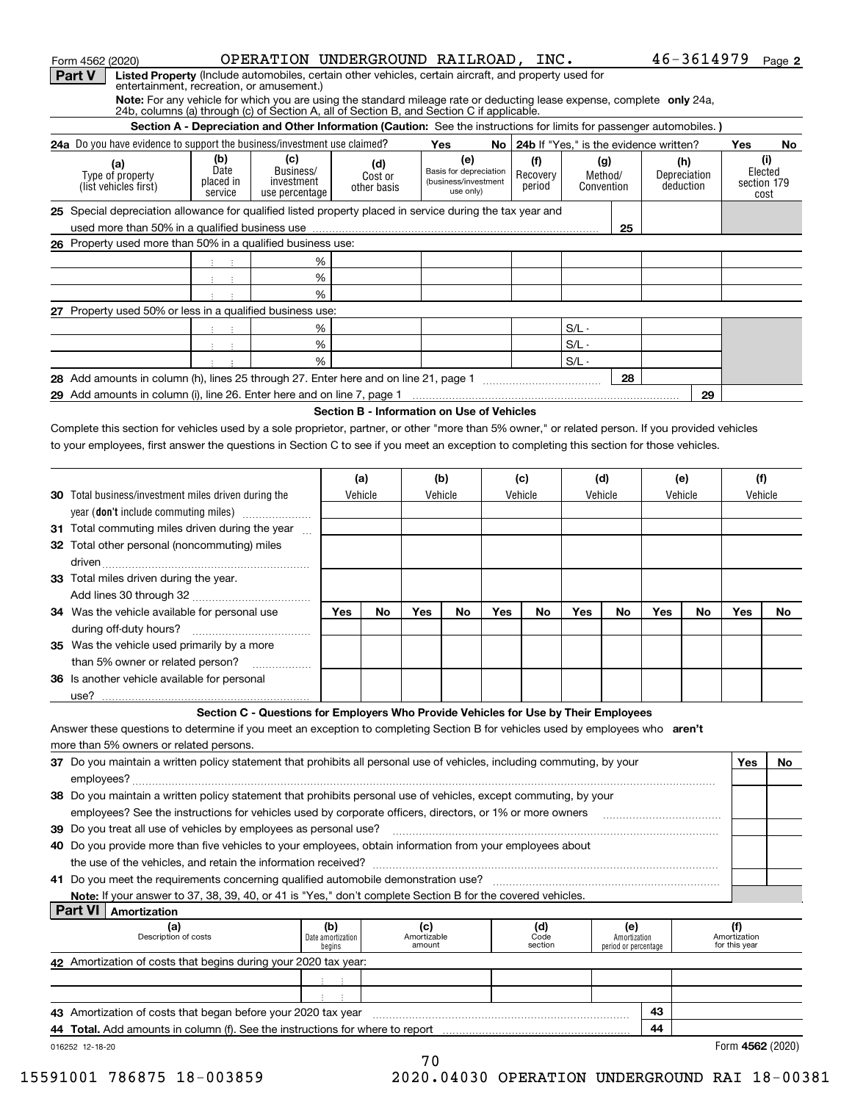| Form 4562 (2020)                                                                                                                                                                                                    |                                                           | OPERATION UNDERGROUND RAILROAD, INC.                                                                                 |                                            |                |                       |                                   |         |                                             |         |                      |     | 46-3614979   |                               | Page 2              |
|---------------------------------------------------------------------------------------------------------------------------------------------------------------------------------------------------------------------|-----------------------------------------------------------|----------------------------------------------------------------------------------------------------------------------|--------------------------------------------|----------------|-----------------------|-----------------------------------|---------|---------------------------------------------|---------|----------------------|-----|--------------|-------------------------------|---------------------|
| Part V<br>Listed Property (Include automobiles, certain other vehicles, certain aircraft, and property used for<br>entertainment, recreation, or amusement.)                                                        |                                                           |                                                                                                                      |                                            |                |                       |                                   |         |                                             |         |                      |     |              |                               |                     |
| Note: For any vehicle for which you are using the standard mileage rate or deducting lease expense, complete only 24a,<br>24b, columns (a) through (c) of Section A, all of Section B, and Section C if applicable. |                                                           |                                                                                                                      |                                            |                |                       |                                   |         |                                             |         |                      |     |              |                               |                     |
|                                                                                                                                                                                                                     |                                                           | Section A - Depreciation and Other Information (Caution: See the instructions for limits for passenger automobiles.) |                                            |                |                       |                                   |         |                                             |         |                      |     |              |                               |                     |
| 24a Do you have evidence to support the business/investment use claimed?                                                                                                                                            |                                                           |                                                                                                                      |                                            |                |                       | Yes                               |         | No   24b If "Yes," is the evidence written? |         |                      |     |              | Yes                           | No                  |
|                                                                                                                                                                                                                     | (b)                                                       | (c)                                                                                                                  |                                            |                |                       | (e)                               |         | (f)                                         |         | (g)                  |     | (h)          |                               | (i)                 |
| (a)<br>Type of property                                                                                                                                                                                             | Date                                                      | Business/                                                                                                            |                                            | (d)<br>Cost or |                       | Basis for depreciation            |         | Recovery                                    |         | Method/              |     | Depreciation |                               | Elected             |
| (list vehicles first)                                                                                                                                                                                               | placed in<br>service                                      | investment<br>use percentage                                                                                         |                                            | other basis    |                       | (business/investment<br>use only) |         | period                                      |         | Convention           |     | deduction    |                               | section 179<br>cost |
| 25 Special depreciation allowance for qualified listed property placed in service during the tax year and                                                                                                           |                                                           |                                                                                                                      |                                            |                |                       |                                   |         |                                             |         |                      |     |              |                               |                     |
|                                                                                                                                                                                                                     |                                                           |                                                                                                                      |                                            |                |                       |                                   |         |                                             |         | 25                   |     |              |                               |                     |
| 26 Property used more than 50% in a qualified business use:                                                                                                                                                         |                                                           |                                                                                                                      |                                            |                |                       |                                   |         |                                             |         |                      |     |              |                               |                     |
|                                                                                                                                                                                                                     |                                                           |                                                                                                                      | %                                          |                |                       |                                   |         |                                             |         |                      |     |              |                               |                     |
|                                                                                                                                                                                                                     | $3 - 3$                                                   |                                                                                                                      | $\%$                                       |                |                       |                                   |         |                                             |         |                      |     |              |                               |                     |
|                                                                                                                                                                                                                     | $\mathbb{C}^n \times \mathbb{C}^n$                        |                                                                                                                      | %                                          |                |                       |                                   |         |                                             |         |                      |     |              |                               |                     |
|                                                                                                                                                                                                                     | $\mathbf{1}^{\prime}$ , $\mathbf{1}^{\prime}$             |                                                                                                                      |                                            |                |                       |                                   |         |                                             |         |                      |     |              |                               |                     |
| 27 Property used 50% or less in a qualified business use:                                                                                                                                                           |                                                           |                                                                                                                      |                                            |                |                       |                                   |         |                                             |         |                      |     |              |                               |                     |
|                                                                                                                                                                                                                     | 生产生                                                       |                                                                                                                      | %                                          |                |                       |                                   |         |                                             | $S/L -$ |                      |     |              |                               |                     |
|                                                                                                                                                                                                                     | $\mathcal{X}^{\mathcal{A}}$ , $\mathcal{X}^{\mathcal{A}}$ |                                                                                                                      | $\%$                                       |                |                       |                                   |         |                                             | $S/L -$ |                      |     |              |                               |                     |
|                                                                                                                                                                                                                     |                                                           |                                                                                                                      | %                                          |                |                       |                                   |         |                                             | $S/L -$ |                      |     |              |                               |                     |
|                                                                                                                                                                                                                     |                                                           |                                                                                                                      |                                            |                |                       |                                   |         |                                             |         | 28                   |     |              |                               |                     |
|                                                                                                                                                                                                                     |                                                           |                                                                                                                      |                                            |                |                       |                                   |         |                                             |         |                      |     | 29           |                               |                     |
|                                                                                                                                                                                                                     |                                                           |                                                                                                                      | Section B - Information on Use of Vehicles |                |                       |                                   |         |                                             |         |                      |     |              |                               |                     |
| Complete this section for vehicles used by a sole proprietor, partner, or other "more than 5% owner," or related person. If you provided vehicles                                                                   |                                                           |                                                                                                                      |                                            |                |                       |                                   |         |                                             |         |                      |     |              |                               |                     |
| to your employees, first answer the questions in Section C to see if you meet an exception to completing this section for those vehicles.                                                                           |                                                           |                                                                                                                      |                                            |                |                       |                                   |         |                                             |         |                      |     |              |                               |                     |
|                                                                                                                                                                                                                     |                                                           |                                                                                                                      |                                            |                |                       |                                   |         |                                             |         |                      |     |              |                               |                     |
|                                                                                                                                                                                                                     |                                                           |                                                                                                                      |                                            | (a)            |                       | (b)                               |         | (c)<br>Vehicle                              |         | (d)                  |     | (e)          |                               | (f)                 |
| <b>30</b> Total business/investment miles driven during the<br>year (don't include commuting miles)                                                                                                                 |                                                           | Vehicle                                                                                                              |                                            |                | Vehicle               |                                   | Vehicle |                                             |         | Vehicle              |     |              | Vehicle                       |                     |
|                                                                                                                                                                                                                     |                                                           |                                                                                                                      |                                            |                |                       |                                   |         |                                             |         |                      |     |              |                               |                     |
| 31 Total commuting miles driven during the year                                                                                                                                                                     |                                                           |                                                                                                                      |                                            |                |                       |                                   |         |                                             |         |                      |     |              |                               |                     |
| 32 Total other personal (noncommuting) miles                                                                                                                                                                        |                                                           |                                                                                                                      |                                            |                |                       |                                   |         |                                             |         |                      |     |              |                               |                     |
|                                                                                                                                                                                                                     |                                                           |                                                                                                                      |                                            |                |                       |                                   |         |                                             |         |                      |     |              |                               |                     |
| 33 Total miles driven during the year.                                                                                                                                                                              |                                                           |                                                                                                                      |                                            |                |                       |                                   |         |                                             |         |                      |     |              |                               |                     |
|                                                                                                                                                                                                                     |                                                           |                                                                                                                      |                                            |                |                       |                                   |         |                                             |         |                      |     |              |                               |                     |
| 34 Was the vehicle available for personal use                                                                                                                                                                       |                                                           |                                                                                                                      | Yes                                        | No             | Yes                   | No                                | Yes     | No                                          | Yes     | No                   | Yes | No           | Yes                           | No                  |
|                                                                                                                                                                                                                     |                                                           |                                                                                                                      |                                            |                |                       |                                   |         |                                             |         |                      |     |              |                               |                     |
| 35 Was the vehicle used primarily by a more                                                                                                                                                                         |                                                           |                                                                                                                      |                                            |                |                       |                                   |         |                                             |         |                      |     |              |                               |                     |
| than 5% owner or related person?                                                                                                                                                                                    |                                                           |                                                                                                                      |                                            |                |                       |                                   |         |                                             |         |                      |     |              |                               |                     |
| 36 Is another vehicle available for personal                                                                                                                                                                        |                                                           |                                                                                                                      |                                            |                |                       |                                   |         |                                             |         |                      |     |              |                               |                     |
|                                                                                                                                                                                                                     |                                                           |                                                                                                                      |                                            |                |                       |                                   |         |                                             |         |                      |     |              |                               |                     |
|                                                                                                                                                                                                                     |                                                           | Section C - Questions for Employers Who Provide Vehicles for Use by Their Employees                                  |                                            |                |                       |                                   |         |                                             |         |                      |     |              |                               |                     |
| Answer these questions to determine if you meet an exception to completing Section B for vehicles used by employees who aren't                                                                                      |                                                           |                                                                                                                      |                                            |                |                       |                                   |         |                                             |         |                      |     |              |                               |                     |
| more than 5% owners or related persons.                                                                                                                                                                             |                                                           |                                                                                                                      |                                            |                |                       |                                   |         |                                             |         |                      |     |              |                               |                     |
| 37 Do you maintain a written policy statement that prohibits all personal use of vehicles, including commuting, by your                                                                                             |                                                           |                                                                                                                      |                                            |                |                       |                                   |         |                                             |         |                      |     |              | Yes                           | No                  |
|                                                                                                                                                                                                                     |                                                           |                                                                                                                      |                                            |                |                       |                                   |         |                                             |         |                      |     |              |                               |                     |
| 38 Do you maintain a written policy statement that prohibits personal use of vehicles, except commuting, by your                                                                                                    |                                                           |                                                                                                                      |                                            |                |                       |                                   |         |                                             |         |                      |     |              |                               |                     |
| employees? See the instructions for vehicles used by corporate officers, directors, or 1% or more owners                                                                                                            |                                                           |                                                                                                                      |                                            |                |                       |                                   |         |                                             |         |                      |     |              |                               |                     |
| 39 Do you treat all use of vehicles by employees as personal use?                                                                                                                                                   |                                                           |                                                                                                                      |                                            |                |                       |                                   |         |                                             |         |                      |     |              |                               |                     |
| 40 Do you provide more than five vehicles to your employees, obtain information from your employees about                                                                                                           |                                                           |                                                                                                                      |                                            |                |                       |                                   |         |                                             |         |                      |     |              |                               |                     |
|                                                                                                                                                                                                                     |                                                           |                                                                                                                      |                                            |                |                       |                                   |         |                                             |         |                      |     |              |                               |                     |
|                                                                                                                                                                                                                     |                                                           |                                                                                                                      |                                            |                |                       |                                   |         |                                             |         |                      |     |              |                               |                     |
| Note: If your answer to 37, 38, 39, 40, or 41 is "Yes," don't complete Section B for the covered vehicles.<br><b>Part VI   Amortization</b>                                                                         |                                                           |                                                                                                                      |                                            |                |                       |                                   |         |                                             |         |                      |     |              |                               |                     |
| (a)                                                                                                                                                                                                                 |                                                           |                                                                                                                      | (b)                                        |                | (c)                   |                                   |         | (d)                                         |         | (e)                  |     |              | (f)                           |                     |
| Description of costs                                                                                                                                                                                                |                                                           |                                                                                                                      | Date amortization                          |                | Amortizable<br>amount |                                   |         | Code<br>section                             |         | Amortization         |     |              | Amortization<br>for this year |                     |
|                                                                                                                                                                                                                     |                                                           |                                                                                                                      | begins                                     |                |                       |                                   |         |                                             |         | period or percentage |     |              |                               |                     |
| 42 Amortization of costs that begins during your 2020 tax year:                                                                                                                                                     |                                                           |                                                                                                                      |                                            |                |                       |                                   |         |                                             |         |                      |     |              |                               |                     |
|                                                                                                                                                                                                                     |                                                           |                                                                                                                      | $\mathbb{C}^{\times}$<br>$\sim 10$         |                |                       |                                   |         |                                             |         |                      |     |              |                               |                     |
|                                                                                                                                                                                                                     |                                                           |                                                                                                                      |                                            |                |                       |                                   |         |                                             |         |                      |     |              |                               |                     |

**43 4443**<br> **43** Amortization of costs that began before your 2020 tax year  $\frac{1}{2}$ <br> **44 Total Add amounts is solumn (f)** See the instructions for where to spect **44 Total.** Add amounts in column (f). See the instructions for where to report \_\_\_\_\_\_\_<br>0 tax <sub>!</sub><br>tions !

016252 12-18-20

 **4562** Form (2020)